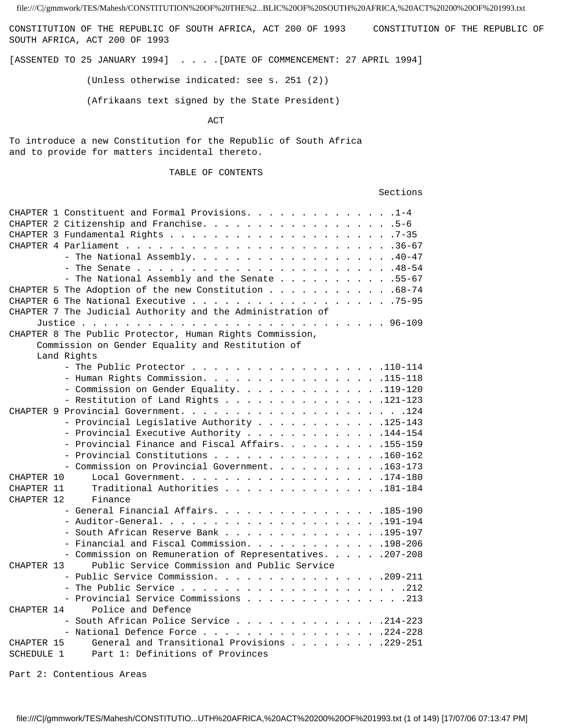CONSTITUTION OF THE REPUBLIC OF SOUTH AFRICA, ACT 200 OF 1993 CONSTITUTION OF THE REPUBLIC OF SOUTH AFRICA, ACT 200 OF 1993

[ASSENTED TO 25 JANUARY 1994] . . . .[DATE OF COMMENCEMENT: 27 APRIL 1994]

(Unless otherwise indicated: see s. 251 (2))

(Afrikaans text signed by the State President)

ACT

To introduce a new Constitution for the Republic of South Africa and to provide for matters incidental thereto.

TABLE OF CONTENTS

Sections and the contract of the contract of the sections of the contract of the contract of the contract of the contract of the contract of the contract of the contract of the contract of the contract of the contract of t

| CHAPTER 1 Constituent and Formal Provisions. 1-4           |  |  |  |  |
|------------------------------------------------------------|--|--|--|--|
| CHAPTER 2 Citizenship and Franchise. 5-6                   |  |  |  |  |
|                                                            |  |  |  |  |
|                                                            |  |  |  |  |
| - The National Assembly. 40-47                             |  |  |  |  |
|                                                            |  |  |  |  |
| - The National Assembly and the Senate 55-67               |  |  |  |  |
| CHAPTER 5 The Adoption of the new Constitution 68-74       |  |  |  |  |
|                                                            |  |  |  |  |
| CHAPTER 7 The Judicial Authority and the Administration of |  |  |  |  |
|                                                            |  |  |  |  |
| CHAPTER 8 The Public Protector, Human Rights Commission,   |  |  |  |  |
| Commission on Gender Equality and Restitution of           |  |  |  |  |
| Land Rights                                                |  |  |  |  |
| - The Public Protector 110-114                             |  |  |  |  |
| - Human Rights Commission. 115-118                         |  |  |  |  |
| - Commission on Gender Equality. 119-120                   |  |  |  |  |
| - Restitution of Land Rights 121-123                       |  |  |  |  |
|                                                            |  |  |  |  |
| - Provincial Legislative Authority 125-143                 |  |  |  |  |
| - Provincial Executive Authority 144-154                   |  |  |  |  |
| - Provincial Finance and Fiscal Affairs. 155-159           |  |  |  |  |
| - Provincial Constitutions 160-162                         |  |  |  |  |
| - Commission on Provincial Government. 163-173             |  |  |  |  |
| Local Government. 174-180<br>CHAPTER 10                    |  |  |  |  |
| Traditional Authorities 181-184<br>CHAPTER 11              |  |  |  |  |
| CHAPTER 12<br>Finance                                      |  |  |  |  |
| - General Financial Affairs. 185-190                       |  |  |  |  |
|                                                            |  |  |  |  |
| - South African Reserve Bank 195-197                       |  |  |  |  |
| - Financial and Fiscal Commission. 198-206                 |  |  |  |  |
| - Commission on Remuneration of Representatives. 207-208   |  |  |  |  |
| Public Service Commission and Public Service<br>CHAPTER 13 |  |  |  |  |
| - Public Service Commission. 209-211                       |  |  |  |  |
|                                                            |  |  |  |  |
| - Provincial Service Commissions 213                       |  |  |  |  |
| Police and Defence<br>CHAPTER 14                           |  |  |  |  |
| South African Police Service 214-223                       |  |  |  |  |
| - National Defence Force 224-228                           |  |  |  |  |
| General and Transitional Provisions 229-251<br>CHAPTER 15  |  |  |  |  |
| Part 1: Definitions of Provinces<br>SCHEDULE 1             |  |  |  |  |

Part 2: Contentious Areas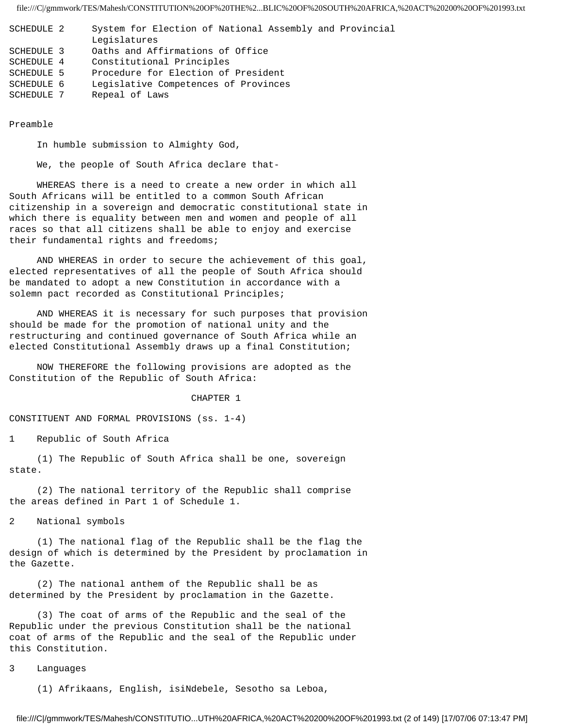| SCHEDULE 2 | System for Election of National Assembly and Provincial |
|------------|---------------------------------------------------------|
|            | Legislatures                                            |
| SCHEDULE 3 | Oaths and Affirmations of Office                        |
| SCHEDULE 4 | Constitutional Principles                               |
| SCHEDULE 5 | Procedure for Election of President                     |
| SCHEDULE 6 | Legislative Competences of Provinces                    |
| SCHEDULE 7 | Repeal of Laws                                          |

#### Preamble

In humble submission to Almighty God,

We, the people of South Africa declare that-

 WHEREAS there is a need to create a new order in which all South Africans will be entitled to a common South African citizenship in a sovereign and democratic constitutional state in which there is equality between men and women and people of all races so that all citizens shall be able to enjoy and exercise their fundamental rights and freedoms;

 AND WHEREAS in order to secure the achievement of this goal, elected representatives of all the people of South Africa should be mandated to adopt a new Constitution in accordance with a solemn pact recorded as Constitutional Principles;

 AND WHEREAS it is necessary for such purposes that provision should be made for the promotion of national unity and the restructuring and continued governance of South Africa while an elected Constitutional Assembly draws up a final Constitution;

 NOW THEREFORE the following provisions are adopted as the Constitution of the Republic of South Africa:

CHAPTER 1

CONSTITUENT AND FORMAL PROVISIONS (ss. 1-4)

Republic of South Africa

 (1) The Republic of South Africa shall be one, sovereign state.

 (2) The national territory of the Republic shall comprise the areas defined in Part 1 of Schedule 1.

2 National symbols

 (1) The national flag of the Republic shall be the flag the design of which is determined by the President by proclamation in the Gazette.

 (2) The national anthem of the Republic shall be as determined by the President by proclamation in the Gazette.

 (3) The coat of arms of the Republic and the seal of the Republic under the previous Constitution shall be the national coat of arms of the Republic and the seal of the Republic under this Constitution.

3 Languages

(1) Afrikaans, English, isiNdebele, Sesotho sa Leboa,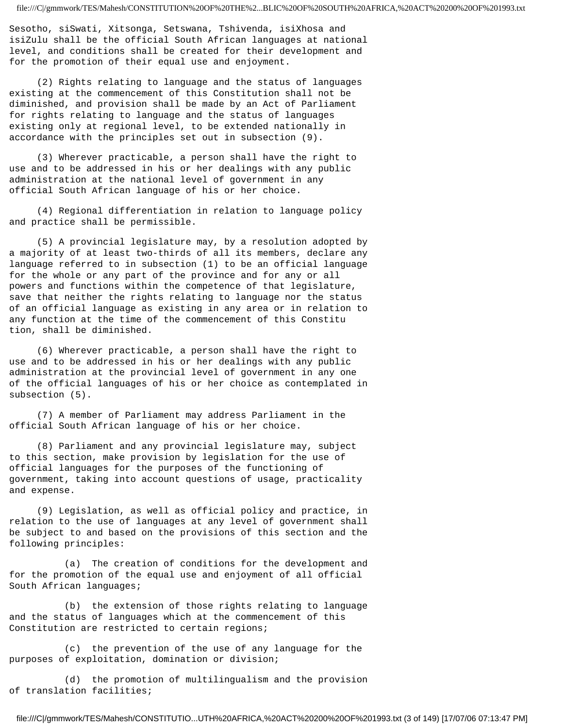Sesotho, siSwati, Xitsonga, Setswana, Tshivenda, isiXhosa and isiZulu shall be the official South African languages at national level, and conditions shall be created for their development and for the promotion of their equal use and enjoyment.

 (2) Rights relating to language and the status of languages existing at the commencement of this Constitution shall not be diminished, and provision shall be made by an Act of Parliament for rights relating to language and the status of languages existing only at regional level, to be extended nationally in accordance with the principles set out in subsection (9).

 (3) Wherever practicable, a person shall have the right to use and to be addressed in his or her dealings with any public administration at the national level of government in any official South African language of his or her choice.

 (4) Regional differentiation in relation to language policy and practice shall be permissible.

 (5) A provincial legislature may, by a resolution adopted by a majority of at least two-thirds of all its members, declare any language referred to in subsection (1) to be an official language for the whole or any part of the province and for any or all powers and functions within the competence of that legislature, save that neither the rights relating to language nor the status of an official language as existing in any area or in relation to any function at the time of the commencement of this Constitu tion, shall be diminished.

 (6) Wherever practicable, a person shall have the right to use and to be addressed in his or her dealings with any public administration at the provincial level of government in any one of the official languages of his or her choice as contemplated in subsection (5).

 (7) A member of Parliament may address Parliament in the official South African language of his or her choice.

 (8) Parliament and any provincial legislature may, subject to this section, make provision by legislation for the use of official languages for the purposes of the functioning of government, taking into account questions of usage, practicality and expense.

 (9) Legislation, as well as official policy and practice, in relation to the use of languages at any level of government shall be subject to and based on the provisions of this section and the following principles:

 (a) The creation of conditions for the development and for the promotion of the equal use and enjoyment of all official South African languages;

 (b) the extension of those rights relating to language and the status of languages which at the commencement of this Constitution are restricted to certain regions;

 (c) the prevention of the use of any language for the purposes of exploitation, domination or division;

 (d) the promotion of multilingualism and the provision of translation facilities;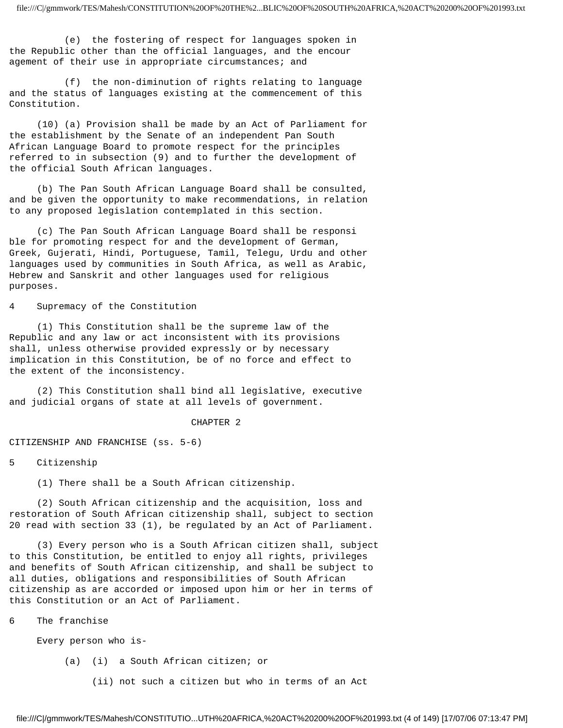(e) the fostering of respect for languages spoken in the Republic other than the official languages, and the encour agement of their use in appropriate circumstances; and

 (f) the non-diminution of rights relating to language and the status of languages existing at the commencement of this Constitution.

 (10) (a) Provision shall be made by an Act of Parliament for the establishment by the Senate of an independent Pan South African Language Board to promote respect for the principles referred to in subsection (9) and to further the development of the official South African languages.

 (b) The Pan South African Language Board shall be consulted, and be given the opportunity to make recommendations, in relation to any proposed legislation contemplated in this section.

 (c) The Pan South African Language Board shall be responsi ble for promoting respect for and the development of German, Greek, Gujerati, Hindi, Portuguese, Tamil, Telegu, Urdu and other languages used by communities in South Africa, as well as Arabic, Hebrew and Sanskrit and other languages used for religious purposes.

# 4 Supremacy of the Constitution

 (1) This Constitution shall be the supreme law of the Republic and any law or act inconsistent with its provisions shall, unless otherwise provided expressly or by necessary implication in this Constitution, be of no force and effect to the extent of the inconsistency.

 (2) This Constitution shall bind all legislative, executive and judicial organs of state at all levels of government.

CHAPTER 2

## CITIZENSHIP AND FRANCHISE (ss. 5-6)

#### 5 Citizenship

(1) There shall be a South African citizenship.

 (2) South African citizenship and the acquisition, loss and restoration of South African citizenship shall, subject to section 20 read with section 33 (1), be regulated by an Act of Parliament.

 (3) Every person who is a South African citizen shall, subject to this Constitution, be entitled to enjoy all rights, privileges and benefits of South African citizenship, and shall be subject to all duties, obligations and responsibilities of South African citizenship as are accorded or imposed upon him or her in terms of this Constitution or an Act of Parliament.

#### 6 The franchise

Every person who is-

(a) (i) a South African citizen; or

(ii) not such a citizen but who in terms of an Act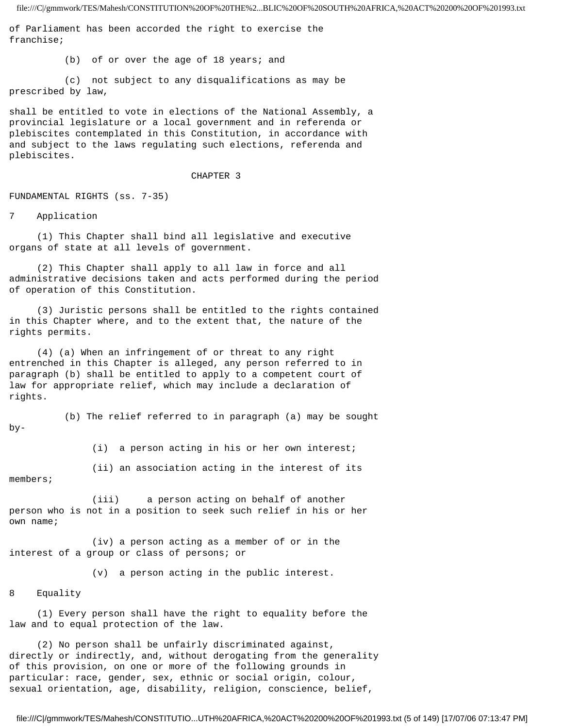of Parliament has been accorded the right to exercise the franchise;

(b) of or over the age of 18 years; and

 (c) not subject to any disqualifications as may be prescribed by law,

shall be entitled to vote in elections of the National Assembly, a provincial legislature or a local government and in referenda or plebiscites contemplated in this Constitution, in accordance with and subject to the laws regulating such elections, referenda and plebiscites.

CHAPTER 3

FUNDAMENTAL RIGHTS (ss. 7-35)

7 Application

 (1) This Chapter shall bind all legislative and executive organs of state at all levels of government.

 (2) This Chapter shall apply to all law in force and all administrative decisions taken and acts performed during the period of operation of this Constitution.

 (3) Juristic persons shall be entitled to the rights contained in this Chapter where, and to the extent that, the nature of the rights permits.

 (4) (a) When an infringement of or threat to any right entrenched in this Chapter is alleged, any person referred to in paragraph (b) shall be entitled to apply to a competent court of law for appropriate relief, which may include a declaration of rights.

 (b) The relief referred to in paragraph (a) may be sought by-

(i) a person acting in his or her own interest;

(ii) an association acting in the interest of its

members;

 (iii) a person acting on behalf of another person who is not in a position to seek such relief in his or her own name;

 (iv) a person acting as a member of or in the interest of a group or class of persons; or

(v) a person acting in the public interest.

#### 8 Equality

 (1) Every person shall have the right to equality before the law and to equal protection of the law.

 (2) No person shall be unfairly discriminated against, directly or indirectly, and, without derogating from the generality of this provision, on one or more of the following grounds in particular: race, gender, sex, ethnic or social origin, colour, sexual orientation, age, disability, religion, conscience, belief,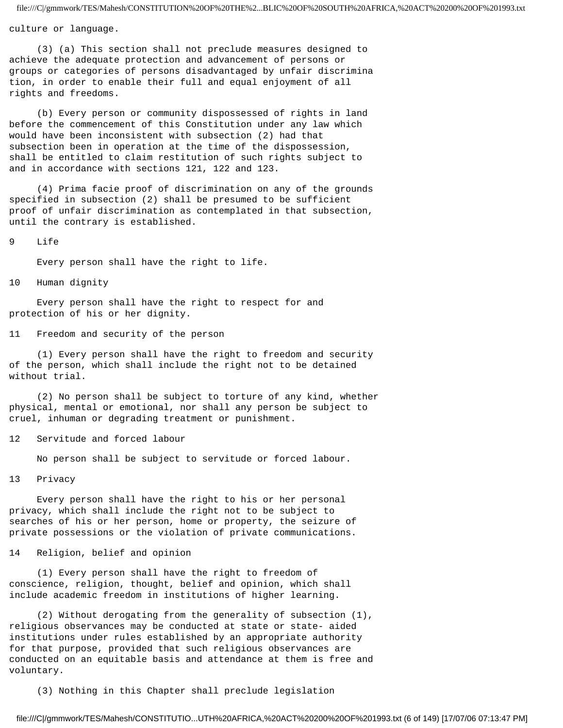culture or language.

 (3) (a) This section shall not preclude measures designed to achieve the adequate protection and advancement of persons or groups or categories of persons disadvantaged by unfair discrimina tion, in order to enable their full and equal enjoyment of all rights and freedoms.

 (b) Every person or community dispossessed of rights in land before the commencement of this Constitution under any law which would have been inconsistent with subsection (2) had that subsection been in operation at the time of the dispossession, shall be entitled to claim restitution of such rights subject to and in accordance with sections 121, 122 and 123.

 (4) Prima facie proof of discrimination on any of the grounds specified in subsection (2) shall be presumed to be sufficient proof of unfair discrimination as contemplated in that subsection, until the contrary is established.

#### 9 Life

Every person shall have the right to life.

10 Human dignity

 Every person shall have the right to respect for and protection of his or her dignity.

## 11 Freedom and security of the person

 (1) Every person shall have the right to freedom and security of the person, which shall include the right not to be detained without trial.

 (2) No person shall be subject to torture of any kind, whether physical, mental or emotional, nor shall any person be subject to cruel, inhuman or degrading treatment or punishment.

12 Servitude and forced labour

No person shall be subject to servitude or forced labour.

13 Privacy

 Every person shall have the right to his or her personal privacy, which shall include the right not to be subject to searches of his or her person, home or property, the seizure of private possessions or the violation of private communications.

14 Religion, belief and opinion

 (1) Every person shall have the right to freedom of conscience, religion, thought, belief and opinion, which shall include academic freedom in institutions of higher learning.

 (2) Without derogating from the generality of subsection (1), religious observances may be conducted at state or state- aided institutions under rules established by an appropriate authority for that purpose, provided that such religious observances are conducted on an equitable basis and attendance at them is free and voluntary.

(3) Nothing in this Chapter shall preclude legislation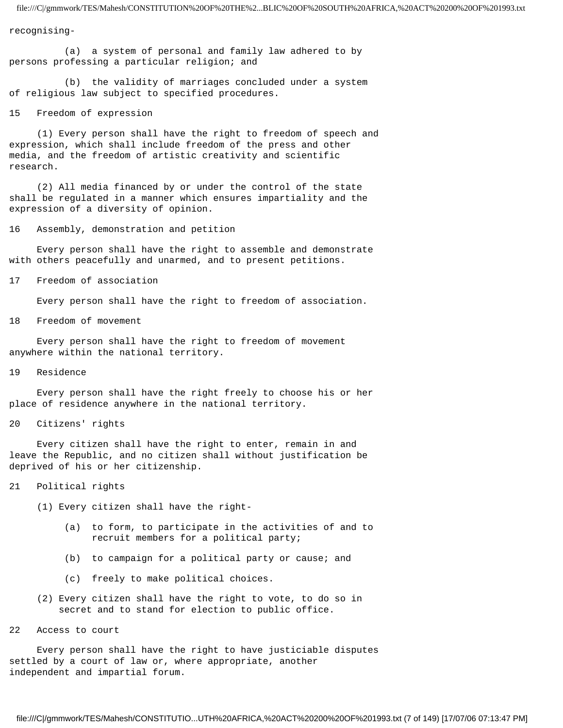recognising-

 (a) a system of personal and family law adhered to by persons professing a particular religion; and

 (b) the validity of marriages concluded under a system of religious law subject to specified procedures.

15 Freedom of expression

 (1) Every person shall have the right to freedom of speech and expression, which shall include freedom of the press and other media, and the freedom of artistic creativity and scientific research.

 (2) All media financed by or under the control of the state shall be regulated in a manner which ensures impartiality and the expression of a diversity of opinion.

16 Assembly, demonstration and petition

 Every person shall have the right to assemble and demonstrate with others peacefully and unarmed, and to present petitions.

17 Freedom of association

Every person shall have the right to freedom of association.

18 Freedom of movement

 Every person shall have the right to freedom of movement anywhere within the national territory.

19 Residence

 Every person shall have the right freely to choose his or her place of residence anywhere in the national territory.

20 Citizens' rights

 Every citizen shall have the right to enter, remain in and leave the Republic, and no citizen shall without justification be deprived of his or her citizenship.

- 21 Political rights
	- (1) Every citizen shall have the right-
		- (a) to form, to participate in the activities of and to recruit members for a political party;
		- (b) to campaign for a political party or cause; and
		- (c) freely to make political choices.
	- (2) Every citizen shall have the right to vote, to do so in secret and to stand for election to public office.

22 Access to court

 Every person shall have the right to have justiciable disputes settled by a court of law or, where appropriate, another independent and impartial forum.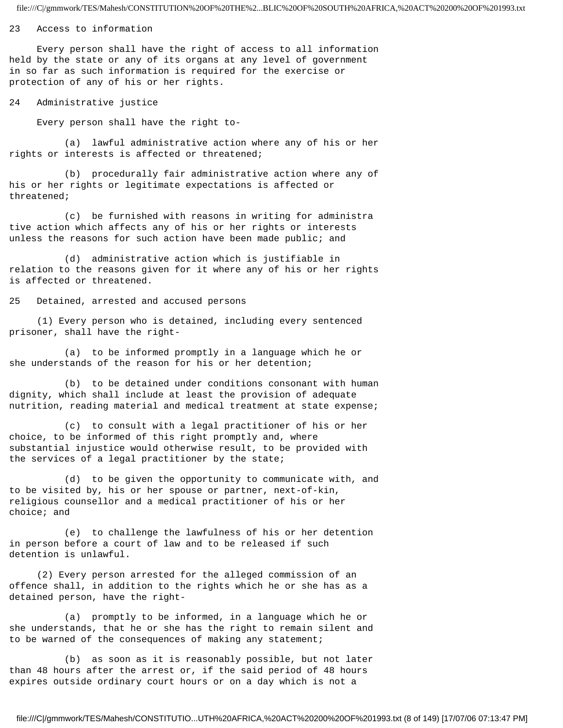#### 23 Access to information

 Every person shall have the right of access to all information held by the state or any of its organs at any level of government in so far as such information is required for the exercise or protection of any of his or her rights.

24 Administrative justice

Every person shall have the right to-

 (a) lawful administrative action where any of his or her rights or interests is affected or threatened;

 (b) procedurally fair administrative action where any of his or her rights or legitimate expectations is affected or threatened;

 (c) be furnished with reasons in writing for administra tive action which affects any of his or her rights or interests unless the reasons for such action have been made public; and

 (d) administrative action which is justifiable in relation to the reasons given for it where any of his or her rights is affected or threatened.

25 Detained, arrested and accused persons

 (1) Every person who is detained, including every sentenced prisoner, shall have the right-

 (a) to be informed promptly in a language which he or she understands of the reason for his or her detention;

 (b) to be detained under conditions consonant with human dignity, which shall include at least the provision of adequate nutrition, reading material and medical treatment at state expense;

 (c) to consult with a legal practitioner of his or her choice, to be informed of this right promptly and, where substantial injustice would otherwise result, to be provided with the services of a legal practitioner by the state;

 (d) to be given the opportunity to communicate with, and to be visited by, his or her spouse or partner, next-of-kin, religious counsellor and a medical practitioner of his or her choice; and

 (e) to challenge the lawfulness of his or her detention in person before a court of law and to be released if such detention is unlawful.

 (2) Every person arrested for the alleged commission of an offence shall, in addition to the rights which he or she has as a detained person, have the right-

 (a) promptly to be informed, in a language which he or she understands, that he or she has the right to remain silent and to be warned of the consequences of making any statement;

 (b) as soon as it is reasonably possible, but not later than 48 hours after the arrest or, if the said period of 48 hours expires outside ordinary court hours or on a day which is not a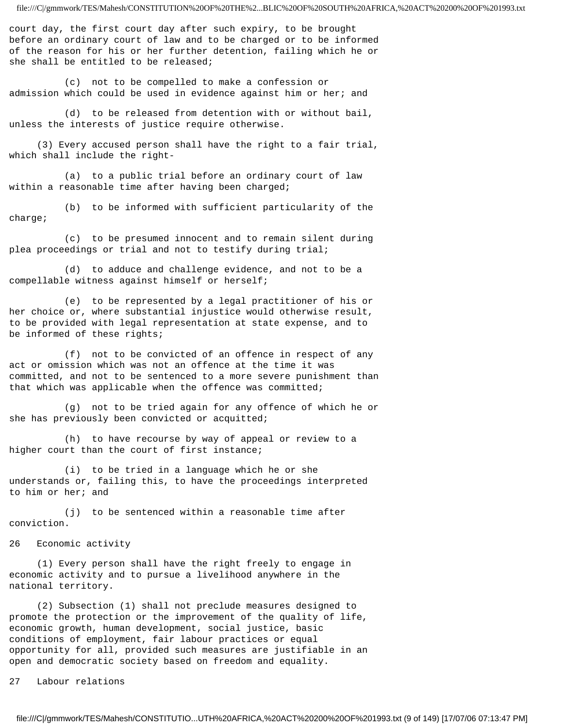court day, the first court day after such expiry, to be brought before an ordinary court of law and to be charged or to be informed of the reason for his or her further detention, failing which he or she shall be entitled to be released;

 (c) not to be compelled to make a confession or admission which could be used in evidence against him or her; and

 (d) to be released from detention with or without bail, unless the interests of justice require otherwise.

 (3) Every accused person shall have the right to a fair trial, which shall include the right-

 (a) to a public trial before an ordinary court of law within a reasonable time after having been charged;

 (b) to be informed with sufficient particularity of the charge;

 (c) to be presumed innocent and to remain silent during plea proceedings or trial and not to testify during trial;

 (d) to adduce and challenge evidence, and not to be a compellable witness against himself or herself;

 (e) to be represented by a legal practitioner of his or her choice or, where substantial injustice would otherwise result, to be provided with legal representation at state expense, and to be informed of these rights;

 (f) not to be convicted of an offence in respect of any act or omission which was not an offence at the time it was committed, and not to be sentenced to a more severe punishment than that which was applicable when the offence was committed;

 (g) not to be tried again for any offence of which he or she has previously been convicted or acquitted;

 (h) to have recourse by way of appeal or review to a higher court than the court of first instance;

 (i) to be tried in a language which he or she understands or, failing this, to have the proceedings interpreted to him or her; and

 (j) to be sentenced within a reasonable time after conviction.

26 Economic activity

 (1) Every person shall have the right freely to engage in economic activity and to pursue a livelihood anywhere in the national territory.

 (2) Subsection (1) shall not preclude measures designed to promote the protection or the improvement of the quality of life, economic growth, human development, social justice, basic conditions of employment, fair labour practices or equal opportunity for all, provided such measures are justifiable in an open and democratic society based on freedom and equality.

27 Labour relations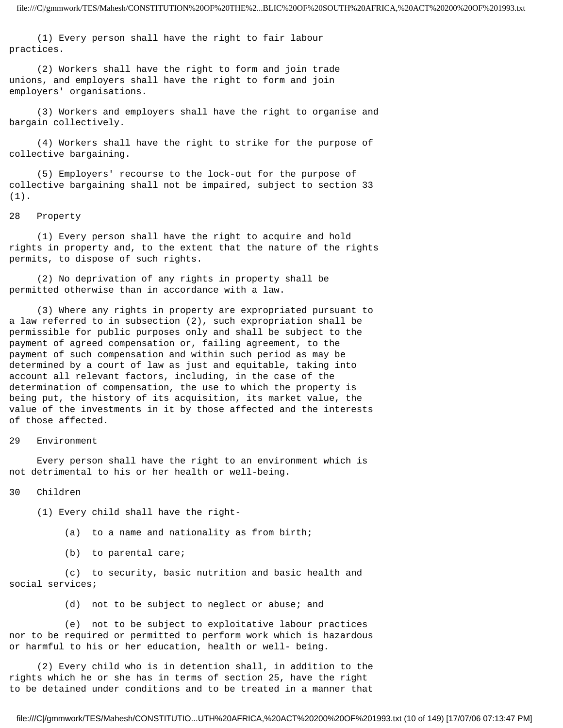(1) Every person shall have the right to fair labour practices.

 (2) Workers shall have the right to form and join trade unions, and employers shall have the right to form and join employers' organisations.

 (3) Workers and employers shall have the right to organise and bargain collectively.

 (4) Workers shall have the right to strike for the purpose of collective bargaining.

 (5) Employers' recourse to the lock-out for the purpose of collective bargaining shall not be impaired, subject to section 33 (1).

## 28 Property

 (1) Every person shall have the right to acquire and hold rights in property and, to the extent that the nature of the rights permits, to dispose of such rights.

 (2) No deprivation of any rights in property shall be permitted otherwise than in accordance with a law.

 (3) Where any rights in property are expropriated pursuant to a law referred to in subsection (2), such expropriation shall be permissible for public purposes only and shall be subject to the payment of agreed compensation or, failing agreement, to the payment of such compensation and within such period as may be determined by a court of law as just and equitable, taking into account all relevant factors, including, in the case of the determination of compensation, the use to which the property is being put, the history of its acquisition, its market value, the value of the investments in it by those affected and the interests of those affected.

#### 29 Environment

 Every person shall have the right to an environment which is not detrimental to his or her health or well-being.

30 Children

(1) Every child shall have the right-

- (a) to a name and nationality as from birth;
- (b) to parental care;

 (c) to security, basic nutrition and basic health and social services;

(d) not to be subject to neglect or abuse; and

 (e) not to be subject to exploitative labour practices nor to be required or permitted to perform work which is hazardous or harmful to his or her education, health or well- being.

 (2) Every child who is in detention shall, in addition to the rights which he or she has in terms of section 25, have the right to be detained under conditions and to be treated in a manner that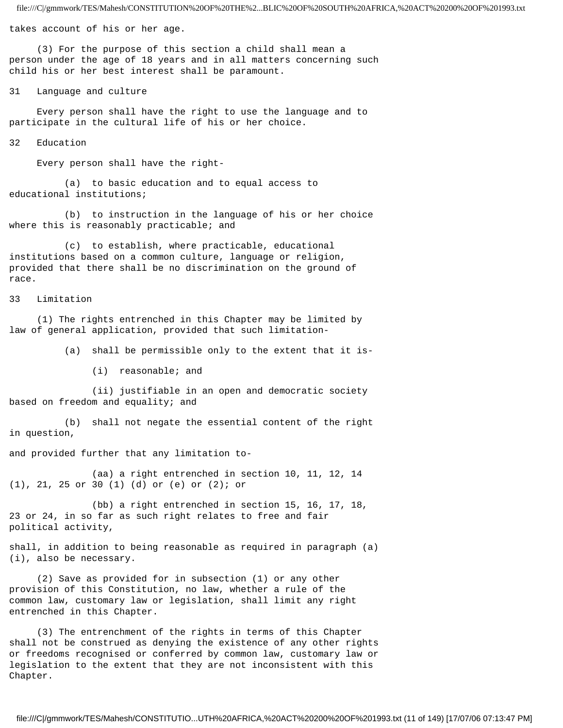takes account of his or her age.

 (3) For the purpose of this section a child shall mean a person under the age of 18 years and in all matters concerning such child his or her best interest shall be paramount.

31 Language and culture

 Every person shall have the right to use the language and to participate in the cultural life of his or her choice.

32 Education

Every person shall have the right-

 (a) to basic education and to equal access to educational institutions;

 (b) to instruction in the language of his or her choice where this is reasonably practicable; and

 (c) to establish, where practicable, educational institutions based on a common culture, language or religion, provided that there shall be no discrimination on the ground of race.

33 Limitation

 (1) The rights entrenched in this Chapter may be limited by law of general application, provided that such limitation-

(a) shall be permissible only to the extent that it is-

(i) reasonable; and

 (ii) justifiable in an open and democratic society based on freedom and equality; and

 (b) shall not negate the essential content of the right in question,

and provided further that any limitation to-

 (aa) a right entrenched in section 10, 11, 12, 14 (1), 21, 25 or 30 (1) (d) or (e) or (2); or

 (bb) a right entrenched in section 15, 16, 17, 18, 23 or 24, in so far as such right relates to free and fair political activity,

shall, in addition to being reasonable as required in paragraph (a) (i), also be necessary.

 (2) Save as provided for in subsection (1) or any other provision of this Constitution, no law, whether a rule of the common law, customary law or legislation, shall limit any right entrenched in this Chapter.

 (3) The entrenchment of the rights in terms of this Chapter shall not be construed as denying the existence of any other rights or freedoms recognised or conferred by common law, customary law or legislation to the extent that they are not inconsistent with this Chapter.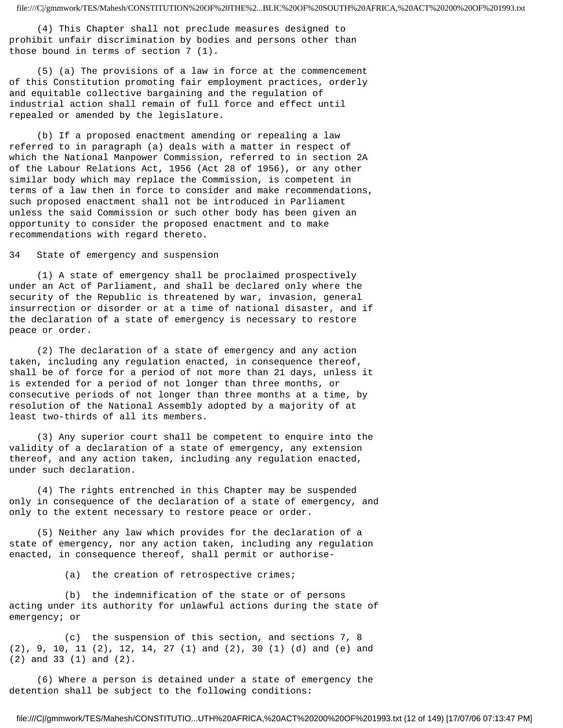(4) This Chapter shall not preclude measures designed to prohibit unfair discrimination by bodies and persons other than those bound in terms of section 7 (1).

 (5) (a) The provisions of a law in force at the commencement of this Constitution promoting fair employment practices, orderly and equitable collective bargaining and the regulation of industrial action shall remain of full force and effect until repealed or amended by the legislature.

 (b) If a proposed enactment amending or repealing a law referred to in paragraph (a) deals with a matter in respect of which the National Manpower Commission, referred to in section 2A of the Labour Relations Act, 1956 (Act 28 of 1956), or any other similar body which may replace the Commission, is competent in terms of a law then in force to consider and make recommendations, such proposed enactment shall not be introduced in Parliament unless the said Commission or such other body has been given an opportunity to consider the proposed enactment and to make recommendations with regard thereto.

34 State of emergency and suspension

 (1) A state of emergency shall be proclaimed prospectively under an Act of Parliament, and shall be declared only where the security of the Republic is threatened by war, invasion, general insurrection or disorder or at a time of national disaster, and if the declaration of a state of emergency is necessary to restore peace or order.

 (2) The declaration of a state of emergency and any action taken, including any regulation enacted, in consequence thereof, shall be of force for a period of not more than 21 days, unless it is extended for a period of not longer than three months, or consecutive periods of not longer than three months at a time, by resolution of the National Assembly adopted by a majority of at least two-thirds of all its members.

 (3) Any superior court shall be competent to enquire into the validity of a declaration of a state of emergency, any extension thereof, and any action taken, including any regulation enacted, under such declaration.

 (4) The rights entrenched in this Chapter may be suspended only in consequence of the declaration of a state of emergency, and only to the extent necessary to restore peace or order.

 (5) Neither any law which provides for the declaration of a state of emergency, nor any action taken, including any regulation enacted, in consequence thereof, shall permit or authorise-

(a) the creation of retrospective crimes;

 (b) the indemnification of the state or of persons acting under its authority for unlawful actions during the state of emergency; or

 (c) the suspension of this section, and sections 7, 8 (2), 9, 10, 11 (2), 12, 14, 27 (1) and (2), 30 (1) (d) and (e) and (2) and 33 (1) and (2).

 (6) Where a person is detained under a state of emergency the detention shall be subject to the following conditions: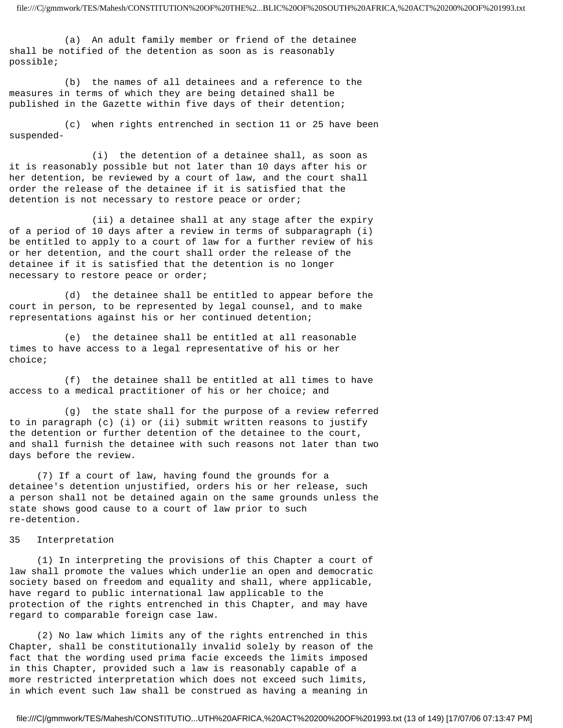(a) An adult family member or friend of the detainee shall be notified of the detention as soon as is reasonably possible;

 (b) the names of all detainees and a reference to the measures in terms of which they are being detained shall be published in the Gazette within five days of their detention;

 (c) when rights entrenched in section 11 or 25 have been suspended-

 (i) the detention of a detainee shall, as soon as it is reasonably possible but not later than 10 days after his or her detention, be reviewed by a court of law, and the court shall order the release of the detainee if it is satisfied that the detention is not necessary to restore peace or order;

 (ii) a detainee shall at any stage after the expiry of a period of 10 days after a review in terms of subparagraph (i) be entitled to apply to a court of law for a further review of his or her detention, and the court shall order the release of the detainee if it is satisfied that the detention is no longer necessary to restore peace or order;

 (d) the detainee shall be entitled to appear before the court in person, to be represented by legal counsel, and to make representations against his or her continued detention;

 (e) the detainee shall be entitled at all reasonable times to have access to a legal representative of his or her choice;

 (f) the detainee shall be entitled at all times to have access to a medical practitioner of his or her choice; and

 (g) the state shall for the purpose of a review referred to in paragraph (c) (i) or (ii) submit written reasons to justify the detention or further detention of the detainee to the court, and shall furnish the detainee with such reasons not later than two days before the review.

 (7) If a court of law, having found the grounds for a detainee's detention unjustified, orders his or her release, such a person shall not be detained again on the same grounds unless the state shows good cause to a court of law prior to such re-detention.

## 35 Interpretation

 (1) In interpreting the provisions of this Chapter a court of law shall promote the values which underlie an open and democratic society based on freedom and equality and shall, where applicable, have regard to public international law applicable to the protection of the rights entrenched in this Chapter, and may have regard to comparable foreign case law.

 (2) No law which limits any of the rights entrenched in this Chapter, shall be constitutionally invalid solely by reason of the fact that the wording used prima facie exceeds the limits imposed in this Chapter, provided such a law is reasonably capable of a more restricted interpretation which does not exceed such limits, in which event such law shall be construed as having a meaning in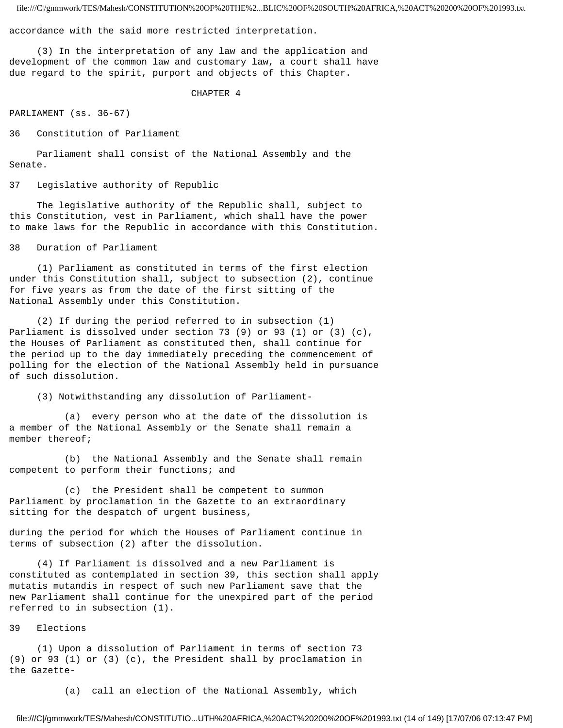accordance with the said more restricted interpretation.

 (3) In the interpretation of any law and the application and development of the common law and customary law, a court shall have due regard to the spirit, purport and objects of this Chapter.

CHAPTER 4

PARLIAMENT (ss. 36-67)

36 Constitution of Parliament

 Parliament shall consist of the National Assembly and the Senate.

37 Legislative authority of Republic

 The legislative authority of the Republic shall, subject to this Constitution, vest in Parliament, which shall have the power to make laws for the Republic in accordance with this Constitution.

38 Duration of Parliament

 (1) Parliament as constituted in terms of the first election under this Constitution shall, subject to subsection (2), continue for five years as from the date of the first sitting of the National Assembly under this Constitution.

 (2) If during the period referred to in subsection (1) Parliament is dissolved under section 73 (9) or 93 (1) or (3) (c), the Houses of Parliament as constituted then, shall continue for the period up to the day immediately preceding the commencement of polling for the election of the National Assembly held in pursuance of such dissolution.

(3) Notwithstanding any dissolution of Parliament-

 (a) every person who at the date of the dissolution is a member of the National Assembly or the Senate shall remain a member thereof;

 (b) the National Assembly and the Senate shall remain competent to perform their functions; and

 (c) the President shall be competent to summon Parliament by proclamation in the Gazette to an extraordinary sitting for the despatch of urgent business,

during the period for which the Houses of Parliament continue in terms of subsection (2) after the dissolution.

 (4) If Parliament is dissolved and a new Parliament is constituted as contemplated in section 39, this section shall apply mutatis mutandis in respect of such new Parliament save that the new Parliament shall continue for the unexpired part of the period referred to in subsection (1).

39 Elections

 (1) Upon a dissolution of Parliament in terms of section 73 (9) or 93 (1) or (3) (c), the President shall by proclamation in the Gazette-

(a) call an election of the National Assembly, which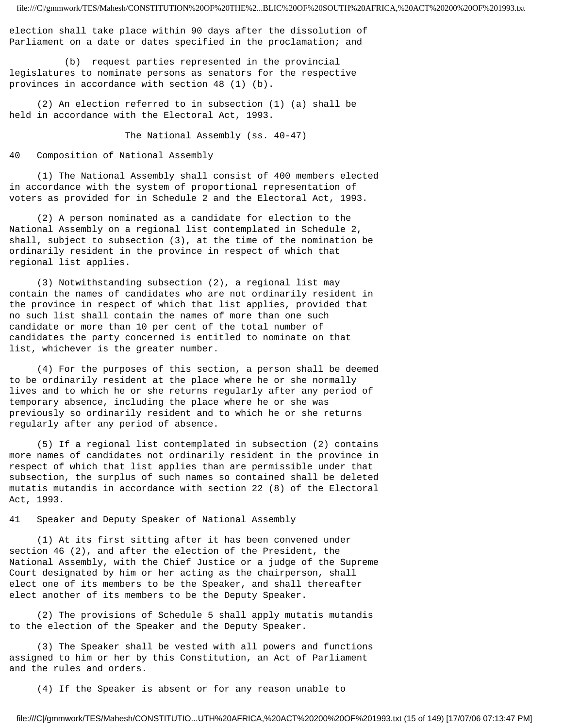election shall take place within 90 days after the dissolution of Parliament on a date or dates specified in the proclamation; and

 (b) request parties represented in the provincial legislatures to nominate persons as senators for the respective provinces in accordance with section 48 (1) (b).

 (2) An election referred to in subsection (1) (a) shall be held in accordance with the Electoral Act, 1993.

The National Assembly (ss. 40-47)

40 Composition of National Assembly

 (1) The National Assembly shall consist of 400 members elected in accordance with the system of proportional representation of voters as provided for in Schedule 2 and the Electoral Act, 1993.

 (2) A person nominated as a candidate for election to the National Assembly on a regional list contemplated in Schedule 2, shall, subject to subsection (3), at the time of the nomination be ordinarily resident in the province in respect of which that regional list applies.

 (3) Notwithstanding subsection (2), a regional list may contain the names of candidates who are not ordinarily resident in the province in respect of which that list applies, provided that no such list shall contain the names of more than one such candidate or more than 10 per cent of the total number of candidates the party concerned is entitled to nominate on that list, whichever is the greater number.

 (4) For the purposes of this section, a person shall be deemed to be ordinarily resident at the place where he or she normally lives and to which he or she returns regularly after any period of temporary absence, including the place where he or she was previously so ordinarily resident and to which he or she returns regularly after any period of absence.

 (5) If a regional list contemplated in subsection (2) contains more names of candidates not ordinarily resident in the province in respect of which that list applies than are permissible under that subsection, the surplus of such names so contained shall be deleted mutatis mutandis in accordance with section 22 (8) of the Electoral Act, 1993.

41 Speaker and Deputy Speaker of National Assembly

 (1) At its first sitting after it has been convened under section 46 (2), and after the election of the President, the National Assembly, with the Chief Justice or a judge of the Supreme Court designated by him or her acting as the chairperson, shall elect one of its members to be the Speaker, and shall thereafter elect another of its members to be the Deputy Speaker.

 (2) The provisions of Schedule 5 shall apply mutatis mutandis to the election of the Speaker and the Deputy Speaker.

 (3) The Speaker shall be vested with all powers and functions assigned to him or her by this Constitution, an Act of Parliament and the rules and orders.

(4) If the Speaker is absent or for any reason unable to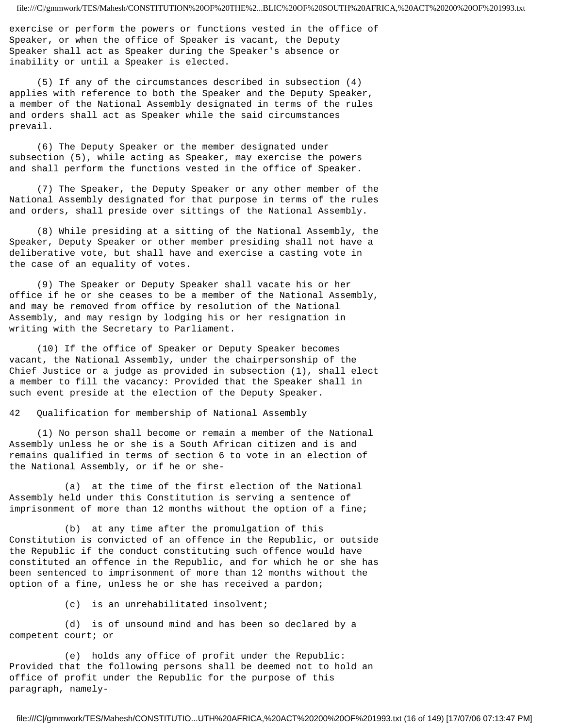exercise or perform the powers or functions vested in the office of Speaker, or when the office of Speaker is vacant, the Deputy Speaker shall act as Speaker during the Speaker's absence or inability or until a Speaker is elected.

 (5) If any of the circumstances described in subsection (4) applies with reference to both the Speaker and the Deputy Speaker, a member of the National Assembly designated in terms of the rules and orders shall act as Speaker while the said circumstances prevail.

 (6) The Deputy Speaker or the member designated under subsection (5), while acting as Speaker, may exercise the powers and shall perform the functions vested in the office of Speaker.

 (7) The Speaker, the Deputy Speaker or any other member of the National Assembly designated for that purpose in terms of the rules and orders, shall preside over sittings of the National Assembly.

 (8) While presiding at a sitting of the National Assembly, the Speaker, Deputy Speaker or other member presiding shall not have a deliberative vote, but shall have and exercise a casting vote in the case of an equality of votes.

 (9) The Speaker or Deputy Speaker shall vacate his or her office if he or she ceases to be a member of the National Assembly, and may be removed from office by resolution of the National Assembly, and may resign by lodging his or her resignation in writing with the Secretary to Parliament.

 (10) If the office of Speaker or Deputy Speaker becomes vacant, the National Assembly, under the chairpersonship of the Chief Justice or a judge as provided in subsection (1), shall elect a member to fill the vacancy: Provided that the Speaker shall in such event preside at the election of the Deputy Speaker.

42 Qualification for membership of National Assembly

 (1) No person shall become or remain a member of the National Assembly unless he or she is a South African citizen and is and remains qualified in terms of section 6 to vote in an election of the National Assembly, or if he or she-

 (a) at the time of the first election of the National Assembly held under this Constitution is serving a sentence of imprisonment of more than 12 months without the option of a fine;

 (b) at any time after the promulgation of this Constitution is convicted of an offence in the Republic, or outside the Republic if the conduct constituting such offence would have constituted an offence in the Republic, and for which he or she has been sentenced to imprisonment of more than 12 months without the option of a fine, unless he or she has received a pardon;

(c) is an unrehabilitated insolvent;

 (d) is of unsound mind and has been so declared by a competent court; or

 (e) holds any office of profit under the Republic: Provided that the following persons shall be deemed not to hold an office of profit under the Republic for the purpose of this paragraph, namely-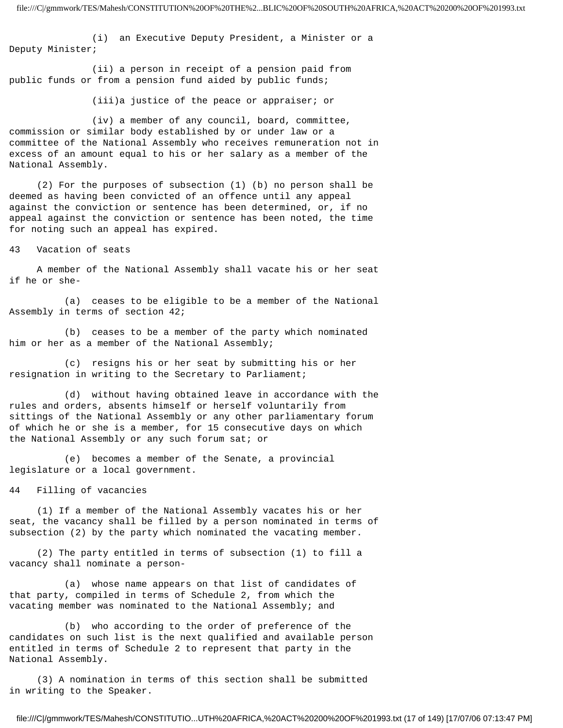(i) an Executive Deputy President, a Minister or a Deputy Minister;

 (ii) a person in receipt of a pension paid from public funds or from a pension fund aided by public funds;

(iii)a justice of the peace or appraiser; or

 (iv) a member of any council, board, committee, commission or similar body established by or under law or a committee of the National Assembly who receives remuneration not in excess of an amount equal to his or her salary as a member of the National Assembly.

 (2) For the purposes of subsection (1) (b) no person shall be deemed as having been convicted of an offence until any appeal against the conviction or sentence has been determined, or, if no appeal against the conviction or sentence has been noted, the time for noting such an appeal has expired.

43 Vacation of seats

 A member of the National Assembly shall vacate his or her seat if he or she-

 (a) ceases to be eligible to be a member of the National Assembly in terms of section 42;

 (b) ceases to be a member of the party which nominated him or her as a member of the National Assembly;

 (c) resigns his or her seat by submitting his or her resignation in writing to the Secretary to Parliament;

 (d) without having obtained leave in accordance with the rules and orders, absents himself or herself voluntarily from sittings of the National Assembly or any other parliamentary forum of which he or she is a member, for 15 consecutive days on which the National Assembly or any such forum sat; or

 (e) becomes a member of the Senate, a provincial legislature or a local government.

44 Filling of vacancies

 (1) If a member of the National Assembly vacates his or her seat, the vacancy shall be filled by a person nominated in terms of subsection (2) by the party which nominated the vacating member.

 (2) The party entitled in terms of subsection (1) to fill a vacancy shall nominate a person-

 (a) whose name appears on that list of candidates of that party, compiled in terms of Schedule 2, from which the vacating member was nominated to the National Assembly; and

 (b) who according to the order of preference of the candidates on such list is the next qualified and available person entitled in terms of Schedule 2 to represent that party in the National Assembly.

 (3) A nomination in terms of this section shall be submitted in writing to the Speaker.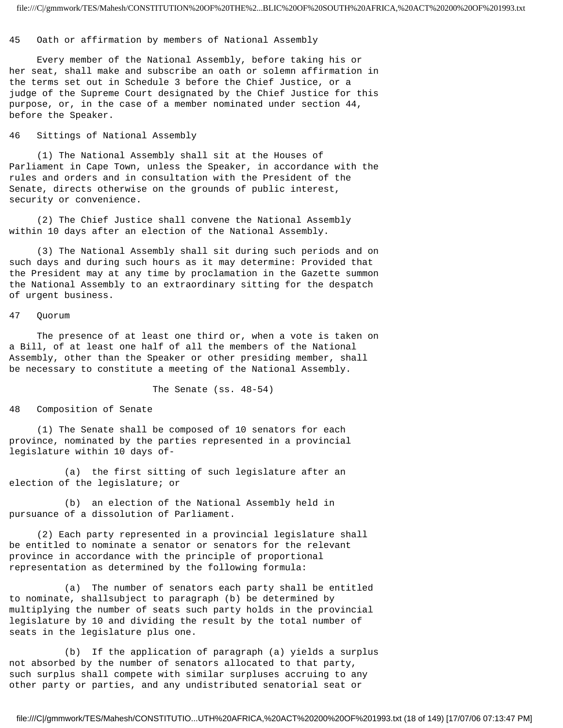45 Oath or affirmation by members of National Assembly

 Every member of the National Assembly, before taking his or her seat, shall make and subscribe an oath or solemn affirmation in the terms set out in Schedule 3 before the Chief Justice, or a judge of the Supreme Court designated by the Chief Justice for this purpose, or, in the case of a member nominated under section 44, before the Speaker.

## 46 Sittings of National Assembly

 (1) The National Assembly shall sit at the Houses of Parliament in Cape Town, unless the Speaker, in accordance with the rules and orders and in consultation with the President of the Senate, directs otherwise on the grounds of public interest, security or convenience.

 (2) The Chief Justice shall convene the National Assembly within 10 days after an election of the National Assembly.

 (3) The National Assembly shall sit during such periods and on such days and during such hours as it may determine: Provided that the President may at any time by proclamation in the Gazette summon the National Assembly to an extraordinary sitting for the despatch of urgent business.

#### 47 Quorum

 The presence of at least one third or, when a vote is taken on a Bill, of at least one half of all the members of the National Assembly, other than the Speaker or other presiding member, shall be necessary to constitute a meeting of the National Assembly.

The Senate (ss. 48-54)

48 Composition of Senate

 (1) The Senate shall be composed of 10 senators for each province, nominated by the parties represented in a provincial legislature within 10 days of-

 (a) the first sitting of such legislature after an election of the legislature; or

 (b) an election of the National Assembly held in pursuance of a dissolution of Parliament.

 (2) Each party represented in a provincial legislature shall be entitled to nominate a senator or senators for the relevant province in accordance with the principle of proportional representation as determined by the following formula:

 (a) The number of senators each party shall be entitled to nominate, shallsubject to paragraph (b) be determined by multiplying the number of seats such party holds in the provincial legislature by 10 and dividing the result by the total number of seats in the legislature plus one.

 (b) If the application of paragraph (a) yields a surplus not absorbed by the number of senators allocated to that party, such surplus shall compete with similar surpluses accruing to any other party or parties, and any undistributed senatorial seat or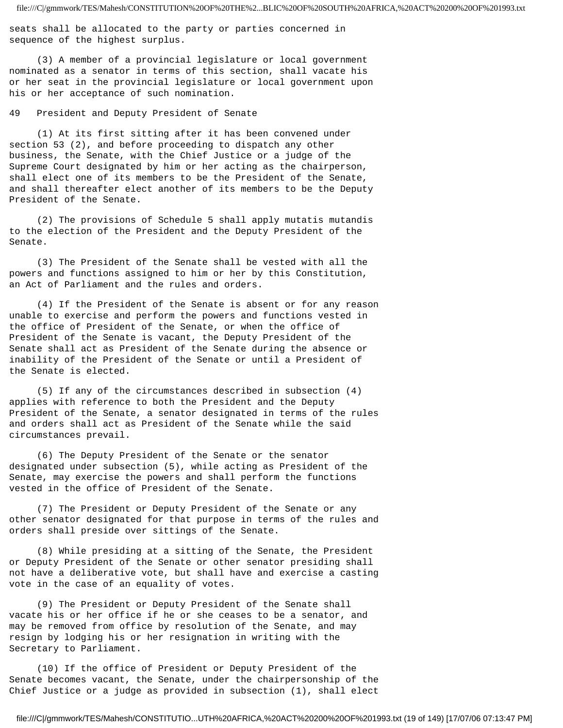seats shall be allocated to the party or parties concerned in sequence of the highest surplus.

 (3) A member of a provincial legislature or local government nominated as a senator in terms of this section, shall vacate his or her seat in the provincial legislature or local government upon his or her acceptance of such nomination.

49 President and Deputy President of Senate

 (1) At its first sitting after it has been convened under section 53 (2), and before proceeding to dispatch any other business, the Senate, with the Chief Justice or a judge of the Supreme Court designated by him or her acting as the chairperson, shall elect one of its members to be the President of the Senate, and shall thereafter elect another of its members to be the Deputy President of the Senate.

 (2) The provisions of Schedule 5 shall apply mutatis mutandis to the election of the President and the Deputy President of the Senate.

 (3) The President of the Senate shall be vested with all the powers and functions assigned to him or her by this Constitution, an Act of Parliament and the rules and orders.

 (4) If the President of the Senate is absent or for any reason unable to exercise and perform the powers and functions vested in the office of President of the Senate, or when the office of President of the Senate is vacant, the Deputy President of the Senate shall act as President of the Senate during the absence or inability of the President of the Senate or until a President of the Senate is elected.

 (5) If any of the circumstances described in subsection (4) applies with reference to both the President and the Deputy President of the Senate, a senator designated in terms of the rules and orders shall act as President of the Senate while the said circumstances prevail.

 (6) The Deputy President of the Senate or the senator designated under subsection (5), while acting as President of the Senate, may exercise the powers and shall perform the functions vested in the office of President of the Senate.

 (7) The President or Deputy President of the Senate or any other senator designated for that purpose in terms of the rules and orders shall preside over sittings of the Senate.

 (8) While presiding at a sitting of the Senate, the President or Deputy President of the Senate or other senator presiding shall not have a deliberative vote, but shall have and exercise a casting vote in the case of an equality of votes.

 (9) The President or Deputy President of the Senate shall vacate his or her office if he or she ceases to be a senator, and may be removed from office by resolution of the Senate, and may resign by lodging his or her resignation in writing with the Secretary to Parliament.

 (10) If the office of President or Deputy President of the Senate becomes vacant, the Senate, under the chairpersonship of the Chief Justice or a judge as provided in subsection (1), shall elect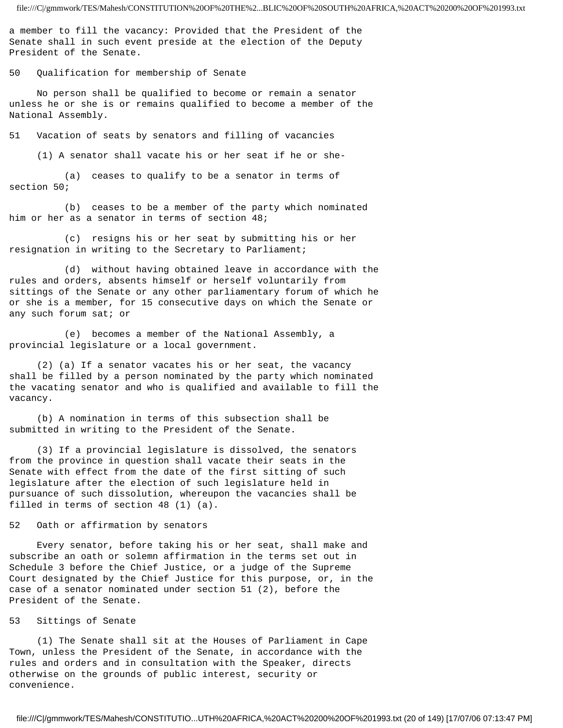a member to fill the vacancy: Provided that the President of the Senate shall in such event preside at the election of the Deputy President of the Senate.

50 Qualification for membership of Senate

 No person shall be qualified to become or remain a senator unless he or she is or remains qualified to become a member of the National Assembly.

51 Vacation of seats by senators and filling of vacancies

(1) A senator shall vacate his or her seat if he or she-

 (a) ceases to qualify to be a senator in terms of section 50;

 (b) ceases to be a member of the party which nominated him or her as a senator in terms of section 48;

 (c) resigns his or her seat by submitting his or her resignation in writing to the Secretary to Parliament;

 (d) without having obtained leave in accordance with the rules and orders, absents himself or herself voluntarily from sittings of the Senate or any other parliamentary forum of which he or she is a member, for 15 consecutive days on which the Senate or any such forum sat; or

 (e) becomes a member of the National Assembly, a provincial legislature or a local government.

 (2) (a) If a senator vacates his or her seat, the vacancy shall be filled by a person nominated by the party which nominated the vacating senator and who is qualified and available to fill the vacancy.

 (b) A nomination in terms of this subsection shall be submitted in writing to the President of the Senate.

 (3) If a provincial legislature is dissolved, the senators from the province in question shall vacate their seats in the Senate with effect from the date of the first sitting of such legislature after the election of such legislature held in pursuance of such dissolution, whereupon the vacancies shall be filled in terms of section 48 (1) (a).

# 52 Oath or affirmation by senators

 Every senator, before taking his or her seat, shall make and subscribe an oath or solemn affirmation in the terms set out in Schedule 3 before the Chief Justice, or a judge of the Supreme Court designated by the Chief Justice for this purpose, or, in the case of a senator nominated under section 51 (2), before the President of the Senate.

## 53 Sittings of Senate

 (1) The Senate shall sit at the Houses of Parliament in Cape Town, unless the President of the Senate, in accordance with the rules and orders and in consultation with the Speaker, directs otherwise on the grounds of public interest, security or convenience.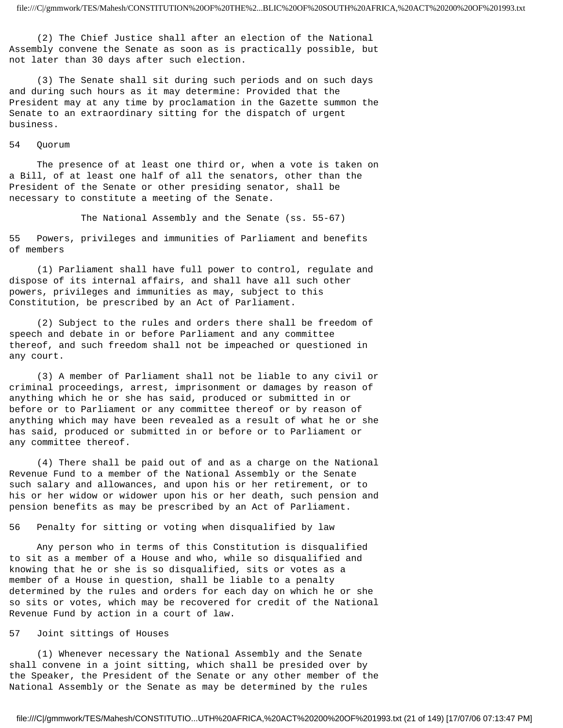(2) The Chief Justice shall after an election of the National Assembly convene the Senate as soon as is practically possible, but not later than 30 days after such election.

 (3) The Senate shall sit during such periods and on such days and during such hours as it may determine: Provided that the President may at any time by proclamation in the Gazette summon the Senate to an extraordinary sitting for the dispatch of urgent business.

#### 54 Quorum

 The presence of at least one third or, when a vote is taken on a Bill, of at least one half of all the senators, other than the President of the Senate or other presiding senator, shall be necessary to constitute a meeting of the Senate.

The National Assembly and the Senate (ss. 55-67)

55 Powers, privileges and immunities of Parliament and benefits of members

 (1) Parliament shall have full power to control, regulate and dispose of its internal affairs, and shall have all such other powers, privileges and immunities as may, subject to this Constitution, be prescribed by an Act of Parliament.

 (2) Subject to the rules and orders there shall be freedom of speech and debate in or before Parliament and any committee thereof, and such freedom shall not be impeached or questioned in any court.

 (3) A member of Parliament shall not be liable to any civil or criminal proceedings, arrest, imprisonment or damages by reason of anything which he or she has said, produced or submitted in or before or to Parliament or any committee thereof or by reason of anything which may have been revealed as a result of what he or she has said, produced or submitted in or before or to Parliament or any committee thereof.

 (4) There shall be paid out of and as a charge on the National Revenue Fund to a member of the National Assembly or the Senate such salary and allowances, and upon his or her retirement, or to his or her widow or widower upon his or her death, such pension and pension benefits as may be prescribed by an Act of Parliament.

56 Penalty for sitting or voting when disqualified by law

 Any person who in terms of this Constitution is disqualified to sit as a member of a House and who, while so disqualified and knowing that he or she is so disqualified, sits or votes as a member of a House in question, shall be liable to a penalty determined by the rules and orders for each day on which he or she so sits or votes, which may be recovered for credit of the National Revenue Fund by action in a court of law.

## 57 Joint sittings of Houses

 (1) Whenever necessary the National Assembly and the Senate shall convene in a joint sitting, which shall be presided over by the Speaker, the President of the Senate or any other member of the National Assembly or the Senate as may be determined by the rules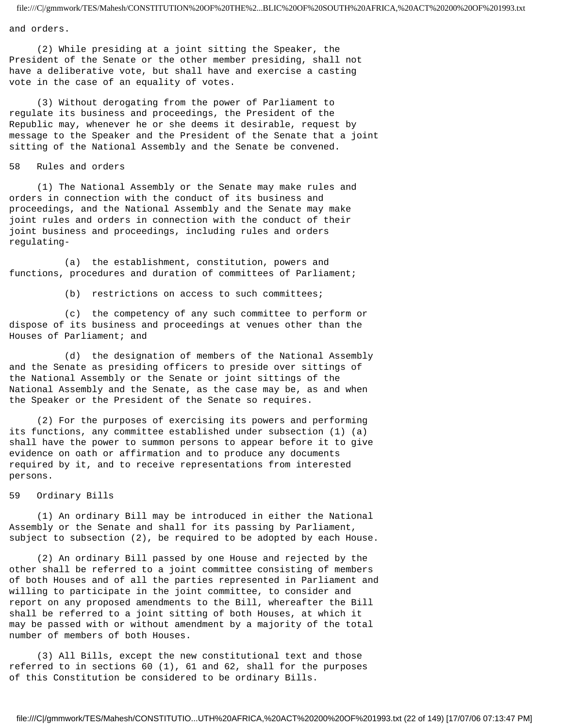and orders.

 (2) While presiding at a joint sitting the Speaker, the President of the Senate or the other member presiding, shall not have a deliberative vote, but shall have and exercise a casting vote in the case of an equality of votes.

 (3) Without derogating from the power of Parliament to regulate its business and proceedings, the President of the Republic may, whenever he or she deems it desirable, request by message to the Speaker and the President of the Senate that a joint sitting of the National Assembly and the Senate be convened.

### 58 Rules and orders

 (1) The National Assembly or the Senate may make rules and orders in connection with the conduct of its business and proceedings, and the National Assembly and the Senate may make joint rules and orders in connection with the conduct of their joint business and proceedings, including rules and orders regulating-

 (a) the establishment, constitution, powers and functions, procedures and duration of committees of Parliament;

(b) restrictions on access to such committees;

 (c) the competency of any such committee to perform or dispose of its business and proceedings at venues other than the Houses of Parliament; and

 (d) the designation of members of the National Assembly and the Senate as presiding officers to preside over sittings of the National Assembly or the Senate or joint sittings of the National Assembly and the Senate, as the case may be, as and when the Speaker or the President of the Senate so requires.

 (2) For the purposes of exercising its powers and performing its functions, any committee established under subsection (1) (a) shall have the power to summon persons to appear before it to give evidence on oath or affirmation and to produce any documents required by it, and to receive representations from interested persons.

59 Ordinary Bills

 (1) An ordinary Bill may be introduced in either the National Assembly or the Senate and shall for its passing by Parliament, subject to subsection (2), be required to be adopted by each House.

 (2) An ordinary Bill passed by one House and rejected by the other shall be referred to a joint committee consisting of members of both Houses and of all the parties represented in Parliament and willing to participate in the joint committee, to consider and report on any proposed amendments to the Bill, whereafter the Bill shall be referred to a joint sitting of both Houses, at which it may be passed with or without amendment by a majority of the total number of members of both Houses.

 (3) All Bills, except the new constitutional text and those referred to in sections 60 (1), 61 and 62, shall for the purposes of this Constitution be considered to be ordinary Bills.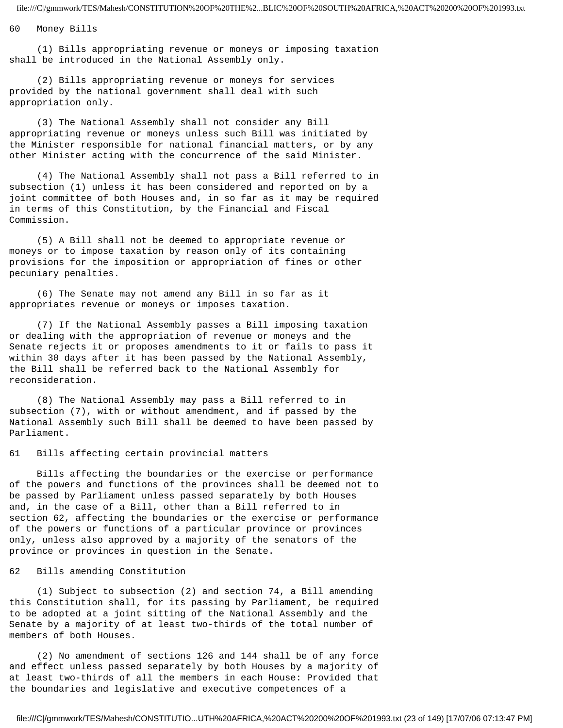60 Money Bills

 (1) Bills appropriating revenue or moneys or imposing taxation shall be introduced in the National Assembly only.

 (2) Bills appropriating revenue or moneys for services provided by the national government shall deal with such appropriation only.

 (3) The National Assembly shall not consider any Bill appropriating revenue or moneys unless such Bill was initiated by the Minister responsible for national financial matters, or by any other Minister acting with the concurrence of the said Minister.

 (4) The National Assembly shall not pass a Bill referred to in subsection (1) unless it has been considered and reported on by a joint committee of both Houses and, in so far as it may be required in terms of this Constitution, by the Financial and Fiscal Commission.

 (5) A Bill shall not be deemed to appropriate revenue or moneys or to impose taxation by reason only of its containing provisions for the imposition or appropriation of fines or other pecuniary penalties.

 (6) The Senate may not amend any Bill in so far as it appropriates revenue or moneys or imposes taxation.

 (7) If the National Assembly passes a Bill imposing taxation or dealing with the appropriation of revenue or moneys and the Senate rejects it or proposes amendments to it or fails to pass it within 30 days after it has been passed by the National Assembly, the Bill shall be referred back to the National Assembly for reconsideration.

 (8) The National Assembly may pass a Bill referred to in subsection (7), with or without amendment, and if passed by the National Assembly such Bill shall be deemed to have been passed by Parliament.

# 61 Bills affecting certain provincial matters

 Bills affecting the boundaries or the exercise or performance of the powers and functions of the provinces shall be deemed not to be passed by Parliament unless passed separately by both Houses and, in the case of a Bill, other than a Bill referred to in section 62, affecting the boundaries or the exercise or performance of the powers or functions of a particular province or provinces only, unless also approved by a majority of the senators of the province or provinces in question in the Senate.

# 62 Bills amending Constitution

 (1) Subject to subsection (2) and section 74, a Bill amending this Constitution shall, for its passing by Parliament, be required to be adopted at a joint sitting of the National Assembly and the Senate by a majority of at least two-thirds of the total number of members of both Houses.

 (2) No amendment of sections 126 and 144 shall be of any force and effect unless passed separately by both Houses by a majority of at least two-thirds of all the members in each House: Provided that the boundaries and legislative and executive competences of a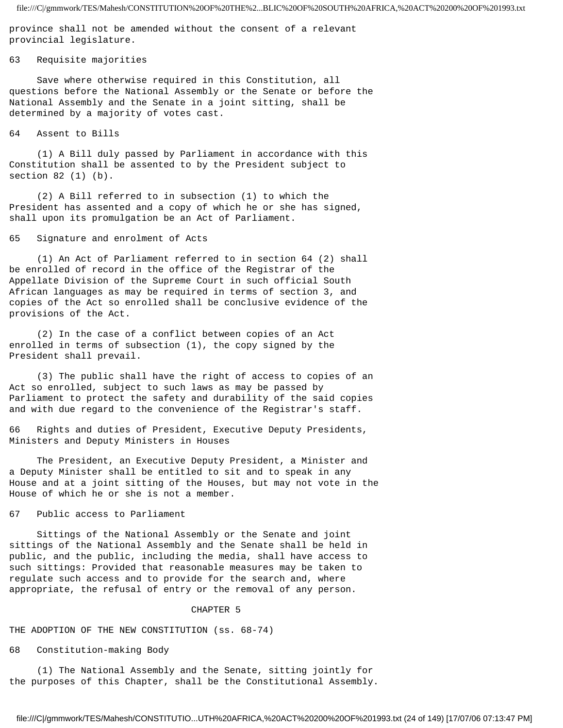province shall not be amended without the consent of a relevant provincial legislature.

## 63 Requisite majorities

 Save where otherwise required in this Constitution, all questions before the National Assembly or the Senate or before the National Assembly and the Senate in a joint sitting, shall be determined by a majority of votes cast.

64 Assent to Bills

 (1) A Bill duly passed by Parliament in accordance with this Constitution shall be assented to by the President subject to section 82 (1) (b).

 (2) A Bill referred to in subsection (1) to which the President has assented and a copy of which he or she has signed, shall upon its promulgation be an Act of Parliament.

65 Signature and enrolment of Acts

 (1) An Act of Parliament referred to in section 64 (2) shall be enrolled of record in the office of the Registrar of the Appellate Division of the Supreme Court in such official South African languages as may be required in terms of section 3, and copies of the Act so enrolled shall be conclusive evidence of the provisions of the Act.

 (2) In the case of a conflict between copies of an Act enrolled in terms of subsection (1), the copy signed by the President shall prevail.

 (3) The public shall have the right of access to copies of an Act so enrolled, subject to such laws as may be passed by Parliament to protect the safety and durability of the said copies and with due regard to the convenience of the Registrar's staff.

66 Rights and duties of President, Executive Deputy Presidents, Ministers and Deputy Ministers in Houses

 The President, an Executive Deputy President, a Minister and a Deputy Minister shall be entitled to sit and to speak in any House and at a joint sitting of the Houses, but may not vote in the House of which he or she is not a member.

# 67 Public access to Parliament

 Sittings of the National Assembly or the Senate and joint sittings of the National Assembly and the Senate shall be held in public, and the public, including the media, shall have access to such sittings: Provided that reasonable measures may be taken to regulate such access and to provide for the search and, where appropriate, the refusal of entry or the removal of any person.

## CHAPTER 5

THE ADOPTION OF THE NEW CONSTITUTION (ss. 68-74)

68 Constitution-making Body

 (1) The National Assembly and the Senate, sitting jointly for the purposes of this Chapter, shall be the Constitutional Assembly.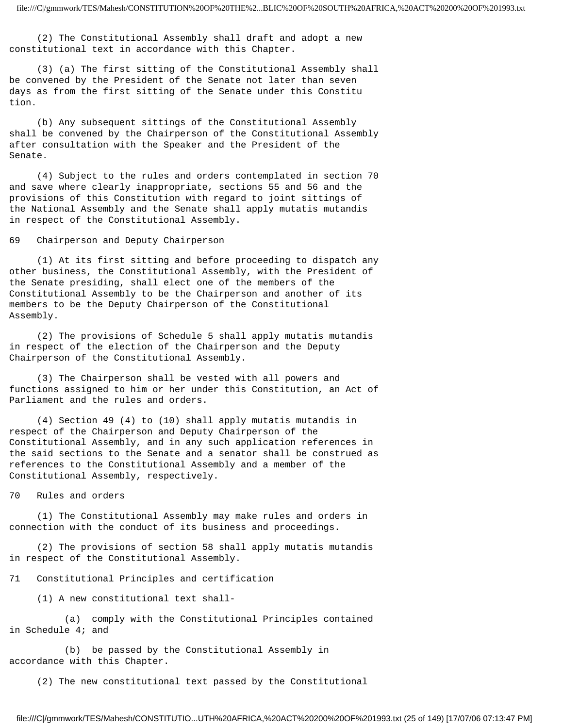(2) The Constitutional Assembly shall draft and adopt a new constitutional text in accordance with this Chapter.

 (3) (a) The first sitting of the Constitutional Assembly shall be convened by the President of the Senate not later than seven days as from the first sitting of the Senate under this Constitu tion.

 (b) Any subsequent sittings of the Constitutional Assembly shall be convened by the Chairperson of the Constitutional Assembly after consultation with the Speaker and the President of the Senate.

 (4) Subject to the rules and orders contemplated in section 70 and save where clearly inappropriate, sections 55 and 56 and the provisions of this Constitution with regard to joint sittings of the National Assembly and the Senate shall apply mutatis mutandis in respect of the Constitutional Assembly.

69 Chairperson and Deputy Chairperson

 (1) At its first sitting and before proceeding to dispatch any other business, the Constitutional Assembly, with the President of the Senate presiding, shall elect one of the members of the Constitutional Assembly to be the Chairperson and another of its members to be the Deputy Chairperson of the Constitutional Assembly.

 (2) The provisions of Schedule 5 shall apply mutatis mutandis in respect of the election of the Chairperson and the Deputy Chairperson of the Constitutional Assembly.

 (3) The Chairperson shall be vested with all powers and functions assigned to him or her under this Constitution, an Act of Parliament and the rules and orders.

 (4) Section 49 (4) to (10) shall apply mutatis mutandis in respect of the Chairperson and Deputy Chairperson of the Constitutional Assembly, and in any such application references in the said sections to the Senate and a senator shall be construed as references to the Constitutional Assembly and a member of the Constitutional Assembly, respectively.

70 Rules and orders

 (1) The Constitutional Assembly may make rules and orders in connection with the conduct of its business and proceedings.

 (2) The provisions of section 58 shall apply mutatis mutandis in respect of the Constitutional Assembly.

71 Constitutional Principles and certification

(1) A new constitutional text shall-

 (a) comply with the Constitutional Principles contained in Schedule 4; and

 (b) be passed by the Constitutional Assembly in accordance with this Chapter.

(2) The new constitutional text passed by the Constitutional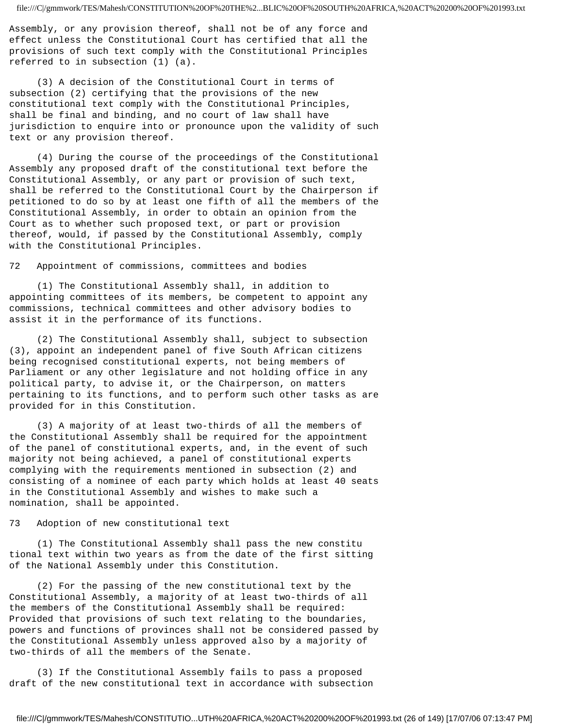Assembly, or any provision thereof, shall not be of any force and effect unless the Constitutional Court has certified that all the provisions of such text comply with the Constitutional Principles referred to in subsection (1) (a).

 (3) A decision of the Constitutional Court in terms of subsection (2) certifying that the provisions of the new constitutional text comply with the Constitutional Principles, shall be final and binding, and no court of law shall have jurisdiction to enquire into or pronounce upon the validity of such text or any provision thereof.

 (4) During the course of the proceedings of the Constitutional Assembly any proposed draft of the constitutional text before the Constitutional Assembly, or any part or provision of such text, shall be referred to the Constitutional Court by the Chairperson if petitioned to do so by at least one fifth of all the members of the Constitutional Assembly, in order to obtain an opinion from the Court as to whether such proposed text, or part or provision thereof, would, if passed by the Constitutional Assembly, comply with the Constitutional Principles.

72 Appointment of commissions, committees and bodies

 (1) The Constitutional Assembly shall, in addition to appointing committees of its members, be competent to appoint any commissions, technical committees and other advisory bodies to assist it in the performance of its functions.

 (2) The Constitutional Assembly shall, subject to subsection (3), appoint an independent panel of five South African citizens being recognised constitutional experts, not being members of Parliament or any other legislature and not holding office in any political party, to advise it, or the Chairperson, on matters pertaining to its functions, and to perform such other tasks as are provided for in this Constitution.

 (3) A majority of at least two-thirds of all the members of the Constitutional Assembly shall be required for the appointment of the panel of constitutional experts, and, in the event of such majority not being achieved, a panel of constitutional experts complying with the requirements mentioned in subsection (2) and consisting of a nominee of each party which holds at least 40 seats in the Constitutional Assembly and wishes to make such a nomination, shall be appointed.

73 Adoption of new constitutional text

 (1) The Constitutional Assembly shall pass the new constitu tional text within two years as from the date of the first sitting of the National Assembly under this Constitution.

 (2) For the passing of the new constitutional text by the Constitutional Assembly, a majority of at least two-thirds of all the members of the Constitutional Assembly shall be required: Provided that provisions of such text relating to the boundaries, powers and functions of provinces shall not be considered passed by the Constitutional Assembly unless approved also by a majority of two-thirds of all the members of the Senate.

 (3) If the Constitutional Assembly fails to pass a proposed draft of the new constitutional text in accordance with subsection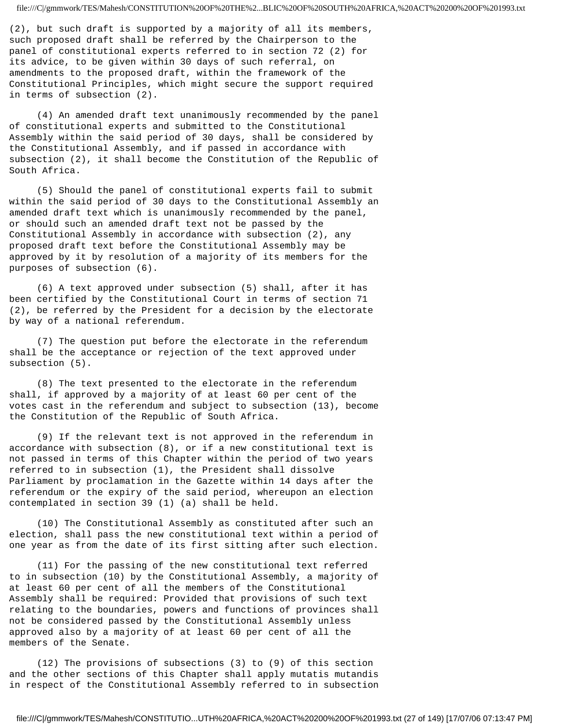(2), but such draft is supported by a majority of all its members, such proposed draft shall be referred by the Chairperson to the panel of constitutional experts referred to in section 72 (2) for its advice, to be given within 30 days of such referral, on amendments to the proposed draft, within the framework of the Constitutional Principles, which might secure the support required in terms of subsection (2).

 (4) An amended draft text unanimously recommended by the panel of constitutional experts and submitted to the Constitutional Assembly within the said period of 30 days, shall be considered by the Constitutional Assembly, and if passed in accordance with subsection (2), it shall become the Constitution of the Republic of South Africa.

 (5) Should the panel of constitutional experts fail to submit within the said period of 30 days to the Constitutional Assembly an amended draft text which is unanimously recommended by the panel, or should such an amended draft text not be passed by the Constitutional Assembly in accordance with subsection (2), any proposed draft text before the Constitutional Assembly may be approved by it by resolution of a majority of its members for the purposes of subsection (6).

 (6) A text approved under subsection (5) shall, after it has been certified by the Constitutional Court in terms of section 71 (2), be referred by the President for a decision by the electorate by way of a national referendum.

 (7) The question put before the electorate in the referendum shall be the acceptance or rejection of the text approved under subsection (5).

 (8) The text presented to the electorate in the referendum shall, if approved by a majority of at least 60 per cent of the votes cast in the referendum and subject to subsection (13), become the Constitution of the Republic of South Africa.

 (9) If the relevant text is not approved in the referendum in accordance with subsection (8), or if a new constitutional text is not passed in terms of this Chapter within the period of two years referred to in subsection (1), the President shall dissolve Parliament by proclamation in the Gazette within 14 days after the referendum or the expiry of the said period, whereupon an election contemplated in section 39 (1) (a) shall be held.

 (10) The Constitutional Assembly as constituted after such an election, shall pass the new constitutional text within a period of one year as from the date of its first sitting after such election.

 (11) For the passing of the new constitutional text referred to in subsection (10) by the Constitutional Assembly, a majority of at least 60 per cent of all the members of the Constitutional Assembly shall be required: Provided that provisions of such text relating to the boundaries, powers and functions of provinces shall not be considered passed by the Constitutional Assembly unless approved also by a majority of at least 60 per cent of all the members of the Senate.

 (12) The provisions of subsections (3) to (9) of this section and the other sections of this Chapter shall apply mutatis mutandis in respect of the Constitutional Assembly referred to in subsection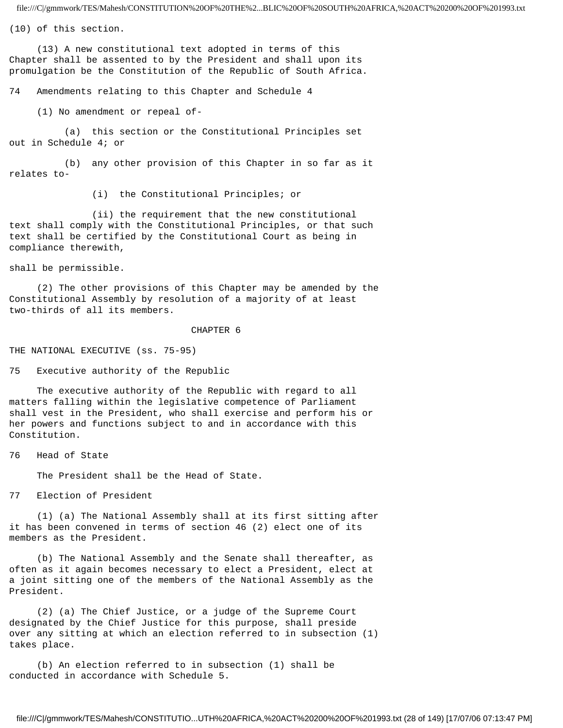(10) of this section.

 (13) A new constitutional text adopted in terms of this Chapter shall be assented to by the President and shall upon its promulgation be the Constitution of the Republic of South Africa.

74 Amendments relating to this Chapter and Schedule 4

(1) No amendment or repeal of-

 (a) this section or the Constitutional Principles set out in Schedule 4; or

 (b) any other provision of this Chapter in so far as it relates to-

(i) the Constitutional Principles; or

 (ii) the requirement that the new constitutional text shall comply with the Constitutional Principles, or that such text shall be certified by the Constitutional Court as being in compliance therewith,

shall be permissible.

 (2) The other provisions of this Chapter may be amended by the Constitutional Assembly by resolution of a majority of at least two-thirds of all its members.

CHAPTER 6

THE NATIONAL EXECUTIVE (ss. 75-95)

75 Executive authority of the Republic

 The executive authority of the Republic with regard to all matters falling within the legislative competence of Parliament shall vest in the President, who shall exercise and perform his or her powers and functions subject to and in accordance with this Constitution.

76 Head of State

The President shall be the Head of State.

77 Election of President

 (1) (a) The National Assembly shall at its first sitting after it has been convened in terms of section 46 (2) elect one of its members as the President.

 (b) The National Assembly and the Senate shall thereafter, as often as it again becomes necessary to elect a President, elect at a joint sitting one of the members of the National Assembly as the President.

 (2) (a) The Chief Justice, or a judge of the Supreme Court designated by the Chief Justice for this purpose, shall preside over any sitting at which an election referred to in subsection (1) takes place.

 (b) An election referred to in subsection (1) shall be conducted in accordance with Schedule 5.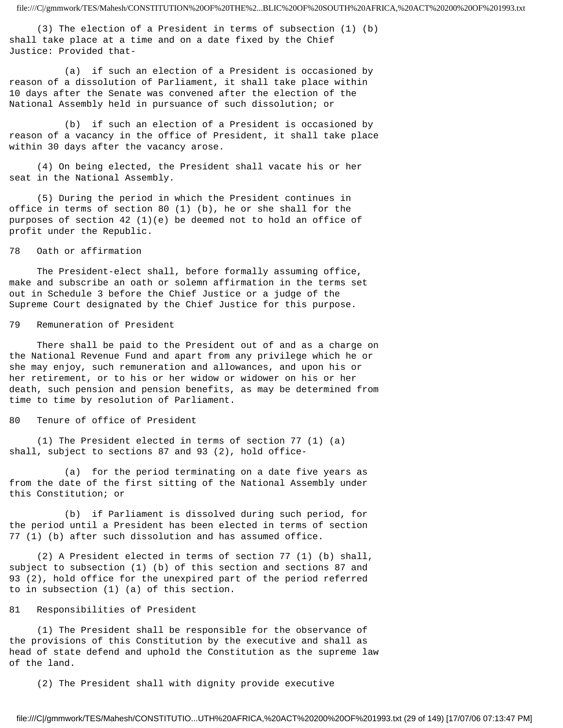(3) The election of a President in terms of subsection (1) (b) shall take place at a time and on a date fixed by the Chief Justice: Provided that-

 (a) if such an election of a President is occasioned by reason of a dissolution of Parliament, it shall take place within 10 days after the Senate was convened after the election of the National Assembly held in pursuance of such dissolution; or

 (b) if such an election of a President is occasioned by reason of a vacancy in the office of President, it shall take place within 30 days after the vacancy arose.

 (4) On being elected, the President shall vacate his or her seat in the National Assembly.

 (5) During the period in which the President continues in office in terms of section 80 (1) (b), he or she shall for the purposes of section 42 (1)(e) be deemed not to hold an office of profit under the Republic.

78 Oath or affirmation

 The President-elect shall, before formally assuming office, make and subscribe an oath or solemn affirmation in the terms set out in Schedule 3 before the Chief Justice or a judge of the Supreme Court designated by the Chief Justice for this purpose.

## 79 Remuneration of President

 There shall be paid to the President out of and as a charge on the National Revenue Fund and apart from any privilege which he or she may enjoy, such remuneration and allowances, and upon his or her retirement, or to his or her widow or widower on his or her death, such pension and pension benefits, as may be determined from time to time by resolution of Parliament.

# 80 Tenure of office of President

 (1) The President elected in terms of section 77 (1) (a) shall, subject to sections 87 and 93 (2), hold office-

 (a) for the period terminating on a date five years as from the date of the first sitting of the National Assembly under this Constitution; or

 (b) if Parliament is dissolved during such period, for the period until a President has been elected in terms of section 77 (1) (b) after such dissolution and has assumed office.

 (2) A President elected in terms of section 77 (1) (b) shall, subject to subsection (1) (b) of this section and sections 87 and 93 (2), hold office for the unexpired part of the period referred to in subsection (1) (a) of this section.

# 81 Responsibilities of President

 (1) The President shall be responsible for the observance of the provisions of this Constitution by the executive and shall as head of state defend and uphold the Constitution as the supreme law of the land.

(2) The President shall with dignity provide executive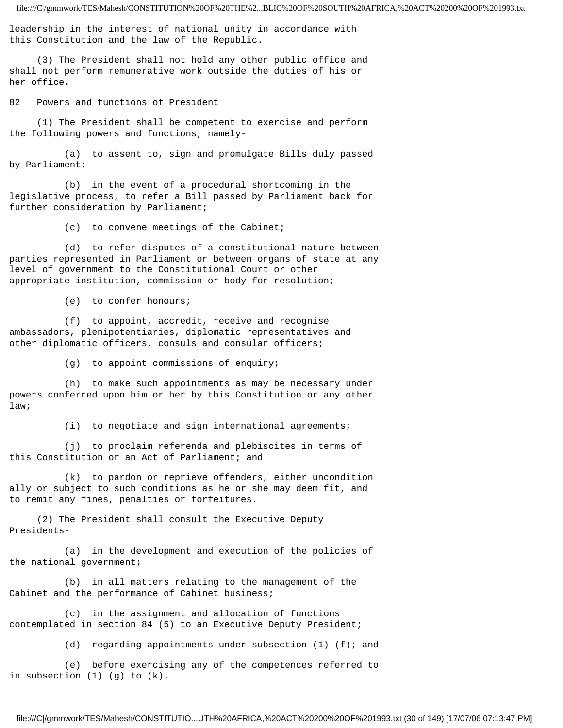leadership in the interest of national unity in accordance with this Constitution and the law of the Republic.

 (3) The President shall not hold any other public office and shall not perform remunerative work outside the duties of his or her office.

82 Powers and functions of President

 (1) The President shall be competent to exercise and perform the following powers and functions, namely-

 (a) to assent to, sign and promulgate Bills duly passed by Parliament;

 (b) in the event of a procedural shortcoming in the legislative process, to refer a Bill passed by Parliament back for further consideration by Parliament;

(c) to convene meetings of the Cabinet;

 (d) to refer disputes of a constitutional nature between parties represented in Parliament or between organs of state at any level of government to the Constitutional Court or other appropriate institution, commission or body for resolution;

(e) to confer honours;

 (f) to appoint, accredit, receive and recognise ambassadors, plenipotentiaries, diplomatic representatives and other diplomatic officers, consuls and consular officers;

(g) to appoint commissions of enquiry;

 (h) to make such appointments as may be necessary under powers conferred upon him or her by this Constitution or any other law;

(i) to negotiate and sign international agreements;

 (j) to proclaim referenda and plebiscites in terms of this Constitution or an Act of Parliament; and

 (k) to pardon or reprieve offenders, either uncondition ally or subject to such conditions as he or she may deem fit, and to remit any fines, penalties or forfeitures.

 (2) The President shall consult the Executive Deputy Presidents-

 (a) in the development and execution of the policies of the national government;

 (b) in all matters relating to the management of the Cabinet and the performance of Cabinet business;

 (c) in the assignment and allocation of functions contemplated in section 84 (5) to an Executive Deputy President;

(d) regarding appointments under subsection (1) (f); and

 (e) before exercising any of the competences referred to in subsection (1) (g) to (k).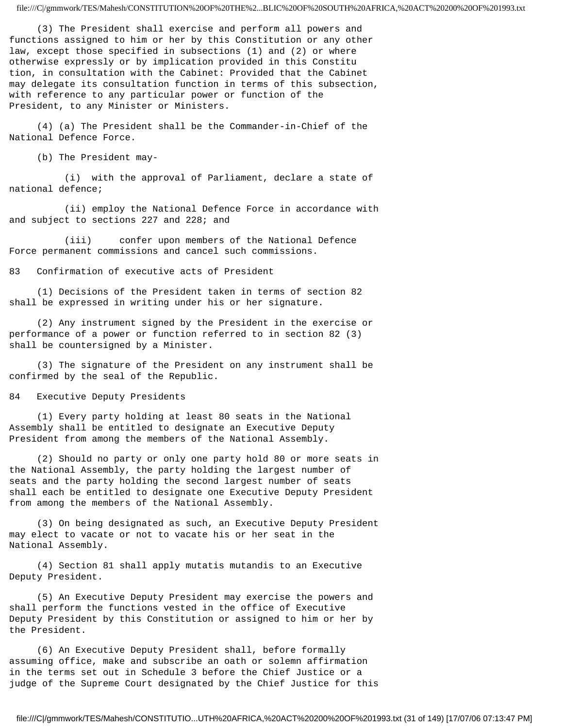(3) The President shall exercise and perform all powers and functions assigned to him or her by this Constitution or any other law, except those specified in subsections (1) and (2) or where otherwise expressly or by implication provided in this Constitu tion, in consultation with the Cabinet: Provided that the Cabinet may delegate its consultation function in terms of this subsection, with reference to any particular power or function of the President, to any Minister or Ministers.

 (4) (a) The President shall be the Commander-in-Chief of the National Defence Force.

(b) The President may-

 (i) with the approval of Parliament, declare a state of national defence;

 (ii) employ the National Defence Force in accordance with and subject to sections 227 and 228; and

 (iii) confer upon members of the National Defence Force permanent commissions and cancel such commissions.

83 Confirmation of executive acts of President

 (1) Decisions of the President taken in terms of section 82 shall be expressed in writing under his or her signature.

 (2) Any instrument signed by the President in the exercise or performance of a power or function referred to in section 82 (3) shall be countersigned by a Minister.

 (3) The signature of the President on any instrument shall be confirmed by the seal of the Republic.

84 Executive Deputy Presidents

 (1) Every party holding at least 80 seats in the National Assembly shall be entitled to designate an Executive Deputy President from among the members of the National Assembly.

 (2) Should no party or only one party hold 80 or more seats in the National Assembly, the party holding the largest number of seats and the party holding the second largest number of seats shall each be entitled to designate one Executive Deputy President from among the members of the National Assembly.

 (3) On being designated as such, an Executive Deputy President may elect to vacate or not to vacate his or her seat in the National Assembly.

 (4) Section 81 shall apply mutatis mutandis to an Executive Deputy President.

 (5) An Executive Deputy President may exercise the powers and shall perform the functions vested in the office of Executive Deputy President by this Constitution or assigned to him or her by the President.

 (6) An Executive Deputy President shall, before formally assuming office, make and subscribe an oath or solemn affirmation in the terms set out in Schedule 3 before the Chief Justice or a judge of the Supreme Court designated by the Chief Justice for this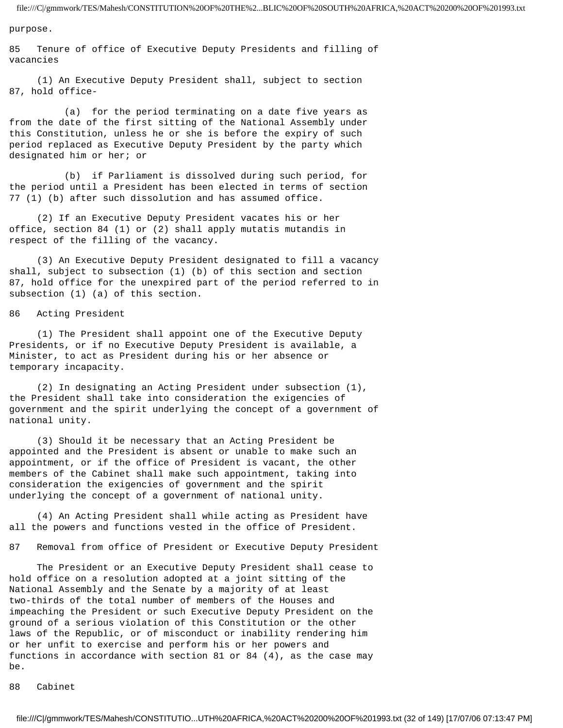purpose.

85 Tenure of office of Executive Deputy Presidents and filling of vacancies

 (1) An Executive Deputy President shall, subject to section 87, hold office-

 (a) for the period terminating on a date five years as from the date of the first sitting of the National Assembly under this Constitution, unless he or she is before the expiry of such period replaced as Executive Deputy President by the party which designated him or her; or

 (b) if Parliament is dissolved during such period, for the period until a President has been elected in terms of section 77 (1) (b) after such dissolution and has assumed office.

 (2) If an Executive Deputy President vacates his or her office, section 84 (1) or (2) shall apply mutatis mutandis in respect of the filling of the vacancy.

 (3) An Executive Deputy President designated to fill a vacancy shall, subject to subsection (1) (b) of this section and section 87, hold office for the unexpired part of the period referred to in subsection (1) (a) of this section.

## 86 Acting President

 (1) The President shall appoint one of the Executive Deputy Presidents, or if no Executive Deputy President is available, a Minister, to act as President during his or her absence or temporary incapacity.

 (2) In designating an Acting President under subsection (1), the President shall take into consideration the exigencies of government and the spirit underlying the concept of a government of national unity.

 (3) Should it be necessary that an Acting President be appointed and the President is absent or unable to make such an appointment, or if the office of President is vacant, the other members of the Cabinet shall make such appointment, taking into consideration the exigencies of government and the spirit underlying the concept of a government of national unity.

 (4) An Acting President shall while acting as President have all the powers and functions vested in the office of President.

87 Removal from office of President or Executive Deputy President

 The President or an Executive Deputy President shall cease to hold office on a resolution adopted at a joint sitting of the National Assembly and the Senate by a majority of at least two-thirds of the total number of members of the Houses and impeaching the President or such Executive Deputy President on the ground of a serious violation of this Constitution or the other laws of the Republic, or of misconduct or inability rendering him or her unfit to exercise and perform his or her powers and functions in accordance with section 81 or 84 (4), as the case may be.

## 88 Cabinet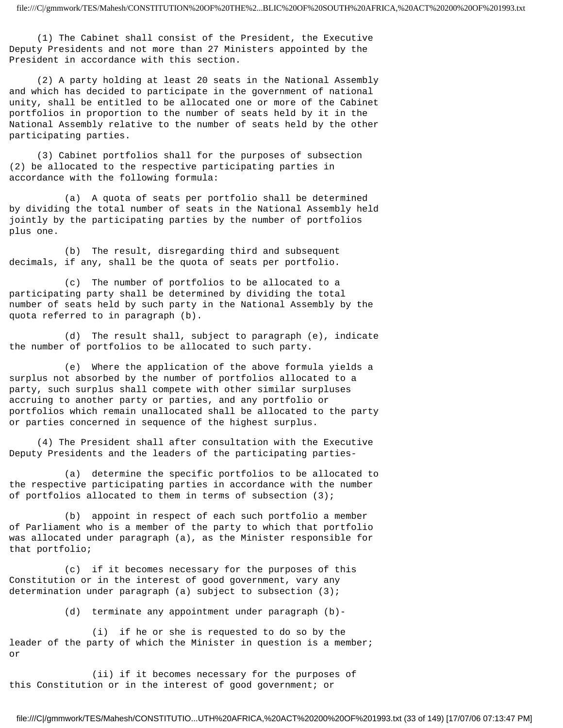(1) The Cabinet shall consist of the President, the Executive Deputy Presidents and not more than 27 Ministers appointed by the President in accordance with this section.

 (2) A party holding at least 20 seats in the National Assembly and which has decided to participate in the government of national unity, shall be entitled to be allocated one or more of the Cabinet portfolios in proportion to the number of seats held by it in the National Assembly relative to the number of seats held by the other participating parties.

 (3) Cabinet portfolios shall for the purposes of subsection (2) be allocated to the respective participating parties in accordance with the following formula:

 (a) A quota of seats per portfolio shall be determined by dividing the total number of seats in the National Assembly held jointly by the participating parties by the number of portfolios plus one.

 (b) The result, disregarding third and subsequent decimals, if any, shall be the quota of seats per portfolio.

 (c) The number of portfolios to be allocated to a participating party shall be determined by dividing the total number of seats held by such party in the National Assembly by the quota referred to in paragraph (b).

 (d) The result shall, subject to paragraph (e), indicate the number of portfolios to be allocated to such party.

 (e) Where the application of the above formula yields a surplus not absorbed by the number of portfolios allocated to a party, such surplus shall compete with other similar surpluses accruing to another party or parties, and any portfolio or portfolios which remain unallocated shall be allocated to the party or parties concerned in sequence of the highest surplus.

 (4) The President shall after consultation with the Executive Deputy Presidents and the leaders of the participating parties-

 (a) determine the specific portfolios to be allocated to the respective participating parties in accordance with the number of portfolios allocated to them in terms of subsection (3);

 (b) appoint in respect of each such portfolio a member of Parliament who is a member of the party to which that portfolio was allocated under paragraph (a), as the Minister responsible for that portfolio;

 (c) if it becomes necessary for the purposes of this Constitution or in the interest of good government, vary any determination under paragraph (a) subject to subsection (3);

(d) terminate any appointment under paragraph (b)-

 (i) if he or she is requested to do so by the leader of the party of which the Minister in question is a member; or

 (ii) if it becomes necessary for the purposes of this Constitution or in the interest of good government; or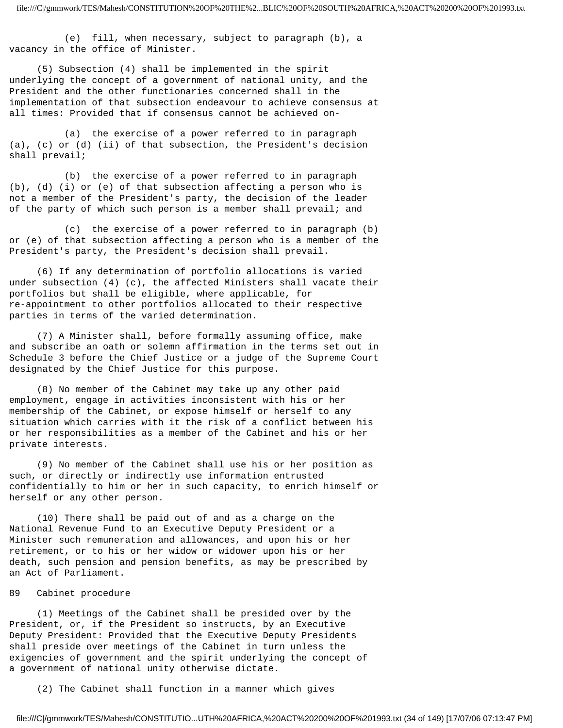(e) fill, when necessary, subject to paragraph (b), a vacancy in the office of Minister.

 (5) Subsection (4) shall be implemented in the spirit underlying the concept of a government of national unity, and the President and the other functionaries concerned shall in the implementation of that subsection endeavour to achieve consensus at all times: Provided that if consensus cannot be achieved on-

 (a) the exercise of a power referred to in paragraph (a), (c) or (d) (ii) of that subsection, the President's decision shall prevail;

 (b) the exercise of a power referred to in paragraph (b), (d) (i) or (e) of that subsection affecting a person who is not a member of the President's party, the decision of the leader of the party of which such person is a member shall prevail; and

 (c) the exercise of a power referred to in paragraph (b) or (e) of that subsection affecting a person who is a member of the President's party, the President's decision shall prevail.

 (6) If any determination of portfolio allocations is varied under subsection (4) (c), the affected Ministers shall vacate their portfolios but shall be eligible, where applicable, for re-appointment to other portfolios allocated to their respective parties in terms of the varied determination.

 (7) A Minister shall, before formally assuming office, make and subscribe an oath or solemn affirmation in the terms set out in Schedule 3 before the Chief Justice or a judge of the Supreme Court designated by the Chief Justice for this purpose.

 (8) No member of the Cabinet may take up any other paid employment, engage in activities inconsistent with his or her membership of the Cabinet, or expose himself or herself to any situation which carries with it the risk of a conflict between his or her responsibilities as a member of the Cabinet and his or her private interests.

 (9) No member of the Cabinet shall use his or her position as such, or directly or indirectly use information entrusted confidentially to him or her in such capacity, to enrich himself or herself or any other person.

 (10) There shall be paid out of and as a charge on the National Revenue Fund to an Executive Deputy President or a Minister such remuneration and allowances, and upon his or her retirement, or to his or her widow or widower upon his or her death, such pension and pension benefits, as may be prescribed by an Act of Parliament.

#### 89 Cabinet procedure

 (1) Meetings of the Cabinet shall be presided over by the President, or, if the President so instructs, by an Executive Deputy President: Provided that the Executive Deputy Presidents shall preside over meetings of the Cabinet in turn unless the exigencies of government and the spirit underlying the concept of a government of national unity otherwise dictate.

(2) The Cabinet shall function in a manner which gives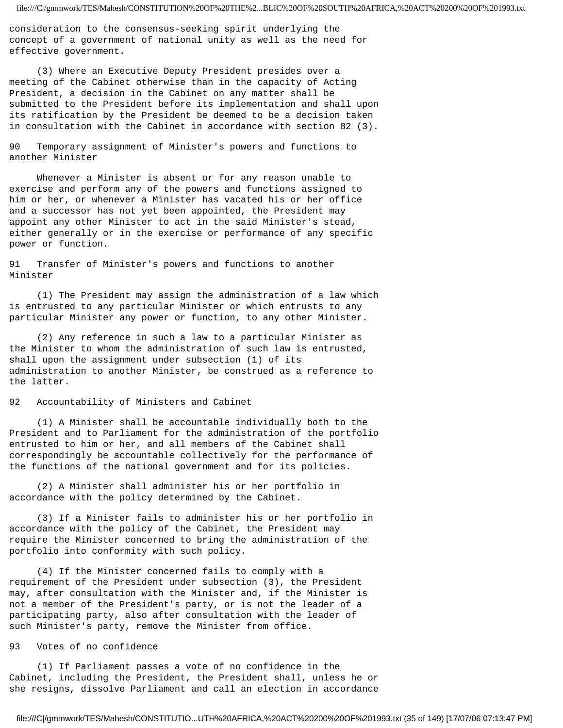consideration to the consensus-seeking spirit underlying the concept of a government of national unity as well as the need for effective government.

 (3) Where an Executive Deputy President presides over a meeting of the Cabinet otherwise than in the capacity of Acting President, a decision in the Cabinet on any matter shall be submitted to the President before its implementation and shall upon its ratification by the President be deemed to be a decision taken in consultation with the Cabinet in accordance with section 82 (3).

90 Temporary assignment of Minister's powers and functions to another Minister

 Whenever a Minister is absent or for any reason unable to exercise and perform any of the powers and functions assigned to him or her, or whenever a Minister has vacated his or her office and a successor has not yet been appointed, the President may appoint any other Minister to act in the said Minister's stead, either generally or in the exercise or performance of any specific power or function.

91 Transfer of Minister's powers and functions to another Minister

 (1) The President may assign the administration of a law which is entrusted to any particular Minister or which entrusts to any particular Minister any power or function, to any other Minister.

 (2) Any reference in such a law to a particular Minister as the Minister to whom the administration of such law is entrusted, shall upon the assignment under subsection (1) of its administration to another Minister, be construed as a reference to the latter.

#### 92 Accountability of Ministers and Cabinet

 (1) A Minister shall be accountable individually both to the President and to Parliament for the administration of the portfolio entrusted to him or her, and all members of the Cabinet shall correspondingly be accountable collectively for the performance of the functions of the national government and for its policies.

 (2) A Minister shall administer his or her portfolio in accordance with the policy determined by the Cabinet.

 (3) If a Minister fails to administer his or her portfolio in accordance with the policy of the Cabinet, the President may require the Minister concerned to bring the administration of the portfolio into conformity with such policy.

 (4) If the Minister concerned fails to comply with a requirement of the President under subsection (3), the President may, after consultation with the Minister and, if the Minister is not a member of the President's party, or is not the leader of a participating party, also after consultation with the leader of such Minister's party, remove the Minister from office.

# 93 Votes of no confidence

 (1) If Parliament passes a vote of no confidence in the Cabinet, including the President, the President shall, unless he or she resigns, dissolve Parliament and call an election in accordance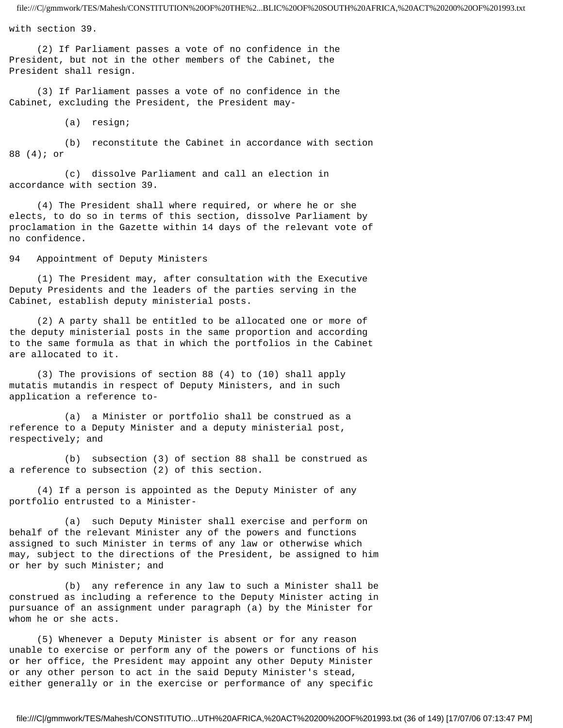with section 39.

 (2) If Parliament passes a vote of no confidence in the President, but not in the other members of the Cabinet, the President shall resign.

 (3) If Parliament passes a vote of no confidence in the Cabinet, excluding the President, the President may-

(a) resign;

 (b) reconstitute the Cabinet in accordance with section 88 (4); or

 (c) dissolve Parliament and call an election in accordance with section 39.

 (4) The President shall where required, or where he or she elects, to do so in terms of this section, dissolve Parliament by proclamation in the Gazette within 14 days of the relevant vote of no confidence.

94 Appointment of Deputy Ministers

 (1) The President may, after consultation with the Executive Deputy Presidents and the leaders of the parties serving in the Cabinet, establish deputy ministerial posts.

 (2) A party shall be entitled to be allocated one or more of the deputy ministerial posts in the same proportion and according to the same formula as that in which the portfolios in the Cabinet are allocated to it.

 (3) The provisions of section 88 (4) to (10) shall apply mutatis mutandis in respect of Deputy Ministers, and in such application a reference to-

 (a) a Minister or portfolio shall be construed as a reference to a Deputy Minister and a deputy ministerial post, respectively; and

 (b) subsection (3) of section 88 shall be construed as a reference to subsection (2) of this section.

 (4) If a person is appointed as the Deputy Minister of any portfolio entrusted to a Minister-

 (a) such Deputy Minister shall exercise and perform on behalf of the relevant Minister any of the powers and functions assigned to such Minister in terms of any law or otherwise which may, subject to the directions of the President, be assigned to him or her by such Minister; and

 (b) any reference in any law to such a Minister shall be construed as including a reference to the Deputy Minister acting in pursuance of an assignment under paragraph (a) by the Minister for whom he or she acts.

 (5) Whenever a Deputy Minister is absent or for any reason unable to exercise or perform any of the powers or functions of his or her office, the President may appoint any other Deputy Minister or any other person to act in the said Deputy Minister's stead, either generally or in the exercise or performance of any specific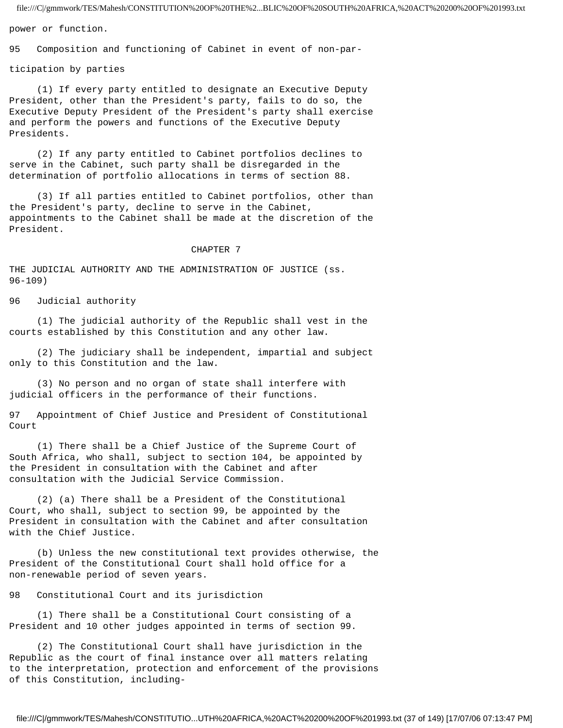power or function.

95 Composition and functioning of Cabinet in event of non-par-

ticipation by parties

 (1) If every party entitled to designate an Executive Deputy President, other than the President's party, fails to do so, the Executive Deputy President of the President's party shall exercise and perform the powers and functions of the Executive Deputy Presidents.

 (2) If any party entitled to Cabinet portfolios declines to serve in the Cabinet, such party shall be disregarded in the determination of portfolio allocations in terms of section 88.

 (3) If all parties entitled to Cabinet portfolios, other than the President's party, decline to serve in the Cabinet, appointments to the Cabinet shall be made at the discretion of the President.

#### CHAPTER 7

THE JUDICIAL AUTHORITY AND THE ADMINISTRATION OF JUSTICE (ss. 96-109)

96 Judicial authority

 (1) The judicial authority of the Republic shall vest in the courts established by this Constitution and any other law.

 (2) The judiciary shall be independent, impartial and subject only to this Constitution and the law.

 (3) No person and no organ of state shall interfere with judicial officers in the performance of their functions.

97 Appointment of Chief Justice and President of Constitutional Court

 (1) There shall be a Chief Justice of the Supreme Court of South Africa, who shall, subject to section 104, be appointed by the President in consultation with the Cabinet and after consultation with the Judicial Service Commission.

 (2) (a) There shall be a President of the Constitutional Court, who shall, subject to section 99, be appointed by the President in consultation with the Cabinet and after consultation with the Chief Justice.

 (b) Unless the new constitutional text provides otherwise, the President of the Constitutional Court shall hold office for a non-renewable period of seven years.

98 Constitutional Court and its jurisdiction

 (1) There shall be a Constitutional Court consisting of a President and 10 other judges appointed in terms of section 99.

 (2) The Constitutional Court shall have jurisdiction in the Republic as the court of final instance over all matters relating to the interpretation, protection and enforcement of the provisions of this Constitution, including-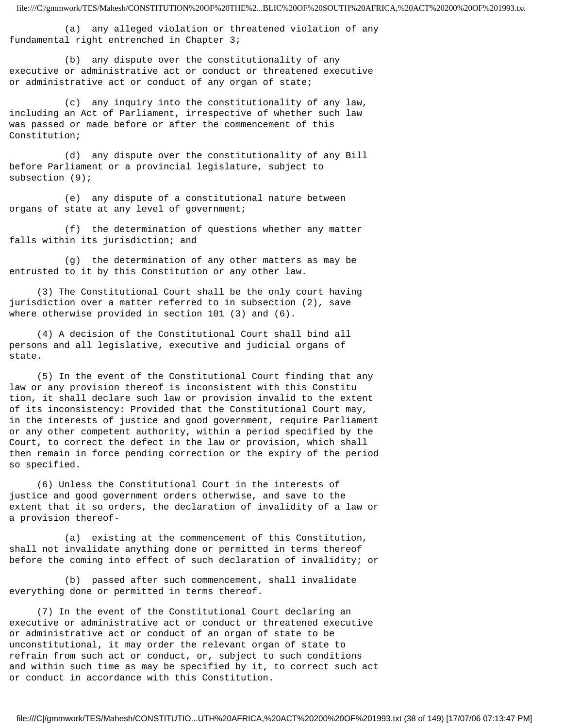(a) any alleged violation or threatened violation of any fundamental right entrenched in Chapter 3;

 (b) any dispute over the constitutionality of any executive or administrative act or conduct or threatened executive or administrative act or conduct of any organ of state;

 (c) any inquiry into the constitutionality of any law, including an Act of Parliament, irrespective of whether such law was passed or made before or after the commencement of this Constitution;

 (d) any dispute over the constitutionality of any Bill before Parliament or a provincial legislature, subject to subsection (9);

 (e) any dispute of a constitutional nature between organs of state at any level of government;

 (f) the determination of questions whether any matter falls within its jurisdiction; and

 (g) the determination of any other matters as may be entrusted to it by this Constitution or any other law.

 (3) The Constitutional Court shall be the only court having jurisdiction over a matter referred to in subsection (2), save where otherwise provided in section 101 (3) and (6).

 (4) A decision of the Constitutional Court shall bind all persons and all legislative, executive and judicial organs of state.

 (5) In the event of the Constitutional Court finding that any law or any provision thereof is inconsistent with this Constitu tion, it shall declare such law or provision invalid to the extent of its inconsistency: Provided that the Constitutional Court may, in the interests of justice and good government, require Parliament or any other competent authority, within a period specified by the Court, to correct the defect in the law or provision, which shall then remain in force pending correction or the expiry of the period so specified.

 (6) Unless the Constitutional Court in the interests of justice and good government orders otherwise, and save to the extent that it so orders, the declaration of invalidity of a law or a provision thereof-

 (a) existing at the commencement of this Constitution, shall not invalidate anything done or permitted in terms thereof before the coming into effect of such declaration of invalidity; or

 (b) passed after such commencement, shall invalidate everything done or permitted in terms thereof.

 (7) In the event of the Constitutional Court declaring an executive or administrative act or conduct or threatened executive or administrative act or conduct of an organ of state to be unconstitutional, it may order the relevant organ of state to refrain from such act or conduct, or, subject to such conditions and within such time as may be specified by it, to correct such act or conduct in accordance with this Constitution.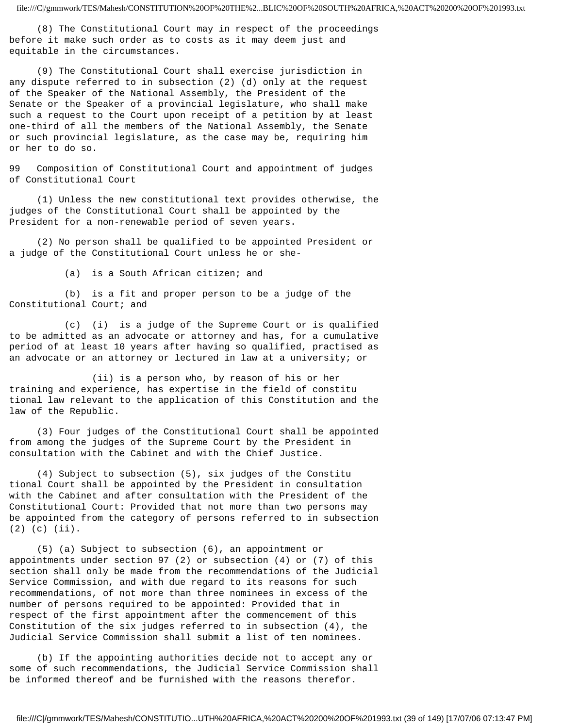(8) The Constitutional Court may in respect of the proceedings before it make such order as to costs as it may deem just and equitable in the circumstances.

 (9) The Constitutional Court shall exercise jurisdiction in any dispute referred to in subsection (2) (d) only at the request of the Speaker of the National Assembly, the President of the Senate or the Speaker of a provincial legislature, who shall make such a request to the Court upon receipt of a petition by at least one-third of all the members of the National Assembly, the Senate or such provincial legislature, as the case may be, requiring him or her to do so.

99 Composition of Constitutional Court and appointment of judges of Constitutional Court

 (1) Unless the new constitutional text provides otherwise, the judges of the Constitutional Court shall be appointed by the President for a non-renewable period of seven years.

 (2) No person shall be qualified to be appointed President or a judge of the Constitutional Court unless he or she-

(a) is a South African citizen; and

 (b) is a fit and proper person to be a judge of the Constitutional Court; and

 (c) (i) is a judge of the Supreme Court or is qualified to be admitted as an advocate or attorney and has, for a cumulative period of at least 10 years after having so qualified, practised as an advocate or an attorney or lectured in law at a university; or

 (ii) is a person who, by reason of his or her training and experience, has expertise in the field of constitu tional law relevant to the application of this Constitution and the law of the Republic.

 (3) Four judges of the Constitutional Court shall be appointed from among the judges of the Supreme Court by the President in consultation with the Cabinet and with the Chief Justice.

 (4) Subject to subsection (5), six judges of the Constitu tional Court shall be appointed by the President in consultation with the Cabinet and after consultation with the President of the Constitutional Court: Provided that not more than two persons may be appointed from the category of persons referred to in subsection (2) (c) (ii).

 (5) (a) Subject to subsection (6), an appointment or appointments under section 97 (2) or subsection (4) or (7) of this section shall only be made from the recommendations of the Judicial Service Commission, and with due regard to its reasons for such recommendations, of not more than three nominees in excess of the number of persons required to be appointed: Provided that in respect of the first appointment after the commencement of this Constitution of the six judges referred to in subsection (4), the Judicial Service Commission shall submit a list of ten nominees.

 (b) If the appointing authorities decide not to accept any or some of such recommendations, the Judicial Service Commission shall be informed thereof and be furnished with the reasons therefor.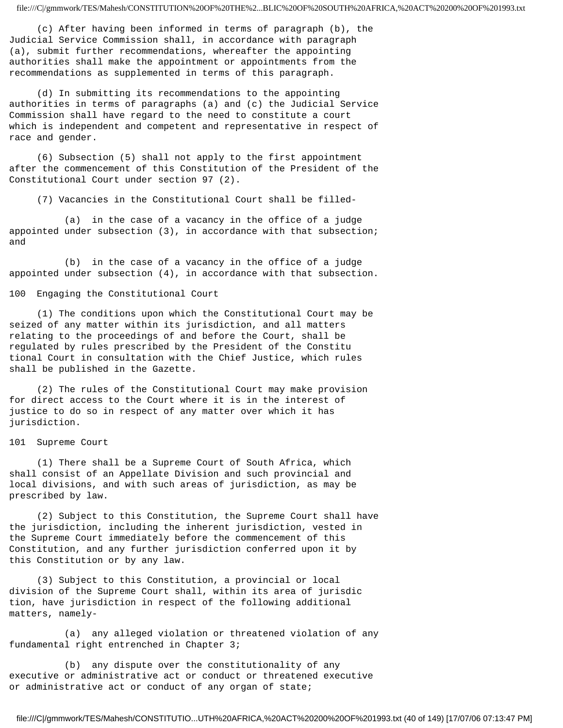(c) After having been informed in terms of paragraph (b), the Judicial Service Commission shall, in accordance with paragraph (a), submit further recommendations, whereafter the appointing authorities shall make the appointment or appointments from the recommendations as supplemented in terms of this paragraph.

 (d) In submitting its recommendations to the appointing authorities in terms of paragraphs (a) and (c) the Judicial Service Commission shall have regard to the need to constitute a court which is independent and competent and representative in respect of race and gender.

 (6) Subsection (5) shall not apply to the first appointment after the commencement of this Constitution of the President of the Constitutional Court under section 97 (2).

(7) Vacancies in the Constitutional Court shall be filled-

 (a) in the case of a vacancy in the office of a judge appointed under subsection (3), in accordance with that subsection; and

 (b) in the case of a vacancy in the office of a judge appointed under subsection (4), in accordance with that subsection.

# 100 Engaging the Constitutional Court

 (1) The conditions upon which the Constitutional Court may be seized of any matter within its jurisdiction, and all matters relating to the proceedings of and before the Court, shall be regulated by rules prescribed by the President of the Constitu tional Court in consultation with the Chief Justice, which rules shall be published in the Gazette.

 (2) The rules of the Constitutional Court may make provision for direct access to the Court where it is in the interest of justice to do so in respect of any matter over which it has jurisdiction.

#### 101 Supreme Court

 (1) There shall be a Supreme Court of South Africa, which shall consist of an Appellate Division and such provincial and local divisions, and with such areas of jurisdiction, as may be prescribed by law.

 (2) Subject to this Constitution, the Supreme Court shall have the jurisdiction, including the inherent jurisdiction, vested in the Supreme Court immediately before the commencement of this Constitution, and any further jurisdiction conferred upon it by this Constitution or by any law.

 (3) Subject to this Constitution, a provincial or local division of the Supreme Court shall, within its area of jurisdic tion, have jurisdiction in respect of the following additional matters, namely-

 (a) any alleged violation or threatened violation of any fundamental right entrenched in Chapter 3;

 (b) any dispute over the constitutionality of any executive or administrative act or conduct or threatened executive or administrative act or conduct of any organ of state;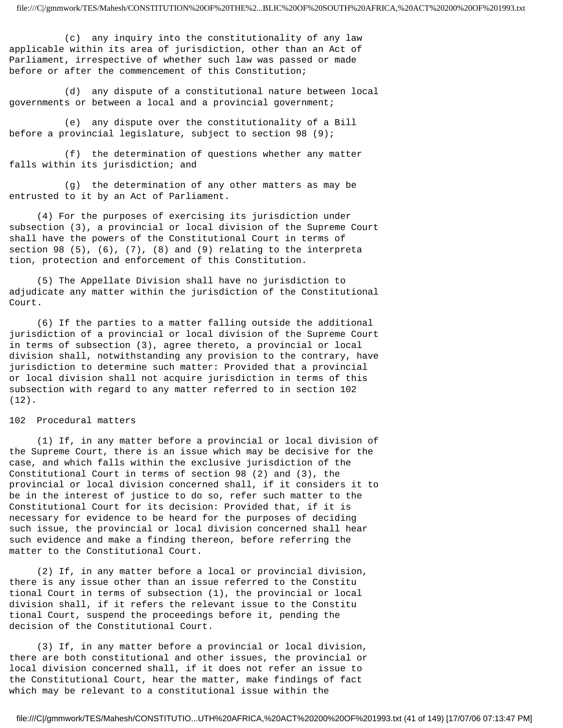(c) any inquiry into the constitutionality of any law applicable within its area of jurisdiction, other than an Act of Parliament, irrespective of whether such law was passed or made before or after the commencement of this Constitution;

 (d) any dispute of a constitutional nature between local governments or between a local and a provincial government;

 (e) any dispute over the constitutionality of a Bill before a provincial legislature, subject to section 98 (9);

 (f) the determination of questions whether any matter falls within its jurisdiction; and

 (g) the determination of any other matters as may be entrusted to it by an Act of Parliament.

 (4) For the purposes of exercising its jurisdiction under subsection (3), a provincial or local division of the Supreme Court shall have the powers of the Constitutional Court in terms of section 98 (5), (6), (7), (8) and (9) relating to the interpreta tion, protection and enforcement of this Constitution.

 (5) The Appellate Division shall have no jurisdiction to adjudicate any matter within the jurisdiction of the Constitutional Court.

 (6) If the parties to a matter falling outside the additional jurisdiction of a provincial or local division of the Supreme Court in terms of subsection (3), agree thereto, a provincial or local division shall, notwithstanding any provision to the contrary, have jurisdiction to determine such matter: Provided that a provincial or local division shall not acquire jurisdiction in terms of this subsection with regard to any matter referred to in section 102  $(12)$ .

# 102 Procedural matters

 (1) If, in any matter before a provincial or local division of the Supreme Court, there is an issue which may be decisive for the case, and which falls within the exclusive jurisdiction of the Constitutional Court in terms of section 98 (2) and (3), the provincial or local division concerned shall, if it considers it to be in the interest of justice to do so, refer such matter to the Constitutional Court for its decision: Provided that, if it is necessary for evidence to be heard for the purposes of deciding such issue, the provincial or local division concerned shall hear such evidence and make a finding thereon, before referring the matter to the Constitutional Court.

 (2) If, in any matter before a local or provincial division, there is any issue other than an issue referred to the Constitu tional Court in terms of subsection (1), the provincial or local division shall, if it refers the relevant issue to the Constitu tional Court, suspend the proceedings before it, pending the decision of the Constitutional Court.

 (3) If, in any matter before a provincial or local division, there are both constitutional and other issues, the provincial or local division concerned shall, if it does not refer an issue to the Constitutional Court, hear the matter, make findings of fact which may be relevant to a constitutional issue within the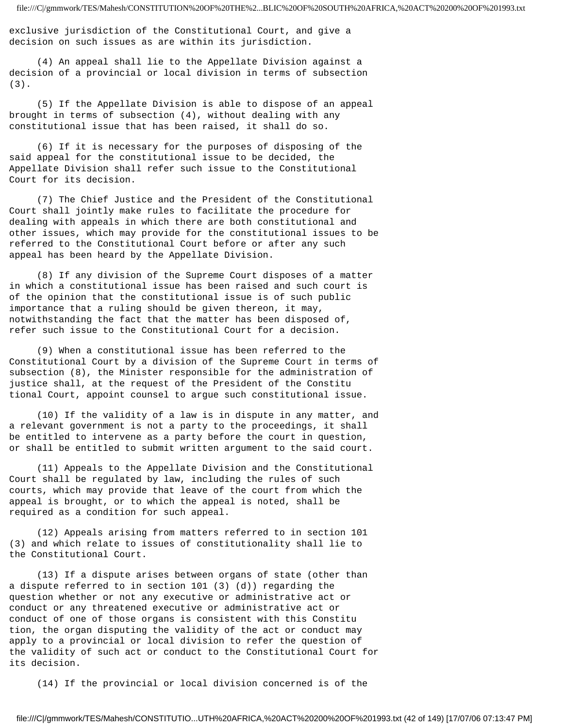exclusive jurisdiction of the Constitutional Court, and give a decision on such issues as are within its jurisdiction.

 (4) An appeal shall lie to the Appellate Division against a decision of a provincial or local division in terms of subsection (3).

 (5) If the Appellate Division is able to dispose of an appeal brought in terms of subsection (4), without dealing with any constitutional issue that has been raised, it shall do so.

 (6) If it is necessary for the purposes of disposing of the said appeal for the constitutional issue to be decided, the Appellate Division shall refer such issue to the Constitutional Court for its decision.

 (7) The Chief Justice and the President of the Constitutional Court shall jointly make rules to facilitate the procedure for dealing with appeals in which there are both constitutional and other issues, which may provide for the constitutional issues to be referred to the Constitutional Court before or after any such appeal has been heard by the Appellate Division.

 (8) If any division of the Supreme Court disposes of a matter in which a constitutional issue has been raised and such court is of the opinion that the constitutional issue is of such public importance that a ruling should be given thereon, it may, notwithstanding the fact that the matter has been disposed of, refer such issue to the Constitutional Court for a decision.

 (9) When a constitutional issue has been referred to the Constitutional Court by a division of the Supreme Court in terms of subsection (8), the Minister responsible for the administration of justice shall, at the request of the President of the Constitu tional Court, appoint counsel to argue such constitutional issue.

 (10) If the validity of a law is in dispute in any matter, and a relevant government is not a party to the proceedings, it shall be entitled to intervene as a party before the court in question, or shall be entitled to submit written argument to the said court.

 (11) Appeals to the Appellate Division and the Constitutional Court shall be regulated by law, including the rules of such courts, which may provide that leave of the court from which the appeal is brought, or to which the appeal is noted, shall be required as a condition for such appeal.

 (12) Appeals arising from matters referred to in section 101 (3) and which relate to issues of constitutionality shall lie to the Constitutional Court.

 (13) If a dispute arises between organs of state (other than a dispute referred to in section 101 (3) (d)) regarding the question whether or not any executive or administrative act or conduct or any threatened executive or administrative act or conduct of one of those organs is consistent with this Constitu tion, the organ disputing the validity of the act or conduct may apply to a provincial or local division to refer the question of the validity of such act or conduct to the Constitutional Court for its decision.

(14) If the provincial or local division concerned is of the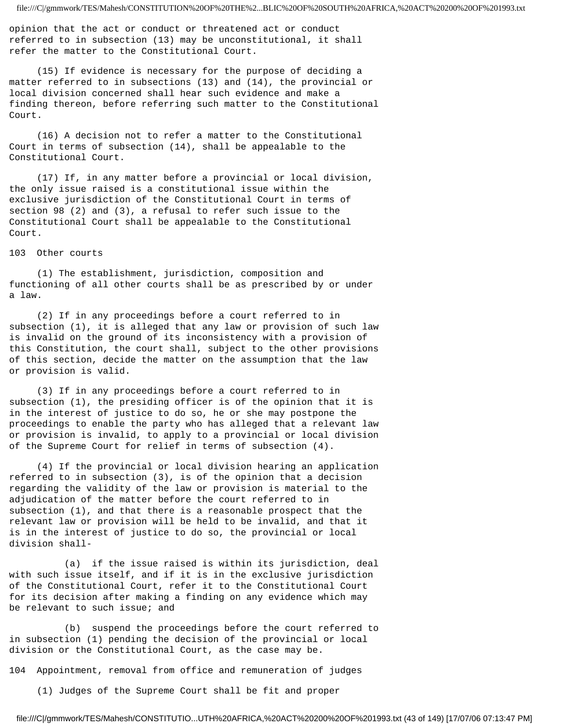opinion that the act or conduct or threatened act or conduct referred to in subsection (13) may be unconstitutional, it shall refer the matter to the Constitutional Court.

 (15) If evidence is necessary for the purpose of deciding a matter referred to in subsections (13) and (14), the provincial or local division concerned shall hear such evidence and make a finding thereon, before referring such matter to the Constitutional Court.

 (16) A decision not to refer a matter to the Constitutional Court in terms of subsection (14), shall be appealable to the Constitutional Court.

 (17) If, in any matter before a provincial or local division, the only issue raised is a constitutional issue within the exclusive jurisdiction of the Constitutional Court in terms of section 98 (2) and (3), a refusal to refer such issue to the Constitutional Court shall be appealable to the Constitutional Court.

#### 103 Other courts

 (1) The establishment, jurisdiction, composition and functioning of all other courts shall be as prescribed by or under a law.

 (2) If in any proceedings before a court referred to in subsection (1), it is alleged that any law or provision of such law is invalid on the ground of its inconsistency with a provision of this Constitution, the court shall, subject to the other provisions of this section, decide the matter on the assumption that the law or provision is valid.

 (3) If in any proceedings before a court referred to in subsection (1), the presiding officer is of the opinion that it is in the interest of justice to do so, he or she may postpone the proceedings to enable the party who has alleged that a relevant law or provision is invalid, to apply to a provincial or local division of the Supreme Court for relief in terms of subsection (4).

 (4) If the provincial or local division hearing an application referred to in subsection (3), is of the opinion that a decision regarding the validity of the law or provision is material to the adjudication of the matter before the court referred to in subsection (1), and that there is a reasonable prospect that the relevant law or provision will be held to be invalid, and that it is in the interest of justice to do so, the provincial or local division shall-

 (a) if the issue raised is within its jurisdiction, deal with such issue itself, and if it is in the exclusive jurisdiction of the Constitutional Court, refer it to the Constitutional Court for its decision after making a finding on any evidence which may be relevant to such issue; and

 (b) suspend the proceedings before the court referred to in subsection (1) pending the decision of the provincial or local division or the Constitutional Court, as the case may be.

104 Appointment, removal from office and remuneration of judges

(1) Judges of the Supreme Court shall be fit and proper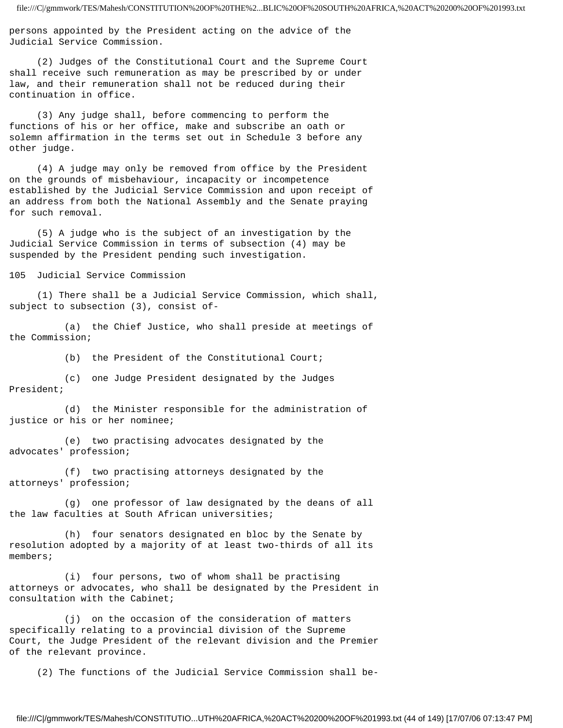persons appointed by the President acting on the advice of the Judicial Service Commission.

 (2) Judges of the Constitutional Court and the Supreme Court shall receive such remuneration as may be prescribed by or under law, and their remuneration shall not be reduced during their continuation in office.

 (3) Any judge shall, before commencing to perform the functions of his or her office, make and subscribe an oath or solemn affirmation in the terms set out in Schedule 3 before any other judge.

 (4) A judge may only be removed from office by the President on the grounds of misbehaviour, incapacity or incompetence established by the Judicial Service Commission and upon receipt of an address from both the National Assembly and the Senate praying for such removal.

 (5) A judge who is the subject of an investigation by the Judicial Service Commission in terms of subsection (4) may be suspended by the President pending such investigation.

105 Judicial Service Commission

 (1) There shall be a Judicial Service Commission, which shall, subject to subsection (3), consist of-

 (a) the Chief Justice, who shall preside at meetings of the Commission;

(b) the President of the Constitutional Court;

 (c) one Judge President designated by the Judges President;

 (d) the Minister responsible for the administration of justice or his or her nominee;

 (e) two practising advocates designated by the advocates' profession;

 (f) two practising attorneys designated by the attorneys' profession;

 (g) one professor of law designated by the deans of all the law faculties at South African universities;

 (h) four senators designated en bloc by the Senate by resolution adopted by a majority of at least two-thirds of all its members;

 (i) four persons, two of whom shall be practising attorneys or advocates, who shall be designated by the President in consultation with the Cabinet;

 (j) on the occasion of the consideration of matters specifically relating to a provincial division of the Supreme Court, the Judge President of the relevant division and the Premier of the relevant province.

(2) The functions of the Judicial Service Commission shall be-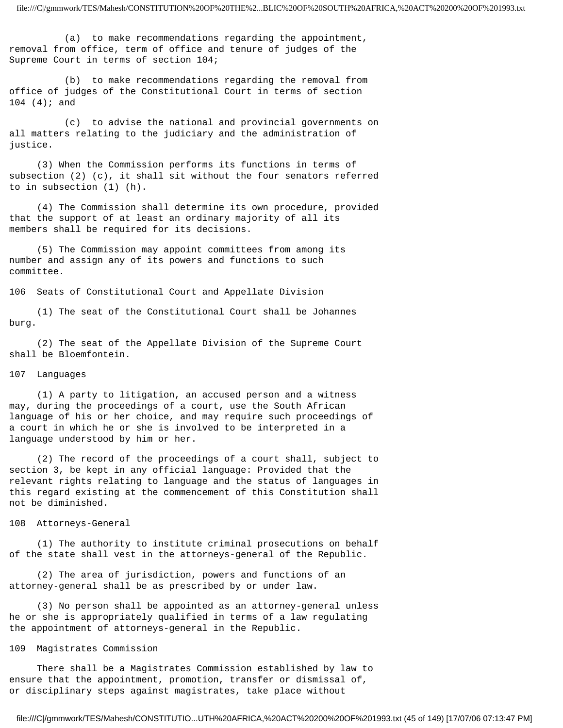(a) to make recommendations regarding the appointment, removal from office, term of office and tenure of judges of the Supreme Court in terms of section 104;

 (b) to make recommendations regarding the removal from office of judges of the Constitutional Court in terms of section 104 (4); and

 (c) to advise the national and provincial governments on all matters relating to the judiciary and the administration of justice.

 (3) When the Commission performs its functions in terms of subsection (2) (c), it shall sit without the four senators referred to in subsection (1) (h).

 (4) The Commission shall determine its own procedure, provided that the support of at least an ordinary majority of all its members shall be required for its decisions.

 (5) The Commission may appoint committees from among its number and assign any of its powers and functions to such committee.

106 Seats of Constitutional Court and Appellate Division

 (1) The seat of the Constitutional Court shall be Johannes burg.

 (2) The seat of the Appellate Division of the Supreme Court shall be Bloemfontein.

#### 107 Languages

 (1) A party to litigation, an accused person and a witness may, during the proceedings of a court, use the South African language of his or her choice, and may require such proceedings of a court in which he or she is involved to be interpreted in a language understood by him or her.

 (2) The record of the proceedings of a court shall, subject to section 3, be kept in any official language: Provided that the relevant rights relating to language and the status of languages in this regard existing at the commencement of this Constitution shall not be diminished.

#### 108 Attorneys-General

 (1) The authority to institute criminal prosecutions on behalf of the state shall vest in the attorneys-general of the Republic.

 (2) The area of jurisdiction, powers and functions of an attorney-general shall be as prescribed by or under law.

 (3) No person shall be appointed as an attorney-general unless he or she is appropriately qualified in terms of a law regulating the appointment of attorneys-general in the Republic.

### 109 Magistrates Commission

 There shall be a Magistrates Commission established by law to ensure that the appointment, promotion, transfer or dismissal of, or disciplinary steps against magistrates, take place without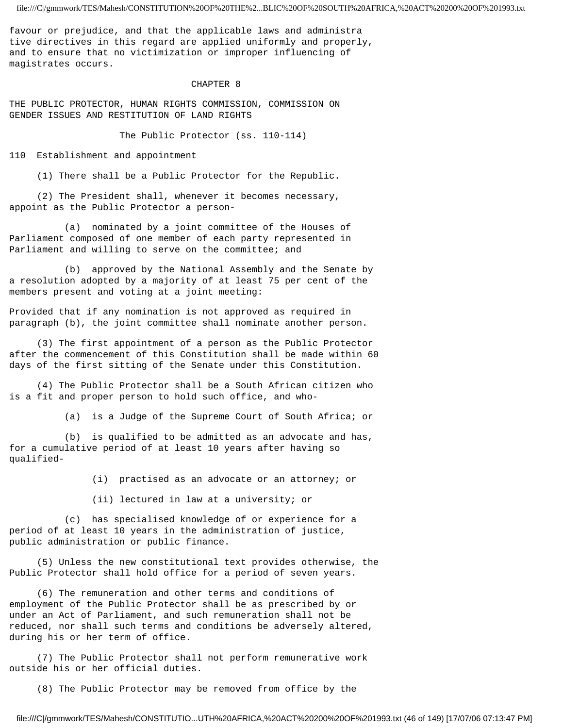favour or prejudice, and that the applicable laws and administra tive directives in this regard are applied uniformly and properly, and to ensure that no victimization or improper influencing of magistrates occurs.

#### CHAPTER 8

THE PUBLIC PROTECTOR, HUMAN RIGHTS COMMISSION, COMMISSION ON GENDER ISSUES AND RESTITUTION OF LAND RIGHTS

### The Public Protector (ss. 110-114)

110 Establishment and appointment

(1) There shall be a Public Protector for the Republic.

 (2) The President shall, whenever it becomes necessary, appoint as the Public Protector a person-

 (a) nominated by a joint committee of the Houses of Parliament composed of one member of each party represented in Parliament and willing to serve on the committee; and

 (b) approved by the National Assembly and the Senate by a resolution adopted by a majority of at least 75 per cent of the members present and voting at a joint meeting:

Provided that if any nomination is not approved as required in paragraph (b), the joint committee shall nominate another person.

 (3) The first appointment of a person as the Public Protector after the commencement of this Constitution shall be made within 60 days of the first sitting of the Senate under this Constitution.

 (4) The Public Protector shall be a South African citizen who is a fit and proper person to hold such office, and who-

(a) is a Judge of the Supreme Court of South Africa; or

 (b) is qualified to be admitted as an advocate and has, for a cumulative period of at least 10 years after having so qualified-

(i) practised as an advocate or an attorney; or

(ii) lectured in law at a university; or

 (c) has specialised knowledge of or experience for a period of at least 10 years in the administration of justice, public administration or public finance.

 (5) Unless the new constitutional text provides otherwise, the Public Protector shall hold office for a period of seven years.

 (6) The remuneration and other terms and conditions of employment of the Public Protector shall be as prescribed by or under an Act of Parliament, and such remuneration shall not be reduced, nor shall such terms and conditions be adversely altered, during his or her term of office.

 (7) The Public Protector shall not perform remunerative work outside his or her official duties.

(8) The Public Protector may be removed from office by the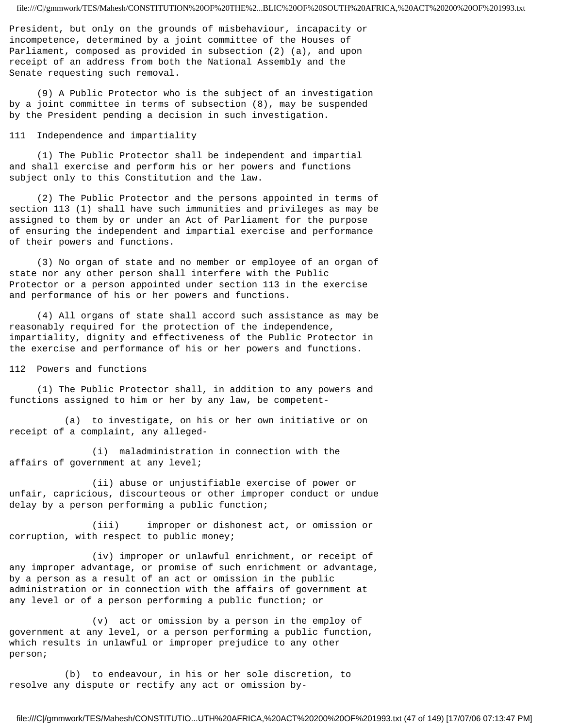President, but only on the grounds of misbehaviour, incapacity or incompetence, determined by a joint committee of the Houses of Parliament, composed as provided in subsection (2) (a), and upon receipt of an address from both the National Assembly and the Senate requesting such removal.

 (9) A Public Protector who is the subject of an investigation by a joint committee in terms of subsection (8), may be suspended by the President pending a decision in such investigation.

111 Independence and impartiality

 (1) The Public Protector shall be independent and impartial and shall exercise and perform his or her powers and functions subject only to this Constitution and the law.

 (2) The Public Protector and the persons appointed in terms of section 113 (1) shall have such immunities and privileges as may be assigned to them by or under an Act of Parliament for the purpose of ensuring the independent and impartial exercise and performance of their powers and functions.

 (3) No organ of state and no member or employee of an organ of state nor any other person shall interfere with the Public Protector or a person appointed under section 113 in the exercise and performance of his or her powers and functions.

 (4) All organs of state shall accord such assistance as may be reasonably required for the protection of the independence, impartiality, dignity and effectiveness of the Public Protector in the exercise and performance of his or her powers and functions.

112 Powers and functions

 (1) The Public Protector shall, in addition to any powers and functions assigned to him or her by any law, be competent-

 (a) to investigate, on his or her own initiative or on receipt of a complaint, any alleged-

 (i) maladministration in connection with the affairs of government at any level;

 (ii) abuse or unjustifiable exercise of power or unfair, capricious, discourteous or other improper conduct or undue delay by a person performing a public function;

 (iii) improper or dishonest act, or omission or corruption, with respect to public money;

 (iv) improper or unlawful enrichment, or receipt of any improper advantage, or promise of such enrichment or advantage, by a person as a result of an act or omission in the public administration or in connection with the affairs of government at any level or of a person performing a public function; or

 (v) act or omission by a person in the employ of government at any level, or a person performing a public function, which results in unlawful or improper prejudice to any other person;

 (b) to endeavour, in his or her sole discretion, to resolve any dispute or rectify any act or omission by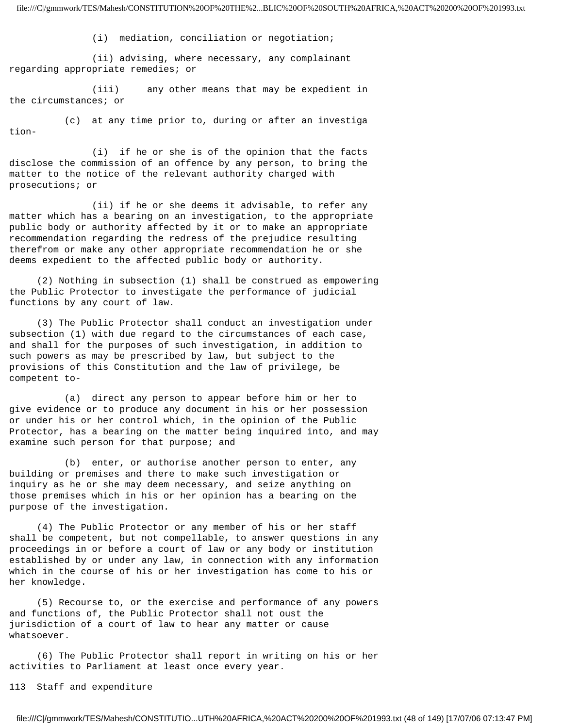(i) mediation, conciliation or negotiation;

 (ii) advising, where necessary, any complainant regarding appropriate remedies; or

 (iii) any other means that may be expedient in the circumstances; or

 (c) at any time prior to, during or after an investiga tion-

 (i) if he or she is of the opinion that the facts disclose the commission of an offence by any person, to bring the matter to the notice of the relevant authority charged with prosecutions; or

 (ii) if he or she deems it advisable, to refer any matter which has a bearing on an investigation, to the appropriate public body or authority affected by it or to make an appropriate recommendation regarding the redress of the prejudice resulting therefrom or make any other appropriate recommendation he or she deems expedient to the affected public body or authority.

 (2) Nothing in subsection (1) shall be construed as empowering the Public Protector to investigate the performance of judicial functions by any court of law.

 (3) The Public Protector shall conduct an investigation under subsection (1) with due regard to the circumstances of each case, and shall for the purposes of such investigation, in addition to such powers as may be prescribed by law, but subject to the provisions of this Constitution and the law of privilege, be competent to-

 (a) direct any person to appear before him or her to give evidence or to produce any document in his or her possession or under his or her control which, in the opinion of the Public Protector, has a bearing on the matter being inquired into, and may examine such person for that purpose; and

 (b) enter, or authorise another person to enter, any building or premises and there to make such investigation or inquiry as he or she may deem necessary, and seize anything on those premises which in his or her opinion has a bearing on the purpose of the investigation.

 (4) The Public Protector or any member of his or her staff shall be competent, but not compellable, to answer questions in any proceedings in or before a court of law or any body or institution established by or under any law, in connection with any information which in the course of his or her investigation has come to his or her knowledge.

 (5) Recourse to, or the exercise and performance of any powers and functions of, the Public Protector shall not oust the jurisdiction of a court of law to hear any matter or cause whatsoever.

 (6) The Public Protector shall report in writing on his or her activities to Parliament at least once every year.

113 Staff and expenditure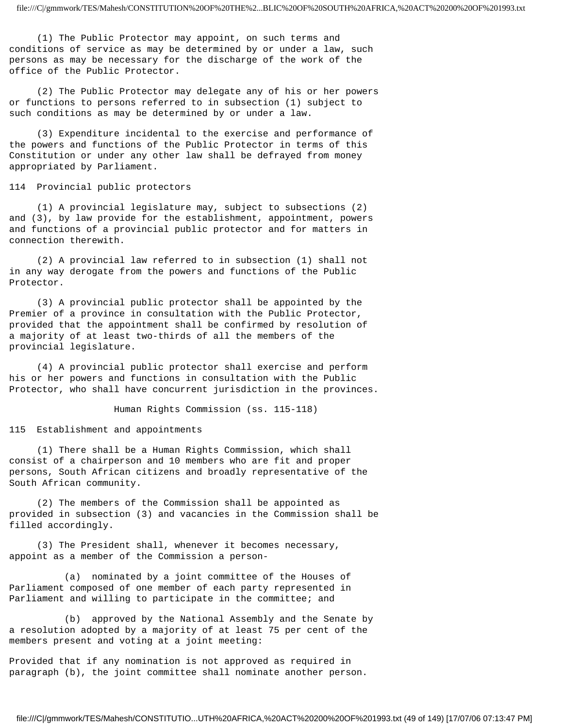(1) The Public Protector may appoint, on such terms and conditions of service as may be determined by or under a law, such persons as may be necessary for the discharge of the work of the office of the Public Protector.

 (2) The Public Protector may delegate any of his or her powers or functions to persons referred to in subsection (1) subject to such conditions as may be determined by or under a law.

 (3) Expenditure incidental to the exercise and performance of the powers and functions of the Public Protector in terms of this Constitution or under any other law shall be defrayed from money appropriated by Parliament.

114 Provincial public protectors

 (1) A provincial legislature may, subject to subsections (2) and (3), by law provide for the establishment, appointment, powers and functions of a provincial public protector and for matters in connection therewith.

 (2) A provincial law referred to in subsection (1) shall not in any way derogate from the powers and functions of the Public Protector.

 (3) A provincial public protector shall be appointed by the Premier of a province in consultation with the Public Protector, provided that the appointment shall be confirmed by resolution of a majority of at least two-thirds of all the members of the provincial legislature.

 (4) A provincial public protector shall exercise and perform his or her powers and functions in consultation with the Public Protector, who shall have concurrent jurisdiction in the provinces.

Human Rights Commission (ss. 115-118)

115 Establishment and appointments

 (1) There shall be a Human Rights Commission, which shall consist of a chairperson and 10 members who are fit and proper persons, South African citizens and broadly representative of the South African community.

 (2) The members of the Commission shall be appointed as provided in subsection (3) and vacancies in the Commission shall be filled accordingly.

 (3) The President shall, whenever it becomes necessary, appoint as a member of the Commission a person-

 (a) nominated by a joint committee of the Houses of Parliament composed of one member of each party represented in Parliament and willing to participate in the committee; and

 (b) approved by the National Assembly and the Senate by a resolution adopted by a majority of at least 75 per cent of the members present and voting at a joint meeting:

Provided that if any nomination is not approved as required in paragraph (b), the joint committee shall nominate another person.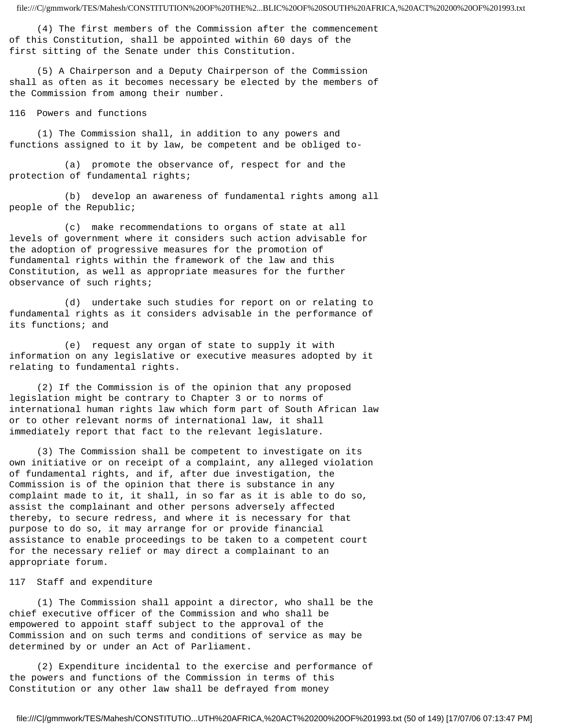(4) The first members of the Commission after the commencement of this Constitution, shall be appointed within 60 days of the first sitting of the Senate under this Constitution.

 (5) A Chairperson and a Deputy Chairperson of the Commission shall as often as it becomes necessary be elected by the members of the Commission from among their number.

116 Powers and functions

 (1) The Commission shall, in addition to any powers and functions assigned to it by law, be competent and be obliged to-

 (a) promote the observance of, respect for and the protection of fundamental rights;

 (b) develop an awareness of fundamental rights among all people of the Republic;

 (c) make recommendations to organs of state at all levels of government where it considers such action advisable for the adoption of progressive measures for the promotion of fundamental rights within the framework of the law and this Constitution, as well as appropriate measures for the further observance of such rights;

 (d) undertake such studies for report on or relating to fundamental rights as it considers advisable in the performance of its functions; and

 (e) request any organ of state to supply it with information on any legislative or executive measures adopted by it relating to fundamental rights.

 (2) If the Commission is of the opinion that any proposed legislation might be contrary to Chapter 3 or to norms of international human rights law which form part of South African law or to other relevant norms of international law, it shall immediately report that fact to the relevant legislature.

 (3) The Commission shall be competent to investigate on its own initiative or on receipt of a complaint, any alleged violation of fundamental rights, and if, after due investigation, the Commission is of the opinion that there is substance in any complaint made to it, it shall, in so far as it is able to do so, assist the complainant and other persons adversely affected thereby, to secure redress, and where it is necessary for that purpose to do so, it may arrange for or provide financial assistance to enable proceedings to be taken to a competent court for the necessary relief or may direct a complainant to an appropriate forum.

# 117 Staff and expenditure

 (1) The Commission shall appoint a director, who shall be the chief executive officer of the Commission and who shall be empowered to appoint staff subject to the approval of the Commission and on such terms and conditions of service as may be determined by or under an Act of Parliament.

 (2) Expenditure incidental to the exercise and performance of the powers and functions of the Commission in terms of this Constitution or any other law shall be defrayed from money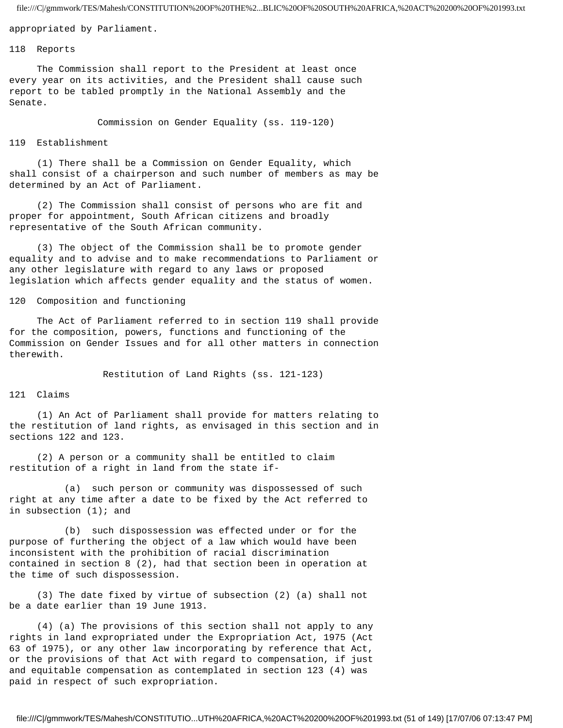appropriated by Parliament.

# 118 Reports

 The Commission shall report to the President at least once every year on its activities, and the President shall cause such report to be tabled promptly in the National Assembly and the Senate.

Commission on Gender Equality (ss. 119-120)

#### 119 Establishment

 (1) There shall be a Commission on Gender Equality, which shall consist of a chairperson and such number of members as may be determined by an Act of Parliament.

 (2) The Commission shall consist of persons who are fit and proper for appointment, South African citizens and broadly representative of the South African community.

 (3) The object of the Commission shall be to promote gender equality and to advise and to make recommendations to Parliament or any other legislature with regard to any laws or proposed legislation which affects gender equality and the status of women.

#### 120 Composition and functioning

 The Act of Parliament referred to in section 119 shall provide for the composition, powers, functions and functioning of the Commission on Gender Issues and for all other matters in connection therewith.

Restitution of Land Rights (ss. 121-123)

# 121 Claims

 (1) An Act of Parliament shall provide for matters relating to the restitution of land rights, as envisaged in this section and in sections 122 and 123.

 (2) A person or a community shall be entitled to claim restitution of a right in land from the state if-

 (a) such person or community was dispossessed of such right at any time after a date to be fixed by the Act referred to in subsection  $(1)$ ; and

 (b) such dispossession was effected under or for the purpose of furthering the object of a law which would have been inconsistent with the prohibition of racial discrimination contained in section 8 (2), had that section been in operation at the time of such dispossession.

 (3) The date fixed by virtue of subsection (2) (a) shall not be a date earlier than 19 June 1913.

 (4) (a) The provisions of this section shall not apply to any rights in land expropriated under the Expropriation Act, 1975 (Act 63 of 1975), or any other law incorporating by reference that Act, or the provisions of that Act with regard to compensation, if just and equitable compensation as contemplated in section 123 (4) was paid in respect of such expropriation.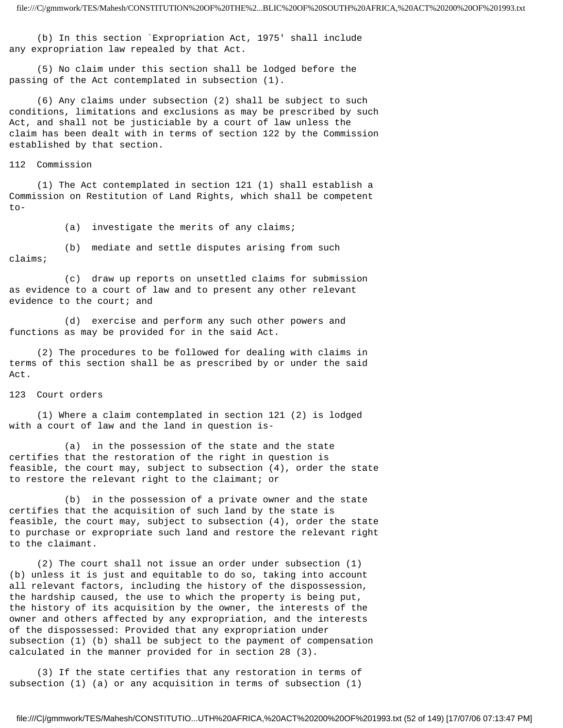(b) In this section `Expropriation Act, 1975' shall include any expropriation law repealed by that Act.

 (5) No claim under this section shall be lodged before the passing of the Act contemplated in subsection (1).

 (6) Any claims under subsection (2) shall be subject to such conditions, limitations and exclusions as may be prescribed by such Act, and shall not be justiciable by a court of law unless the claim has been dealt with in terms of section 122 by the Commission established by that section.

## 112 Commission

 (1) The Act contemplated in section 121 (1) shall establish a Commission on Restitution of Land Rights, which shall be competent to-

(a) investigate the merits of any claims;

 (b) mediate and settle disputes arising from such claims;

 (c) draw up reports on unsettled claims for submission as evidence to a court of law and to present any other relevant evidence to the court; and

 (d) exercise and perform any such other powers and functions as may be provided for in the said Act.

 (2) The procedures to be followed for dealing with claims in terms of this section shall be as prescribed by or under the said Act.

#### 123 Court orders

 (1) Where a claim contemplated in section 121 (2) is lodged with a court of law and the land in question is-

 (a) in the possession of the state and the state certifies that the restoration of the right in question is feasible, the court may, subject to subsection (4), order the state to restore the relevant right to the claimant; or

 (b) in the possession of a private owner and the state certifies that the acquisition of such land by the state is feasible, the court may, subject to subsection (4), order the state to purchase or expropriate such land and restore the relevant right to the claimant.

 (2) The court shall not issue an order under subsection (1) (b) unless it is just and equitable to do so, taking into account all relevant factors, including the history of the dispossession, the hardship caused, the use to which the property is being put, the history of its acquisition by the owner, the interests of the owner and others affected by any expropriation, and the interests of the dispossessed: Provided that any expropriation under subsection (1) (b) shall be subject to the payment of compensation calculated in the manner provided for in section 28 (3).

 (3) If the state certifies that any restoration in terms of subsection (1) (a) or any acquisition in terms of subsection (1)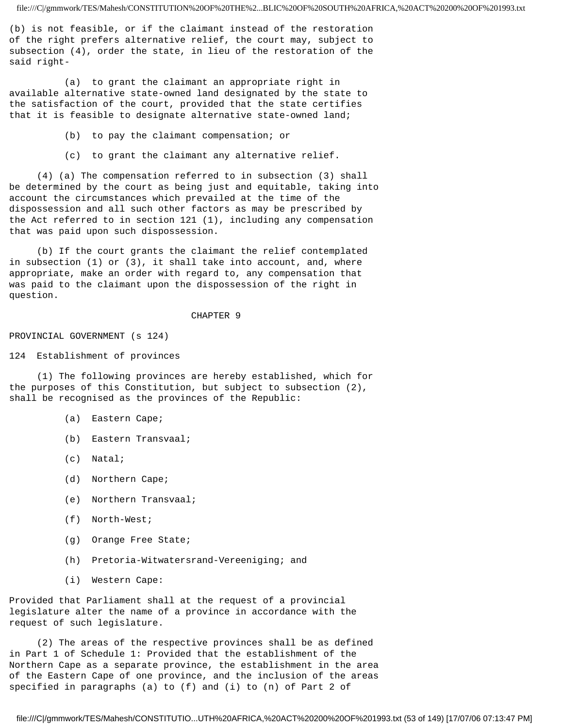(b) is not feasible, or if the claimant instead of the restoration of the right prefers alternative relief, the court may, subject to subsection (4), order the state, in lieu of the restoration of the said right-

 (a) to grant the claimant an appropriate right in available alternative state-owned land designated by the state to the satisfaction of the court, provided that the state certifies that it is feasible to designate alternative state-owned land;

- (b) to pay the claimant compensation; or
- (c) to grant the claimant any alternative relief.

 (4) (a) The compensation referred to in subsection (3) shall be determined by the court as being just and equitable, taking into account the circumstances which prevailed at the time of the dispossession and all such other factors as may be prescribed by the Act referred to in section 121 (1), including any compensation that was paid upon such dispossession.

 (b) If the court grants the claimant the relief contemplated in subsection (1) or (3), it shall take into account, and, where appropriate, make an order with regard to, any compensation that was paid to the claimant upon the dispossession of the right in question.

#### CHAPTER 9

PROVINCIAL GOVERNMENT (s 124)

124 Establishment of provinces

 (1) The following provinces are hereby established, which for the purposes of this Constitution, but subject to subsection (2), shall be recognised as the provinces of the Republic:

- (a) Eastern Cape;
- (b) Eastern Transvaal;
- (c) Natal;
- (d) Northern Cape;
- (e) Northern Transvaal;
- (f) North-West;
- (g) Orange Free State;
- (h) Pretoria-Witwatersrand-Vereeniging; and
- (i) Western Cape:

Provided that Parliament shall at the request of a provincial legislature alter the name of a province in accordance with the request of such legislature.

 (2) The areas of the respective provinces shall be as defined in Part 1 of Schedule 1: Provided that the establishment of the Northern Cape as a separate province, the establishment in the area of the Eastern Cape of one province, and the inclusion of the areas specified in paragraphs (a) to (f) and (i) to (n) of Part 2 of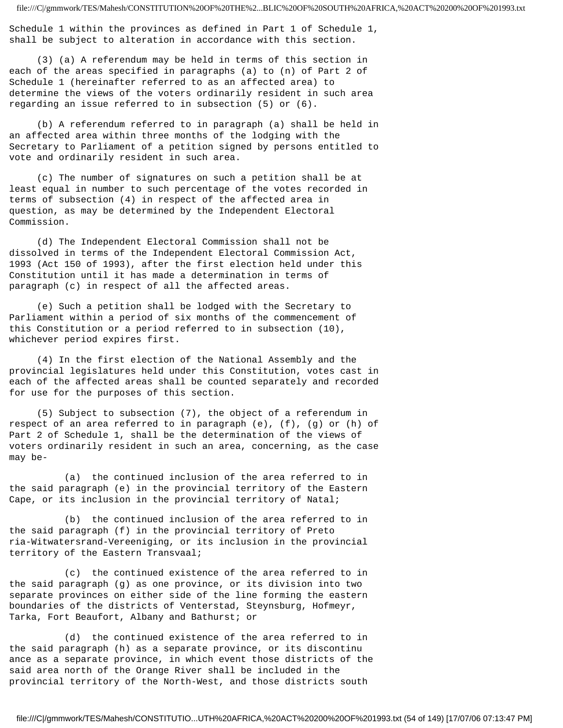Schedule 1 within the provinces as defined in Part 1 of Schedule 1, shall be subject to alteration in accordance with this section.

 (3) (a) A referendum may be held in terms of this section in each of the areas specified in paragraphs (a) to (n) of Part 2 of Schedule 1 (hereinafter referred to as an affected area) to determine the views of the voters ordinarily resident in such area regarding an issue referred to in subsection (5) or (6).

 (b) A referendum referred to in paragraph (a) shall be held in an affected area within three months of the lodging with the Secretary to Parliament of a petition signed by persons entitled to vote and ordinarily resident in such area.

 (c) The number of signatures on such a petition shall be at least equal in number to such percentage of the votes recorded in terms of subsection (4) in respect of the affected area in question, as may be determined by the Independent Electoral Commission.

 (d) The Independent Electoral Commission shall not be dissolved in terms of the Independent Electoral Commission Act, 1993 (Act 150 of 1993), after the first election held under this Constitution until it has made a determination in terms of paragraph (c) in respect of all the affected areas.

 (e) Such a petition shall be lodged with the Secretary to Parliament within a period of six months of the commencement of this Constitution or a period referred to in subsection (10), whichever period expires first.

 (4) In the first election of the National Assembly and the provincial legislatures held under this Constitution, votes cast in each of the affected areas shall be counted separately and recorded for use for the purposes of this section.

 (5) Subject to subsection (7), the object of a referendum in respect of an area referred to in paragraph  $(e)$ ,  $(f)$ ,  $(g)$  or  $(h)$  of Part 2 of Schedule 1, shall be the determination of the views of voters ordinarily resident in such an area, concerning, as the case may be-

 (a) the continued inclusion of the area referred to in the said paragraph (e) in the provincial territory of the Eastern Cape, or its inclusion in the provincial territory of Natal;

 (b) the continued inclusion of the area referred to in the said paragraph (f) in the provincial territory of Preto ria-Witwatersrand-Vereeniging, or its inclusion in the provincial territory of the Eastern Transvaal;

 (c) the continued existence of the area referred to in the said paragraph (g) as one province, or its division into two separate provinces on either side of the line forming the eastern boundaries of the districts of Venterstad, Steynsburg, Hofmeyr, Tarka, Fort Beaufort, Albany and Bathurst; or

 (d) the continued existence of the area referred to in the said paragraph (h) as a separate province, or its discontinu ance as a separate province, in which event those districts of the said area north of the Orange River shall be included in the provincial territory of the North-West, and those districts south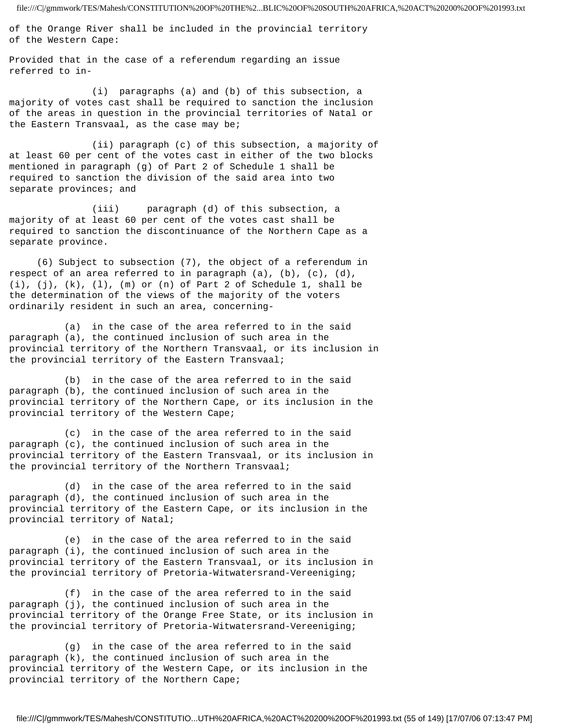of the Orange River shall be included in the provincial territory of the Western Cape:

Provided that in the case of a referendum regarding an issue referred to in-

 (i) paragraphs (a) and (b) of this subsection, a majority of votes cast shall be required to sanction the inclusion of the areas in question in the provincial territories of Natal or the Eastern Transvaal, as the case may be;

 (ii) paragraph (c) of this subsection, a majority of at least 60 per cent of the votes cast in either of the two blocks mentioned in paragraph (g) of Part 2 of Schedule 1 shall be required to sanction the division of the said area into two separate provinces; and

 (iii) paragraph (d) of this subsection, a majority of at least 60 per cent of the votes cast shall be required to sanction the discontinuance of the Northern Cape as a separate province.

 (6) Subject to subsection (7), the object of a referendum in respect of an area referred to in paragraph (a), (b), (c), (d),  $(i)$ ,  $(j)$ ,  $(k)$ ,  $(1)$ ,  $(m)$  or  $(n)$  of Part 2 of Schedule 1, shall be the determination of the views of the majority of the voters ordinarily resident in such an area, concerning-

 (a) in the case of the area referred to in the said paragraph (a), the continued inclusion of such area in the provincial territory of the Northern Transvaal, or its inclusion in the provincial territory of the Eastern Transvaal;

 (b) in the case of the area referred to in the said paragraph (b), the continued inclusion of such area in the provincial territory of the Northern Cape, or its inclusion in the provincial territory of the Western Cape;

 (c) in the case of the area referred to in the said paragraph (c), the continued inclusion of such area in the provincial territory of the Eastern Transvaal, or its inclusion in the provincial territory of the Northern Transvaal;

 (d) in the case of the area referred to in the said paragraph (d), the continued inclusion of such area in the provincial territory of the Eastern Cape, or its inclusion in the provincial territory of Natal;

 (e) in the case of the area referred to in the said paragraph (i), the continued inclusion of such area in the provincial territory of the Eastern Transvaal, or its inclusion in the provincial territory of Pretoria-Witwatersrand-Vereeniging;

 (f) in the case of the area referred to in the said paragraph (j), the continued inclusion of such area in the provincial territory of the Orange Free State, or its inclusion in the provincial territory of Pretoria-Witwatersrand-Vereeniging;

 (g) in the case of the area referred to in the said paragraph (k), the continued inclusion of such area in the provincial territory of the Western Cape, or its inclusion in the provincial territory of the Northern Cape;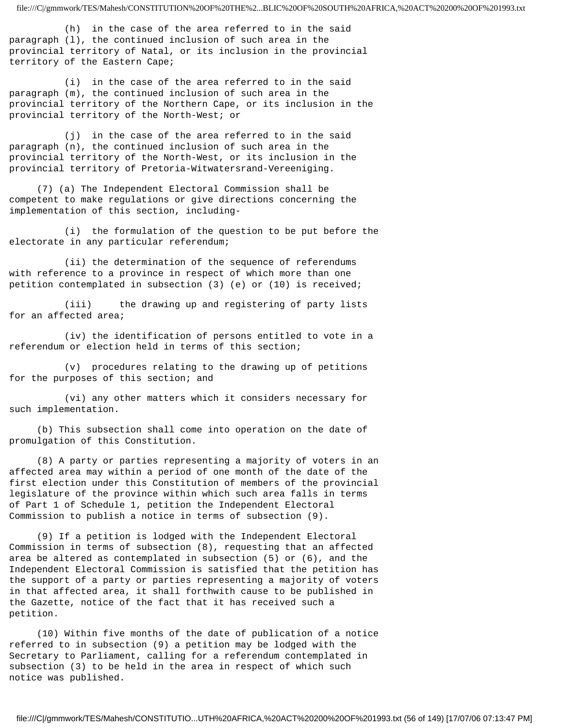(h) in the case of the area referred to in the said paragraph (l), the continued inclusion of such area in the provincial territory of Natal, or its inclusion in the provincial territory of the Eastern Cape;

 (i) in the case of the area referred to in the said paragraph (m), the continued inclusion of such area in the provincial territory of the Northern Cape, or its inclusion in the provincial territory of the North-West; or

 (j) in the case of the area referred to in the said paragraph (n), the continued inclusion of such area in the provincial territory of the North-West, or its inclusion in the provincial territory of Pretoria-Witwatersrand-Vereeniging.

 (7) (a) The Independent Electoral Commission shall be competent to make regulations or give directions concerning the implementation of this section, including-

 (i) the formulation of the question to be put before the electorate in any particular referendum;

 (ii) the determination of the sequence of referendums with reference to a province in respect of which more than one petition contemplated in subsection (3) (e) or (10) is received;

 (iii) the drawing up and registering of party lists for an affected area;

 (iv) the identification of persons entitled to vote in a referendum or election held in terms of this section;

 (v) procedures relating to the drawing up of petitions for the purposes of this section; and

 (vi) any other matters which it considers necessary for such implementation.

 (b) This subsection shall come into operation on the date of promulgation of this Constitution.

 (8) A party or parties representing a majority of voters in an affected area may within a period of one month of the date of the first election under this Constitution of members of the provincial legislature of the province within which such area falls in terms of Part 1 of Schedule 1, petition the Independent Electoral Commission to publish a notice in terms of subsection (9).

 (9) If a petition is lodged with the Independent Electoral Commission in terms of subsection (8), requesting that an affected area be altered as contemplated in subsection (5) or (6), and the Independent Electoral Commission is satisfied that the petition has the support of a party or parties representing a majority of voters in that affected area, it shall forthwith cause to be published in the Gazette, notice of the fact that it has received such a petition.

 (10) Within five months of the date of publication of a notice referred to in subsection (9) a petition may be lodged with the Secretary to Parliament, calling for a referendum contemplated in subsection (3) to be held in the area in respect of which such notice was published.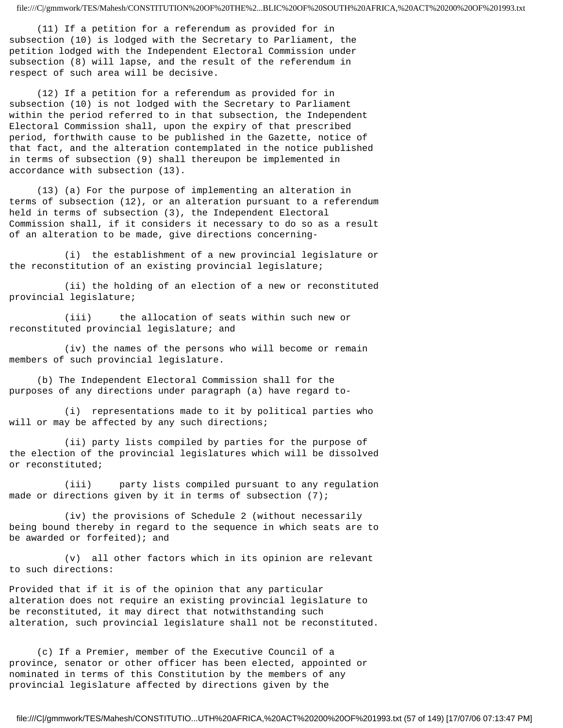(11) If a petition for a referendum as provided for in subsection (10) is lodged with the Secretary to Parliament, the petition lodged with the Independent Electoral Commission under subsection (8) will lapse, and the result of the referendum in respect of such area will be decisive.

 (12) If a petition for a referendum as provided for in subsection (10) is not lodged with the Secretary to Parliament within the period referred to in that subsection, the Independent Electoral Commission shall, upon the expiry of that prescribed period, forthwith cause to be published in the Gazette, notice of that fact, and the alteration contemplated in the notice published in terms of subsection (9) shall thereupon be implemented in accordance with subsection (13).

 (13) (a) For the purpose of implementing an alteration in terms of subsection (12), or an alteration pursuant to a referendum held in terms of subsection (3), the Independent Electoral Commission shall, if it considers it necessary to do so as a result of an alteration to be made, give directions concerning-

 (i) the establishment of a new provincial legislature or the reconstitution of an existing provincial legislature;

 (ii) the holding of an election of a new or reconstituted provincial legislature;

 (iii) the allocation of seats within such new or reconstituted provincial legislature; and

 (iv) the names of the persons who will become or remain members of such provincial legislature.

 (b) The Independent Electoral Commission shall for the purposes of any directions under paragraph (a) have regard to-

 (i) representations made to it by political parties who will or may be affected by any such directions;

 (ii) party lists compiled by parties for the purpose of the election of the provincial legislatures which will be dissolved or reconstituted;

 (iii) party lists compiled pursuant to any regulation made or directions given by it in terms of subsection (7);

 (iv) the provisions of Schedule 2 (without necessarily being bound thereby in regard to the sequence in which seats are to be awarded or forfeited); and

 (v) all other factors which in its opinion are relevant to such directions:

Provided that if it is of the opinion that any particular alteration does not require an existing provincial legislature to be reconstituted, it may direct that notwithstanding such alteration, such provincial legislature shall not be reconstituted.

 (c) If a Premier, member of the Executive Council of a province, senator or other officer has been elected, appointed or nominated in terms of this Constitution by the members of any provincial legislature affected by directions given by the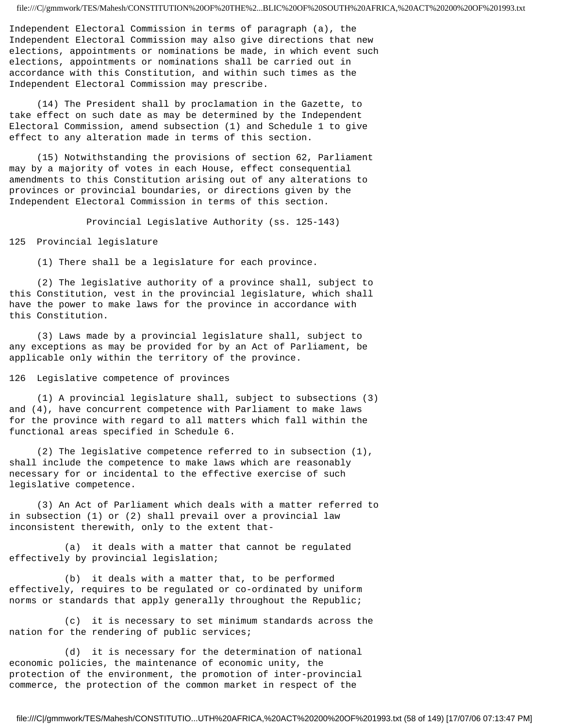Independent Electoral Commission in terms of paragraph (a), the Independent Electoral Commission may also give directions that new elections, appointments or nominations be made, in which event such elections, appointments or nominations shall be carried out in accordance with this Constitution, and within such times as the Independent Electoral Commission may prescribe.

 (14) The President shall by proclamation in the Gazette, to take effect on such date as may be determined by the Independent Electoral Commission, amend subsection (1) and Schedule 1 to give effect to any alteration made in terms of this section.

 (15) Notwithstanding the provisions of section 62, Parliament may by a majority of votes in each House, effect consequential amendments to this Constitution arising out of any alterations to provinces or provincial boundaries, or directions given by the Independent Electoral Commission in terms of this section.

Provincial Legislative Authority (ss. 125-143)

125 Provincial legislature

(1) There shall be a legislature for each province.

 (2) The legislative authority of a province shall, subject to this Constitution, vest in the provincial legislature, which shall have the power to make laws for the province in accordance with this Constitution.

 (3) Laws made by a provincial legislature shall, subject to any exceptions as may be provided for by an Act of Parliament, be applicable only within the territory of the province.

126 Legislative competence of provinces

 (1) A provincial legislature shall, subject to subsections (3) and (4), have concurrent competence with Parliament to make laws for the province with regard to all matters which fall within the functional areas specified in Schedule 6.

 (2) The legislative competence referred to in subsection (1), shall include the competence to make laws which are reasonably necessary for or incidental to the effective exercise of such legislative competence.

 (3) An Act of Parliament which deals with a matter referred to in subsection (1) or (2) shall prevail over a provincial law inconsistent therewith, only to the extent that-

 (a) it deals with a matter that cannot be regulated effectively by provincial legislation;

 (b) it deals with a matter that, to be performed effectively, requires to be regulated or co-ordinated by uniform norms or standards that apply generally throughout the Republic;

 (c) it is necessary to set minimum standards across the nation for the rendering of public services;

 (d) it is necessary for the determination of national economic policies, the maintenance of economic unity, the protection of the environment, the promotion of inter-provincial commerce, the protection of the common market in respect of the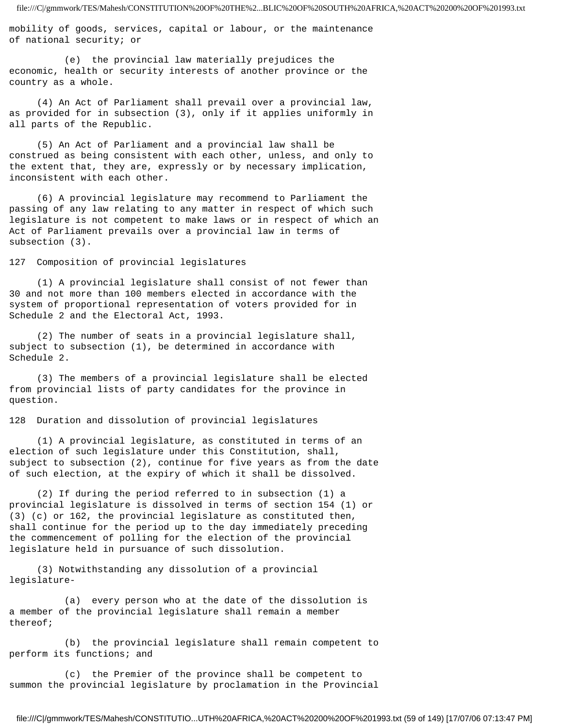mobility of goods, services, capital or labour, or the maintenance of national security; or

 (e) the provincial law materially prejudices the economic, health or security interests of another province or the country as a whole.

 (4) An Act of Parliament shall prevail over a provincial law, as provided for in subsection (3), only if it applies uniformly in all parts of the Republic.

 (5) An Act of Parliament and a provincial law shall be construed as being consistent with each other, unless, and only to the extent that, they are, expressly or by necessary implication, inconsistent with each other.

 (6) A provincial legislature may recommend to Parliament the passing of any law relating to any matter in respect of which such legislature is not competent to make laws or in respect of which an Act of Parliament prevails over a provincial law in terms of subsection (3).

127 Composition of provincial legislatures

 (1) A provincial legislature shall consist of not fewer than 30 and not more than 100 members elected in accordance with the system of proportional representation of voters provided for in Schedule 2 and the Electoral Act, 1993.

 (2) The number of seats in a provincial legislature shall, subject to subsection (1), be determined in accordance with Schedule 2.

 (3) The members of a provincial legislature shall be elected from provincial lists of party candidates for the province in question.

128 Duration and dissolution of provincial legislatures

 (1) A provincial legislature, as constituted in terms of an election of such legislature under this Constitution, shall, subject to subsection (2), continue for five years as from the date of such election, at the expiry of which it shall be dissolved.

 (2) If during the period referred to in subsection (1) a provincial legislature is dissolved in terms of section 154 (1) or (3) (c) or 162, the provincial legislature as constituted then, shall continue for the period up to the day immediately preceding the commencement of polling for the election of the provincial legislature held in pursuance of such dissolution.

 (3) Notwithstanding any dissolution of a provincial legislature-

 (a) every person who at the date of the dissolution is a member of the provincial legislature shall remain a member thereof;

 (b) the provincial legislature shall remain competent to perform its functions; and

 (c) the Premier of the province shall be competent to summon the provincial legislature by proclamation in the Provincial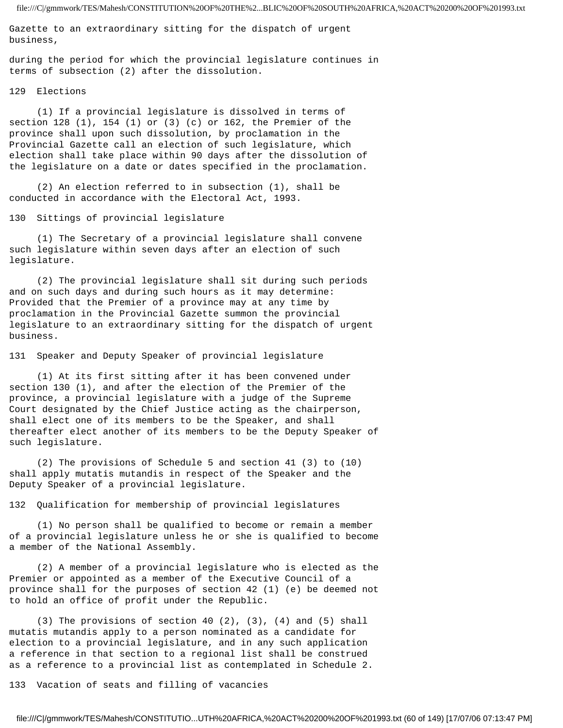Gazette to an extraordinary sitting for the dispatch of urgent business,

during the period for which the provincial legislature continues in terms of subsection (2) after the dissolution.

### 129 Elections

 (1) If a provincial legislature is dissolved in terms of section  $128$  (1),  $154$  (1) or (3) (c) or  $162$ , the Premier of the province shall upon such dissolution, by proclamation in the Provincial Gazette call an election of such legislature, which election shall take place within 90 days after the dissolution of the legislature on a date or dates specified in the proclamation.

 (2) An election referred to in subsection (1), shall be conducted in accordance with the Electoral Act, 1993.

130 Sittings of provincial legislature

 (1) The Secretary of a provincial legislature shall convene such legislature within seven days after an election of such legislature.

 (2) The provincial legislature shall sit during such periods and on such days and during such hours as it may determine: Provided that the Premier of a province may at any time by proclamation in the Provincial Gazette summon the provincial legislature to an extraordinary sitting for the dispatch of urgent business.

131 Speaker and Deputy Speaker of provincial legislature

 (1) At its first sitting after it has been convened under section 130 (1), and after the election of the Premier of the province, a provincial legislature with a judge of the Supreme Court designated by the Chief Justice acting as the chairperson, shall elect one of its members to be the Speaker, and shall thereafter elect another of its members to be the Deputy Speaker of such legislature.

 (2) The provisions of Schedule 5 and section 41 (3) to (10) shall apply mutatis mutandis in respect of the Speaker and the Deputy Speaker of a provincial legislature.

132 Qualification for membership of provincial legislatures

 (1) No person shall be qualified to become or remain a member of a provincial legislature unless he or she is qualified to become a member of the National Assembly.

 (2) A member of a provincial legislature who is elected as the Premier or appointed as a member of the Executive Council of a province shall for the purposes of section 42 (1) (e) be deemed not to hold an office of profit under the Republic.

 (3) The provisions of section 40 (2), (3), (4) and (5) shall mutatis mutandis apply to a person nominated as a candidate for election to a provincial legislature, and in any such application a reference in that section to a regional list shall be construed as a reference to a provincial list as contemplated in Schedule 2.

133 Vacation of seats and filling of vacancies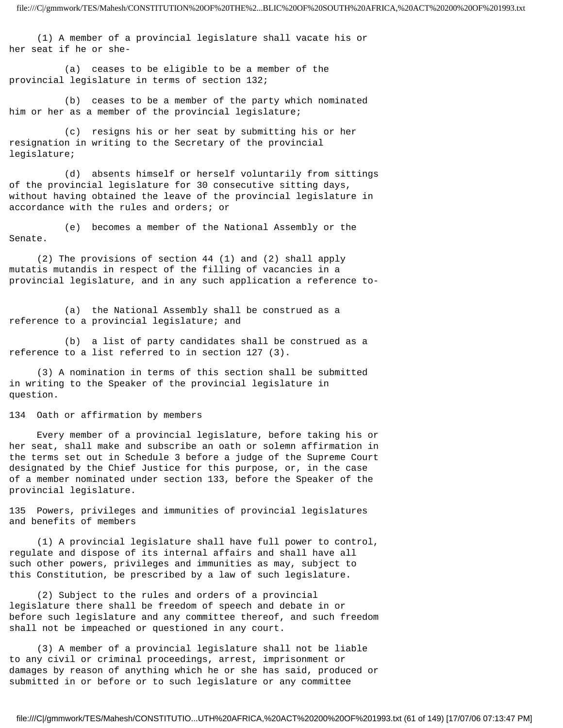(1) A member of a provincial legislature shall vacate his or her seat if he or she-

 (a) ceases to be eligible to be a member of the provincial legislature in terms of section 132;

 (b) ceases to be a member of the party which nominated him or her as a member of the provincial legislature;

 (c) resigns his or her seat by submitting his or her resignation in writing to the Secretary of the provincial legislature;

 (d) absents himself or herself voluntarily from sittings of the provincial legislature for 30 consecutive sitting days, without having obtained the leave of the provincial legislature in accordance with the rules and orders; or

 (e) becomes a member of the National Assembly or the Senate.

 (2) The provisions of section 44 (1) and (2) shall apply mutatis mutandis in respect of the filling of vacancies in a provincial legislature, and in any such application a reference to-

 (a) the National Assembly shall be construed as a reference to a provincial legislature; and

 (b) a list of party candidates shall be construed as a reference to a list referred to in section 127 (3).

 (3) A nomination in terms of this section shall be submitted in writing to the Speaker of the provincial legislature in question.

### 134 Oath or affirmation by members

 Every member of a provincial legislature, before taking his or her seat, shall make and subscribe an oath or solemn affirmation in the terms set out in Schedule 3 before a judge of the Supreme Court designated by the Chief Justice for this purpose, or, in the case of a member nominated under section 133, before the Speaker of the provincial legislature.

135 Powers, privileges and immunities of provincial legislatures and benefits of members

 (1) A provincial legislature shall have full power to control, regulate and dispose of its internal affairs and shall have all such other powers, privileges and immunities as may, subject to this Constitution, be prescribed by a law of such legislature.

 (2) Subject to the rules and orders of a provincial legislature there shall be freedom of speech and debate in or before such legislature and any committee thereof, and such freedom shall not be impeached or questioned in any court.

 (3) A member of a provincial legislature shall not be liable to any civil or criminal proceedings, arrest, imprisonment or damages by reason of anything which he or she has said, produced or submitted in or before or to such legislature or any committee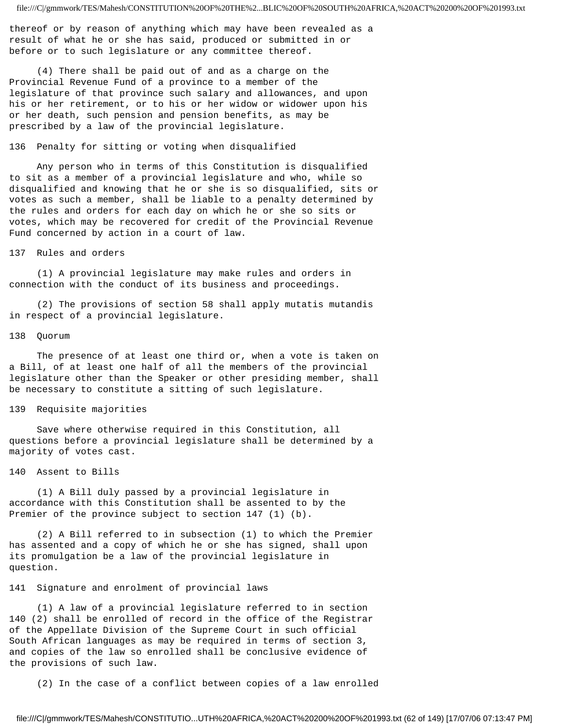thereof or by reason of anything which may have been revealed as a result of what he or she has said, produced or submitted in or before or to such legislature or any committee thereof.

 (4) There shall be paid out of and as a charge on the Provincial Revenue Fund of a province to a member of the legislature of that province such salary and allowances, and upon his or her retirement, or to his or her widow or widower upon his or her death, such pension and pension benefits, as may be prescribed by a law of the provincial legislature.

### 136 Penalty for sitting or voting when disqualified

 Any person who in terms of this Constitution is disqualified to sit as a member of a provincial legislature and who, while so disqualified and knowing that he or she is so disqualified, sits or votes as such a member, shall be liable to a penalty determined by the rules and orders for each day on which he or she so sits or votes, which may be recovered for credit of the Provincial Revenue Fund concerned by action in a court of law.

# 137 Rules and orders

 (1) A provincial legislature may make rules and orders in connection with the conduct of its business and proceedings.

 (2) The provisions of section 58 shall apply mutatis mutandis in respect of a provincial legislature.

#### 138 Quorum

 The presence of at least one third or, when a vote is taken on a Bill, of at least one half of all the members of the provincial legislature other than the Speaker or other presiding member, shall be necessary to constitute a sitting of such legislature.

# 139 Requisite majorities

 Save where otherwise required in this Constitution, all questions before a provincial legislature shall be determined by a majority of votes cast.

#### 140 Assent to Bills

 (1) A Bill duly passed by a provincial legislature in accordance with this Constitution shall be assented to by the Premier of the province subject to section 147 (1) (b).

 (2) A Bill referred to in subsection (1) to which the Premier has assented and a copy of which he or she has signed, shall upon its promulgation be a law of the provincial legislature in question.

### 141 Signature and enrolment of provincial laws

 (1) A law of a provincial legislature referred to in section 140 (2) shall be enrolled of record in the office of the Registrar of the Appellate Division of the Supreme Court in such official South African languages as may be required in terms of section 3, and copies of the law so enrolled shall be conclusive evidence of the provisions of such law.

(2) In the case of a conflict between copies of a law enrolled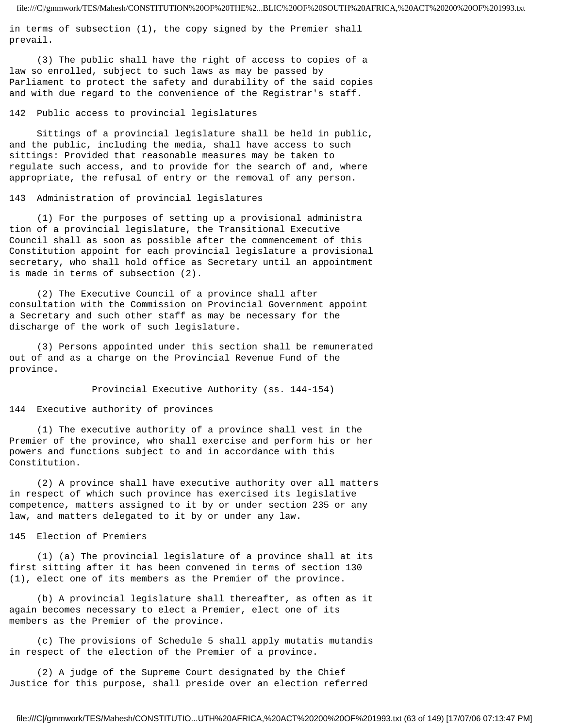in terms of subsection (1), the copy signed by the Premier shall prevail.

 (3) The public shall have the right of access to copies of a law so enrolled, subject to such laws as may be passed by Parliament to protect the safety and durability of the said copies and with due regard to the convenience of the Registrar's staff.

#### 142 Public access to provincial legislatures

 Sittings of a provincial legislature shall be held in public, and the public, including the media, shall have access to such sittings: Provided that reasonable measures may be taken to regulate such access, and to provide for the search of and, where appropriate, the refusal of entry or the removal of any person.

### 143 Administration of provincial legislatures

 (1) For the purposes of setting up a provisional administra tion of a provincial legislature, the Transitional Executive Council shall as soon as possible after the commencement of this Constitution appoint for each provincial legislature a provisional secretary, who shall hold office as Secretary until an appointment is made in terms of subsection (2).

 (2) The Executive Council of a province shall after consultation with the Commission on Provincial Government appoint a Secretary and such other staff as may be necessary for the discharge of the work of such legislature.

 (3) Persons appointed under this section shall be remunerated out of and as a charge on the Provincial Revenue Fund of the province.

### Provincial Executive Authority (ss. 144-154)

# 144 Executive authority of provinces

 (1) The executive authority of a province shall vest in the Premier of the province, who shall exercise and perform his or her powers and functions subject to and in accordance with this Constitution.

 (2) A province shall have executive authority over all matters in respect of which such province has exercised its legislative competence, matters assigned to it by or under section 235 or any law, and matters delegated to it by or under any law.

## 145 Election of Premiers

 (1) (a) The provincial legislature of a province shall at its first sitting after it has been convened in terms of section 130 (1), elect one of its members as the Premier of the province.

 (b) A provincial legislature shall thereafter, as often as it again becomes necessary to elect a Premier, elect one of its members as the Premier of the province.

 (c) The provisions of Schedule 5 shall apply mutatis mutandis in respect of the election of the Premier of a province.

 (2) A judge of the Supreme Court designated by the Chief Justice for this purpose, shall preside over an election referred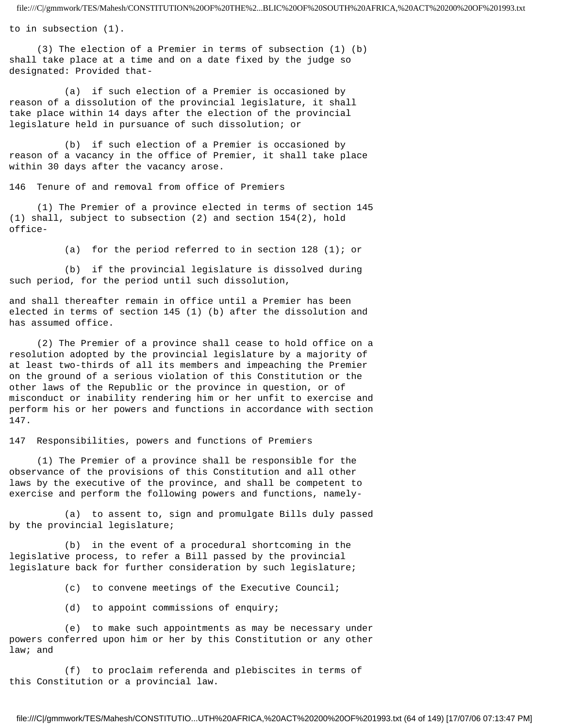to in subsection (1).

 (3) The election of a Premier in terms of subsection (1) (b) shall take place at a time and on a date fixed by the judge so designated: Provided that-

 (a) if such election of a Premier is occasioned by reason of a dissolution of the provincial legislature, it shall take place within 14 days after the election of the provincial legislature held in pursuance of such dissolution; or

 (b) if such election of a Premier is occasioned by reason of a vacancy in the office of Premier, it shall take place within 30 days after the vacancy arose.

146 Tenure of and removal from office of Premiers

 (1) The Premier of a province elected in terms of section 145 (1) shall, subject to subsection (2) and section 154(2), hold office-

(a) for the period referred to in section  $128$  (1); or

 (b) if the provincial legislature is dissolved during such period, for the period until such dissolution,

and shall thereafter remain in office until a Premier has been elected in terms of section 145 (1) (b) after the dissolution and has assumed office.

 (2) The Premier of a province shall cease to hold office on a resolution adopted by the provincial legislature by a majority of at least two-thirds of all its members and impeaching the Premier on the ground of a serious violation of this Constitution or the other laws of the Republic or the province in question, or of misconduct or inability rendering him or her unfit to exercise and perform his or her powers and functions in accordance with section 147.

147 Responsibilities, powers and functions of Premiers

 (1) The Premier of a province shall be responsible for the observance of the provisions of this Constitution and all other laws by the executive of the province, and shall be competent to exercise and perform the following powers and functions, namely-

 (a) to assent to, sign and promulgate Bills duly passed by the provincial legislature;

 (b) in the event of a procedural shortcoming in the legislative process, to refer a Bill passed by the provincial legislature back for further consideration by such legislature;

(c) to convene meetings of the Executive Council;

(d) to appoint commissions of enquiry;

 (e) to make such appointments as may be necessary under powers conferred upon him or her by this Constitution or any other law; and

 (f) to proclaim referenda and plebiscites in terms of this Constitution or a provincial law.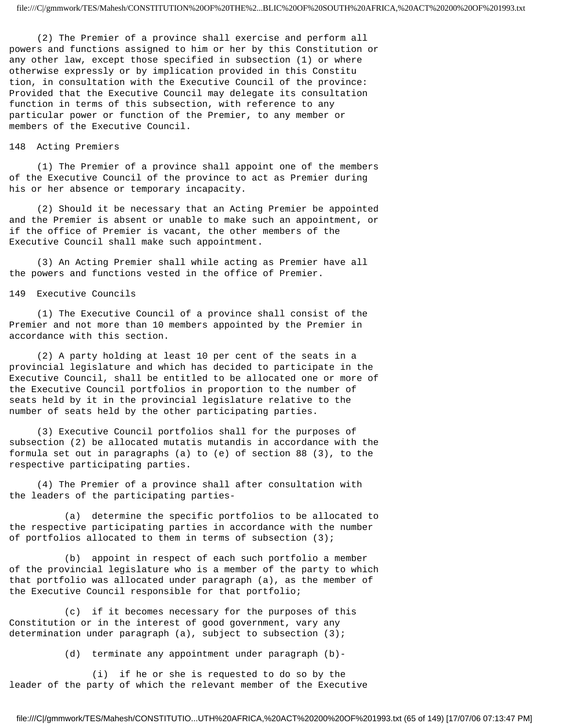(2) The Premier of a province shall exercise and perform all powers and functions assigned to him or her by this Constitution or any other law, except those specified in subsection (1) or where otherwise expressly or by implication provided in this Constitu tion, in consultation with the Executive Council of the province: Provided that the Executive Council may delegate its consultation function in terms of this subsection, with reference to any particular power or function of the Premier, to any member or members of the Executive Council.

# 148 Acting Premiers

 (1) The Premier of a province shall appoint one of the members of the Executive Council of the province to act as Premier during his or her absence or temporary incapacity.

 (2) Should it be necessary that an Acting Premier be appointed and the Premier is absent or unable to make such an appointment, or if the office of Premier is vacant, the other members of the Executive Council shall make such appointment.

 (3) An Acting Premier shall while acting as Premier have all the powers and functions vested in the office of Premier.

149 Executive Councils

 (1) The Executive Council of a province shall consist of the Premier and not more than 10 members appointed by the Premier in accordance with this section.

 (2) A party holding at least 10 per cent of the seats in a provincial legislature and which has decided to participate in the Executive Council, shall be entitled to be allocated one or more of the Executive Council portfolios in proportion to the number of seats held by it in the provincial legislature relative to the number of seats held by the other participating parties.

 (3) Executive Council portfolios shall for the purposes of subsection (2) be allocated mutatis mutandis in accordance with the formula set out in paragraphs (a) to (e) of section 88 (3), to the respective participating parties.

 (4) The Premier of a province shall after consultation with the leaders of the participating parties-

 (a) determine the specific portfolios to be allocated to the respective participating parties in accordance with the number of portfolios allocated to them in terms of subsection (3);

 (b) appoint in respect of each such portfolio a member of the provincial legislature who is a member of the party to which that portfolio was allocated under paragraph (a), as the member of the Executive Council responsible for that portfolio;

 (c) if it becomes necessary for the purposes of this Constitution or in the interest of good government, vary any determination under paragraph (a), subject to subsection (3);

(d) terminate any appointment under paragraph (b)-

 (i) if he or she is requested to do so by the leader of the party of which the relevant member of the Executive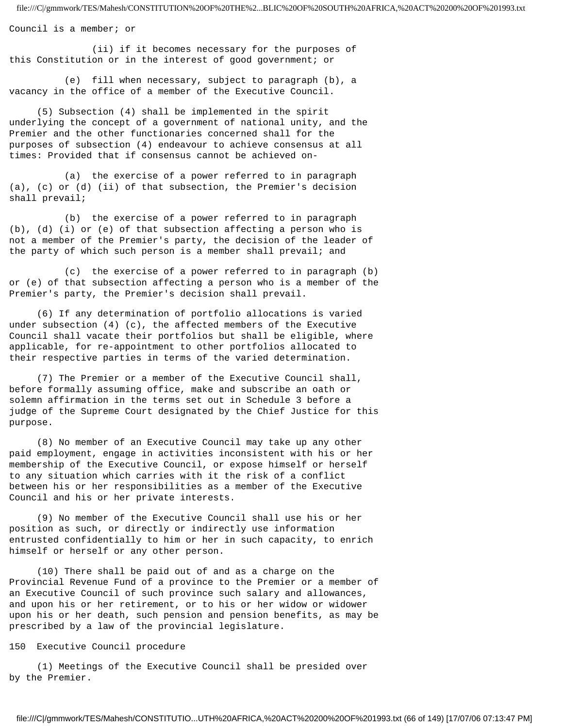Council is a member; or

 (ii) if it becomes necessary for the purposes of this Constitution or in the interest of good government; or

 (e) fill when necessary, subject to paragraph (b), a vacancy in the office of a member of the Executive Council.

 (5) Subsection (4) shall be implemented in the spirit underlying the concept of a government of national unity, and the Premier and the other functionaries concerned shall for the purposes of subsection (4) endeavour to achieve consensus at all times: Provided that if consensus cannot be achieved on-

 (a) the exercise of a power referred to in paragraph (a), (c) or (d) (ii) of that subsection, the Premier's decision shall prevail;

 (b) the exercise of a power referred to in paragraph (b), (d) (i) or (e) of that subsection affecting a person who is not a member of the Premier's party, the decision of the leader of the party of which such person is a member shall prevail; and

 (c) the exercise of a power referred to in paragraph (b) or (e) of that subsection affecting a person who is a member of the Premier's party, the Premier's decision shall prevail.

 (6) If any determination of portfolio allocations is varied under subsection (4) (c), the affected members of the Executive Council shall vacate their portfolios but shall be eligible, where applicable, for re-appointment to other portfolios allocated to their respective parties in terms of the varied determination.

 (7) The Premier or a member of the Executive Council shall, before formally assuming office, make and subscribe an oath or solemn affirmation in the terms set out in Schedule 3 before a judge of the Supreme Court designated by the Chief Justice for this purpose.

 (8) No member of an Executive Council may take up any other paid employment, engage in activities inconsistent with his or her membership of the Executive Council, or expose himself or herself to any situation which carries with it the risk of a conflict between his or her responsibilities as a member of the Executive Council and his or her private interests.

 (9) No member of the Executive Council shall use his or her position as such, or directly or indirectly use information entrusted confidentially to him or her in such capacity, to enrich himself or herself or any other person.

 (10) There shall be paid out of and as a charge on the Provincial Revenue Fund of a province to the Premier or a member of an Executive Council of such province such salary and allowances, and upon his or her retirement, or to his or her widow or widower upon his or her death, such pension and pension benefits, as may be prescribed by a law of the provincial legislature.

# 150 Executive Council procedure

 (1) Meetings of the Executive Council shall be presided over by the Premier.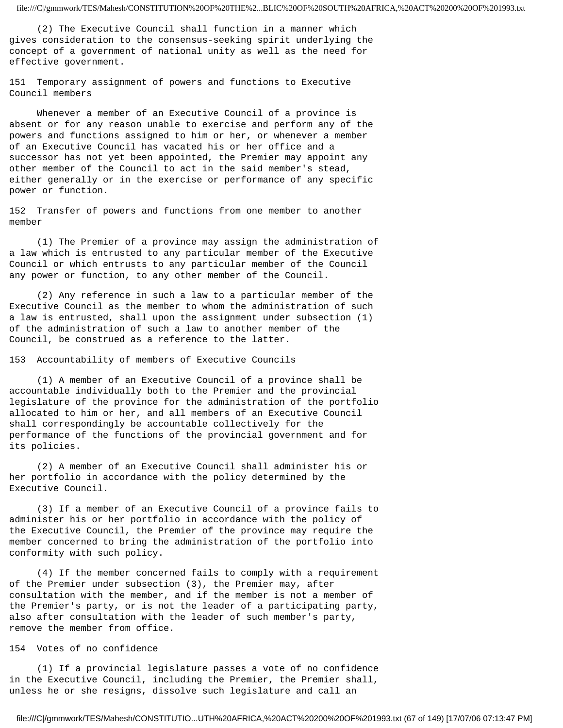(2) The Executive Council shall function in a manner which gives consideration to the consensus-seeking spirit underlying the concept of a government of national unity as well as the need for effective government.

151 Temporary assignment of powers and functions to Executive Council members

 Whenever a member of an Executive Council of a province is absent or for any reason unable to exercise and perform any of the powers and functions assigned to him or her, or whenever a member of an Executive Council has vacated his or her office and a successor has not yet been appointed, the Premier may appoint any other member of the Council to act in the said member's stead, either generally or in the exercise or performance of any specific power or function.

152 Transfer of powers and functions from one member to another member

 (1) The Premier of a province may assign the administration of a law which is entrusted to any particular member of the Executive Council or which entrusts to any particular member of the Council any power or function, to any other member of the Council.

 (2) Any reference in such a law to a particular member of the Executive Council as the member to whom the administration of such a law is entrusted, shall upon the assignment under subsection (1) of the administration of such a law to another member of the Council, be construed as a reference to the latter.

153 Accountability of members of Executive Councils

 (1) A member of an Executive Council of a province shall be accountable individually both to the Premier and the provincial legislature of the province for the administration of the portfolio allocated to him or her, and all members of an Executive Council shall correspondingly be accountable collectively for the performance of the functions of the provincial government and for its policies.

 (2) A member of an Executive Council shall administer his or her portfolio in accordance with the policy determined by the Executive Council.

 (3) If a member of an Executive Council of a province fails to administer his or her portfolio in accordance with the policy of the Executive Council, the Premier of the province may require the member concerned to bring the administration of the portfolio into conformity with such policy.

 (4) If the member concerned fails to comply with a requirement of the Premier under subsection (3), the Premier may, after consultation with the member, and if the member is not a member of the Premier's party, or is not the leader of a participating party, also after consultation with the leader of such member's party, remove the member from office.

154 Votes of no confidence

 (1) If a provincial legislature passes a vote of no confidence in the Executive Council, including the Premier, the Premier shall, unless he or she resigns, dissolve such legislature and call an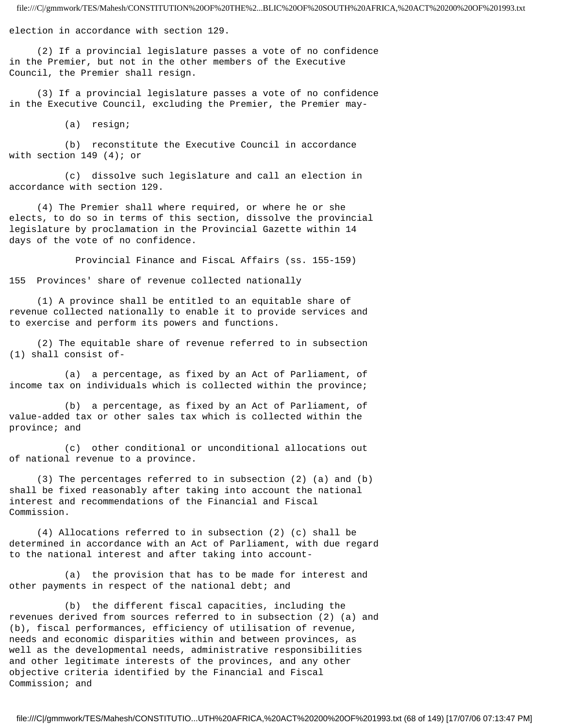election in accordance with section 129.

 (2) If a provincial legislature passes a vote of no confidence in the Premier, but not in the other members of the Executive Council, the Premier shall resign.

 (3) If a provincial legislature passes a vote of no confidence in the Executive Council, excluding the Premier, the Premier may-

(a) resign;

 (b) reconstitute the Executive Council in accordance with section  $149$  (4); or

 (c) dissolve such legislature and call an election in accordance with section 129.

 (4) The Premier shall where required, or where he or she elects, to do so in terms of this section, dissolve the provincial legislature by proclamation in the Provincial Gazette within 14 days of the vote of no confidence.

Provincial Finance and FiscaL Affairs (ss. 155-159)

155 Provinces' share of revenue collected nationally

 (1) A province shall be entitled to an equitable share of revenue collected nationally to enable it to provide services and to exercise and perform its powers and functions.

 (2) The equitable share of revenue referred to in subsection (1) shall consist of-

 (a) a percentage, as fixed by an Act of Parliament, of income tax on individuals which is collected within the province;

 (b) a percentage, as fixed by an Act of Parliament, of value-added tax or other sales tax which is collected within the province; and

 (c) other conditional or unconditional allocations out of national revenue to a province.

 (3) The percentages referred to in subsection (2) (a) and (b) shall be fixed reasonably after taking into account the national interest and recommendations of the Financial and Fiscal Commission.

 (4) Allocations referred to in subsection (2) (c) shall be determined in accordance with an Act of Parliament, with due regard to the national interest and after taking into account-

 (a) the provision that has to be made for interest and other payments in respect of the national debt; and

 (b) the different fiscal capacities, including the revenues derived from sources referred to in subsection (2) (a) and (b), fiscal performances, efficiency of utilisation of revenue, needs and economic disparities within and between provinces, as well as the developmental needs, administrative responsibilities and other legitimate interests of the provinces, and any other objective criteria identified by the Financial and Fiscal Commission; and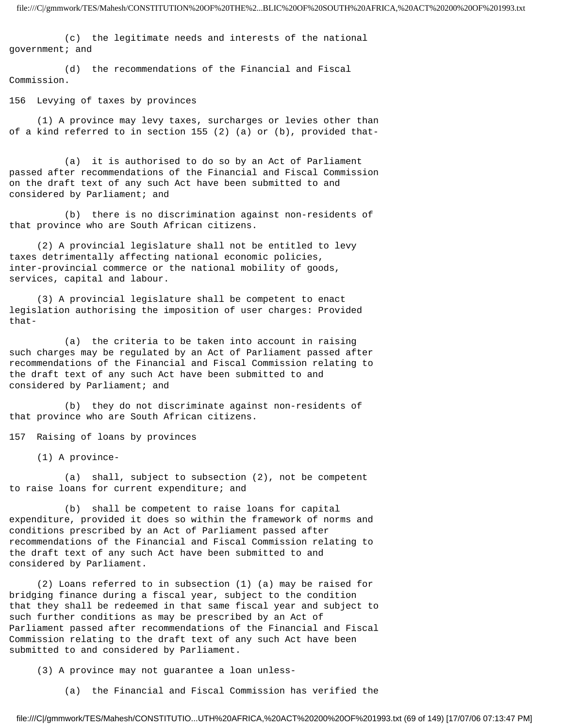(c) the legitimate needs and interests of the national government; and

 (d) the recommendations of the Financial and Fiscal Commission.

156 Levying of taxes by provinces

 (1) A province may levy taxes, surcharges or levies other than of a kind referred to in section 155 (2) (a) or (b), provided that-

 (a) it is authorised to do so by an Act of Parliament passed after recommendations of the Financial and Fiscal Commission on the draft text of any such Act have been submitted to and considered by Parliament; and

 (b) there is no discrimination against non-residents of that province who are South African citizens.

 (2) A provincial legislature shall not be entitled to levy taxes detrimentally affecting national economic policies, inter-provincial commerce or the national mobility of goods, services, capital and labour.

 (3) A provincial legislature shall be competent to enact legislation authorising the imposition of user charges: Provided that-

 (a) the criteria to be taken into account in raising such charges may be regulated by an Act of Parliament passed after recommendations of the Financial and Fiscal Commission relating to the draft text of any such Act have been submitted to and considered by Parliament; and

 (b) they do not discriminate against non-residents of that province who are South African citizens.

157 Raising of loans by provinces

(1) A province-

 (a) shall, subject to subsection (2), not be competent to raise loans for current expenditure; and

 (b) shall be competent to raise loans for capital expenditure, provided it does so within the framework of norms and conditions prescribed by an Act of Parliament passed after recommendations of the Financial and Fiscal Commission relating to the draft text of any such Act have been submitted to and considered by Parliament.

 (2) Loans referred to in subsection (1) (a) may be raised for bridging finance during a fiscal year, subject to the condition that they shall be redeemed in that same fiscal year and subject to such further conditions as may be prescribed by an Act of Parliament passed after recommendations of the Financial and Fiscal Commission relating to the draft text of any such Act have been submitted to and considered by Parliament.

(3) A province may not guarantee a loan unless-

(a) the Financial and Fiscal Commission has verified the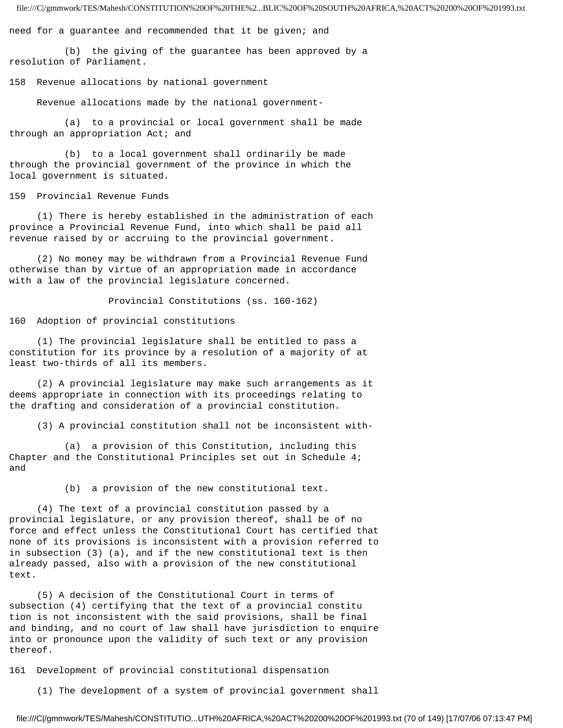need for a guarantee and recommended that it be given; and

 (b) the giving of the guarantee has been approved by a resolution of Parliament.

158 Revenue allocations by national government

Revenue allocations made by the national government-

 (a) to a provincial or local government shall be made through an appropriation Act; and

 (b) to a local government shall ordinarily be made through the provincial government of the province in which the local government is situated.

159 Provincial Revenue Funds

 (1) There is hereby established in the administration of each province a Provincial Revenue Fund, into which shall be paid all revenue raised by or accruing to the provincial government.

 (2) No money may be withdrawn from a Provincial Revenue Fund otherwise than by virtue of an appropriation made in accordance with a law of the provincial legislature concerned.

Provincial Constitutions (ss. 160-162)

160 Adoption of provincial constitutions

 (1) The provincial legislature shall be entitled to pass a constitution for its province by a resolution of a majority of at least two-thirds of all its members.

 (2) A provincial legislature may make such arrangements as it deems appropriate in connection with its proceedings relating to the drafting and consideration of a provincial constitution.

(3) A provincial constitution shall not be inconsistent with-

 (a) a provision of this Constitution, including this Chapter and the Constitutional Principles set out in Schedule 4; and

(b) a provision of the new constitutional text.

 (4) The text of a provincial constitution passed by a provincial legislature, or any provision thereof, shall be of no force and effect unless the Constitutional Court has certified that none of its provisions is inconsistent with a provision referred to in subsection (3) (a), and if the new constitutional text is then already passed, also with a provision of the new constitutional text.

 (5) A decision of the Constitutional Court in terms of subsection (4) certifying that the text of a provincial constitu tion is not inconsistent with the said provisions, shall be final and binding, and no court of law shall have jurisdiction to enquire into or pronounce upon the validity of such text or any provision thereof.

161 Development of provincial constitutional dispensation

(1) The development of a system of provincial government shall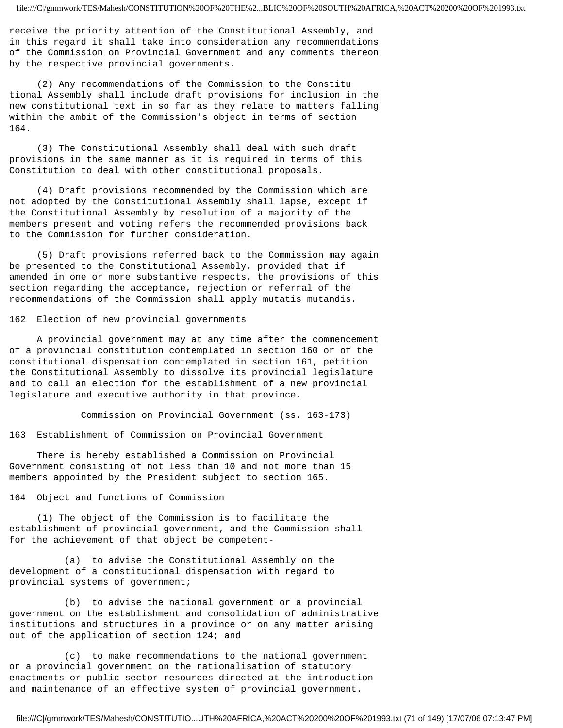receive the priority attention of the Constitutional Assembly, and in this regard it shall take into consideration any recommendations of the Commission on Provincial Government and any comments thereon by the respective provincial governments.

 (2) Any recommendations of the Commission to the Constitu tional Assembly shall include draft provisions for inclusion in the new constitutional text in so far as they relate to matters falling within the ambit of the Commission's object in terms of section 164.

 (3) The Constitutional Assembly shall deal with such draft provisions in the same manner as it is required in terms of this Constitution to deal with other constitutional proposals.

 (4) Draft provisions recommended by the Commission which are not adopted by the Constitutional Assembly shall lapse, except if the Constitutional Assembly by resolution of a majority of the members present and voting refers the recommended provisions back to the Commission for further consideration.

 (5) Draft provisions referred back to the Commission may again be presented to the Constitutional Assembly, provided that if amended in one or more substantive respects, the provisions of this section regarding the acceptance, rejection or referral of the recommendations of the Commission shall apply mutatis mutandis.

### 162 Election of new provincial governments

 A provincial government may at any time after the commencement of a provincial constitution contemplated in section 160 or of the constitutional dispensation contemplated in section 161, petition the Constitutional Assembly to dissolve its provincial legislature and to call an election for the establishment of a new provincial legislature and executive authority in that province.

Commission on Provincial Government (ss. 163-173)

163 Establishment of Commission on Provincial Government

 There is hereby established a Commission on Provincial Government consisting of not less than 10 and not more than 15 members appointed by the President subject to section 165.

# 164 Object and functions of Commission

 (1) The object of the Commission is to facilitate the establishment of provincial government, and the Commission shall for the achievement of that object be competent-

 (a) to advise the Constitutional Assembly on the development of a constitutional dispensation with regard to provincial systems of government;

 (b) to advise the national government or a provincial government on the establishment and consolidation of administrative institutions and structures in a province or on any matter arising out of the application of section 124; and

 (c) to make recommendations to the national government or a provincial government on the rationalisation of statutory enactments or public sector resources directed at the introduction and maintenance of an effective system of provincial government.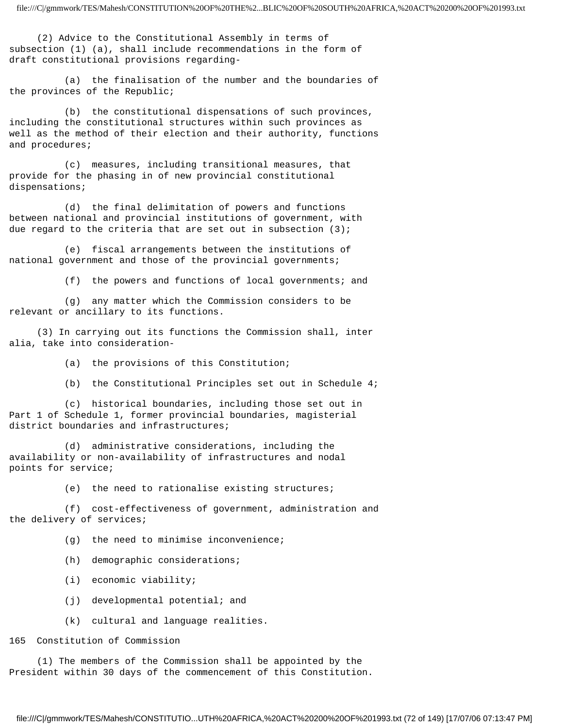(2) Advice to the Constitutional Assembly in terms of subsection (1) (a), shall include recommendations in the form of draft constitutional provisions regarding-

 (a) the finalisation of the number and the boundaries of the provinces of the Republic;

 (b) the constitutional dispensations of such provinces, including the constitutional structures within such provinces as well as the method of their election and their authority, functions and procedures;

 (c) measures, including transitional measures, that provide for the phasing in of new provincial constitutional dispensations;

 (d) the final delimitation of powers and functions between national and provincial institutions of government, with due regard to the criteria that are set out in subsection  $(3)$ ;

 (e) fiscal arrangements between the institutions of national government and those of the provincial governments;

(f) the powers and functions of local governments; and

 (g) any matter which the Commission considers to be relevant or ancillary to its functions.

 (3) In carrying out its functions the Commission shall, inter alia, take into consideration-

(a) the provisions of this Constitution;

(b) the Constitutional Principles set out in Schedule 4;

 (c) historical boundaries, including those set out in Part 1 of Schedule 1, former provincial boundaries, magisterial district boundaries and infrastructures;

 (d) administrative considerations, including the availability or non-availability of infrastructures and nodal points for service;

(e) the need to rationalise existing structures;

 (f) cost-effectiveness of government, administration and the delivery of services;

(g) the need to minimise inconvenience;

(h) demographic considerations;

(i) economic viability;

(j) developmental potential; and

(k) cultural and language realities.

165 Constitution of Commission

 (1) The members of the Commission shall be appointed by the President within 30 days of the commencement of this Constitution.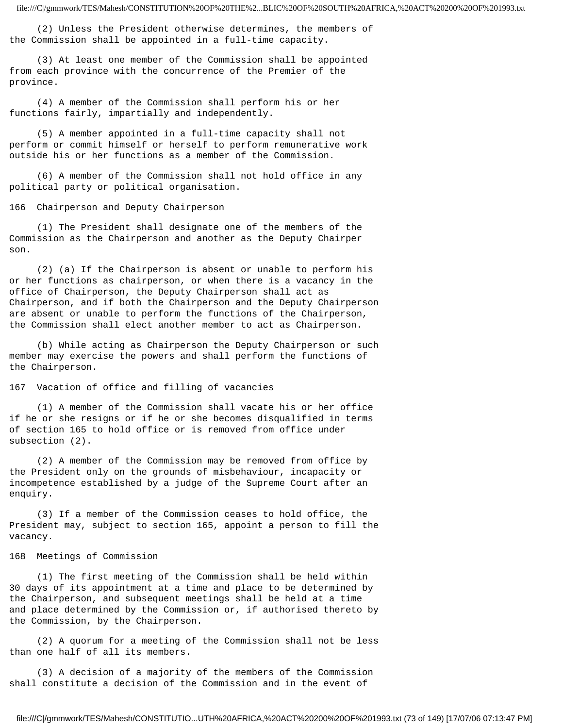(2) Unless the President otherwise determines, the members of the Commission shall be appointed in a full-time capacity.

 (3) At least one member of the Commission shall be appointed from each province with the concurrence of the Premier of the province.

 (4) A member of the Commission shall perform his or her functions fairly, impartially and independently.

 (5) A member appointed in a full-time capacity shall not perform or commit himself or herself to perform remunerative work outside his or her functions as a member of the Commission.

 (6) A member of the Commission shall not hold office in any political party or political organisation.

## 166 Chairperson and Deputy Chairperson

 (1) The President shall designate one of the members of the Commission as the Chairperson and another as the Deputy Chairper son.

 (2) (a) If the Chairperson is absent or unable to perform his or her functions as chairperson, or when there is a vacancy in the office of Chairperson, the Deputy Chairperson shall act as Chairperson, and if both the Chairperson and the Deputy Chairperson are absent or unable to perform the functions of the Chairperson, the Commission shall elect another member to act as Chairperson.

 (b) While acting as Chairperson the Deputy Chairperson or such member may exercise the powers and shall perform the functions of the Chairperson.

## 167 Vacation of office and filling of vacancies

 (1) A member of the Commission shall vacate his or her office if he or she resigns or if he or she becomes disqualified in terms of section 165 to hold office or is removed from office under subsection (2).

 (2) A member of the Commission may be removed from office by the President only on the grounds of misbehaviour, incapacity or incompetence established by a judge of the Supreme Court after an enquiry.

 (3) If a member of the Commission ceases to hold office, the President may, subject to section 165, appoint a person to fill the vacancy.

## 168 Meetings of Commission

 (1) The first meeting of the Commission shall be held within 30 days of its appointment at a time and place to be determined by the Chairperson, and subsequent meetings shall be held at a time and place determined by the Commission or, if authorised thereto by the Commission, by the Chairperson.

 (2) A quorum for a meeting of the Commission shall not be less than one half of all its members.

 (3) A decision of a majority of the members of the Commission shall constitute a decision of the Commission and in the event of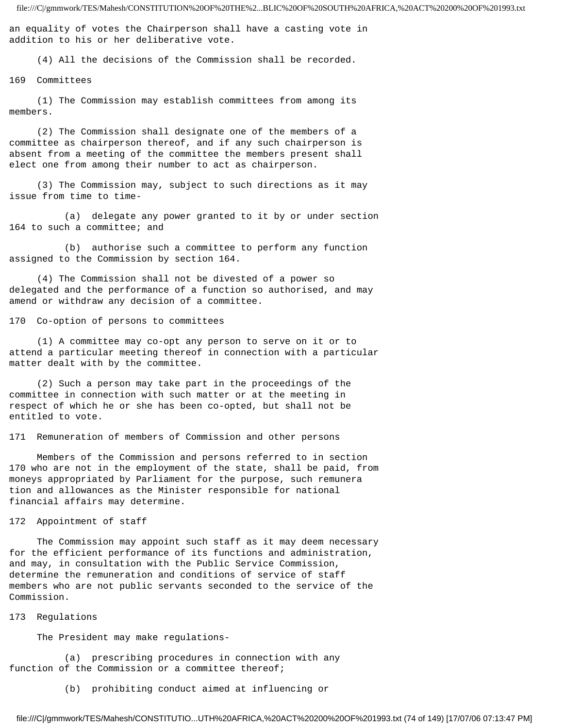an equality of votes the Chairperson shall have a casting vote in addition to his or her deliberative vote.

(4) All the decisions of the Commission shall be recorded.

169 Committees

 (1) The Commission may establish committees from among its members.

 (2) The Commission shall designate one of the members of a committee as chairperson thereof, and if any such chairperson is absent from a meeting of the committee the members present shall elect one from among their number to act as chairperson.

 (3) The Commission may, subject to such directions as it may issue from time to time-

 (a) delegate any power granted to it by or under section 164 to such a committee; and

 (b) authorise such a committee to perform any function assigned to the Commission by section 164.

 (4) The Commission shall not be divested of a power so delegated and the performance of a function so authorised, and may amend or withdraw any decision of a committee.

170 Co-option of persons to committees

 (1) A committee may co-opt any person to serve on it or to attend a particular meeting thereof in connection with a particular matter dealt with by the committee.

 (2) Such a person may take part in the proceedings of the committee in connection with such matter or at the meeting in respect of which he or she has been co-opted, but shall not be entitled to vote.

171 Remuneration of members of Commission and other persons

 Members of the Commission and persons referred to in section 170 who are not in the employment of the state, shall be paid, from moneys appropriated by Parliament for the purpose, such remunera tion and allowances as the Minister responsible for national financial affairs may determine.

## 172 Appointment of staff

 The Commission may appoint such staff as it may deem necessary for the efficient performance of its functions and administration, and may, in consultation with the Public Service Commission, determine the remuneration and conditions of service of staff members who are not public servants seconded to the service of the Commission.

#### 173 Regulations

The President may make regulations-

 (a) prescribing procedures in connection with any function of the Commission or a committee thereof;

(b) prohibiting conduct aimed at influencing or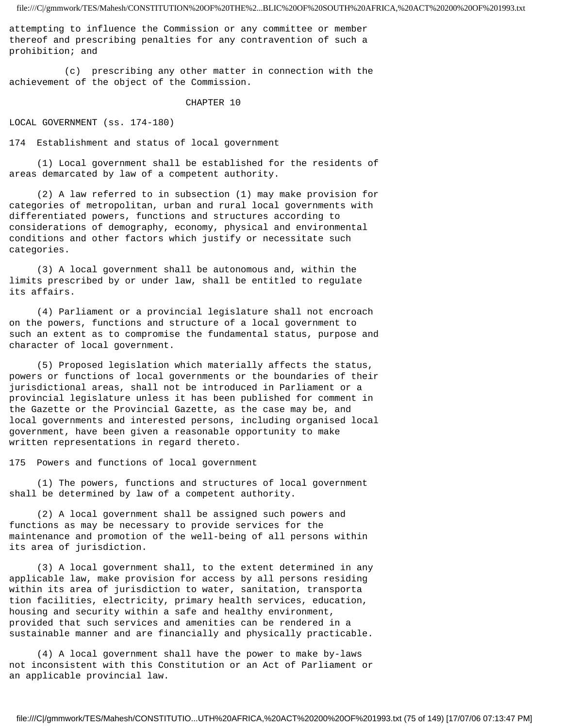attempting to influence the Commission or any committee or member thereof and prescribing penalties for any contravention of such a prohibition; and

 (c) prescribing any other matter in connection with the achievement of the object of the Commission.

CHAPTER 10

LOCAL GOVERNMENT (ss. 174-180)

174 Establishment and status of local government

 (1) Local government shall be established for the residents of areas demarcated by law of a competent authority.

 (2) A law referred to in subsection (1) may make provision for categories of metropolitan, urban and rural local governments with differentiated powers, functions and structures according to considerations of demography, economy, physical and environmental conditions and other factors which justify or necessitate such categories.

 (3) A local government shall be autonomous and, within the limits prescribed by or under law, shall be entitled to regulate its affairs.

 (4) Parliament or a provincial legislature shall not encroach on the powers, functions and structure of a local government to such an extent as to compromise the fundamental status, purpose and character of local government.

 (5) Proposed legislation which materially affects the status, powers or functions of local governments or the boundaries of their jurisdictional areas, shall not be introduced in Parliament or a provincial legislature unless it has been published for comment in the Gazette or the Provincial Gazette, as the case may be, and local governments and interested persons, including organised local government, have been given a reasonable opportunity to make written representations in regard thereto.

175 Powers and functions of local government

 (1) The powers, functions and structures of local government shall be determined by law of a competent authority.

 (2) A local government shall be assigned such powers and functions as may be necessary to provide services for the maintenance and promotion of the well-being of all persons within its area of jurisdiction.

 (3) A local government shall, to the extent determined in any applicable law, make provision for access by all persons residing within its area of jurisdiction to water, sanitation, transporta tion facilities, electricity, primary health services, education, housing and security within a safe and healthy environment, provided that such services and amenities can be rendered in a sustainable manner and are financially and physically practicable.

 (4) A local government shall have the power to make by-laws not inconsistent with this Constitution or an Act of Parliament or an applicable provincial law.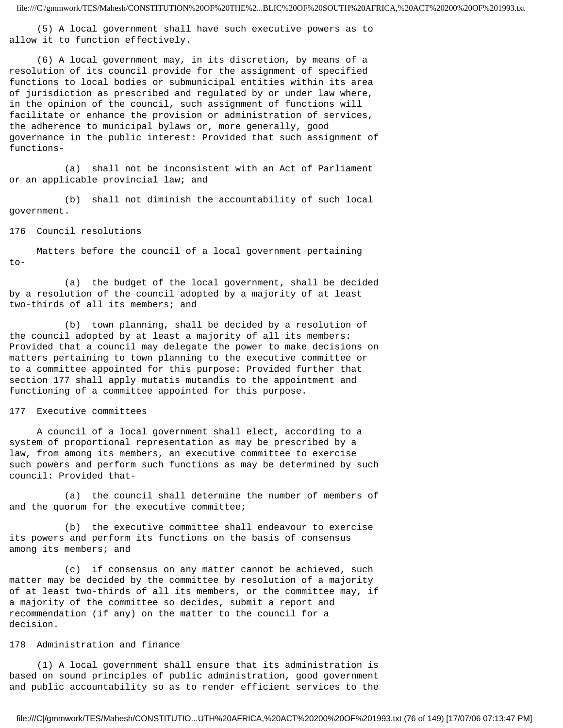(5) A local government shall have such executive powers as to allow it to function effectively.

 (6) A local government may, in its discretion, by means of a resolution of its council provide for the assignment of specified functions to local bodies or submunicipal entities within its area of jurisdiction as prescribed and regulated by or under law where, in the opinion of the council, such assignment of functions will facilitate or enhance the provision or administration of services, the adherence to municipal bylaws or, more generally, good governance in the public interest: Provided that such assignment of functions-

 (a) shall not be inconsistent with an Act of Parliament or an applicable provincial law; and

 (b) shall not diminish the accountability of such local government.

176 Council resolutions

 Matters before the council of a local government pertaining to-

 (a) the budget of the local government, shall be decided by a resolution of the council adopted by a majority of at least two-thirds of all its members; and

 (b) town planning, shall be decided by a resolution of the council adopted by at least a majority of all its members: Provided that a council may delegate the power to make decisions on matters pertaining to town planning to the executive committee or to a committee appointed for this purpose: Provided further that section 177 shall apply mutatis mutandis to the appointment and functioning of a committee appointed for this purpose.

#### 177 Executive committees

 A council of a local government shall elect, according to a system of proportional representation as may be prescribed by a law, from among its members, an executive committee to exercise such powers and perform such functions as may be determined by such council: Provided that-

 (a) the council shall determine the number of members of and the quorum for the executive committee;

 (b) the executive committee shall endeavour to exercise its powers and perform its functions on the basis of consensus among its members; and

 (c) if consensus on any matter cannot be achieved, such matter may be decided by the committee by resolution of a majority of at least two-thirds of all its members, or the committee may, if a majority of the committee so decides, submit a report and recommendation (if any) on the matter to the council for a decision.

#### 178 Administration and finance

 (1) A local government shall ensure that its administration is based on sound principles of public administration, good government and public accountability so as to render efficient services to the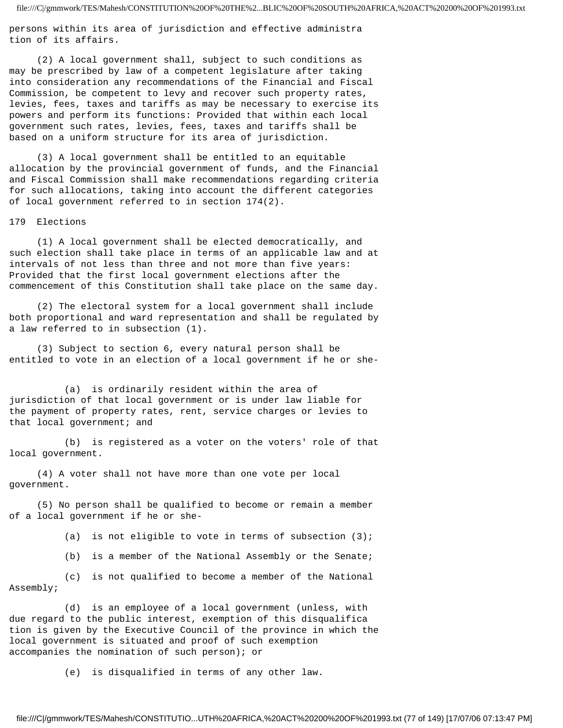persons within its area of jurisdiction and effective administra tion of its affairs.

 (2) A local government shall, subject to such conditions as may be prescribed by law of a competent legislature after taking into consideration any recommendations of the Financial and Fiscal Commission, be competent to levy and recover such property rates, levies, fees, taxes and tariffs as may be necessary to exercise its powers and perform its functions: Provided that within each local government such rates, levies, fees, taxes and tariffs shall be based on a uniform structure for its area of jurisdiction.

 (3) A local government shall be entitled to an equitable allocation by the provincial government of funds, and the Financial and Fiscal Commission shall make recommendations regarding criteria for such allocations, taking into account the different categories of local government referred to in section 174(2).

# 179 Elections

 (1) A local government shall be elected democratically, and such election shall take place in terms of an applicable law and at intervals of not less than three and not more than five years: Provided that the first local government elections after the commencement of this Constitution shall take place on the same day.

 (2) The electoral system for a local government shall include both proportional and ward representation and shall be regulated by a law referred to in subsection (1).

 (3) Subject to section 6, every natural person shall be entitled to vote in an election of a local government if he or she-

 (a) is ordinarily resident within the area of jurisdiction of that local government or is under law liable for the payment of property rates, rent, service charges or levies to that local government; and

 (b) is registered as a voter on the voters' role of that local government.

 (4) A voter shall not have more than one vote per local government.

 (5) No person shall be qualified to become or remain a member of a local government if he or she-

(a) is not eligible to vote in terms of subsection  $(3)$ ;

(b) is a member of the National Assembly or the Senate;

 (c) is not qualified to become a member of the National Assembly;

 (d) is an employee of a local government (unless, with due regard to the public interest, exemption of this disqualifica tion is given by the Executive Council of the province in which the local government is situated and proof of such exemption accompanies the nomination of such person); or

(e) is disqualified in terms of any other law.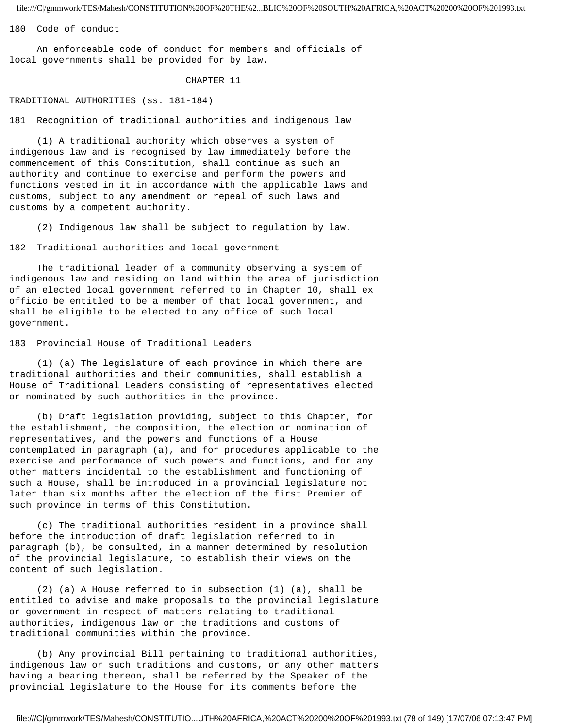#### 180 Code of conduct

 An enforceable code of conduct for members and officials of local governments shall be provided for by law.

### CHAPTER 11

#### TRADITIONAL AUTHORITIES (ss. 181-184)

181 Recognition of traditional authorities and indigenous law

 (1) A traditional authority which observes a system of indigenous law and is recognised by law immediately before the commencement of this Constitution, shall continue as such an authority and continue to exercise and perform the powers and functions vested in it in accordance with the applicable laws and customs, subject to any amendment or repeal of such laws and customs by a competent authority.

(2) Indigenous law shall be subject to regulation by law.

182 Traditional authorities and local government

 The traditional leader of a community observing a system of indigenous law and residing on land within the area of jurisdiction of an elected local government referred to in Chapter 10, shall ex officio be entitled to be a member of that local government, and shall be eligible to be elected to any office of such local government.

# 183 Provincial House of Traditional Leaders

 (1) (a) The legislature of each province in which there are traditional authorities and their communities, shall establish a House of Traditional Leaders consisting of representatives elected or nominated by such authorities in the province.

 (b) Draft legislation providing, subject to this Chapter, for the establishment, the composition, the election or nomination of representatives, and the powers and functions of a House contemplated in paragraph (a), and for procedures applicable to the exercise and performance of such powers and functions, and for any other matters incidental to the establishment and functioning of such a House, shall be introduced in a provincial legislature not later than six months after the election of the first Premier of such province in terms of this Constitution.

 (c) The traditional authorities resident in a province shall before the introduction of draft legislation referred to in paragraph (b), be consulted, in a manner determined by resolution of the provincial legislature, to establish their views on the content of such legislation.

 (2) (a) A House referred to in subsection (1) (a), shall be entitled to advise and make proposals to the provincial legislature or government in respect of matters relating to traditional authorities, indigenous law or the traditions and customs of traditional communities within the province.

 (b) Any provincial Bill pertaining to traditional authorities, indigenous law or such traditions and customs, or any other matters having a bearing thereon, shall be referred by the Speaker of the provincial legislature to the House for its comments before the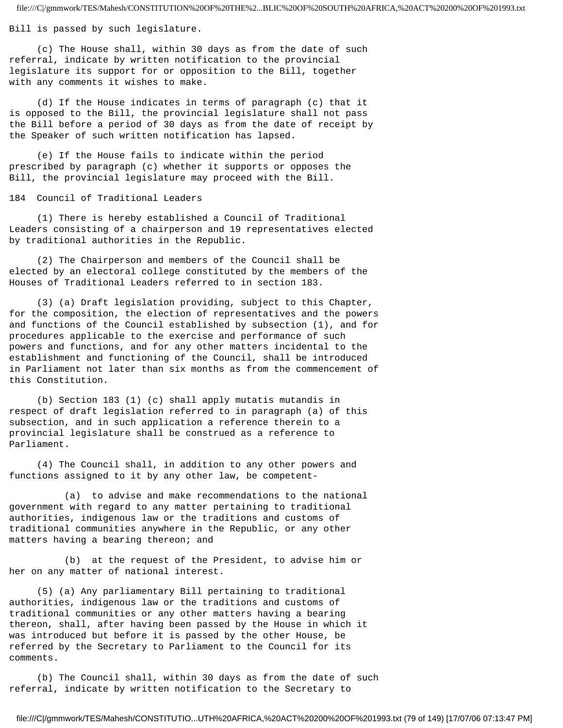Bill is passed by such legislature.

 (c) The House shall, within 30 days as from the date of such referral, indicate by written notification to the provincial legislature its support for or opposition to the Bill, together with any comments it wishes to make.

 (d) If the House indicates in terms of paragraph (c) that it is opposed to the Bill, the provincial legislature shall not pass the Bill before a period of 30 days as from the date of receipt by the Speaker of such written notification has lapsed.

 (e) If the House fails to indicate within the period prescribed by paragraph (c) whether it supports or opposes the Bill, the provincial legislature may proceed with the Bill.

184 Council of Traditional Leaders

 (1) There is hereby established a Council of Traditional Leaders consisting of a chairperson and 19 representatives elected by traditional authorities in the Republic.

 (2) The Chairperson and members of the Council shall be elected by an electoral college constituted by the members of the Houses of Traditional Leaders referred to in section 183.

 (3) (a) Draft legislation providing, subject to this Chapter, for the composition, the election of representatives and the powers and functions of the Council established by subsection (1), and for procedures applicable to the exercise and performance of such powers and functions, and for any other matters incidental to the establishment and functioning of the Council, shall be introduced in Parliament not later than six months as from the commencement of this Constitution.

 (b) Section 183 (1) (c) shall apply mutatis mutandis in respect of draft legislation referred to in paragraph (a) of this subsection, and in such application a reference therein to a provincial legislature shall be construed as a reference to Parliament.

 (4) The Council shall, in addition to any other powers and functions assigned to it by any other law, be competent-

 (a) to advise and make recommendations to the national government with regard to any matter pertaining to traditional authorities, indigenous law or the traditions and customs of traditional communities anywhere in the Republic, or any other matters having a bearing thereon; and

 (b) at the request of the President, to advise him or her on any matter of national interest.

 (5) (a) Any parliamentary Bill pertaining to traditional authorities, indigenous law or the traditions and customs of traditional communities or any other matters having a bearing thereon, shall, after having been passed by the House in which it was introduced but before it is passed by the other House, be referred by the Secretary to Parliament to the Council for its comments.

 (b) The Council shall, within 30 days as from the date of such referral, indicate by written notification to the Secretary to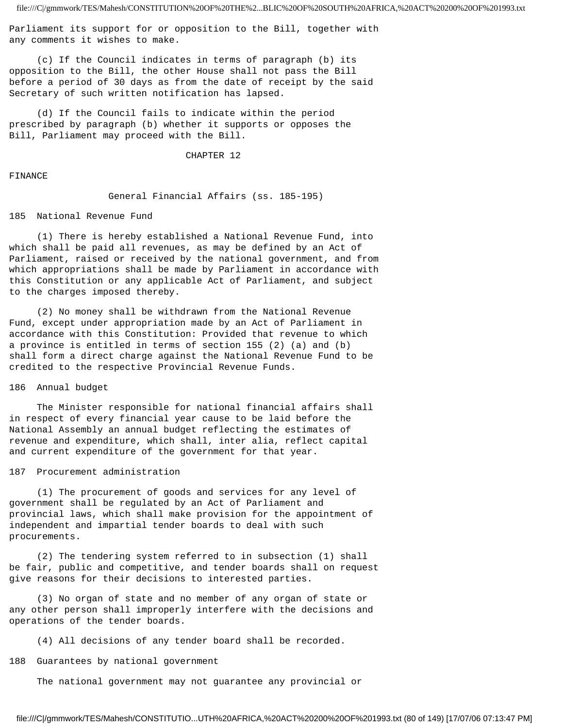Parliament its support for or opposition to the Bill, together with any comments it wishes to make.

 (c) If the Council indicates in terms of paragraph (b) its opposition to the Bill, the other House shall not pass the Bill before a period of 30 days as from the date of receipt by the said Secretary of such written notification has lapsed.

 (d) If the Council fails to indicate within the period prescribed by paragraph (b) whether it supports or opposes the Bill, Parliament may proceed with the Bill.

CHAPTER 12

FINANCE

General Financial Affairs (ss. 185-195)

#### 185 National Revenue Fund

 (1) There is hereby established a National Revenue Fund, into which shall be paid all revenues, as may be defined by an Act of Parliament, raised or received by the national government, and from which appropriations shall be made by Parliament in accordance with this Constitution or any applicable Act of Parliament, and subject to the charges imposed thereby.

 (2) No money shall be withdrawn from the National Revenue Fund, except under appropriation made by an Act of Parliament in accordance with this Constitution: Provided that revenue to which a province is entitled in terms of section 155 (2) (a) and (b) shall form a direct charge against the National Revenue Fund to be credited to the respective Provincial Revenue Funds.

186 Annual budget

 The Minister responsible for national financial affairs shall in respect of every financial year cause to be laid before the National Assembly an annual budget reflecting the estimates of revenue and expenditure, which shall, inter alia, reflect capital and current expenditure of the government for that year.

187 Procurement administration

 (1) The procurement of goods and services for any level of government shall be regulated by an Act of Parliament and provincial laws, which shall make provision for the appointment of independent and impartial tender boards to deal with such procurements.

 (2) The tendering system referred to in subsection (1) shall be fair, public and competitive, and tender boards shall on request give reasons for their decisions to interested parties.

 (3) No organ of state and no member of any organ of state or any other person shall improperly interfere with the decisions and operations of the tender boards.

(4) All decisions of any tender board shall be recorded.

188 Guarantees by national government

The national government may not guarantee any provincial or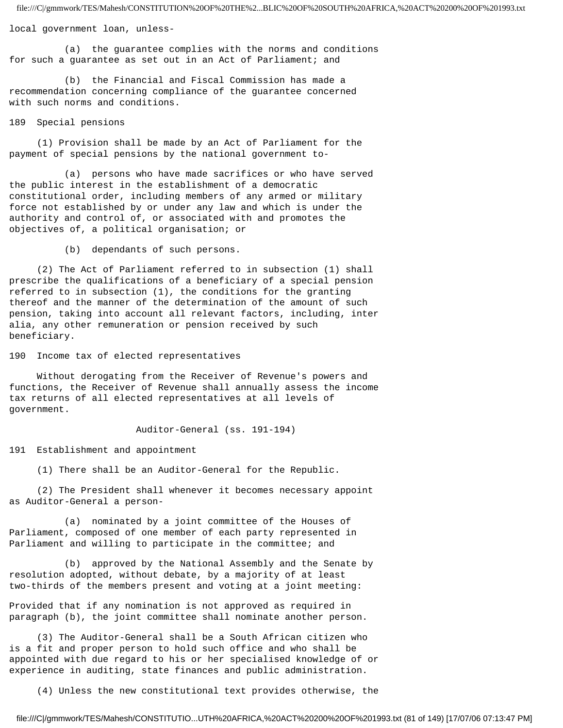local government loan, unless-

 (a) the guarantee complies with the norms and conditions for such a guarantee as set out in an Act of Parliament; and

 (b) the Financial and Fiscal Commission has made a recommendation concerning compliance of the guarantee concerned with such norms and conditions.

## 189 Special pensions

 (1) Provision shall be made by an Act of Parliament for the payment of special pensions by the national government to-

 (a) persons who have made sacrifices or who have served the public interest in the establishment of a democratic constitutional order, including members of any armed or military force not established by or under any law and which is under the authority and control of, or associated with and promotes the objectives of, a political organisation; or

(b) dependants of such persons.

 (2) The Act of Parliament referred to in subsection (1) shall prescribe the qualifications of a beneficiary of a special pension referred to in subsection (1), the conditions for the granting thereof and the manner of the determination of the amount of such pension, taking into account all relevant factors, including, inter alia, any other remuneration or pension received by such beneficiary.

190 Income tax of elected representatives

 Without derogating from the Receiver of Revenue's powers and functions, the Receiver of Revenue shall annually assess the income tax returns of all elected representatives at all levels of government.

Auditor-General (ss. 191-194)

191 Establishment and appointment

(1) There shall be an Auditor-General for the Republic.

 (2) The President shall whenever it becomes necessary appoint as Auditor-General a person-

 (a) nominated by a joint committee of the Houses of Parliament, composed of one member of each party represented in Parliament and willing to participate in the committee; and

 (b) approved by the National Assembly and the Senate by resolution adopted, without debate, by a majority of at least two-thirds of the members present and voting at a joint meeting:

Provided that if any nomination is not approved as required in paragraph (b), the joint committee shall nominate another person.

 (3) The Auditor-General shall be a South African citizen who is a fit and proper person to hold such office and who shall be appointed with due regard to his or her specialised knowledge of or experience in auditing, state finances and public administration.

(4) Unless the new constitutional text provides otherwise, the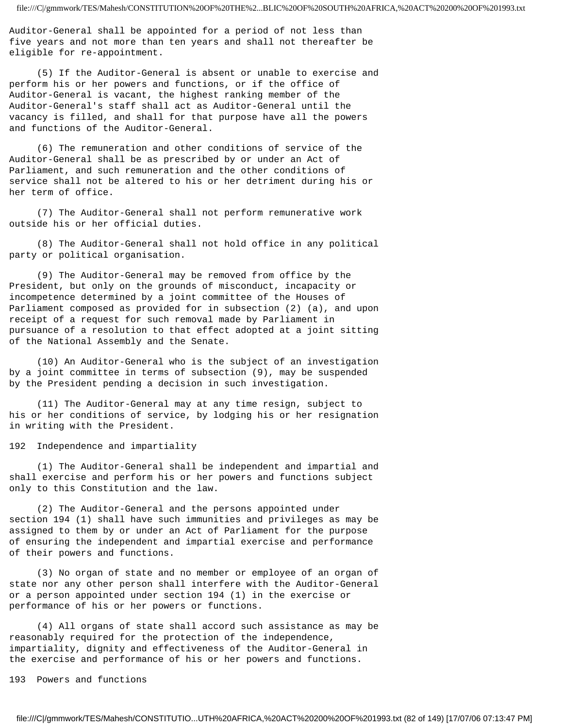Auditor-General shall be appointed for a period of not less than five years and not more than ten years and shall not thereafter be eligible for re-appointment.

 (5) If the Auditor-General is absent or unable to exercise and perform his or her powers and functions, or if the office of Auditor-General is vacant, the highest ranking member of the Auditor-General's staff shall act as Auditor-General until the vacancy is filled, and shall for that purpose have all the powers and functions of the Auditor-General.

 (6) The remuneration and other conditions of service of the Auditor-General shall be as prescribed by or under an Act of Parliament, and such remuneration and the other conditions of service shall not be altered to his or her detriment during his or her term of office.

 (7) The Auditor-General shall not perform remunerative work outside his or her official duties.

 (8) The Auditor-General shall not hold office in any political party or political organisation.

 (9) The Auditor-General may be removed from office by the President, but only on the grounds of misconduct, incapacity or incompetence determined by a joint committee of the Houses of Parliament composed as provided for in subsection (2) (a), and upon receipt of a request for such removal made by Parliament in pursuance of a resolution to that effect adopted at a joint sitting of the National Assembly and the Senate.

 (10) An Auditor-General who is the subject of an investigation by a joint committee in terms of subsection (9), may be suspended by the President pending a decision in such investigation.

 (11) The Auditor-General may at any time resign, subject to his or her conditions of service, by lodging his or her resignation in writing with the President.

192 Independence and impartiality

 (1) The Auditor-General shall be independent and impartial and shall exercise and perform his or her powers and functions subject only to this Constitution and the law.

 (2) The Auditor-General and the persons appointed under section 194 (1) shall have such immunities and privileges as may be assigned to them by or under an Act of Parliament for the purpose of ensuring the independent and impartial exercise and performance of their powers and functions.

 (3) No organ of state and no member or employee of an organ of state nor any other person shall interfere with the Auditor-General or a person appointed under section 194 (1) in the exercise or performance of his or her powers or functions.

 (4) All organs of state shall accord such assistance as may be reasonably required for the protection of the independence, impartiality, dignity and effectiveness of the Auditor-General in the exercise and performance of his or her powers and functions.

193 Powers and functions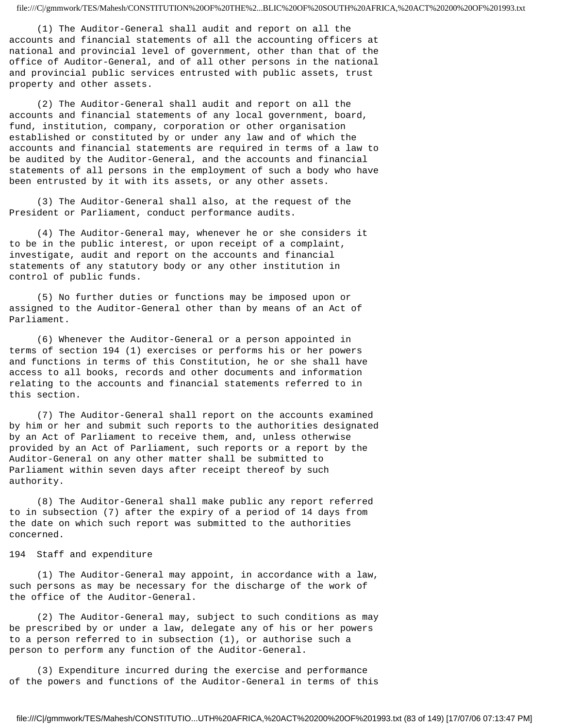(1) The Auditor-General shall audit and report on all the accounts and financial statements of all the accounting officers at national and provincial level of government, other than that of the office of Auditor-General, and of all other persons in the national and provincial public services entrusted with public assets, trust property and other assets.

 (2) The Auditor-General shall audit and report on all the accounts and financial statements of any local government, board, fund, institution, company, corporation or other organisation established or constituted by or under any law and of which the accounts and financial statements are required in terms of a law to be audited by the Auditor-General, and the accounts and financial statements of all persons in the employment of such a body who have been entrusted by it with its assets, or any other assets.

 (3) The Auditor-General shall also, at the request of the President or Parliament, conduct performance audits.

 (4) The Auditor-General may, whenever he or she considers it to be in the public interest, or upon receipt of a complaint, investigate, audit and report on the accounts and financial statements of any statutory body or any other institution in control of public funds.

 (5) No further duties or functions may be imposed upon or assigned to the Auditor-General other than by means of an Act of Parliament.

 (6) Whenever the Auditor-General or a person appointed in terms of section 194 (1) exercises or performs his or her powers and functions in terms of this Constitution, he or she shall have access to all books, records and other documents and information relating to the accounts and financial statements referred to in this section.

 (7) The Auditor-General shall report on the accounts examined by him or her and submit such reports to the authorities designated by an Act of Parliament to receive them, and, unless otherwise provided by an Act of Parliament, such reports or a report by the Auditor-General on any other matter shall be submitted to Parliament within seven days after receipt thereof by such authority.

 (8) The Auditor-General shall make public any report referred to in subsection (7) after the expiry of a period of 14 days from the date on which such report was submitted to the authorities concerned.

### 194 Staff and expenditure

 (1) The Auditor-General may appoint, in accordance with a law, such persons as may be necessary for the discharge of the work of the office of the Auditor-General.

 (2) The Auditor-General may, subject to such conditions as may be prescribed by or under a law, delegate any of his or her powers to a person referred to in subsection (1), or authorise such a person to perform any function of the Auditor-General.

 (3) Expenditure incurred during the exercise and performance of the powers and functions of the Auditor-General in terms of this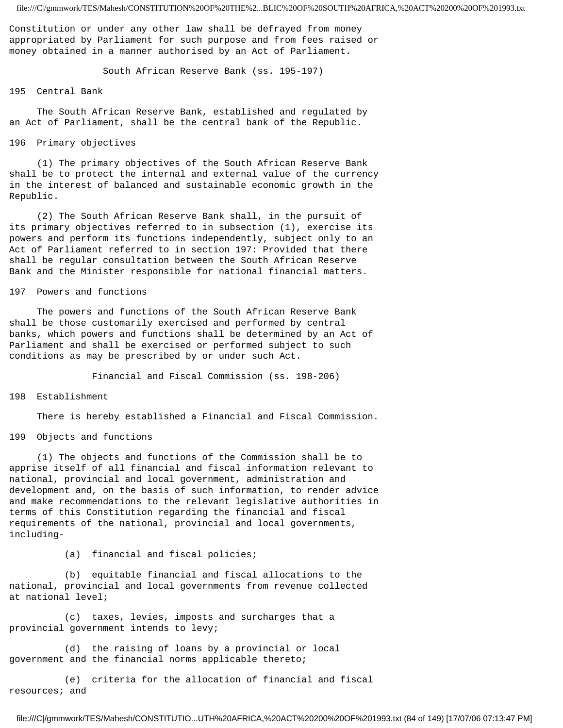Constitution or under any other law shall be defrayed from money appropriated by Parliament for such purpose and from fees raised or money obtained in a manner authorised by an Act of Parliament.

South African Reserve Bank (ss. 195-197)

#### 195 Central Bank

 The South African Reserve Bank, established and regulated by an Act of Parliament, shall be the central bank of the Republic.

# 196 Primary objectives

 (1) The primary objectives of the South African Reserve Bank shall be to protect the internal and external value of the currency in the interest of balanced and sustainable economic growth in the Republic.

 (2) The South African Reserve Bank shall, in the pursuit of its primary objectives referred to in subsection (1), exercise its powers and perform its functions independently, subject only to an Act of Parliament referred to in section 197: Provided that there shall be regular consultation between the South African Reserve Bank and the Minister responsible for national financial matters.

# 197 Powers and functions

 The powers and functions of the South African Reserve Bank shall be those customarily exercised and performed by central banks, which powers and functions shall be determined by an Act of Parliament and shall be exercised or performed subject to such conditions as may be prescribed by or under such Act.

Financial and Fiscal Commission (ss. 198-206)

# 198 Establishment

There is hereby established a Financial and Fiscal Commission.

199 Objects and functions

 (1) The objects and functions of the Commission shall be to apprise itself of all financial and fiscal information relevant to national, provincial and local government, administration and development and, on the basis of such information, to render advice and make recommendations to the relevant legislative authorities in terms of this Constitution regarding the financial and fiscal requirements of the national, provincial and local governments, including-

(a) financial and fiscal policies;

 (b) equitable financial and fiscal allocations to the national, provincial and local governments from revenue collected at national level;

 (c) taxes, levies, imposts and surcharges that a provincial government intends to levy;

 (d) the raising of loans by a provincial or local government and the financial norms applicable thereto;

 (e) criteria for the allocation of financial and fiscal resources; and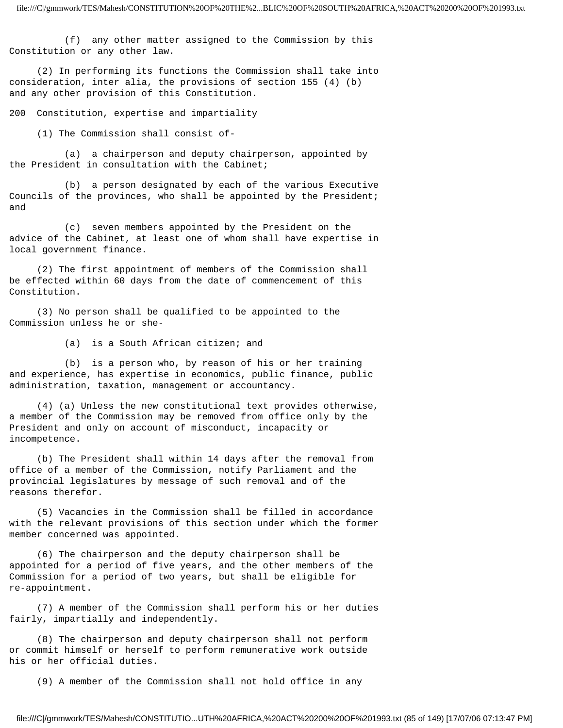(f) any other matter assigned to the Commission by this Constitution or any other law.

 (2) In performing its functions the Commission shall take into consideration, inter alia, the provisions of section 155 (4) (b) and any other provision of this Constitution.

200 Constitution, expertise and impartiality

(1) The Commission shall consist of-

 (a) a chairperson and deputy chairperson, appointed by the President in consultation with the Cabinet;

 (b) a person designated by each of the various Executive Councils of the provinces, who shall be appointed by the President; and

 (c) seven members appointed by the President on the advice of the Cabinet, at least one of whom shall have expertise in local government finance.

 (2) The first appointment of members of the Commission shall be effected within 60 days from the date of commencement of this Constitution.

 (3) No person shall be qualified to be appointed to the Commission unless he or she-

(a) is a South African citizen; and

 (b) is a person who, by reason of his or her training and experience, has expertise in economics, public finance, public administration, taxation, management or accountancy.

 (4) (a) Unless the new constitutional text provides otherwise, a member of the Commission may be removed from office only by the President and only on account of misconduct, incapacity or incompetence.

 (b) The President shall within 14 days after the removal from office of a member of the Commission, notify Parliament and the provincial legislatures by message of such removal and of the reasons therefor.

 (5) Vacancies in the Commission shall be filled in accordance with the relevant provisions of this section under which the former member concerned was appointed.

 (6) The chairperson and the deputy chairperson shall be appointed for a period of five years, and the other members of the Commission for a period of two years, but shall be eligible for re-appointment.

 (7) A member of the Commission shall perform his or her duties fairly, impartially and independently.

 (8) The chairperson and deputy chairperson shall not perform or commit himself or herself to perform remunerative work outside his or her official duties.

(9) A member of the Commission shall not hold office in any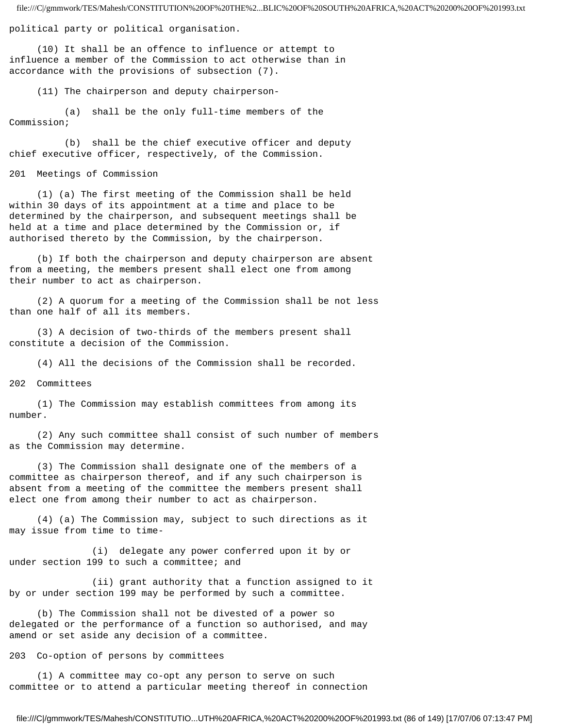political party or political organisation.

 (10) It shall be an offence to influence or attempt to influence a member of the Commission to act otherwise than in accordance with the provisions of subsection (7).

(11) The chairperson and deputy chairperson-

 (a) shall be the only full-time members of the Commission;

 (b) shall be the chief executive officer and deputy chief executive officer, respectively, of the Commission.

201 Meetings of Commission

 (1) (a) The first meeting of the Commission shall be held within 30 days of its appointment at a time and place to be determined by the chairperson, and subsequent meetings shall be held at a time and place determined by the Commission or, if authorised thereto by the Commission, by the chairperson.

 (b) If both the chairperson and deputy chairperson are absent from a meeting, the members present shall elect one from among their number to act as chairperson.

 (2) A quorum for a meeting of the Commission shall be not less than one half of all its members.

 (3) A decision of two-thirds of the members present shall constitute a decision of the Commission.

(4) All the decisions of the Commission shall be recorded.

202 Committees

 (1) The Commission may establish committees from among its number.

 (2) Any such committee shall consist of such number of members as the Commission may determine.

 (3) The Commission shall designate one of the members of a committee as chairperson thereof, and if any such chairperson is absent from a meeting of the committee the members present shall elect one from among their number to act as chairperson.

 (4) (a) The Commission may, subject to such directions as it may issue from time to time-

 (i) delegate any power conferred upon it by or under section 199 to such a committee; and

 (ii) grant authority that a function assigned to it by or under section 199 may be performed by such a committee.

 (b) The Commission shall not be divested of a power so delegated or the performance of a function so authorised, and may amend or set aside any decision of a committee.

203 Co-option of persons by committees

 (1) A committee may co-opt any person to serve on such committee or to attend a particular meeting thereof in connection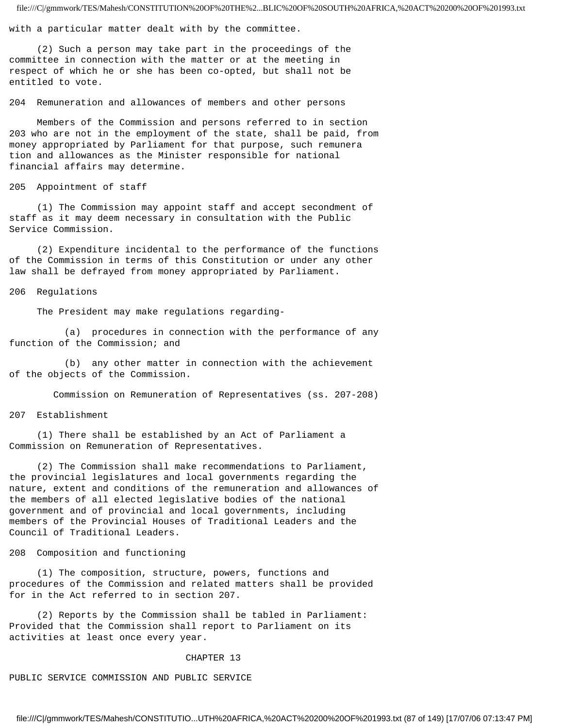with a particular matter dealt with by the committee.

 (2) Such a person may take part in the proceedings of the committee in connection with the matter or at the meeting in respect of which he or she has been co-opted, but shall not be entitled to vote.

204 Remuneration and allowances of members and other persons

 Members of the Commission and persons referred to in section 203 who are not in the employment of the state, shall be paid, from money appropriated by Parliament for that purpose, such remunera tion and allowances as the Minister responsible for national financial affairs may determine.

205 Appointment of staff

 (1) The Commission may appoint staff and accept secondment of staff as it may deem necessary in consultation with the Public Service Commission.

 (2) Expenditure incidental to the performance of the functions of the Commission in terms of this Constitution or under any other law shall be defrayed from money appropriated by Parliament.

#### 206 Regulations

The President may make regulations regarding-

 (a) procedures in connection with the performance of any function of the Commission; and

 (b) any other matter in connection with the achievement of the objects of the Commission.

Commission on Remuneration of Representatives (ss. 207-208)

207 Establishment

 (1) There shall be established by an Act of Parliament a Commission on Remuneration of Representatives.

 (2) The Commission shall make recommendations to Parliament, the provincial legislatures and local governments regarding the nature, extent and conditions of the remuneration and allowances of the members of all elected legislative bodies of the national government and of provincial and local governments, including members of the Provincial Houses of Traditional Leaders and the Council of Traditional Leaders.

208 Composition and functioning

 (1) The composition, structure, powers, functions and procedures of the Commission and related matters shall be provided for in the Act referred to in section 207.

 (2) Reports by the Commission shall be tabled in Parliament: Provided that the Commission shall report to Parliament on its activities at least once every year.

### CHAPTER 13

PUBLIC SERVICE COMMISSION AND PUBLIC SERVICE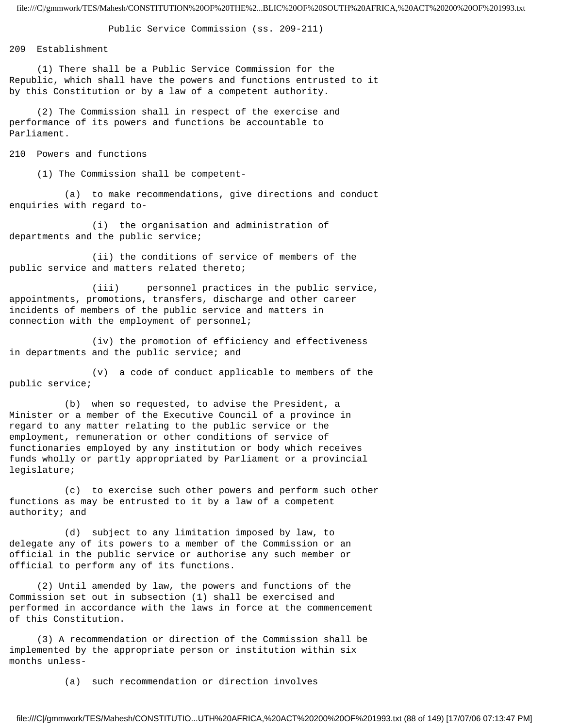Public Service Commission (ss. 209-211)

209 Establishment

 (1) There shall be a Public Service Commission for the Republic, which shall have the powers and functions entrusted to it by this Constitution or by a law of a competent authority.

 (2) The Commission shall in respect of the exercise and performance of its powers and functions be accountable to Parliament.

210 Powers and functions

(1) The Commission shall be competent-

 (a) to make recommendations, give directions and conduct enquiries with regard to-

 (i) the organisation and administration of departments and the public service;

 (ii) the conditions of service of members of the public service and matters related thereto;

 (iii) personnel practices in the public service, appointments, promotions, transfers, discharge and other career incidents of members of the public service and matters in connection with the employment of personnel;

 (iv) the promotion of efficiency and effectiveness in departments and the public service; and

 (v) a code of conduct applicable to members of the public service;

 (b) when so requested, to advise the President, a Minister or a member of the Executive Council of a province in regard to any matter relating to the public service or the employment, remuneration or other conditions of service of functionaries employed by any institution or body which receives funds wholly or partly appropriated by Parliament or a provincial legislature;

 (c) to exercise such other powers and perform such other functions as may be entrusted to it by a law of a competent authority; and

 (d) subject to any limitation imposed by law, to delegate any of its powers to a member of the Commission or an official in the public service or authorise any such member or official to perform any of its functions.

 (2) Until amended by law, the powers and functions of the Commission set out in subsection (1) shall be exercised and performed in accordance with the laws in force at the commencement of this Constitution.

 (3) A recommendation or direction of the Commission shall be implemented by the appropriate person or institution within six months unless-

(a) such recommendation or direction involves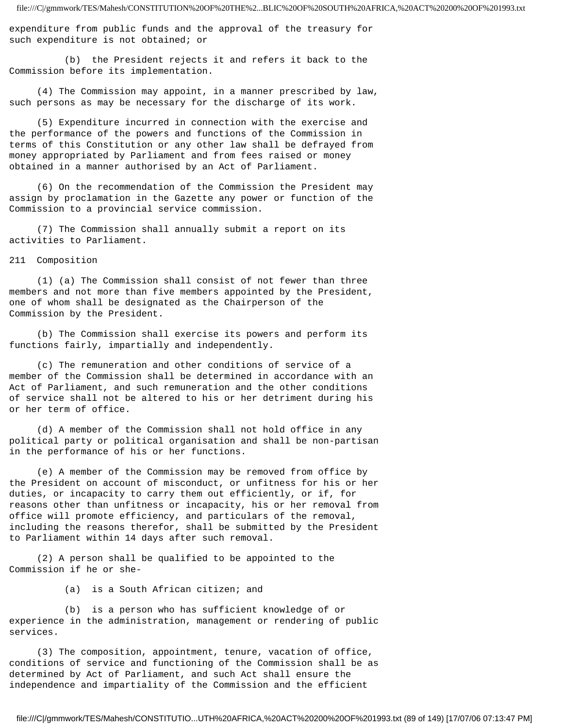expenditure from public funds and the approval of the treasury for such expenditure is not obtained; or

 (b) the President rejects it and refers it back to the Commission before its implementation.

 (4) The Commission may appoint, in a manner prescribed by law, such persons as may be necessary for the discharge of its work.

 (5) Expenditure incurred in connection with the exercise and the performance of the powers and functions of the Commission in terms of this Constitution or any other law shall be defrayed from money appropriated by Parliament and from fees raised or money obtained in a manner authorised by an Act of Parliament.

 (6) On the recommendation of the Commission the President may assign by proclamation in the Gazette any power or function of the Commission to a provincial service commission.

 (7) The Commission shall annually submit a report on its activities to Parliament.

### 211 Composition

 (1) (a) The Commission shall consist of not fewer than three members and not more than five members appointed by the President, one of whom shall be designated as the Chairperson of the Commission by the President.

 (b) The Commission shall exercise its powers and perform its functions fairly, impartially and independently.

 (c) The remuneration and other conditions of service of a member of the Commission shall be determined in accordance with an Act of Parliament, and such remuneration and the other conditions of service shall not be altered to his or her detriment during his or her term of office.

 (d) A member of the Commission shall not hold office in any political party or political organisation and shall be non-partisan in the performance of his or her functions.

 (e) A member of the Commission may be removed from office by the President on account of misconduct, or unfitness for his or her duties, or incapacity to carry them out efficiently, or if, for reasons other than unfitness or incapacity, his or her removal from office will promote efficiency, and particulars of the removal, including the reasons therefor, shall be submitted by the President to Parliament within 14 days after such removal.

 (2) A person shall be qualified to be appointed to the Commission if he or she-

(a) is a South African citizen; and

 (b) is a person who has sufficient knowledge of or experience in the administration, management or rendering of public services.

 (3) The composition, appointment, tenure, vacation of office, conditions of service and functioning of the Commission shall be as determined by Act of Parliament, and such Act shall ensure the independence and impartiality of the Commission and the efficient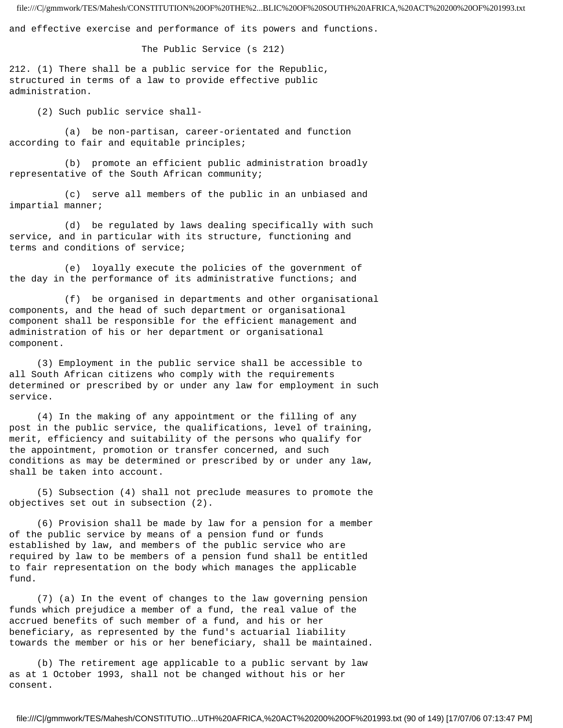and effective exercise and performance of its powers and functions.

The Public Service (s 212)

212. (1) There shall be a public service for the Republic, structured in terms of a law to provide effective public administration.

(2) Such public service shall-

 (a) be non-partisan, career-orientated and function according to fair and equitable principles;

 (b) promote an efficient public administration broadly representative of the South African community;

 (c) serve all members of the public in an unbiased and impartial manner;

 (d) be regulated by laws dealing specifically with such service, and in particular with its structure, functioning and terms and conditions of service;

 (e) loyally execute the policies of the government of the day in the performance of its administrative functions; and

 (f) be organised in departments and other organisational components, and the head of such department or organisational component shall be responsible for the efficient management and administration of his or her department or organisational component.

 (3) Employment in the public service shall be accessible to all South African citizens who comply with the requirements determined or prescribed by or under any law for employment in such service.

 (4) In the making of any appointment or the filling of any post in the public service, the qualifications, level of training, merit, efficiency and suitability of the persons who qualify for the appointment, promotion or transfer concerned, and such conditions as may be determined or prescribed by or under any law, shall be taken into account.

 (5) Subsection (4) shall not preclude measures to promote the objectives set out in subsection (2).

 (6) Provision shall be made by law for a pension for a member of the public service by means of a pension fund or funds established by law, and members of the public service who are required by law to be members of a pension fund shall be entitled to fair representation on the body which manages the applicable fund.

 (7) (a) In the event of changes to the law governing pension funds which prejudice a member of a fund, the real value of the accrued benefits of such member of a fund, and his or her beneficiary, as represented by the fund's actuarial liability towards the member or his or her beneficiary, shall be maintained.

 (b) The retirement age applicable to a public servant by law as at 1 October 1993, shall not be changed without his or her consent.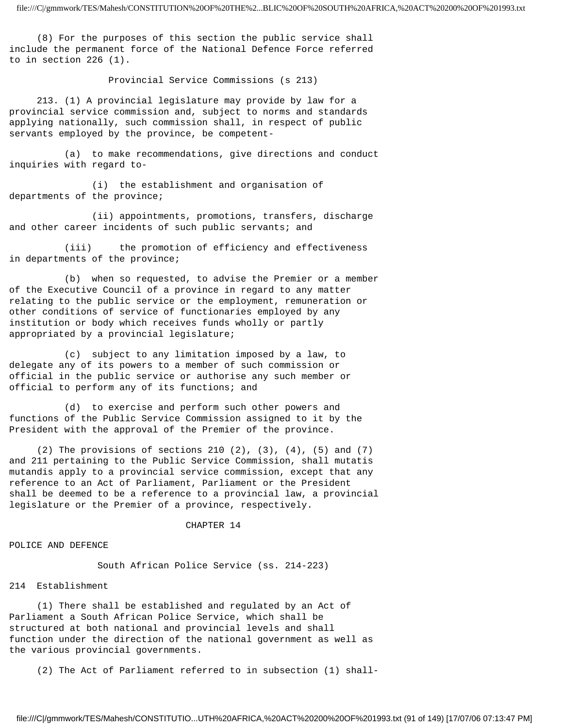(8) For the purposes of this section the public service shall include the permanent force of the National Defence Force referred to in section 226 (1).

Provincial Service Commissions (s 213)

 213. (1) A provincial legislature may provide by law for a provincial service commission and, subject to norms and standards applying nationally, such commission shall, in respect of public servants employed by the province, be competent-

 (a) to make recommendations, give directions and conduct inquiries with regard to-

 (i) the establishment and organisation of departments of the province;

 (ii) appointments, promotions, transfers, discharge and other career incidents of such public servants; and

 (iii) the promotion of efficiency and effectiveness in departments of the province;

 (b) when so requested, to advise the Premier or a member of the Executive Council of a province in regard to any matter relating to the public service or the employment, remuneration or other conditions of service of functionaries employed by any institution or body which receives funds wholly or partly appropriated by a provincial legislature;

 (c) subject to any limitation imposed by a law, to delegate any of its powers to a member of such commission or official in the public service or authorise any such member or official to perform any of its functions; and

 (d) to exercise and perform such other powers and functions of the Public Service Commission assigned to it by the President with the approval of the Premier of the province.

(2) The provisions of sections  $210$  (2), (3), (4), (5) and (7) and 211 pertaining to the Public Service Commission, shall mutatis mutandis apply to a provincial service commission, except that any reference to an Act of Parliament, Parliament or the President shall be deemed to be a reference to a provincial law, a provincial legislature or the Premier of a province, respectively.

## CHAPTER 14

POLICE AND DEFENCE

South African Police Service (ss. 214-223)

# 214 Establishment

 (1) There shall be established and regulated by an Act of Parliament a South African Police Service, which shall be structured at both national and provincial levels and shall function under the direction of the national government as well as the various provincial governments.

(2) The Act of Parliament referred to in subsection (1) shall-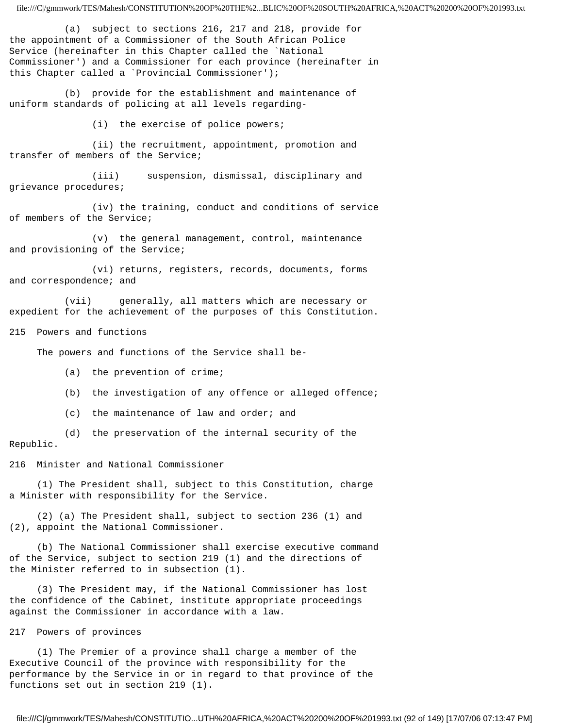(a) subject to sections 216, 217 and 218, provide for the appointment of a Commissioner of the South African Police Service (hereinafter in this Chapter called the `National Commissioner') and a Commissioner for each province (hereinafter in this Chapter called a `Provincial Commissioner');

 (b) provide for the establishment and maintenance of uniform standards of policing at all levels regarding-

(i) the exercise of police powers;

 (ii) the recruitment, appointment, promotion and transfer of members of the Service;

 (iii) suspension, dismissal, disciplinary and grievance procedures;

 (iv) the training, conduct and conditions of service of members of the Service;

 (v) the general management, control, maintenance and provisioning of the Service;

 (vi) returns, registers, records, documents, forms and correspondence; and

 (vii) generally, all matters which are necessary or expedient for the achievement of the purposes of this Constitution.

215 Powers and functions

The powers and functions of the Service shall be-

(a) the prevention of crime;

- (b) the investigation of any offence or alleged offence;
- (c) the maintenance of law and order; and

 (d) the preservation of the internal security of the Republic.

216 Minister and National Commissioner

 (1) The President shall, subject to this Constitution, charge a Minister with responsibility for the Service.

 (2) (a) The President shall, subject to section 236 (1) and (2), appoint the National Commissioner.

 (b) The National Commissioner shall exercise executive command of the Service, subject to section 219 (1) and the directions of the Minister referred to in subsection (1).

 (3) The President may, if the National Commissioner has lost the confidence of the Cabinet, institute appropriate proceedings against the Commissioner in accordance with a law.

217 Powers of provinces

 (1) The Premier of a province shall charge a member of the Executive Council of the province with responsibility for the performance by the Service in or in regard to that province of the functions set out in section 219 (1).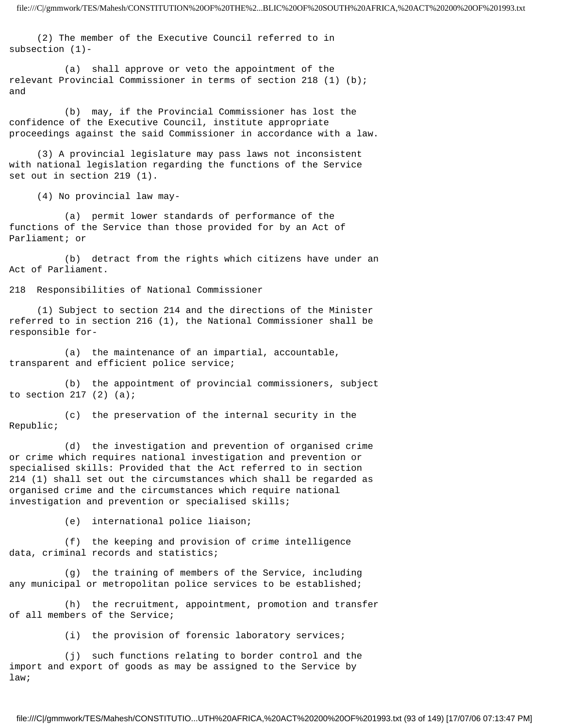(2) The member of the Executive Council referred to in subsection (1)-

 (a) shall approve or veto the appointment of the relevant Provincial Commissioner in terms of section 218 (1) (b); and

 (b) may, if the Provincial Commissioner has lost the confidence of the Executive Council, institute appropriate proceedings against the said Commissioner in accordance with a law.

 (3) A provincial legislature may pass laws not inconsistent with national legislation regarding the functions of the Service set out in section 219 (1).

(4) No provincial law may-

 (a) permit lower standards of performance of the functions of the Service than those provided for by an Act of Parliament; or

 (b) detract from the rights which citizens have under an Act of Parliament.

218 Responsibilities of National Commissioner

 (1) Subject to section 214 and the directions of the Minister referred to in section 216 (1), the National Commissioner shall be responsible for-

 (a) the maintenance of an impartial, accountable, transparent and efficient police service;

 (b) the appointment of provincial commissioners, subject to section  $217$  (2) (a);

 (c) the preservation of the internal security in the Republic;

 (d) the investigation and prevention of organised crime or crime which requires national investigation and prevention or specialised skills: Provided that the Act referred to in section 214 (1) shall set out the circumstances which shall be regarded as organised crime and the circumstances which require national investigation and prevention or specialised skills;

(e) international police liaison;

 (f) the keeping and provision of crime intelligence data, criminal records and statistics;

 (g) the training of members of the Service, including any municipal or metropolitan police services to be established;

 (h) the recruitment, appointment, promotion and transfer of all members of the Service;

(i) the provision of forensic laboratory services;

 (j) such functions relating to border control and the import and export of goods as may be assigned to the Service by law;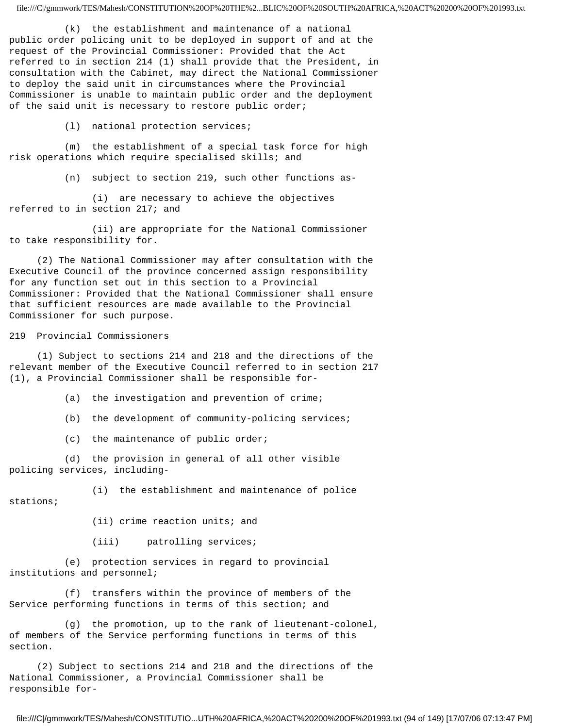(k) the establishment and maintenance of a national public order policing unit to be deployed in support of and at the request of the Provincial Commissioner: Provided that the Act referred to in section 214 (1) shall provide that the President, in consultation with the Cabinet, may direct the National Commissioner to deploy the said unit in circumstances where the Provincial Commissioner is unable to maintain public order and the deployment of the said unit is necessary to restore public order;

(l) national protection services;

 (m) the establishment of a special task force for high risk operations which require specialised skills; and

(n) subject to section 219, such other functions as-

 (i) are necessary to achieve the objectives referred to in section 217; and

 (ii) are appropriate for the National Commissioner to take responsibility for.

 (2) The National Commissioner may after consultation with the Executive Council of the province concerned assign responsibility for any function set out in this section to a Provincial Commissioner: Provided that the National Commissioner shall ensure that sufficient resources are made available to the Provincial Commissioner for such purpose.

219 Provincial Commissioners

 (1) Subject to sections 214 and 218 and the directions of the relevant member of the Executive Council referred to in section 217 (1), a Provincial Commissioner shall be responsible for-

(a) the investigation and prevention of crime;

(b) the development of community-policing services;

(c) the maintenance of public order;

 (d) the provision in general of all other visible policing services, including-

(i) the establishment and maintenance of police

stations;

(ii) crime reaction units; and

(iii) patrolling services;

 (e) protection services in regard to provincial institutions and personnel;

 (f) transfers within the province of members of the Service performing functions in terms of this section; and

 (g) the promotion, up to the rank of lieutenant-colonel, of members of the Service performing functions in terms of this section.

 (2) Subject to sections 214 and 218 and the directions of the National Commissioner, a Provincial Commissioner shall be responsible for-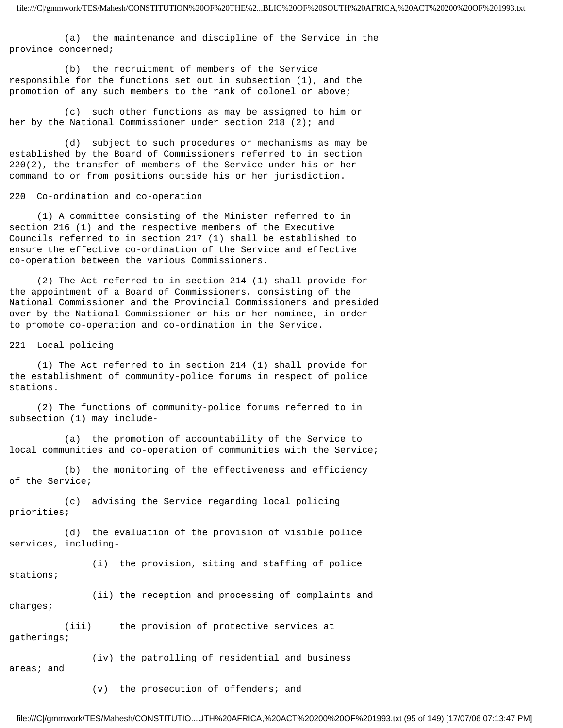(a) the maintenance and discipline of the Service in the province concerned;

 (b) the recruitment of members of the Service responsible for the functions set out in subsection (1), and the promotion of any such members to the rank of colonel or above;

 (c) such other functions as may be assigned to him or her by the National Commissioner under section 218 (2); and

 (d) subject to such procedures or mechanisms as may be established by the Board of Commissioners referred to in section 220(2), the transfer of members of the Service under his or her command to or from positions outside his or her jurisdiction.

### 220 Co-ordination and co-operation

 (1) A committee consisting of the Minister referred to in section 216 (1) and the respective members of the Executive Councils referred to in section 217 (1) shall be established to ensure the effective co-ordination of the Service and effective co-operation between the various Commissioners.

 (2) The Act referred to in section 214 (1) shall provide for the appointment of a Board of Commissioners, consisting of the National Commissioner and the Provincial Commissioners and presided over by the National Commissioner or his or her nominee, in order to promote co-operation and co-ordination in the Service.

221 Local policing

 (1) The Act referred to in section 214 (1) shall provide for the establishment of community-police forums in respect of police stations.

 (2) The functions of community-police forums referred to in subsection (1) may include-

 (a) the promotion of accountability of the Service to local communities and co-operation of communities with the Service;

 (b) the monitoring of the effectiveness and efficiency of the Service;

 (c) advising the Service regarding local policing priorities;

 (d) the evaluation of the provision of visible police services, including-

 (i) the provision, siting and staffing of police stations;

 (ii) the reception and processing of complaints and charges;

 (iii) the provision of protective services at gatherings;

 (iv) the patrolling of residential and business areas; and

(v) the prosecution of offenders; and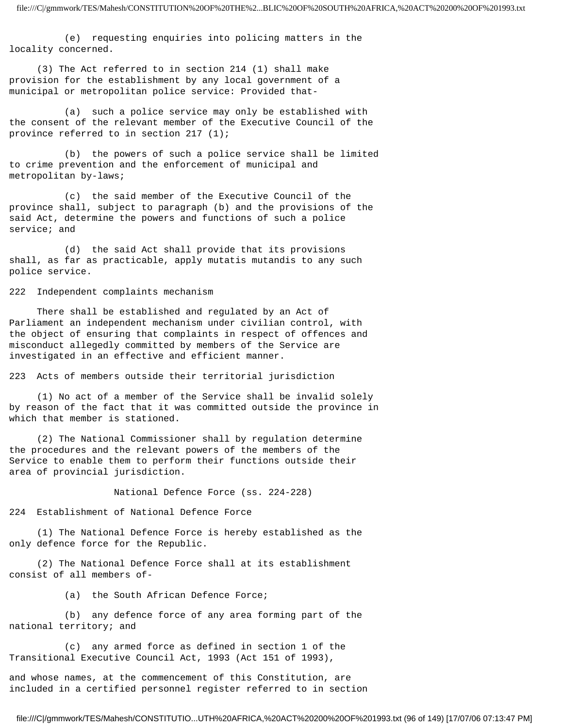(e) requesting enquiries into policing matters in the locality concerned.

 (3) The Act referred to in section 214 (1) shall make provision for the establishment by any local government of a municipal or metropolitan police service: Provided that-

 (a) such a police service may only be established with the consent of the relevant member of the Executive Council of the province referred to in section 217 (1);

 (b) the powers of such a police service shall be limited to crime prevention and the enforcement of municipal and metropolitan by-laws;

 (c) the said member of the Executive Council of the province shall, subject to paragraph (b) and the provisions of the said Act, determine the powers and functions of such a police service; and

 (d) the said Act shall provide that its provisions shall, as far as practicable, apply mutatis mutandis to any such police service.

### 222 Independent complaints mechanism

 There shall be established and regulated by an Act of Parliament an independent mechanism under civilian control, with the object of ensuring that complaints in respect of offences and misconduct allegedly committed by members of the Service are investigated in an effective and efficient manner.

223 Acts of members outside their territorial jurisdiction

 (1) No act of a member of the Service shall be invalid solely by reason of the fact that it was committed outside the province in which that member is stationed.

 (2) The National Commissioner shall by regulation determine the procedures and the relevant powers of the members of the Service to enable them to perform their functions outside their area of provincial jurisdiction.

National Defence Force (ss. 224-228)

224 Establishment of National Defence Force

 (1) The National Defence Force is hereby established as the only defence force for the Republic.

 (2) The National Defence Force shall at its establishment consist of all members of-

(a) the South African Defence Force;

 (b) any defence force of any area forming part of the national territory; and

 (c) any armed force as defined in section 1 of the Transitional Executive Council Act, 1993 (Act 151 of 1993),

and whose names, at the commencement of this Constitution, are included in a certified personnel register referred to in section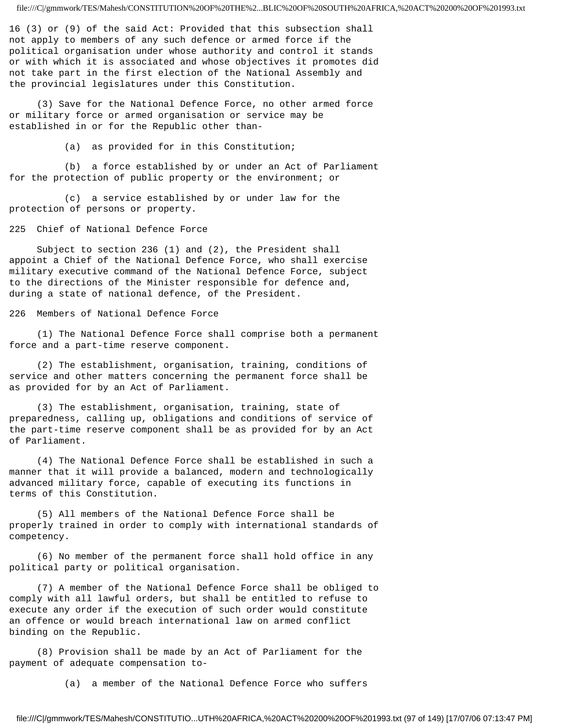16 (3) or (9) of the said Act: Provided that this subsection shall not apply to members of any such defence or armed force if the political organisation under whose authority and control it stands or with which it is associated and whose objectives it promotes did not take part in the first election of the National Assembly and the provincial legislatures under this Constitution.

 (3) Save for the National Defence Force, no other armed force or military force or armed organisation or service may be established in or for the Republic other than-

(a) as provided for in this Constitution;

 (b) a force established by or under an Act of Parliament for the protection of public property or the environment; or

 (c) a service established by or under law for the protection of persons or property.

225 Chief of National Defence Force

Subject to section 236 (1) and (2), the President shall appoint a Chief of the National Defence Force, who shall exercise military executive command of the National Defence Force, subject to the directions of the Minister responsible for defence and, during a state of national defence, of the President.

226 Members of National Defence Force

 (1) The National Defence Force shall comprise both a permanent force and a part-time reserve component.

 (2) The establishment, organisation, training, conditions of service and other matters concerning the permanent force shall be as provided for by an Act of Parliament.

 (3) The establishment, organisation, training, state of preparedness, calling up, obligations and conditions of service of the part-time reserve component shall be as provided for by an Act of Parliament.

 (4) The National Defence Force shall be established in such a manner that it will provide a balanced, modern and technologically advanced military force, capable of executing its functions in terms of this Constitution.

 (5) All members of the National Defence Force shall be properly trained in order to comply with international standards of competency.

 (6) No member of the permanent force shall hold office in any political party or political organisation.

 (7) A member of the National Defence Force shall be obliged to comply with all lawful orders, but shall be entitled to refuse to execute any order if the execution of such order would constitute an offence or would breach international law on armed conflict binding on the Republic.

 (8) Provision shall be made by an Act of Parliament for the payment of adequate compensation to-

(a) a member of the National Defence Force who suffers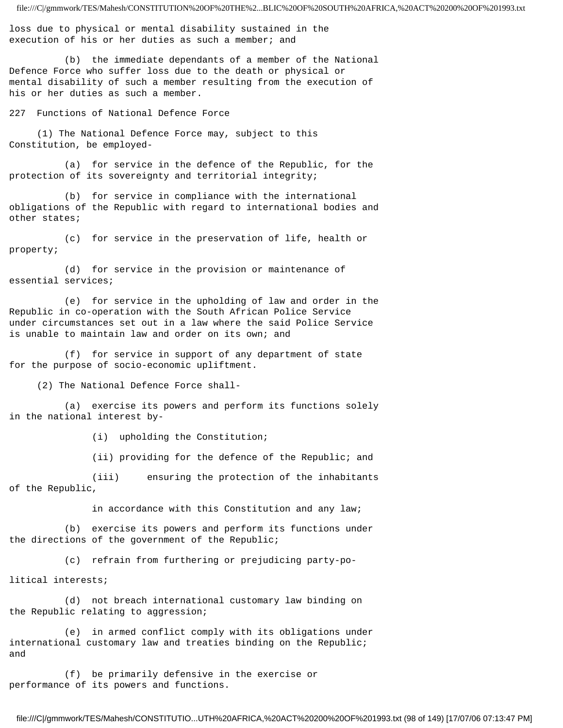loss due to physical or mental disability sustained in the execution of his or her duties as such a member; and

 (b) the immediate dependants of a member of the National Defence Force who suffer loss due to the death or physical or mental disability of such a member resulting from the execution of his or her duties as such a member.

227 Functions of National Defence Force

 (1) The National Defence Force may, subject to this Constitution, be employed-

 (a) for service in the defence of the Republic, for the protection of its sovereignty and territorial integrity;

 (b) for service in compliance with the international obligations of the Republic with regard to international bodies and other states;

 (c) for service in the preservation of life, health or property;

 (d) for service in the provision or maintenance of essential services;

 (e) for service in the upholding of law and order in the Republic in co-operation with the South African Police Service under circumstances set out in a law where the said Police Service is unable to maintain law and order on its own; and

 (f) for service in support of any department of state for the purpose of socio-economic upliftment.

(2) The National Defence Force shall-

 (a) exercise its powers and perform its functions solely in the national interest by-

(i) upholding the Constitution;

(ii) providing for the defence of the Republic; and

 (iii) ensuring the protection of the inhabitants of the Republic,

in accordance with this Constitution and any law;

 (b) exercise its powers and perform its functions under the directions of the government of the Republic;

(c) refrain from furthering or prejudicing party-po-

litical interests;

 (d) not breach international customary law binding on the Republic relating to aggression;

 (e) in armed conflict comply with its obligations under international customary law and treaties binding on the Republic; and

 (f) be primarily defensive in the exercise or performance of its powers and functions.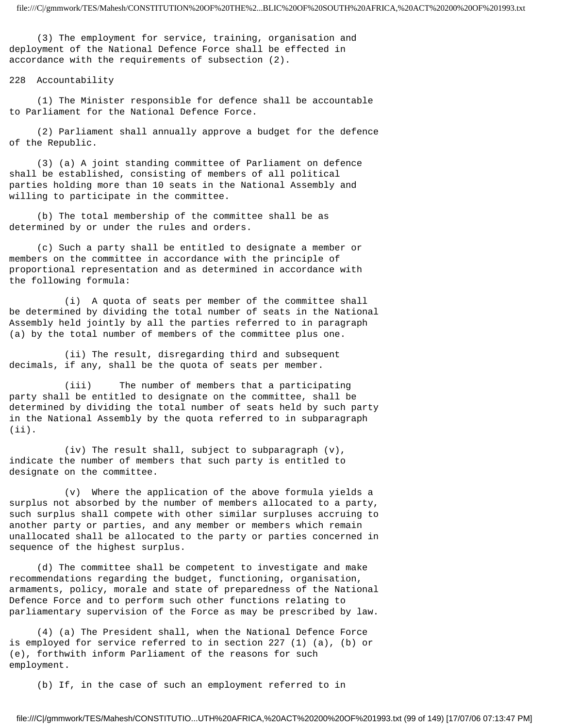(3) The employment for service, training, organisation and deployment of the National Defence Force shall be effected in accordance with the requirements of subsection (2).

228 Accountability

 (1) The Minister responsible for defence shall be accountable to Parliament for the National Defence Force.

 (2) Parliament shall annually approve a budget for the defence of the Republic.

 (3) (a) A joint standing committee of Parliament on defence shall be established, consisting of members of all political parties holding more than 10 seats in the National Assembly and willing to participate in the committee.

 (b) The total membership of the committee shall be as determined by or under the rules and orders.

 (c) Such a party shall be entitled to designate a member or members on the committee in accordance with the principle of proportional representation and as determined in accordance with the following formula:

 (i) A quota of seats per member of the committee shall be determined by dividing the total number of seats in the National Assembly held jointly by all the parties referred to in paragraph (a) by the total number of members of the committee plus one.

 (ii) The result, disregarding third and subsequent decimals, if any, shall be the quota of seats per member.

 (iii) The number of members that a participating party shall be entitled to designate on the committee, shall be determined by dividing the total number of seats held by such party in the National Assembly by the quota referred to in subparagraph (ii).

 (iv) The result shall, subject to subparagraph (v), indicate the number of members that such party is entitled to designate on the committee.

 (v) Where the application of the above formula yields a surplus not absorbed by the number of members allocated to a party, such surplus shall compete with other similar surpluses accruing to another party or parties, and any member or members which remain unallocated shall be allocated to the party or parties concerned in sequence of the highest surplus.

 (d) The committee shall be competent to investigate and make recommendations regarding the budget, functioning, organisation, armaments, policy, morale and state of preparedness of the National Defence Force and to perform such other functions relating to parliamentary supervision of the Force as may be prescribed by law.

 (4) (a) The President shall, when the National Defence Force is employed for service referred to in section 227 (1) (a), (b) or (e), forthwith inform Parliament of the reasons for such employment.

(b) If, in the case of such an employment referred to in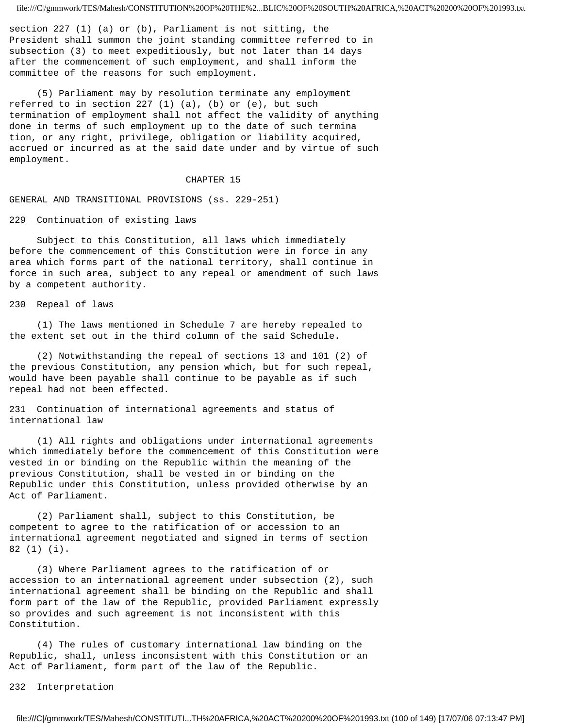section 227 (1) (a) or (b), Parliament is not sitting, the President shall summon the joint standing committee referred to in subsection (3) to meet expeditiously, but not later than 14 days after the commencement of such employment, and shall inform the committee of the reasons for such employment.

 (5) Parliament may by resolution terminate any employment referred to in section 227 (1) (a), (b) or (e), but such termination of employment shall not affect the validity of anything done in terms of such employment up to the date of such termina tion, or any right, privilege, obligation or liability acquired, accrued or incurred as at the said date under and by virtue of such employment.

CHAPTER 15

GENERAL AND TRANSITIONAL PROVISIONS (ss. 229-251)

229 Continuation of existing laws

 Subject to this Constitution, all laws which immediately before the commencement of this Constitution were in force in any area which forms part of the national territory, shall continue in force in such area, subject to any repeal or amendment of such laws by a competent authority.

230 Repeal of laws

 (1) The laws mentioned in Schedule 7 are hereby repealed to the extent set out in the third column of the said Schedule.

 (2) Notwithstanding the repeal of sections 13 and 101 (2) of the previous Constitution, any pension which, but for such repeal, would have been payable shall continue to be payable as if such repeal had not been effected.

231 Continuation of international agreements and status of international law

 (1) All rights and obligations under international agreements which immediately before the commencement of this Constitution were vested in or binding on the Republic within the meaning of the previous Constitution, shall be vested in or binding on the Republic under this Constitution, unless provided otherwise by an Act of Parliament.

 (2) Parliament shall, subject to this Constitution, be competent to agree to the ratification of or accession to an international agreement negotiated and signed in terms of section 82 (1) (i).

 (3) Where Parliament agrees to the ratification of or accession to an international agreement under subsection (2), such international agreement shall be binding on the Republic and shall form part of the law of the Republic, provided Parliament expressly so provides and such agreement is not inconsistent with this Constitution.

 (4) The rules of customary international law binding on the Republic, shall, unless inconsistent with this Constitution or an Act of Parliament, form part of the law of the Republic.

232 Interpretation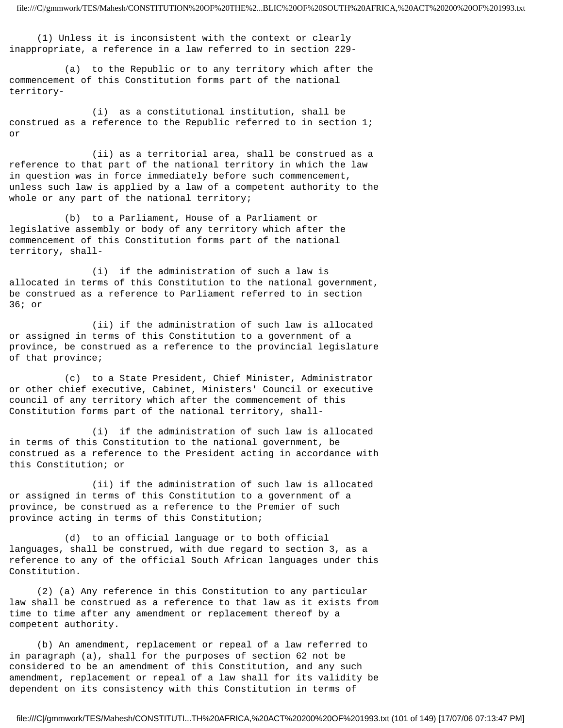(1) Unless it is inconsistent with the context or clearly inappropriate, a reference in a law referred to in section 229-

 (a) to the Republic or to any territory which after the commencement of this Constitution forms part of the national territory-

 (i) as a constitutional institution, shall be construed as a reference to the Republic referred to in section 1; or

 (ii) as a territorial area, shall be construed as a reference to that part of the national territory in which the law in question was in force immediately before such commencement, unless such law is applied by a law of a competent authority to the whole or any part of the national territory;

 (b) to a Parliament, House of a Parliament or legislative assembly or body of any territory which after the commencement of this Constitution forms part of the national territory, shall-

 (i) if the administration of such a law is allocated in terms of this Constitution to the national government, be construed as a reference to Parliament referred to in section 36; or

 (ii) if the administration of such law is allocated or assigned in terms of this Constitution to a government of a province, be construed as a reference to the provincial legislature of that province;

 (c) to a State President, Chief Minister, Administrator or other chief executive, Cabinet, Ministers' Council or executive council of any territory which after the commencement of this Constitution forms part of the national territory, shall-

 (i) if the administration of such law is allocated in terms of this Constitution to the national government, be construed as a reference to the President acting in accordance with this Constitution; or

 (ii) if the administration of such law is allocated or assigned in terms of this Constitution to a government of a province, be construed as a reference to the Premier of such province acting in terms of this Constitution;

 (d) to an official language or to both official languages, shall be construed, with due regard to section 3, as a reference to any of the official South African languages under this Constitution.

 (2) (a) Any reference in this Constitution to any particular law shall be construed as a reference to that law as it exists from time to time after any amendment or replacement thereof by a competent authority.

 (b) An amendment, replacement or repeal of a law referred to in paragraph (a), shall for the purposes of section 62 not be considered to be an amendment of this Constitution, and any such amendment, replacement or repeal of a law shall for its validity be dependent on its consistency with this Constitution in terms of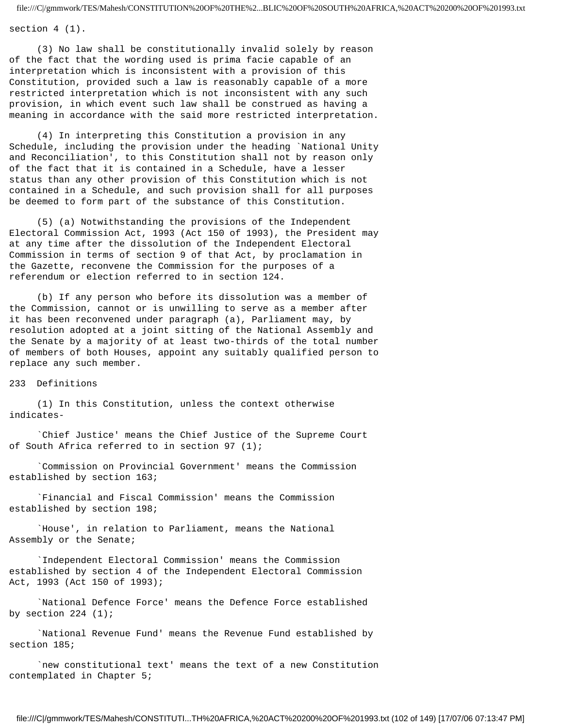section 4 (1).

 (3) No law shall be constitutionally invalid solely by reason of the fact that the wording used is prima facie capable of an interpretation which is inconsistent with a provision of this Constitution, provided such a law is reasonably capable of a more restricted interpretation which is not inconsistent with any such provision, in which event such law shall be construed as having a meaning in accordance with the said more restricted interpretation.

 (4) In interpreting this Constitution a provision in any Schedule, including the provision under the heading `National Unity and Reconciliation', to this Constitution shall not by reason only of the fact that it is contained in a Schedule, have a lesser status than any other provision of this Constitution which is not contained in a Schedule, and such provision shall for all purposes be deemed to form part of the substance of this Constitution.

 (5) (a) Notwithstanding the provisions of the Independent Electoral Commission Act, 1993 (Act 150 of 1993), the President may at any time after the dissolution of the Independent Electoral Commission in terms of section 9 of that Act, by proclamation in the Gazette, reconvene the Commission for the purposes of a referendum or election referred to in section 124.

 (b) If any person who before its dissolution was a member of the Commission, cannot or is unwilling to serve as a member after it has been reconvened under paragraph (a), Parliament may, by resolution adopted at a joint sitting of the National Assembly and the Senate by a majority of at least two-thirds of the total number of members of both Houses, appoint any suitably qualified person to replace any such member.

233 Definitions

 (1) In this Constitution, unless the context otherwise indicates-

 `Chief Justice' means the Chief Justice of the Supreme Court of South Africa referred to in section 97 (1);

 `Commission on Provincial Government' means the Commission established by section 163;

 `Financial and Fiscal Commission' means the Commission established by section 198;

 `House', in relation to Parliament, means the National Assembly or the Senate;

 `Independent Electoral Commission' means the Commission established by section 4 of the Independent Electoral Commission Act, 1993 (Act 150 of 1993);

 `National Defence Force' means the Defence Force established by section  $224$  (1);

 `National Revenue Fund' means the Revenue Fund established by section 185;

 `new constitutional text' means the text of a new Constitution contemplated in Chapter 5;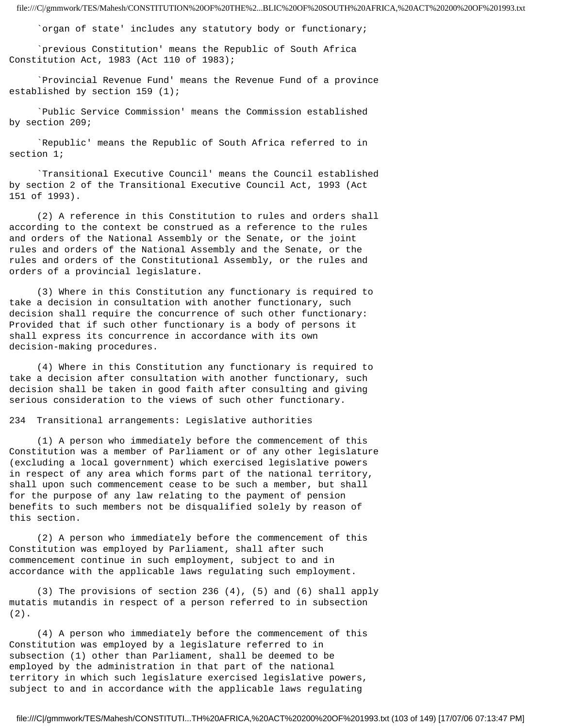`organ of state' includes any statutory body or functionary;

 `previous Constitution' means the Republic of South Africa Constitution Act, 1983 (Act 110 of 1983);

 `Provincial Revenue Fund' means the Revenue Fund of a province established by section 159 (1);

 `Public Service Commission' means the Commission established by section 209;

 `Republic' means the Republic of South Africa referred to in section 1;

 `Transitional Executive Council' means the Council established by section 2 of the Transitional Executive Council Act, 1993 (Act 151 of 1993).

 (2) A reference in this Constitution to rules and orders shall according to the context be construed as a reference to the rules and orders of the National Assembly or the Senate, or the joint rules and orders of the National Assembly and the Senate, or the rules and orders of the Constitutional Assembly, or the rules and orders of a provincial legislature.

 (3) Where in this Constitution any functionary is required to take a decision in consultation with another functionary, such decision shall require the concurrence of such other functionary: Provided that if such other functionary is a body of persons it shall express its concurrence in accordance with its own decision-making procedures.

 (4) Where in this Constitution any functionary is required to take a decision after consultation with another functionary, such decision shall be taken in good faith after consulting and giving serious consideration to the views of such other functionary.

## 234 Transitional arrangements: Legislative authorities

 (1) A person who immediately before the commencement of this Constitution was a member of Parliament or of any other legislature (excluding a local government) which exercised legislative powers in respect of any area which forms part of the national territory, shall upon such commencement cease to be such a member, but shall for the purpose of any law relating to the payment of pension benefits to such members not be disqualified solely by reason of this section.

 (2) A person who immediately before the commencement of this Constitution was employed by Parliament, shall after such commencement continue in such employment, subject to and in accordance with the applicable laws regulating such employment.

 (3) The provisions of section 236 (4), (5) and (6) shall apply mutatis mutandis in respect of a person referred to in subsection (2).

 (4) A person who immediately before the commencement of this Constitution was employed by a legislature referred to in subsection (1) other than Parliament, shall be deemed to be employed by the administration in that part of the national territory in which such legislature exercised legislative powers, subject to and in accordance with the applicable laws regulating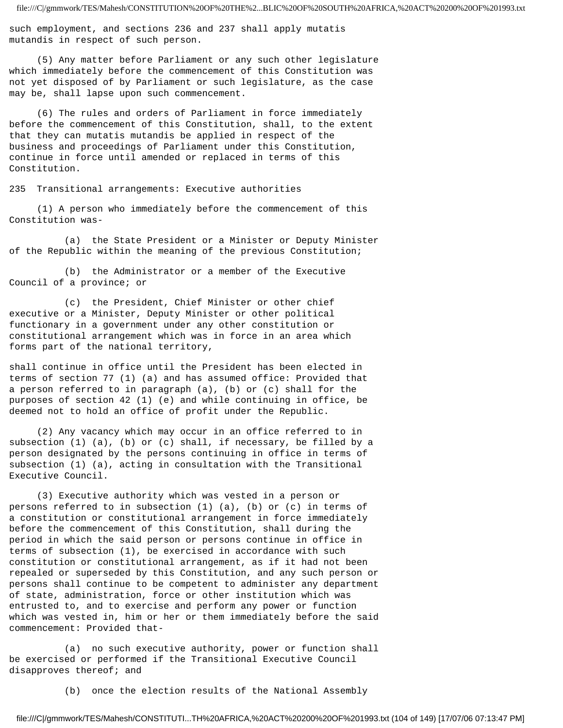such employment, and sections 236 and 237 shall apply mutatis mutandis in respect of such person.

 (5) Any matter before Parliament or any such other legislature which immediately before the commencement of this Constitution was not yet disposed of by Parliament or such legislature, as the case may be, shall lapse upon such commencement.

 (6) The rules and orders of Parliament in force immediately before the commencement of this Constitution, shall, to the extent that they can mutatis mutandis be applied in respect of the business and proceedings of Parliament under this Constitution, continue in force until amended or replaced in terms of this Constitution.

235 Transitional arrangements: Executive authorities

 (1) A person who immediately before the commencement of this Constitution was-

 (a) the State President or a Minister or Deputy Minister of the Republic within the meaning of the previous Constitution;

 (b) the Administrator or a member of the Executive Council of a province; or

 (c) the President, Chief Minister or other chief executive or a Minister, Deputy Minister or other political functionary in a government under any other constitution or constitutional arrangement which was in force in an area which forms part of the national territory,

shall continue in office until the President has been elected in terms of section 77 (1) (a) and has assumed office: Provided that a person referred to in paragraph (a), (b) or (c) shall for the purposes of section 42 (1) (e) and while continuing in office, be deemed not to hold an office of profit under the Republic.

 (2) Any vacancy which may occur in an office referred to in subsection (1) (a), (b) or (c) shall, if necessary, be filled by a person designated by the persons continuing in office in terms of subsection (1) (a), acting in consultation with the Transitional Executive Council.

 (3) Executive authority which was vested in a person or persons referred to in subsection (1) (a), (b) or (c) in terms of a constitution or constitutional arrangement in force immediately before the commencement of this Constitution, shall during the period in which the said person or persons continue in office in terms of subsection (1), be exercised in accordance with such constitution or constitutional arrangement, as if it had not been repealed or superseded by this Constitution, and any such person or persons shall continue to be competent to administer any department of state, administration, force or other institution which was entrusted to, and to exercise and perform any power or function which was vested in, him or her or them immediately before the said commencement: Provided that-

 (a) no such executive authority, power or function shall be exercised or performed if the Transitional Executive Council disapproves thereof; and

(b) once the election results of the National Assembly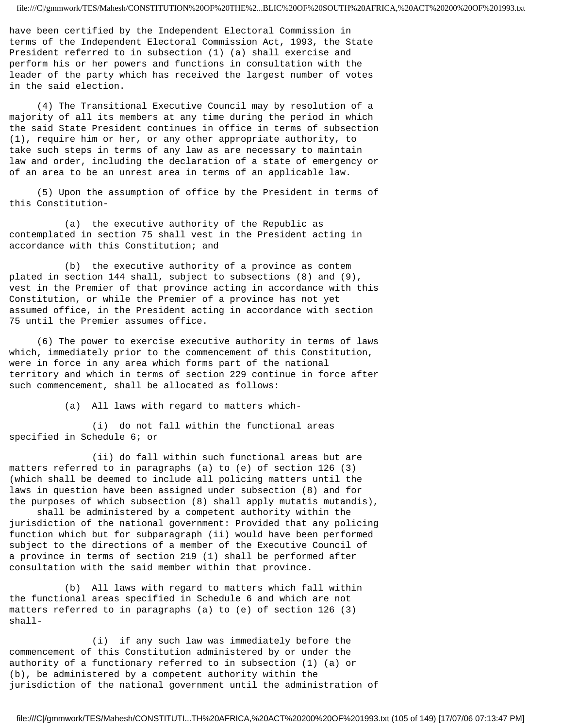have been certified by the Independent Electoral Commission in terms of the Independent Electoral Commission Act, 1993, the State President referred to in subsection (1) (a) shall exercise and perform his or her powers and functions in consultation with the leader of the party which has received the largest number of votes in the said election.

 (4) The Transitional Executive Council may by resolution of a majority of all its members at any time during the period in which the said State President continues in office in terms of subsection (1), require him or her, or any other appropriate authority, to take such steps in terms of any law as are necessary to maintain law and order, including the declaration of a state of emergency or of an area to be an unrest area in terms of an applicable law.

 (5) Upon the assumption of office by the President in terms of this Constitution-

 (a) the executive authority of the Republic as contemplated in section 75 shall vest in the President acting in accordance with this Constitution; and

 (b) the executive authority of a province as contem plated in section 144 shall, subject to subsections (8) and (9), vest in the Premier of that province acting in accordance with this Constitution, or while the Premier of a province has not yet assumed office, in the President acting in accordance with section 75 until the Premier assumes office.

 (6) The power to exercise executive authority in terms of laws which, immediately prior to the commencement of this Constitution, were in force in any area which forms part of the national territory and which in terms of section 229 continue in force after such commencement, shall be allocated as follows:

(a) All laws with regard to matters which-

 (i) do not fall within the functional areas specified in Schedule 6; or

 (ii) do fall within such functional areas but are matters referred to in paragraphs (a) to (e) of section 126 (3) (which shall be deemed to include all policing matters until the laws in question have been assigned under subsection (8) and for the purposes of which subsection (8) shall apply mutatis mutandis),

 shall be administered by a competent authority within the jurisdiction of the national government: Provided that any policing function which but for subparagraph (ii) would have been performed subject to the directions of a member of the Executive Council of a province in terms of section 219 (1) shall be performed after consultation with the said member within that province.

 (b) All laws with regard to matters which fall within the functional areas specified in Schedule 6 and which are not matters referred to in paragraphs (a) to (e) of section 126 (3) shall-

 (i) if any such law was immediately before the commencement of this Constitution administered by or under the authority of a functionary referred to in subsection (1) (a) or (b), be administered by a competent authority within the jurisdiction of the national government until the administration of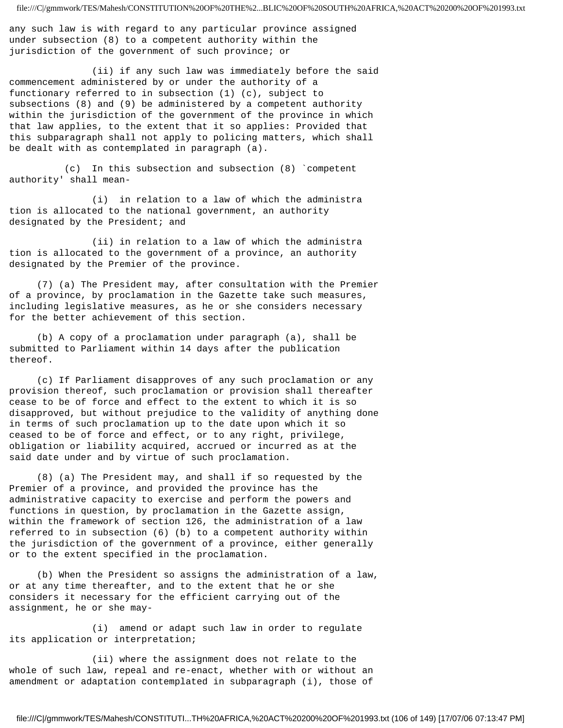any such law is with regard to any particular province assigned under subsection (8) to a competent authority within the jurisdiction of the government of such province; or

 (ii) if any such law was immediately before the said commencement administered by or under the authority of a functionary referred to in subsection (1) (c), subject to subsections (8) and (9) be administered by a competent authority within the jurisdiction of the government of the province in which that law applies, to the extent that it so applies: Provided that this subparagraph shall not apply to policing matters, which shall be dealt with as contemplated in paragraph (a).

 (c) In this subsection and subsection (8) `competent authority' shall mean-

 (i) in relation to a law of which the administra tion is allocated to the national government, an authority designated by the President; and

 (ii) in relation to a law of which the administra tion is allocated to the government of a province, an authority designated by the Premier of the province.

 (7) (a) The President may, after consultation with the Premier of a province, by proclamation in the Gazette take such measures, including legislative measures, as he or she considers necessary for the better achievement of this section.

 (b) A copy of a proclamation under paragraph (a), shall be submitted to Parliament within 14 days after the publication thereof.

 (c) If Parliament disapproves of any such proclamation or any provision thereof, such proclamation or provision shall thereafter cease to be of force and effect to the extent to which it is so disapproved, but without prejudice to the validity of anything done in terms of such proclamation up to the date upon which it so ceased to be of force and effect, or to any right, privilege, obligation or liability acquired, accrued or incurred as at the said date under and by virtue of such proclamation.

 (8) (a) The President may, and shall if so requested by the Premier of a province, and provided the province has the administrative capacity to exercise and perform the powers and functions in question, by proclamation in the Gazette assign, within the framework of section 126, the administration of a law referred to in subsection (6) (b) to a competent authority within the jurisdiction of the government of a province, either generally or to the extent specified in the proclamation.

 (b) When the President so assigns the administration of a law, or at any time thereafter, and to the extent that he or she considers it necessary for the efficient carrying out of the assignment, he or she may-

 (i) amend or adapt such law in order to regulate its application or interpretation;

 (ii) where the assignment does not relate to the whole of such law, repeal and re-enact, whether with or without an amendment or adaptation contemplated in subparagraph (i), those of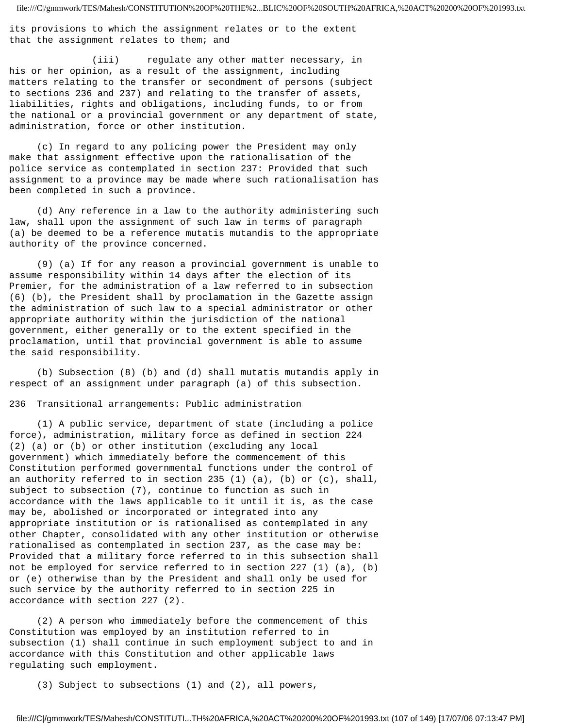its provisions to which the assignment relates or to the extent that the assignment relates to them; and

 (iii) regulate any other matter necessary, in his or her opinion, as a result of the assignment, including matters relating to the transfer or secondment of persons (subject to sections 236 and 237) and relating to the transfer of assets, liabilities, rights and obligations, including funds, to or from the national or a provincial government or any department of state, administration, force or other institution.

 (c) In regard to any policing power the President may only make that assignment effective upon the rationalisation of the police service as contemplated in section 237: Provided that such assignment to a province may be made where such rationalisation has been completed in such a province.

 (d) Any reference in a law to the authority administering such law, shall upon the assignment of such law in terms of paragraph (a) be deemed to be a reference mutatis mutandis to the appropriate authority of the province concerned.

 (9) (a) If for any reason a provincial government is unable to assume responsibility within 14 days after the election of its Premier, for the administration of a law referred to in subsection (6) (b), the President shall by proclamation in the Gazette assign the administration of such law to a special administrator or other appropriate authority within the jurisdiction of the national government, either generally or to the extent specified in the proclamation, until that provincial government is able to assume the said responsibility.

 (b) Subsection (8) (b) and (d) shall mutatis mutandis apply in respect of an assignment under paragraph (a) of this subsection.

236 Transitional arrangements: Public administration

 (1) A public service, department of state (including a police force), administration, military force as defined in section 224 (2) (a) or (b) or other institution (excluding any local government) which immediately before the commencement of this Constitution performed governmental functions under the control of an authority referred to in section 235 (1) (a), (b) or (c), shall, subject to subsection (7), continue to function as such in accordance with the laws applicable to it until it is, as the case may be, abolished or incorporated or integrated into any appropriate institution or is rationalised as contemplated in any other Chapter, consolidated with any other institution or otherwise rationalised as contemplated in section 237, as the case may be: Provided that a military force referred to in this subsection shall not be employed for service referred to in section 227 (1) (a), (b) or (e) otherwise than by the President and shall only be used for such service by the authority referred to in section 225 in accordance with section 227 (2).

 (2) A person who immediately before the commencement of this Constitution was employed by an institution referred to in subsection (1) shall continue in such employment subject to and in accordance with this Constitution and other applicable laws regulating such employment.

(3) Subject to subsections (1) and (2), all powers,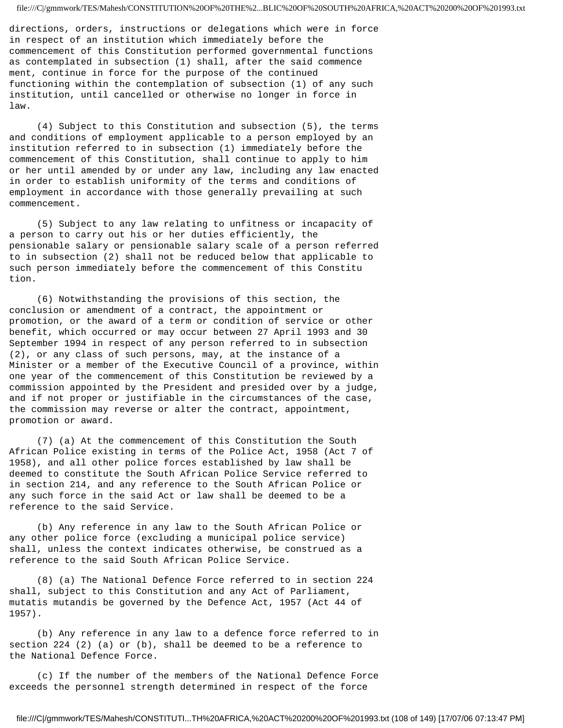directions, orders, instructions or delegations which were in force in respect of an institution which immediately before the commencement of this Constitution performed governmental functions as contemplated in subsection (1) shall, after the said commence ment, continue in force for the purpose of the continued functioning within the contemplation of subsection (1) of any such institution, until cancelled or otherwise no longer in force in law.

 (4) Subject to this Constitution and subsection (5), the terms and conditions of employment applicable to a person employed by an institution referred to in subsection (1) immediately before the commencement of this Constitution, shall continue to apply to him or her until amended by or under any law, including any law enacted in order to establish uniformity of the terms and conditions of employment in accordance with those generally prevailing at such commencement.

 (5) Subject to any law relating to unfitness or incapacity of a person to carry out his or her duties efficiently, the pensionable salary or pensionable salary scale of a person referred to in subsection (2) shall not be reduced below that applicable to such person immediately before the commencement of this Constitu tion.

 (6) Notwithstanding the provisions of this section, the conclusion or amendment of a contract, the appointment or promotion, or the award of a term or condition of service or other benefit, which occurred or may occur between 27 April 1993 and 30 September 1994 in respect of any person referred to in subsection (2), or any class of such persons, may, at the instance of a Minister or a member of the Executive Council of a province, within one year of the commencement of this Constitution be reviewed by a commission appointed by the President and presided over by a judge, and if not proper or justifiable in the circumstances of the case, the commission may reverse or alter the contract, appointment, promotion or award.

 (7) (a) At the commencement of this Constitution the South African Police existing in terms of the Police Act, 1958 (Act 7 of 1958), and all other police forces established by law shall be deemed to constitute the South African Police Service referred to in section 214, and any reference to the South African Police or any such force in the said Act or law shall be deemed to be a reference to the said Service.

 (b) Any reference in any law to the South African Police or any other police force (excluding a municipal police service) shall, unless the context indicates otherwise, be construed as a reference to the said South African Police Service.

 (8) (a) The National Defence Force referred to in section 224 shall, subject to this Constitution and any Act of Parliament, mutatis mutandis be governed by the Defence Act, 1957 (Act 44 of 1957).

 (b) Any reference in any law to a defence force referred to in section 224 (2) (a) or (b), shall be deemed to be a reference to the National Defence Force.

 (c) If the number of the members of the National Defence Force exceeds the personnel strength determined in respect of the force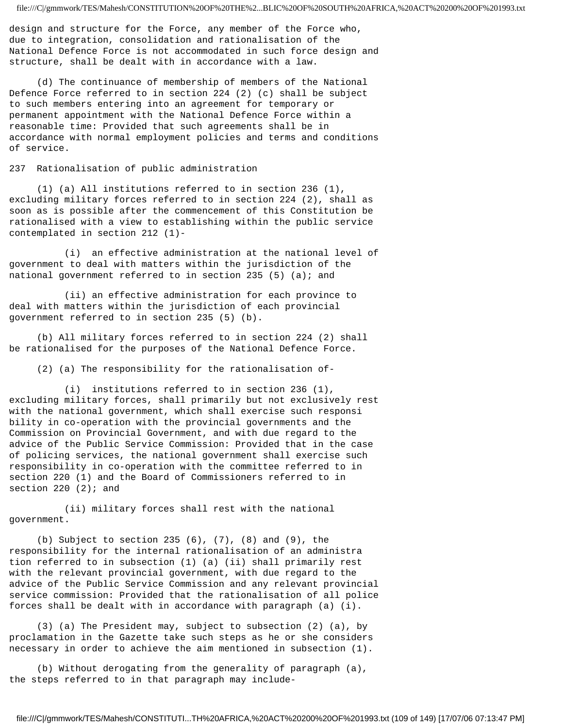design and structure for the Force, any member of the Force who, due to integration, consolidation and rationalisation of the National Defence Force is not accommodated in such force design and structure, shall be dealt with in accordance with a law.

 (d) The continuance of membership of members of the National Defence Force referred to in section 224 (2) (c) shall be subject to such members entering into an agreement for temporary or permanent appointment with the National Defence Force within a reasonable time: Provided that such agreements shall be in accordance with normal employment policies and terms and conditions of service.

237 Rationalisation of public administration

 (1) (a) All institutions referred to in section 236 (1), excluding military forces referred to in section 224 (2), shall as soon as is possible after the commencement of this Constitution be rationalised with a view to establishing within the public service contemplated in section 212 (1)-

 (i) an effective administration at the national level of government to deal with matters within the jurisdiction of the national government referred to in section 235 (5) (a); and

 (ii) an effective administration for each province to deal with matters within the jurisdiction of each provincial government referred to in section 235 (5) (b).

 (b) All military forces referred to in section 224 (2) shall be rationalised for the purposes of the National Defence Force.

(2) (a) The responsibility for the rationalisation of-

 (i) institutions referred to in section 236 (1), excluding military forces, shall primarily but not exclusively rest with the national government, which shall exercise such responsi bility in co-operation with the provincial governments and the Commission on Provincial Government, and with due regard to the advice of the Public Service Commission: Provided that in the case of policing services, the national government shall exercise such responsibility in co-operation with the committee referred to in section 220 (1) and the Board of Commissioners referred to in section  $220$  (2); and

 (ii) military forces shall rest with the national government.

 (b) Subject to section 235 (6), (7), (8) and (9), the responsibility for the internal rationalisation of an administra tion referred to in subsection (1) (a) (ii) shall primarily rest with the relevant provincial government, with due regard to the advice of the Public Service Commission and any relevant provincial service commission: Provided that the rationalisation of all police forces shall be dealt with in accordance with paragraph (a) (i).

 (3) (a) The President may, subject to subsection (2) (a), by proclamation in the Gazette take such steps as he or she considers necessary in order to achieve the aim mentioned in subsection (1).

 (b) Without derogating from the generality of paragraph (a), the steps referred to in that paragraph may include-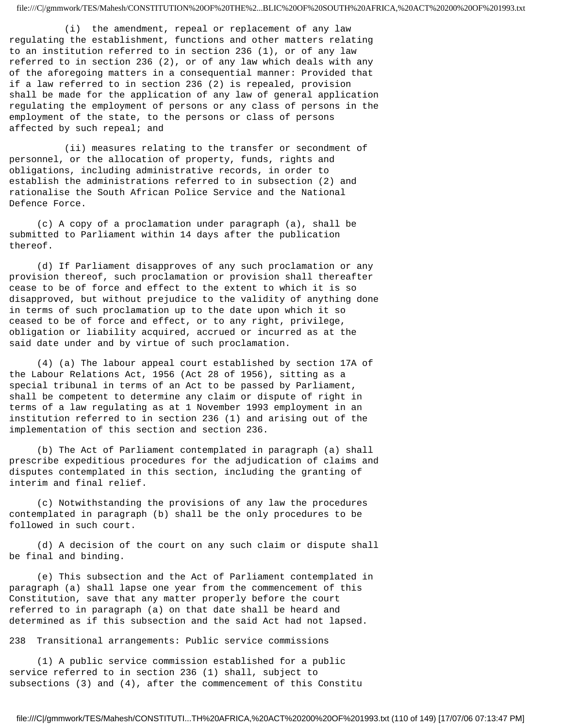(i) the amendment, repeal or replacement of any law regulating the establishment, functions and other matters relating to an institution referred to in section 236 (1), or of any law referred to in section 236 (2), or of any law which deals with any of the aforegoing matters in a consequential manner: Provided that if a law referred to in section 236 (2) is repealed, provision shall be made for the application of any law of general application regulating the employment of persons or any class of persons in the employment of the state, to the persons or class of persons affected by such repeal; and

 (ii) measures relating to the transfer or secondment of personnel, or the allocation of property, funds, rights and obligations, including administrative records, in order to establish the administrations referred to in subsection (2) and rationalise the South African Police Service and the National Defence Force.

 (c) A copy of a proclamation under paragraph (a), shall be submitted to Parliament within 14 days after the publication thereof.

 (d) If Parliament disapproves of any such proclamation or any provision thereof, such proclamation or provision shall thereafter cease to be of force and effect to the extent to which it is so disapproved, but without prejudice to the validity of anything done in terms of such proclamation up to the date upon which it so ceased to be of force and effect, or to any right, privilege, obligation or liability acquired, accrued or incurred as at the said date under and by virtue of such proclamation.

 (4) (a) The labour appeal court established by section 17A of the Labour Relations Act, 1956 (Act 28 of 1956), sitting as a special tribunal in terms of an Act to be passed by Parliament, shall be competent to determine any claim or dispute of right in terms of a law regulating as at 1 November 1993 employment in an institution referred to in section 236 (1) and arising out of the implementation of this section and section 236.

 (b) The Act of Parliament contemplated in paragraph (a) shall prescribe expeditious procedures for the adjudication of claims and disputes contemplated in this section, including the granting of interim and final relief.

 (c) Notwithstanding the provisions of any law the procedures contemplated in paragraph (b) shall be the only procedures to be followed in such court.

 (d) A decision of the court on any such claim or dispute shall be final and binding.

 (e) This subsection and the Act of Parliament contemplated in paragraph (a) shall lapse one year from the commencement of this Constitution, save that any matter properly before the court referred to in paragraph (a) on that date shall be heard and determined as if this subsection and the said Act had not lapsed.

238 Transitional arrangements: Public service commissions

 (1) A public service commission established for a public service referred to in section 236 (1) shall, subject to subsections (3) and (4), after the commencement of this Constitu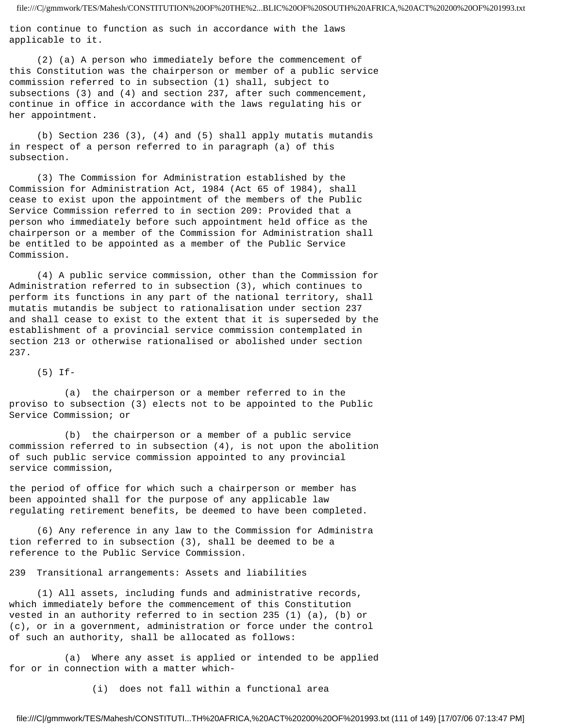tion continue to function as such in accordance with the laws applicable to it.

 (2) (a) A person who immediately before the commencement of this Constitution was the chairperson or member of a public service commission referred to in subsection (1) shall, subject to subsections (3) and (4) and section 237, after such commencement, continue in office in accordance with the laws regulating his or her appointment.

 (b) Section 236 (3), (4) and (5) shall apply mutatis mutandis in respect of a person referred to in paragraph (a) of this subsection.

 (3) The Commission for Administration established by the Commission for Administration Act, 1984 (Act 65 of 1984), shall cease to exist upon the appointment of the members of the Public Service Commission referred to in section 209: Provided that a person who immediately before such appointment held office as the chairperson or a member of the Commission for Administration shall be entitled to be appointed as a member of the Public Service Commission.

 (4) A public service commission, other than the Commission for Administration referred to in subsection (3), which continues to perform its functions in any part of the national territory, shall mutatis mutandis be subject to rationalisation under section 237 and shall cease to exist to the extent that it is superseded by the establishment of a provincial service commission contemplated in section 213 or otherwise rationalised or abolished under section 237.

(5) If-

 (a) the chairperson or a member referred to in the proviso to subsection (3) elects not to be appointed to the Public Service Commission; or

 (b) the chairperson or a member of a public service commission referred to in subsection (4), is not upon the abolition of such public service commission appointed to any provincial service commission,

the period of office for which such a chairperson or member has been appointed shall for the purpose of any applicable law regulating retirement benefits, be deemed to have been completed.

 (6) Any reference in any law to the Commission for Administra tion referred to in subsection (3), shall be deemed to be a reference to the Public Service Commission.

239 Transitional arrangements: Assets and liabilities

 (1) All assets, including funds and administrative records, which immediately before the commencement of this Constitution vested in an authority referred to in section 235 (1) (a), (b) or (c), or in a government, administration or force under the control of such an authority, shall be allocated as follows:

 (a) Where any asset is applied or intended to be applied for or in connection with a matter which-

(i) does not fall within a functional area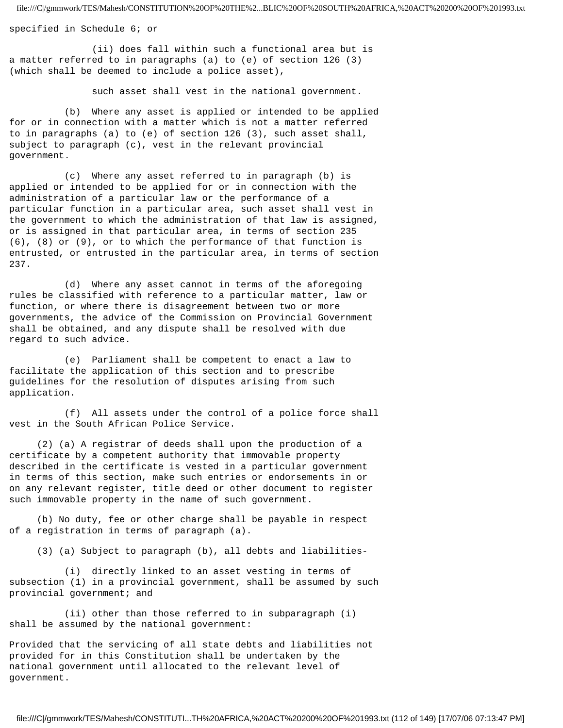specified in Schedule 6; or

 (ii) does fall within such a functional area but is a matter referred to in paragraphs (a) to (e) of section 126 (3) (which shall be deemed to include a police asset),

such asset shall vest in the national government.

 (b) Where any asset is applied or intended to be applied for or in connection with a matter which is not a matter referred to in paragraphs (a) to (e) of section 126 (3), such asset shall, subject to paragraph (c), vest in the relevant provincial government.

 (c) Where any asset referred to in paragraph (b) is applied or intended to be applied for or in connection with the administration of a particular law or the performance of a particular function in a particular area, such asset shall vest in the government to which the administration of that law is assigned, or is assigned in that particular area, in terms of section 235 (6), (8) or (9), or to which the performance of that function is entrusted, or entrusted in the particular area, in terms of section 237.

 (d) Where any asset cannot in terms of the aforegoing rules be classified with reference to a particular matter, law or function, or where there is disagreement between two or more governments, the advice of the Commission on Provincial Government shall be obtained, and any dispute shall be resolved with due regard to such advice.

 (e) Parliament shall be competent to enact a law to facilitate the application of this section and to prescribe guidelines for the resolution of disputes arising from such application.

 (f) All assets under the control of a police force shall vest in the South African Police Service.

 (2) (a) A registrar of deeds shall upon the production of a certificate by a competent authority that immovable property described in the certificate is vested in a particular government in terms of this section, make such entries or endorsements in or on any relevant register, title deed or other document to register such immovable property in the name of such government.

 (b) No duty, fee or other charge shall be payable in respect of a registration in terms of paragraph (a).

(3) (a) Subject to paragraph (b), all debts and liabilities-

 (i) directly linked to an asset vesting in terms of subsection (1) in a provincial government, shall be assumed by such provincial government; and

 (ii) other than those referred to in subparagraph (i) shall be assumed by the national government:

Provided that the servicing of all state debts and liabilities not provided for in this Constitution shall be undertaken by the national government until allocated to the relevant level of government.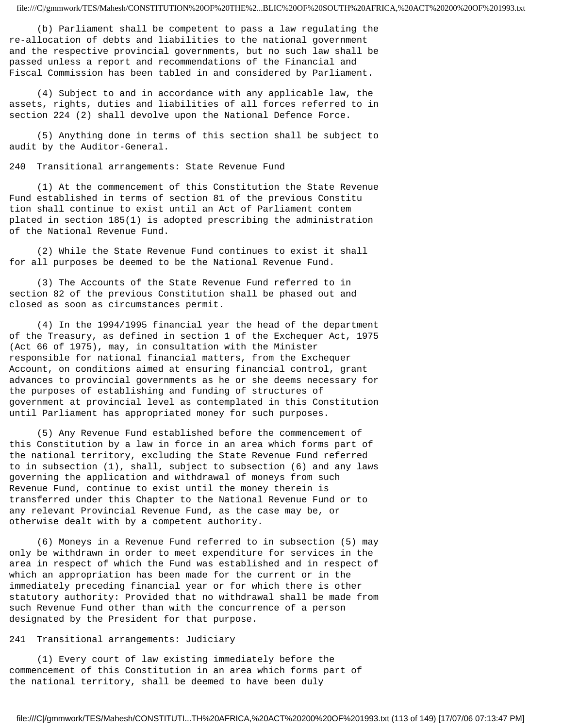(b) Parliament shall be competent to pass a law regulating the re-allocation of debts and liabilities to the national government and the respective provincial governments, but no such law shall be passed unless a report and recommendations of the Financial and Fiscal Commission has been tabled in and considered by Parliament.

 (4) Subject to and in accordance with any applicable law, the assets, rights, duties and liabilities of all forces referred to in section 224 (2) shall devolve upon the National Defence Force.

 (5) Anything done in terms of this section shall be subject to audit by the Auditor-General.

240 Transitional arrangements: State Revenue Fund

 (1) At the commencement of this Constitution the State Revenue Fund established in terms of section 81 of the previous Constitu tion shall continue to exist until an Act of Parliament contem plated in section 185(1) is adopted prescribing the administration of the National Revenue Fund.

 (2) While the State Revenue Fund continues to exist it shall for all purposes be deemed to be the National Revenue Fund.

 (3) The Accounts of the State Revenue Fund referred to in section 82 of the previous Constitution shall be phased out and closed as soon as circumstances permit.

 (4) In the 1994/1995 financial year the head of the department of the Treasury, as defined in section 1 of the Exchequer Act, 1975 (Act 66 of 1975), may, in consultation with the Minister responsible for national financial matters, from the Exchequer Account, on conditions aimed at ensuring financial control, grant advances to provincial governments as he or she deems necessary for the purposes of establishing and funding of structures of government at provincial level as contemplated in this Constitution until Parliament has appropriated money for such purposes.

 (5) Any Revenue Fund established before the commencement of this Constitution by a law in force in an area which forms part of the national territory, excluding the State Revenue Fund referred to in subsection (1), shall, subject to subsection (6) and any laws governing the application and withdrawal of moneys from such Revenue Fund, continue to exist until the money therein is transferred under this Chapter to the National Revenue Fund or to any relevant Provincial Revenue Fund, as the case may be, or otherwise dealt with by a competent authority.

 (6) Moneys in a Revenue Fund referred to in subsection (5) may only be withdrawn in order to meet expenditure for services in the area in respect of which the Fund was established and in respect of which an appropriation has been made for the current or in the immediately preceding financial year or for which there is other statutory authority: Provided that no withdrawal shall be made from such Revenue Fund other than with the concurrence of a person designated by the President for that purpose.

### 241 Transitional arrangements: Judiciary

 (1) Every court of law existing immediately before the commencement of this Constitution in an area which forms part of the national territory, shall be deemed to have been duly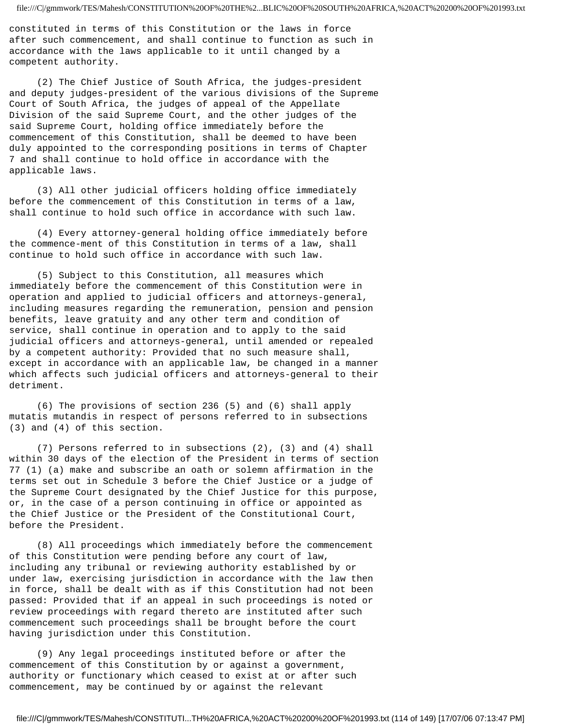constituted in terms of this Constitution or the laws in force after such commencement, and shall continue to function as such in accordance with the laws applicable to it until changed by a competent authority.

 (2) The Chief Justice of South Africa, the judges-president and deputy judges-president of the various divisions of the Supreme Court of South Africa, the judges of appeal of the Appellate Division of the said Supreme Court, and the other judges of the said Supreme Court, holding office immediately before the commencement of this Constitution, shall be deemed to have been duly appointed to the corresponding positions in terms of Chapter 7 and shall continue to hold office in accordance with the applicable laws.

 (3) All other judicial officers holding office immediately before the commencement of this Constitution in terms of a law, shall continue to hold such office in accordance with such law.

 (4) Every attorney-general holding office immediately before the commence-ment of this Constitution in terms of a law, shall continue to hold such office in accordance with such law.

 (5) Subject to this Constitution, all measures which immediately before the commencement of this Constitution were in operation and applied to judicial officers and attorneys-general, including measures regarding the remuneration, pension and pension benefits, leave gratuity and any other term and condition of service, shall continue in operation and to apply to the said judicial officers and attorneys-general, until amended or repealed by a competent authority: Provided that no such measure shall, except in accordance with an applicable law, be changed in a manner which affects such judicial officers and attorneys-general to their detriment.

 (6) The provisions of section 236 (5) and (6) shall apply mutatis mutandis in respect of persons referred to in subsections (3) and (4) of this section.

 (7) Persons referred to in subsections (2), (3) and (4) shall within 30 days of the election of the President in terms of section 77 (1) (a) make and subscribe an oath or solemn affirmation in the terms set out in Schedule 3 before the Chief Justice or a judge of the Supreme Court designated by the Chief Justice for this purpose, or, in the case of a person continuing in office or appointed as the Chief Justice or the President of the Constitutional Court, before the President.

 (8) All proceedings which immediately before the commencement of this Constitution were pending before any court of law, including any tribunal or reviewing authority established by or under law, exercising jurisdiction in accordance with the law then in force, shall be dealt with as if this Constitution had not been passed: Provided that if an appeal in such proceedings is noted or review proceedings with regard thereto are instituted after such commencement such proceedings shall be brought before the court having jurisdiction under this Constitution.

 (9) Any legal proceedings instituted before or after the commencement of this Constitution by or against a government, authority or functionary which ceased to exist at or after such commencement, may be continued by or against the relevant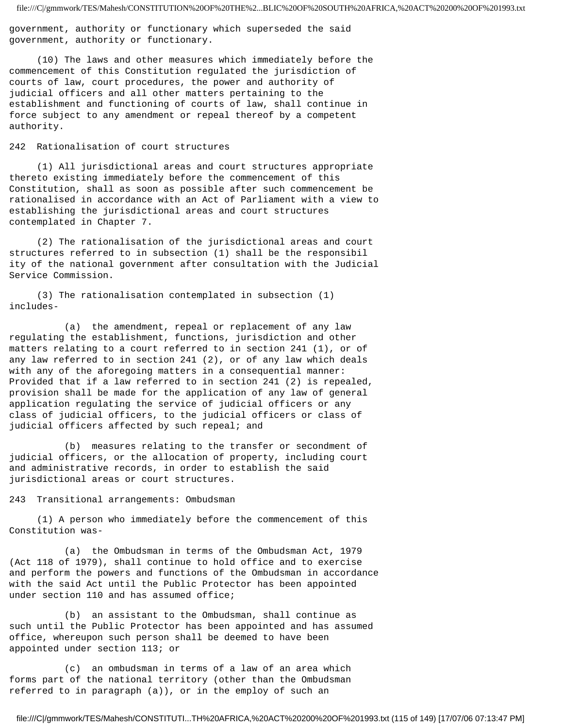government, authority or functionary which superseded the said government, authority or functionary.

 (10) The laws and other measures which immediately before the commencement of this Constitution regulated the jurisdiction of courts of law, court procedures, the power and authority of judicial officers and all other matters pertaining to the establishment and functioning of courts of law, shall continue in force subject to any amendment or repeal thereof by a competent authority.

242 Rationalisation of court structures

 (1) All jurisdictional areas and court structures appropriate thereto existing immediately before the commencement of this Constitution, shall as soon as possible after such commencement be rationalised in accordance with an Act of Parliament with a view to establishing the jurisdictional areas and court structures contemplated in Chapter 7.

 (2) The rationalisation of the jurisdictional areas and court structures referred to in subsection (1) shall be the responsibil ity of the national government after consultation with the Judicial Service Commission.

 (3) The rationalisation contemplated in subsection (1) includes-

 (a) the amendment, repeal or replacement of any law regulating the establishment, functions, jurisdiction and other matters relating to a court referred to in section 241 (1), or of any law referred to in section 241 (2), or of any law which deals with any of the aforegoing matters in a consequential manner: Provided that if a law referred to in section 241 (2) is repealed, provision shall be made for the application of any law of general application regulating the service of judicial officers or any class of judicial officers, to the judicial officers or class of judicial officers affected by such repeal; and

 (b) measures relating to the transfer or secondment of judicial officers, or the allocation of property, including court and administrative records, in order to establish the said jurisdictional areas or court structures.

243 Transitional arrangements: Ombudsman

 (1) A person who immediately before the commencement of this Constitution was-

 (a) the Ombudsman in terms of the Ombudsman Act, 1979 (Act 118 of 1979), shall continue to hold office and to exercise and perform the powers and functions of the Ombudsman in accordance with the said Act until the Public Protector has been appointed under section 110 and has assumed office;

 (b) an assistant to the Ombudsman, shall continue as such until the Public Protector has been appointed and has assumed office, whereupon such person shall be deemed to have been appointed under section 113; or

 (c) an ombudsman in terms of a law of an area which forms part of the national territory (other than the Ombudsman referred to in paragraph (a)), or in the employ of such an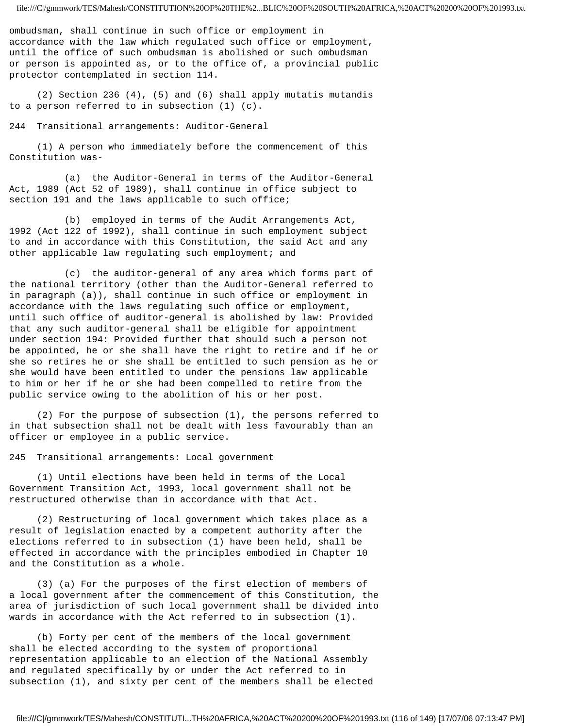ombudsman, shall continue in such office or employment in accordance with the law which regulated such office or employment, until the office of such ombudsman is abolished or such ombudsman or person is appointed as, or to the office of, a provincial public protector contemplated in section 114.

 (2) Section 236 (4), (5) and (6) shall apply mutatis mutandis to a person referred to in subsection (1) (c).

244 Transitional arrangements: Auditor-General

 (1) A person who immediately before the commencement of this Constitution was-

 (a) the Auditor-General in terms of the Auditor-General Act, 1989 (Act 52 of 1989), shall continue in office subject to section 191 and the laws applicable to such office;

 (b) employed in terms of the Audit Arrangements Act, 1992 (Act 122 of 1992), shall continue in such employment subject to and in accordance with this Constitution, the said Act and any other applicable law regulating such employment; and

 (c) the auditor-general of any area which forms part of the national territory (other than the Auditor-General referred to in paragraph (a)), shall continue in such office or employment in accordance with the laws regulating such office or employment, until such office of auditor-general is abolished by law: Provided that any such auditor-general shall be eligible for appointment under section 194: Provided further that should such a person not be appointed, he or she shall have the right to retire and if he or she so retires he or she shall be entitled to such pension as he or she would have been entitled to under the pensions law applicable to him or her if he or she had been compelled to retire from the public service owing to the abolition of his or her post.

 (2) For the purpose of subsection (1), the persons referred to in that subsection shall not be dealt with less favourably than an officer or employee in a public service.

245 Transitional arrangements: Local government

 (1) Until elections have been held in terms of the Local Government Transition Act, 1993, local government shall not be restructured otherwise than in accordance with that Act.

 (2) Restructuring of local government which takes place as a result of legislation enacted by a competent authority after the elections referred to in subsection (1) have been held, shall be effected in accordance with the principles embodied in Chapter 10 and the Constitution as a whole.

 (3) (a) For the purposes of the first election of members of a local government after the commencement of this Constitution, the area of jurisdiction of such local government shall be divided into wards in accordance with the Act referred to in subsection (1).

 (b) Forty per cent of the members of the local government shall be elected according to the system of proportional representation applicable to an election of the National Assembly and regulated specifically by or under the Act referred to in subsection (1), and sixty per cent of the members shall be elected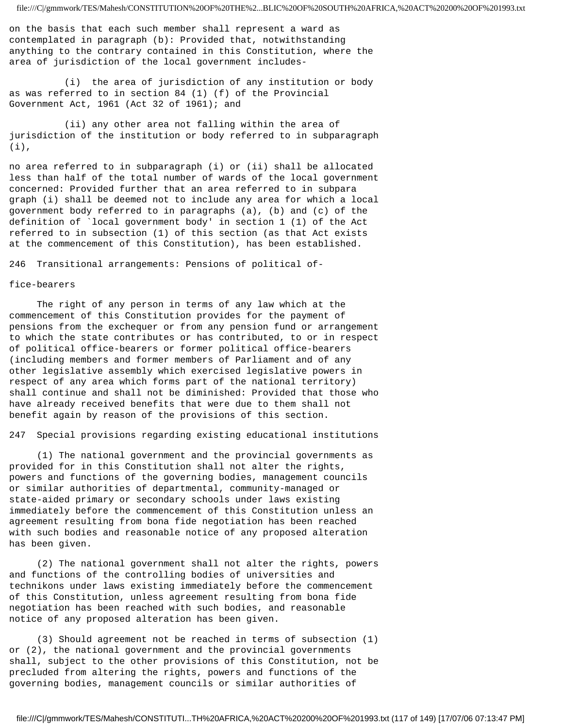on the basis that each such member shall represent a ward as contemplated in paragraph (b): Provided that, notwithstanding anything to the contrary contained in this Constitution, where the area of jurisdiction of the local government includes-

 (i) the area of jurisdiction of any institution or body as was referred to in section 84 (1) (f) of the Provincial Government Act, 1961 (Act 32 of 1961); and

 (ii) any other area not falling within the area of jurisdiction of the institution or body referred to in subparagraph (i),

no area referred to in subparagraph (i) or (ii) shall be allocated less than half of the total number of wards of the local government concerned: Provided further that an area referred to in subpara graph (i) shall be deemed not to include any area for which a local government body referred to in paragraphs (a), (b) and (c) of the definition of `local government body' in section 1 (1) of the Act referred to in subsection (1) of this section (as that Act exists at the commencement of this Constitution), has been established.

246 Transitional arrangements: Pensions of political of-

### fice-bearers

 The right of any person in terms of any law which at the commencement of this Constitution provides for the payment of pensions from the exchequer or from any pension fund or arrangement to which the state contributes or has contributed, to or in respect of political office-bearers or former political office-bearers (including members and former members of Parliament and of any other legislative assembly which exercised legislative powers in respect of any area which forms part of the national territory) shall continue and shall not be diminished: Provided that those who have already received benefits that were due to them shall not benefit again by reason of the provisions of this section.

247 Special provisions regarding existing educational institutions

 (1) The national government and the provincial governments as provided for in this Constitution shall not alter the rights, powers and functions of the governing bodies, management councils or similar authorities of departmental, community-managed or state-aided primary or secondary schools under laws existing immediately before the commencement of this Constitution unless an agreement resulting from bona fide negotiation has been reached with such bodies and reasonable notice of any proposed alteration has been given.

 (2) The national government shall not alter the rights, powers and functions of the controlling bodies of universities and technikons under laws existing immediately before the commencement of this Constitution, unless agreement resulting from bona fide negotiation has been reached with such bodies, and reasonable notice of any proposed alteration has been given.

 (3) Should agreement not be reached in terms of subsection (1) or (2), the national government and the provincial governments shall, subject to the other provisions of this Constitution, not be precluded from altering the rights, powers and functions of the governing bodies, management councils or similar authorities of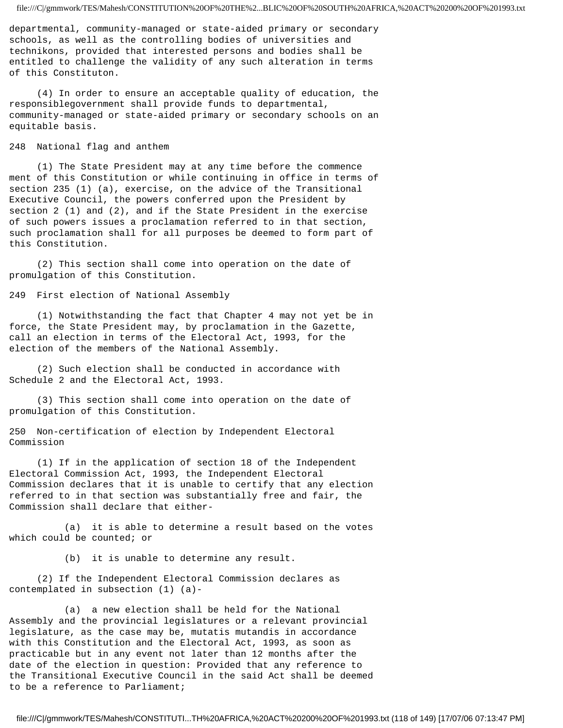departmental, community-managed or state-aided primary or secondary schools, as well as the controlling bodies of universities and technikons, provided that interested persons and bodies shall be entitled to challenge the validity of any such alteration in terms of this Constituton.

 (4) In order to ensure an acceptable quality of education, the responsiblegovernment shall provide funds to departmental, community-managed or state-aided primary or secondary schools on an equitable basis.

248 National flag and anthem

 (1) The State President may at any time before the commence ment of this Constitution or while continuing in office in terms of section 235 (1) (a), exercise, on the advice of the Transitional Executive Council, the powers conferred upon the President by section 2 (1) and (2), and if the State President in the exercise of such powers issues a proclamation referred to in that section, such proclamation shall for all purposes be deemed to form part of this Constitution.

 (2) This section shall come into operation on the date of promulgation of this Constitution.

249 First election of National Assembly

 (1) Notwithstanding the fact that Chapter 4 may not yet be in force, the State President may, by proclamation in the Gazette, call an election in terms of the Electoral Act, 1993, for the election of the members of the National Assembly.

 (2) Such election shall be conducted in accordance with Schedule 2 and the Electoral Act, 1993.

 (3) This section shall come into operation on the date of promulgation of this Constitution.

250 Non-certification of election by Independent Electoral Commission

 (1) If in the application of section 18 of the Independent Electoral Commission Act, 1993, the Independent Electoral Commission declares that it is unable to certify that any election referred to in that section was substantially free and fair, the Commission shall declare that either-

 (a) it is able to determine a result based on the votes which could be counted; or

(b) it is unable to determine any result.

 (2) If the Independent Electoral Commission declares as contemplated in subsection (1) (a)-

 (a) a new election shall be held for the National Assembly and the provincial legislatures or a relevant provincial legislature, as the case may be, mutatis mutandis in accordance with this Constitution and the Electoral Act, 1993, as soon as practicable but in any event not later than 12 months after the date of the election in question: Provided that any reference to the Transitional Executive Council in the said Act shall be deemed to be a reference to Parliament;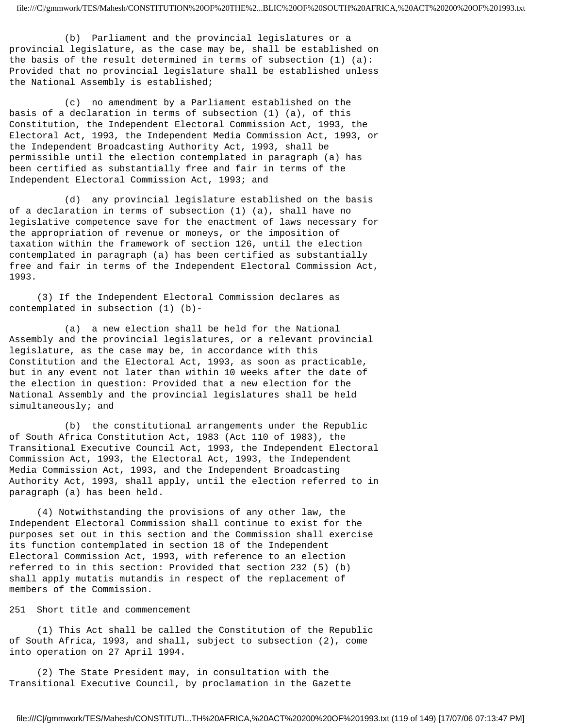(b) Parliament and the provincial legislatures or a provincial legislature, as the case may be, shall be established on the basis of the result determined in terms of subsection (1) (a): Provided that no provincial legislature shall be established unless the National Assembly is established;

 (c) no amendment by a Parliament established on the basis of a declaration in terms of subsection (1) (a), of this Constitution, the Independent Electoral Commission Act, 1993, the Electoral Act, 1993, the Independent Media Commission Act, 1993, or the Independent Broadcasting Authority Act, 1993, shall be permissible until the election contemplated in paragraph (a) has been certified as substantially free and fair in terms of the Independent Electoral Commission Act, 1993; and

 (d) any provincial legislature established on the basis of a declaration in terms of subsection (1) (a), shall have no legislative competence save for the enactment of laws necessary for the appropriation of revenue or moneys, or the imposition of taxation within the framework of section 126, until the election contemplated in paragraph (a) has been certified as substantially free and fair in terms of the Independent Electoral Commission Act, 1993.

 (3) If the Independent Electoral Commission declares as contemplated in subsection (1) (b)-

 (a) a new election shall be held for the National Assembly and the provincial legislatures, or a relevant provincial legislature, as the case may be, in accordance with this Constitution and the Electoral Act, 1993, as soon as practicable, but in any event not later than within 10 weeks after the date of the election in question: Provided that a new election for the National Assembly and the provincial legislatures shall be held simultaneously; and

 (b) the constitutional arrangements under the Republic of South Africa Constitution Act, 1983 (Act 110 of 1983), the Transitional Executive Council Act, 1993, the Independent Electoral Commission Act, 1993, the Electoral Act, 1993, the Independent Media Commission Act, 1993, and the Independent Broadcasting Authority Act, 1993, shall apply, until the election referred to in paragraph (a) has been held.

 (4) Notwithstanding the provisions of any other law, the Independent Electoral Commission shall continue to exist for the purposes set out in this section and the Commission shall exercise its function contemplated in section 18 of the Independent Electoral Commission Act, 1993, with reference to an election referred to in this section: Provided that section 232 (5) (b) shall apply mutatis mutandis in respect of the replacement of members of the Commission.

#### 251 Short title and commencement

 (1) This Act shall be called the Constitution of the Republic of South Africa, 1993, and shall, subject to subsection (2), come into operation on 27 April 1994.

 (2) The State President may, in consultation with the Transitional Executive Council, by proclamation in the Gazette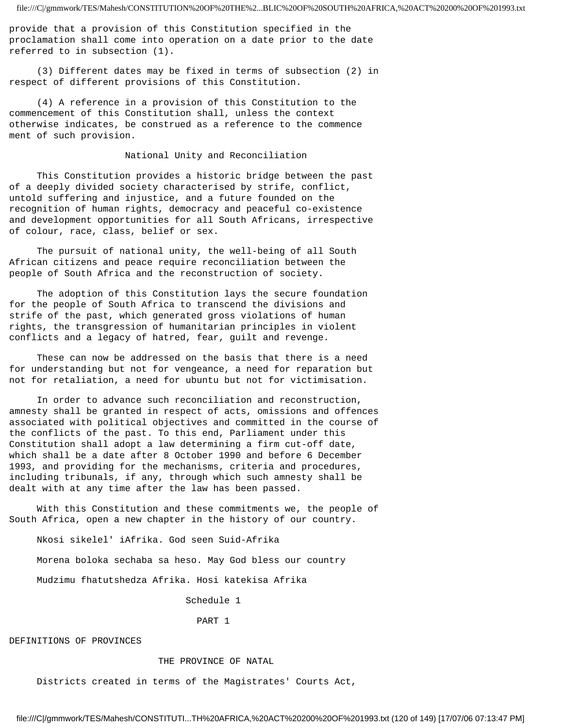provide that a provision of this Constitution specified in the proclamation shall come into operation on a date prior to the date referred to in subsection (1).

 (3) Different dates may be fixed in terms of subsection (2) in respect of different provisions of this Constitution.

 (4) A reference in a provision of this Constitution to the commencement of this Constitution shall, unless the context otherwise indicates, be construed as a reference to the commence ment of such provision.

National Unity and Reconciliation

 This Constitution provides a historic bridge between the past of a deeply divided society characterised by strife, conflict, untold suffering and injustice, and a future founded on the recognition of human rights, democracy and peaceful co-existence and development opportunities for all South Africans, irrespective of colour, race, class, belief or sex.

 The pursuit of national unity, the well-being of all South African citizens and peace require reconciliation between the people of South Africa and the reconstruction of society.

 The adoption of this Constitution lays the secure foundation for the people of South Africa to transcend the divisions and strife of the past, which generated gross violations of human rights, the transgression of humanitarian principles in violent conflicts and a legacy of hatred, fear, guilt and revenge.

 These can now be addressed on the basis that there is a need for understanding but not for vengeance, a need for reparation but not for retaliation, a need for ubuntu but not for victimisation.

 In order to advance such reconciliation and reconstruction, amnesty shall be granted in respect of acts, omissions and offences associated with political objectives and committed in the course of the conflicts of the past. To this end, Parliament under this Constitution shall adopt a law determining a firm cut-off date, which shall be a date after 8 October 1990 and before 6 December 1993, and providing for the mechanisms, criteria and procedures, including tribunals, if any, through which such amnesty shall be dealt with at any time after the law has been passed.

 With this Constitution and these commitments we, the people of South Africa, open a new chapter in the history of our country.

 Nkosi sikelel' iAfrika. God seen Suid-Afrika Morena boloka sechaba sa heso. May God bless our country Mudzimu fhatutshedza Afrika. Hosi katekisa Afrika

Schedule 1

PART 1

DEFINITIONS OF PROVINCES

#### THE PROVINCE OF NATAL

Districts created in terms of the Magistrates' Courts Act,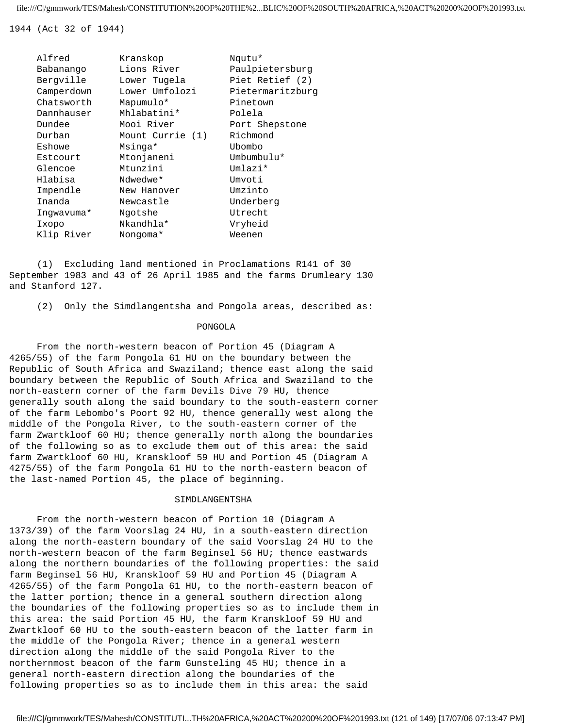1944 (Act 32 of 1944)

| Alfred     | Kranskop         | Ngutu*           |
|------------|------------------|------------------|
| Babanango  | Lions River      | Paulpietersburg  |
| Bergville  | Lower Tugela     | Piet Retief (2)  |
| Camperdown | Lower Umfolozi   | Pietermaritzburg |
| Chatsworth | Mapumulo*        | Pinetown         |
| Dannhauser | Mhlabatini*      | Polela           |
| Dundee     | Mooi River       | Port Shepstone   |
| Durban     | Mount Currie (1) | Richmond         |
| Eshowe     | Msinga*          | Ubombo           |
| Estcourt   | Mtonjaneni       | Umbumbulu*       |
| Glencoe    | Mtunzini         | $Umlazi*$        |
| Hlabisa    | Ndwedwe*         | Umvoti           |
| Impendle   | New Hanover      | Umzinto          |
| Inanda     | Newcastle        | Underberg        |
| Inqwavuma* | Ngotshe          | Utrecht          |
| Ixopo      | Nkandhla*        | Vryheid          |
| Klip River | Nongoma*         | Weenen           |
|            |                  |                  |

 (1) Excluding land mentioned in Proclamations R141 of 30 September 1983 and 43 of 26 April 1985 and the farms Drumleary 130 and Stanford 127.

(2) Only the Simdlangentsha and Pongola areas, described as:

#### PONGOLA

 From the north-western beacon of Portion 45 (Diagram A 4265/55) of the farm Pongola 61 HU on the boundary between the Republic of South Africa and Swaziland; thence east along the said boundary between the Republic of South Africa and Swaziland to the north-eastern corner of the farm Devils Dive 79 HU, thence generally south along the said boundary to the south-eastern corner of the farm Lebombo's Poort 92 HU, thence generally west along the middle of the Pongola River, to the south-eastern corner of the farm Zwartkloof 60 HU; thence generally north along the boundaries of the following so as to exclude them out of this area: the said farm Zwartkloof 60 HU, Kranskloof 59 HU and Portion 45 (Diagram A 4275/55) of the farm Pongola 61 HU to the north-eastern beacon of the last-named Portion 45, the place of beginning.

#### SIMDLANGENTSHA

 From the north-western beacon of Portion 10 (Diagram A 1373/39) of the farm Voorslag 24 HU, in a south-eastern direction along the north-eastern boundary of the said Voorslag 24 HU to the north-western beacon of the farm Beginsel 56 HU; thence eastwards along the northern boundaries of the following properties: the said farm Beginsel 56 HU, Kranskloof 59 HU and Portion 45 (Diagram A 4265/55) of the farm Pongola 61 HU, to the north-eastern beacon of the latter portion; thence in a general southern direction along the boundaries of the following properties so as to include them in this area: the said Portion 45 HU, the farm Kranskloof 59 HU and Zwartkloof 60 HU to the south-eastern beacon of the latter farm in the middle of the Pongola River; thence in a general western direction along the middle of the said Pongola River to the northernmost beacon of the farm Gunsteling 45 HU; thence in a general north-eastern direction along the boundaries of the following properties so as to include them in this area: the said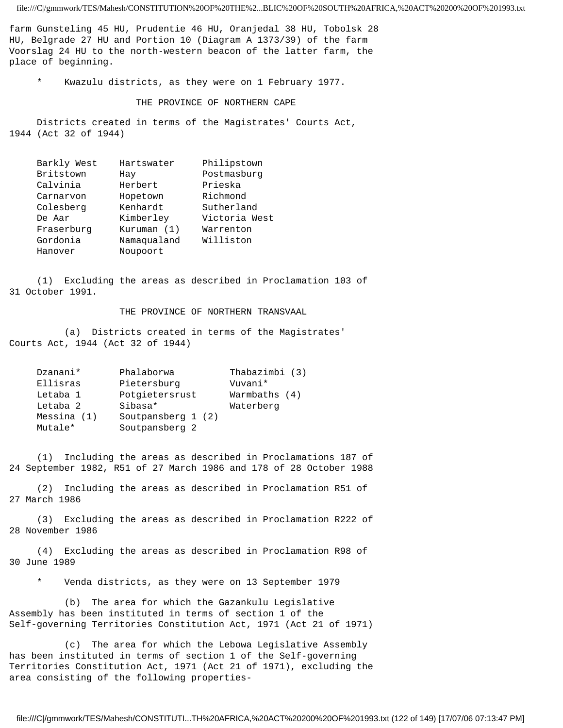farm Gunsteling 45 HU, Prudentie 46 HU, Oranjedal 38 HU, Tobolsk 28 HU, Belgrade 27 HU and Portion 10 (Diagram A 1373/39) of the farm Voorslag 24 HU to the north-western beacon of the latter farm, the place of beginning.

\* Kwazulu districts, as they were on 1 February 1977.

THE PROVINCE OF NORTHERN CAPE

 Districts created in terms of the Magistrates' Courts Act, 1944 (Act 32 of 1944)

| Barkly West | Hartswater  | Philipstown   |
|-------------|-------------|---------------|
| Britstown   | Hay         | Postmasburg   |
| Calvinia    | Herbert     | Prieska       |
| Carnarvon   | Hopetown    | Richmond      |
| Colesberg   | Kenhardt    | Sutherland    |
| De Aar      | Kimberley   | Victoria West |
| Fraserburg  | Kuruman (1) | Warrenton     |
| Gordonia    | Namaqualand | Williston     |
| Hanover     | Noupoort    |               |
|             |             |               |

 (1) Excluding the areas as described in Proclamation 103 of 31 October 1991.

THE PROVINCE OF NORTHERN TRANSVAAL

 (a) Districts created in terms of the Magistrates' Courts Act, 1944 (Act 32 of 1944)

| Dzanani*      | Phalaborwa          | Thabazimbi (3) |
|---------------|---------------------|----------------|
| Ellisras      | Pietersburg         | Vuvani*        |
| Letaba 1      | Potgietersrust      | Warmbaths (4)  |
| Letaba 2      | Sibasa*             | Waterberg      |
| Messina $(1)$ | Soutpansberg $1(2)$ |                |
| Mutale*       | Soutpansberg 2      |                |

 (1) Including the areas as described in Proclamations 187 of 24 September 1982, R51 of 27 March 1986 and 178 of 28 October 1988

 (2) Including the areas as described in Proclamation R51 of 27 March 1986

 (3) Excluding the areas as described in Proclamation R222 of 28 November 1986

 (4) Excluding the areas as described in Proclamation R98 of 30 June 1989

\* Venda districts, as they were on 13 September 1979

 (b) The area for which the Gazankulu Legislative Assembly has been instituted in terms of section 1 of the Self-governing Territories Constitution Act, 1971 (Act 21 of 1971)

 (c) The area for which the Lebowa Legislative Assembly has been instituted in terms of section 1 of the Self-governing Territories Constitution Act, 1971 (Act 21 of 1971), excluding the area consisting of the following properties-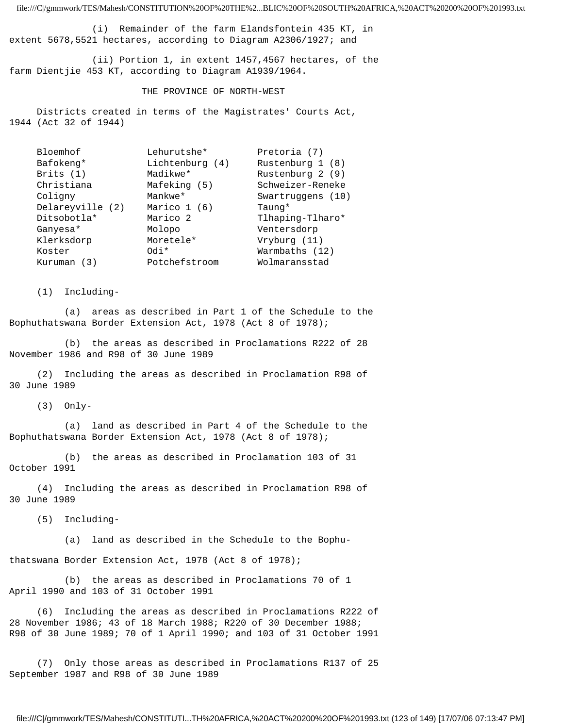(i) Remainder of the farm Elandsfontein 435 KT, in extent 5678,5521 hectares, according to Diagram A2306/1927; and

 (ii) Portion 1, in extent 1457,4567 hectares, of the farm Dientjie 453 KT, according to Diagram A1939/1964.

THE PROVINCE OF NORTH-WEST

 Districts created in terms of the Magistrates' Courts Act, 1944 (Act 32 of 1944)

| Bloemhof         | Lehurutshe*     | Pretoria (7)        |
|------------------|-----------------|---------------------|
| Bafokeng*        | Lichtenburg (4) | Rustenburg 1<br>(8) |
| Brits $(1)$      | Madikwe*        | Rustenburg 2 (9)    |
| Christiana       | Mafeking (5)    | Schweizer-Reneke    |
| Coligny          | Mankwe*         | Swartruggens (10)   |
| Delareyville (2) | Marico $1(6)$   | Taung*              |
| Ditsobotla*      | Marico 2        | Tlhaping-Tlharo*    |
| Ganyesa*         | Molopo          | Ventersdorp         |
| Klerksdorp       | Moretele*       | Vryburg (11)        |
| Koster           | ^ibO            | Warmbaths (12)      |
| Kuruman          | Potchefstroom   | Wolmaransstad       |

(1) Including-

 (a) areas as described in Part 1 of the Schedule to the Bophuthatswana Border Extension Act, 1978 (Act 8 of 1978);

 (b) the areas as described in Proclamations R222 of 28 November 1986 and R98 of 30 June 1989

 (2) Including the areas as described in Proclamation R98 of 30 June 1989

(3) Only-

 (a) land as described in Part 4 of the Schedule to the Bophuthatswana Border Extension Act, 1978 (Act 8 of 1978);

 (b) the areas as described in Proclamation 103 of 31 October 1991

 (4) Including the areas as described in Proclamation R98 of 30 June 1989

(5) Including-

(a) land as described in the Schedule to the Bophu-

thatswana Border Extension Act, 1978 (Act 8 of 1978);

 (b) the areas as described in Proclamations 70 of 1 April 1990 and 103 of 31 October 1991

 (6) Including the areas as described in Proclamations R222 of 28 November 1986; 43 of 18 March 1988; R220 of 30 December 1988; R98 of 30 June 1989; 70 of 1 April 1990; and 103 of 31 October 1991

 (7) Only those areas as described in Proclamations R137 of 25 September 1987 and R98 of 30 June 1989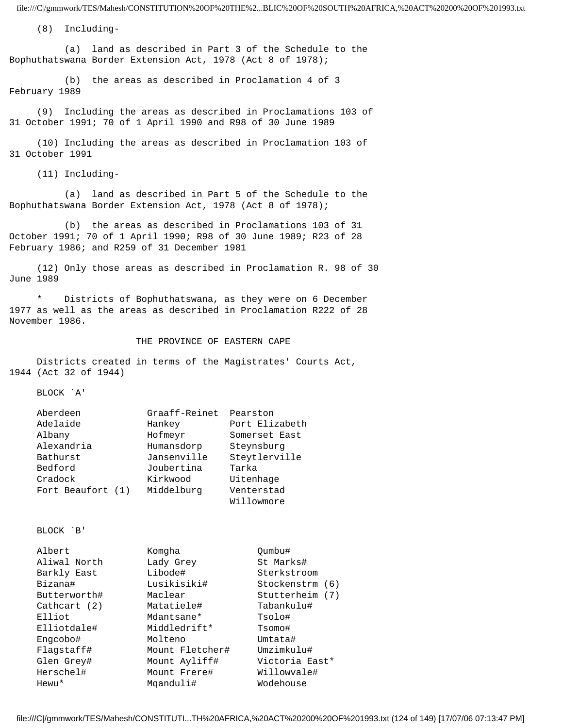(8) Including-

 (a) land as described in Part 3 of the Schedule to the Bophuthatswana Border Extension Act, 1978 (Act 8 of 1978);

 (b) the areas as described in Proclamation 4 of 3 February 1989

 (9) Including the areas as described in Proclamations 103 of 31 October 1991; 70 of 1 April 1990 and R98 of 30 June 1989

 (10) Including the areas as described in Proclamation 103 of 31 October 1991

(11) Including-

 (a) land as described in Part 5 of the Schedule to the Bophuthatswana Border Extension Act, 1978 (Act 8 of 1978);

 (b) the areas as described in Proclamations 103 of 31 October 1991; 70 of 1 April 1990; R98 of 30 June 1989; R23 of 28 February 1986; and R259 of 31 December 1981

 (12) Only those areas as described in Proclamation R. 98 of 30 June 1989

Districts of Bophuthatswana, as they were on 6 December 1977 as well as the areas as described in Proclamation R222 of 28 November 1986.

THE PROVINCE OF EASTERN CAPE

 Districts created in terms of the Magistrates' Courts Act, 1944 (Act 32 of 1944)

BLOCK `A'

| Aberdeen          | Graaff-Reinet | Pearston       |
|-------------------|---------------|----------------|
| Adelaide          | Hankey        | Port Elizabeth |
| Albany            | Hofmeyr       | Somerset East  |
| Alexandria        | Humansdorp    | Steynsburg     |
| Bathurst          | Jansenville   | Steytlerville  |
| Bedford           | Joubertina    | Tarka          |
| Cradock           | Kirkwood      | Uitenhage      |
| Fort Beaufort (1) | Middelburg    | Venterstad     |
|                   |               | Willowmore     |

BLOCK `B'

| Albert       | Komgha          | Oumbu#          |
|--------------|-----------------|-----------------|
| Aliwal North | Lady Grey       | St Marks#       |
| Barkly East  | Libode#         | Sterkstroom     |
| Bizana#      | Lusikisiki#     | Stockenstrm (6) |
| Butterworth# | Maclear         | Stutterheim (7) |
| Cathcart (2) | Matatiele#      | Tabankulu#      |
| Elliot       | Mdantsane*      | Tsolo#          |
| Elliotdale#  | Middledrift*    | Tsomo#          |
| Engcobo#     | Molteno         | Umtata#         |
| Flagstaff#   | Mount Fletcher# | Umzimkulu#      |
| Glen Grey#   | Mount Ayliff#   | Victoria East*  |
| Herschel#    | Mount Frere#    | Willowvale#     |
| Hewu*        | Mganduli#       | Wodehouse       |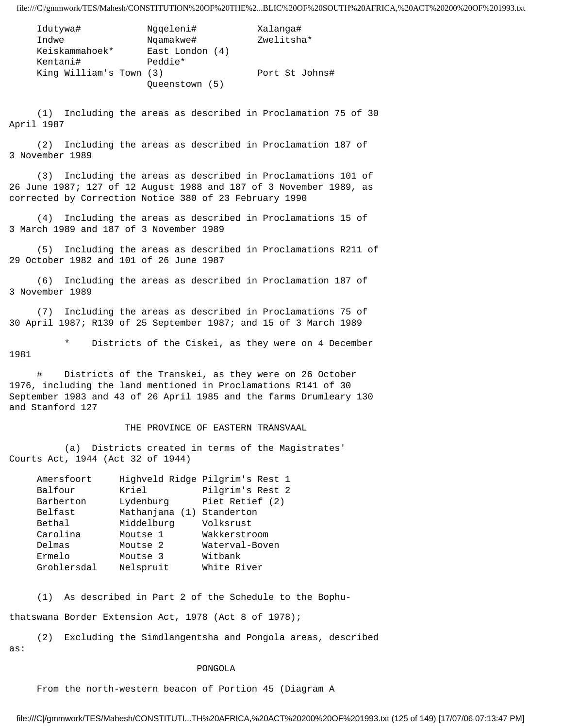| Idutywa#                | Nggeleni#       | Xalanga#       |
|-------------------------|-----------------|----------------|
| Indwe                   | Ngamakwe#       | Zwelitsha*     |
| Keiskammahoek*          | East London (4) |                |
| Kentani#                | Peddie*         |                |
| King William's Town (3) |                 | Port St Johns# |
|                         | Oueenstown (5)  |                |

 (1) Including the areas as described in Proclamation 75 of 30 April 1987

 (2) Including the areas as described in Proclamation 187 of 3 November 1989

 (3) Including the areas as described in Proclamations 101 of 26 June 1987; 127 of 12 August 1988 and 187 of 3 November 1989, as corrected by Correction Notice 380 of 23 February 1990

 (4) Including the areas as described in Proclamations 15 of 3 March 1989 and 187 of 3 November 1989

 (5) Including the areas as described in Proclamations R211 of 29 October 1982 and 101 of 26 June 1987

 (6) Including the areas as described in Proclamation 187 of 3 November 1989

 (7) Including the areas as described in Proclamations 75 of 30 April 1987; R139 of 25 September 1987; and 15 of 3 March 1989

Districts of the Ciskei, as they were on 4 December 1981

Districts of the Transkei, as they were on 26 October 1976, including the land mentioned in Proclamations R141 of 30 September 1983 and 43 of 26 April 1985 and the farms Drumleary 130 and Stanford 127

THE PROVINCE OF EASTERN TRANSVAAL

 (a) Districts created in terms of the Magistrates' Courts Act, 1944 (Act 32 of 1944)

| Amersfoort  |                | Highveld Ridge Pilgrim's Rest 1 |
|-------------|----------------|---------------------------------|
| Balfour     | Kriel          | Pilgrim's Rest 2                |
| Barberton   | Lydenburg      | Piet Retief (2)                 |
| Belfast     | Mathanjana (1) | Standerton                      |
| Bethal      | Middelburg     | Volksrust                       |
| Carolina    | Moutse 1       | Wakkerstroom                    |
| Delmas      | Moutse 2       | Waterval-Boven                  |
| Ermelo      | Moutse 3       | Witbank                         |
| Groblersdal | Nelspruit      | White River                     |
|             |                |                                 |

(1) As described in Part 2 of the Schedule to the Bophu-

thatswana Border Extension Act, 1978 (Act 8 of 1978);

 (2) Excluding the Simdlangentsha and Pongola areas, described as:

#### PONGOLA

From the north-western beacon of Portion 45 (Diagram A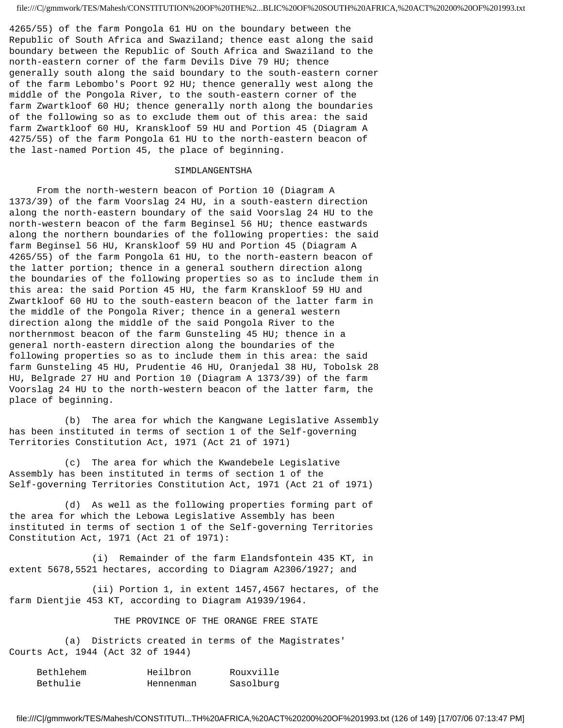4265/55) of the farm Pongola 61 HU on the boundary between the Republic of South Africa and Swaziland; thence east along the said boundary between the Republic of South Africa and Swaziland to the north-eastern corner of the farm Devils Dive 79 HU; thence generally south along the said boundary to the south-eastern corner of the farm Lebombo's Poort 92 HU; thence generally west along the middle of the Pongola River, to the south-eastern corner of the farm Zwartkloof 60 HU; thence generally north along the boundaries of the following so as to exclude them out of this area: the said farm Zwartkloof 60 HU, Kranskloof 59 HU and Portion 45 (Diagram A 4275/55) of the farm Pongola 61 HU to the north-eastern beacon of the last-named Portion 45, the place of beginning.

#### SIMDLANGENTSHA

 From the north-western beacon of Portion 10 (Diagram A 1373/39) of the farm Voorslag 24 HU, in a south-eastern direction along the north-eastern boundary of the said Voorslag 24 HU to the north-western beacon of the farm Beginsel 56 HU; thence eastwards along the northern boundaries of the following properties: the said farm Beginsel 56 HU, Kranskloof 59 HU and Portion 45 (Diagram A 4265/55) of the farm Pongola 61 HU, to the north-eastern beacon of the latter portion; thence in a general southern direction along the boundaries of the following properties so as to include them in this area: the said Portion 45 HU, the farm Kranskloof 59 HU and Zwartkloof 60 HU to the south-eastern beacon of the latter farm in the middle of the Pongola River; thence in a general western direction along the middle of the said Pongola River to the northernmost beacon of the farm Gunsteling 45 HU; thence in a general north-eastern direction along the boundaries of the following properties so as to include them in this area: the said farm Gunsteling 45 HU, Prudentie 46 HU, Oranjedal 38 HU, Tobolsk 28 HU, Belgrade 27 HU and Portion 10 (Diagram A 1373/39) of the farm Voorslag 24 HU to the north-western beacon of the latter farm, the place of beginning.

 (b) The area for which the Kangwane Legislative Assembly has been instituted in terms of section 1 of the Self-governing Territories Constitution Act, 1971 (Act 21 of 1971)

 (c) The area for which the Kwandebele Legislative Assembly has been instituted in terms of section 1 of the Self-governing Territories Constitution Act, 1971 (Act 21 of 1971)

 (d) As well as the following properties forming part of the area for which the Lebowa Legislative Assembly has been instituted in terms of section 1 of the Self-governing Territories Constitution Act, 1971 (Act 21 of 1971):

 (i) Remainder of the farm Elandsfontein 435 KT, in extent 5678,5521 hectares, according to Diagram A2306/1927; and

 (ii) Portion 1, in extent 1457,4567 hectares, of the farm Dientjie 453 KT, according to Diagram A1939/1964.

THE PROVINCE OF THE ORANGE FREE STATE

 (a) Districts created in terms of the Magistrates' Courts Act, 1944 (Act 32 of 1944)

| Bethlehem | Heilbron  | Rouxville |
|-----------|-----------|-----------|
| Bethulie  | Hennenman | Sasolburg |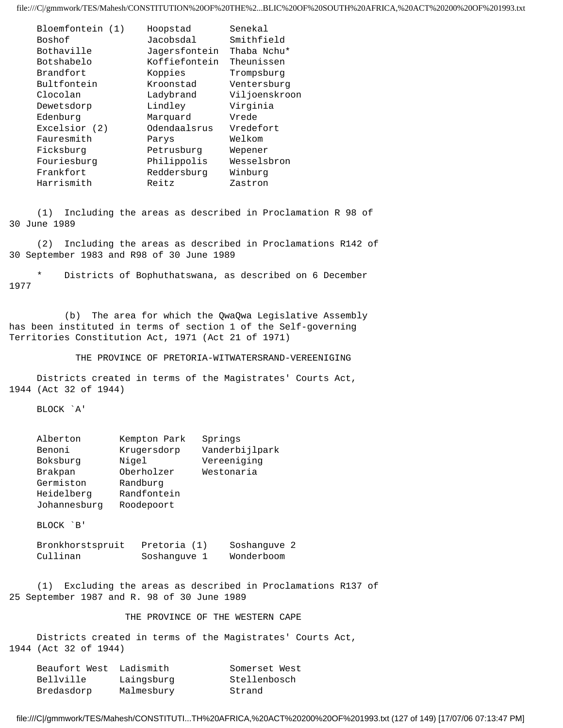| Bloemfontein (1) | Hoopstad      | Senekal       |
|------------------|---------------|---------------|
| Boshof           | Jacobsdal     | Smithfield    |
| Bothaville       | Jagersfontein | Thaba Nchu*   |
| Botshabelo       | Koffiefontein | Theunissen    |
| Brandfort        | Koppies       | Trompsburg    |
| Bultfontein      | Kroonstad     | Ventersburg   |
| Clocolan         | Ladybrand     | Viljoenskroon |
| Dewetsdorp       | Lindley       | Virginia      |
| Edenburg         | Marquard      | Vrede         |
| Excelsior (2)    | Odendaalsrus  | Vredefort     |
| Fauresmith       | Parys         | Welkom        |
| Ficksburg        | Petrusburg    | Wepener       |
| Fouriesburg      | Philippolis   | Wesselsbron   |
| Frankfort        | Reddersburg   | Winburg       |
| Harrismith       | Reitz         | Zastron       |
|                  |               |               |

 (1) Including the areas as described in Proclamation R 98 of 30 June 1989

 (2) Including the areas as described in Proclamations R142 of 30 September 1983 and R98 of 30 June 1989

Districts of Bophuthatswana, as described on 6 December 1977

 (b) The area for which the QwaQwa Legislative Assembly has been instituted in terms of section 1 of the Self-governing Territories Constitution Act, 1971 (Act 21 of 1971)

THE PROVINCE OF PRETORIA-WITWATERSRAND-VEREENIGING

 Districts created in terms of the Magistrates' Courts Act, 1944 (Act 32 of 1944)

BLOCK `A'

| Alberton     | Kempton Park | Springs        |
|--------------|--------------|----------------|
| Benoni       | Krugersdorp  | Vanderbijlpark |
| Boksburg     | Nigel        | Vereeniging    |
| Brakpan      | Oberholzer   | Westonaria     |
| Germiston    | Randburg     |                |
| Heidelberg   | Randfontein  |                |
| Johannesburg | Roodepoort   |                |

BLOCK `B'

 Bronkhorstspruit Pretoria (1) Soshanguve 2 Cullinan Soshanguve 1 Wonderboom

 (1) Excluding the areas as described in Proclamations R137 of 25 September 1987 and R. 98 of 30 June 1989

THE PROVINCE OF THE WESTERN CAPE

 Districts created in terms of the Magistrates' Courts Act, 1944 (Act 32 of 1944)

| Beaufort West Ladismith |            | Somerset West |
|-------------------------|------------|---------------|
| Bellville               | Laingsburg | Stellenbosch  |
| Bredasdorp              | Malmesbury | Strand        |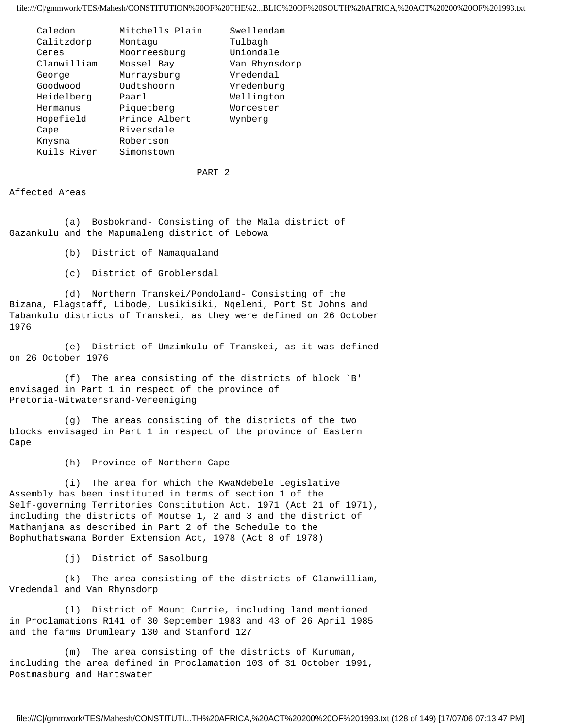| Caledon     | Mitchells Plain | Swellendam    |
|-------------|-----------------|---------------|
| Calitzdorp  | Montaqu         | Tulbagh       |
| Ceres       | Moorreesburg    | Uniondale     |
| Clanwilliam | Mossel Bay      | Van Rhynsdorp |
| George      | Murraysburg     | Vredendal     |
| Goodwood    | Oudtshoorn      | Vredenburg    |
| Heidelberg  | Paarl           | Wellington    |
| Hermanus    | Piquetberg      | Worcester     |
| Hopefield   | Prince Albert   | Wynberg       |
| Cape        | Riversdale      |               |
| Knysna      | Robertson       |               |
| Kuils River | Simonstown      |               |
|             |                 |               |

PART 2

# Affected Areas

 (a) Bosbokrand- Consisting of the Mala district of Gazankulu and the Mapumaleng district of Lebowa

(b) District of Namaqualand

(c) District of Groblersdal

 (d) Northern Transkei/Pondoland- Consisting of the Bizana, Flagstaff, Libode, Lusikisiki, Nqeleni, Port St Johns and Tabankulu districts of Transkei, as they were defined on 26 October 1976

 (e) District of Umzimkulu of Transkei, as it was defined on 26 October 1976

 (f) The area consisting of the districts of block `B' envisaged in Part 1 in respect of the province of Pretoria-Witwatersrand-Vereeniging

 (g) The areas consisting of the districts of the two blocks envisaged in Part 1 in respect of the province of Eastern Cape

(h) Province of Northern Cape

 (i) The area for which the KwaNdebele Legislative Assembly has been instituted in terms of section 1 of the Self-governing Territories Constitution Act, 1971 (Act 21 of 1971), including the districts of Moutse 1, 2 and 3 and the district of Mathanjana as described in Part 2 of the Schedule to the Bophuthatswana Border Extension Act, 1978 (Act 8 of 1978)

(j) District of Sasolburg

 (k) The area consisting of the districts of Clanwilliam, Vredendal and Van Rhynsdorp

 (l) District of Mount Currie, including land mentioned in Proclamations R141 of 30 September 1983 and 43 of 26 April 1985 and the farms Drumleary 130 and Stanford 127

 (m) The area consisting of the districts of Kuruman, including the area defined in Proclamation 103 of 31 October 1991, Postmasburg and Hartswater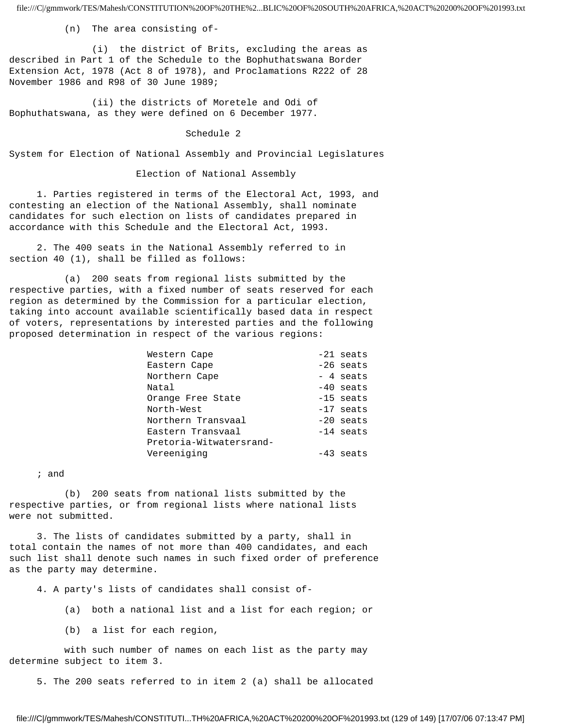(n) The area consisting of-

 (i) the district of Brits, excluding the areas as described in Part 1 of the Schedule to the Bophuthatswana Border Extension Act, 1978 (Act 8 of 1978), and Proclamations R222 of 28 November 1986 and R98 of 30 June 1989;

 (ii) the districts of Moretele and Odi of Bophuthatswana, as they were defined on 6 December 1977.

#### Schedule 2

System for Election of National Assembly and Provincial Legislatures

Election of National Assembly

 1. Parties registered in terms of the Electoral Act, 1993, and contesting an election of the National Assembly, shall nominate candidates for such election on lists of candidates prepared in accordance with this Schedule and the Electoral Act, 1993.

 2. The 400 seats in the National Assembly referred to in section 40 (1), shall be filled as follows:

 (a) 200 seats from regional lists submitted by the respective parties, with a fixed number of seats reserved for each region as determined by the Commission for a particular election, taking into account available scientifically based data in respect of voters, representations by interested parties and the following proposed determination in respect of the various regions:

| Western Cape            | $-21$ seats |
|-------------------------|-------------|
| Eastern Cape            | $-26$ seats |
| Northern Cape           | - 4 seats   |
| Natal                   | $-40$ seats |
| Orange Free State       | $-15$ seats |
| North-West              | -17 seats   |
| Northern Transvaal      | -20 seats   |
| Eastern Transvaal       | $-14$ seats |
| Pretoria-Witwatersrand- |             |
| Vereeniging             | -43 seats   |
|                         |             |

; and

 (b) 200 seats from national lists submitted by the respective parties, or from regional lists where national lists were not submitted.

 3. The lists of candidates submitted by a party, shall in total contain the names of not more than 400 candidates, and each such list shall denote such names in such fixed order of preference as the party may determine.

4. A party's lists of candidates shall consist of-

(a) both a national list and a list for each region; or

(b) a list for each region,

 with such number of names on each list as the party may determine subject to item 3.

5. The 200 seats referred to in item 2 (a) shall be allocated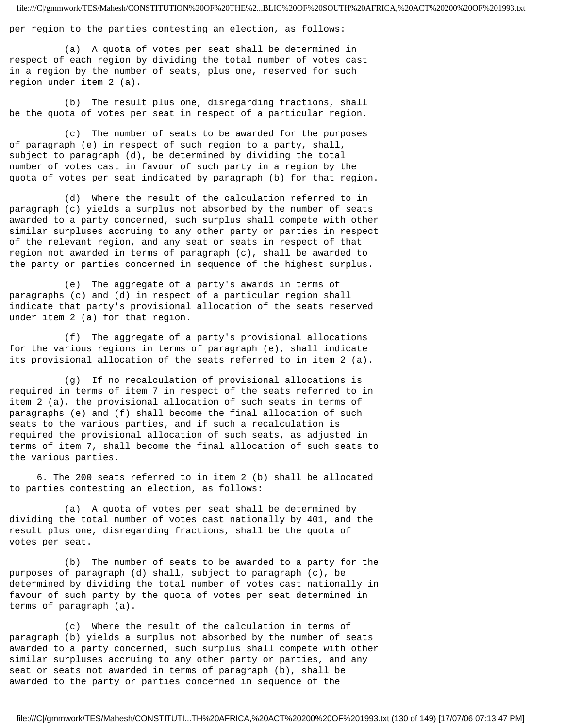per region to the parties contesting an election, as follows:

 (a) A quota of votes per seat shall be determined in respect of each region by dividing the total number of votes cast in a region by the number of seats, plus one, reserved for such region under item 2 (a).

 (b) The result plus one, disregarding fractions, shall be the quota of votes per seat in respect of a particular region.

 (c) The number of seats to be awarded for the purposes of paragraph (e) in respect of such region to a party, shall, subject to paragraph (d), be determined by dividing the total number of votes cast in favour of such party in a region by the quota of votes per seat indicated by paragraph (b) for that region.

 (d) Where the result of the calculation referred to in paragraph (c) yields a surplus not absorbed by the number of seats awarded to a party concerned, such surplus shall compete with other similar surpluses accruing to any other party or parties in respect of the relevant region, and any seat or seats in respect of that region not awarded in terms of paragraph (c), shall be awarded to the party or parties concerned in sequence of the highest surplus.

 (e) The aggregate of a party's awards in terms of paragraphs (c) and (d) in respect of a particular region shall indicate that party's provisional allocation of the seats reserved under item 2 (a) for that region.

 (f) The aggregate of a party's provisional allocations for the various regions in terms of paragraph (e), shall indicate its provisional allocation of the seats referred to in item 2 (a).

 (g) If no recalculation of provisional allocations is required in terms of item 7 in respect of the seats referred to in item 2 (a), the provisional allocation of such seats in terms of paragraphs (e) and (f) shall become the final allocation of such seats to the various parties, and if such a recalculation is required the provisional allocation of such seats, as adjusted in terms of item 7, shall become the final allocation of such seats to the various parties.

 6. The 200 seats referred to in item 2 (b) shall be allocated to parties contesting an election, as follows:

 (a) A quota of votes per seat shall be determined by dividing the total number of votes cast nationally by 401, and the result plus one, disregarding fractions, shall be the quota of votes per seat.

 (b) The number of seats to be awarded to a party for the purposes of paragraph (d) shall, subject to paragraph (c), be determined by dividing the total number of votes cast nationally in favour of such party by the quota of votes per seat determined in terms of paragraph (a).

 (c) Where the result of the calculation in terms of paragraph (b) yields a surplus not absorbed by the number of seats awarded to a party concerned, such surplus shall compete with other similar surpluses accruing to any other party or parties, and any seat or seats not awarded in terms of paragraph (b), shall be awarded to the party or parties concerned in sequence of the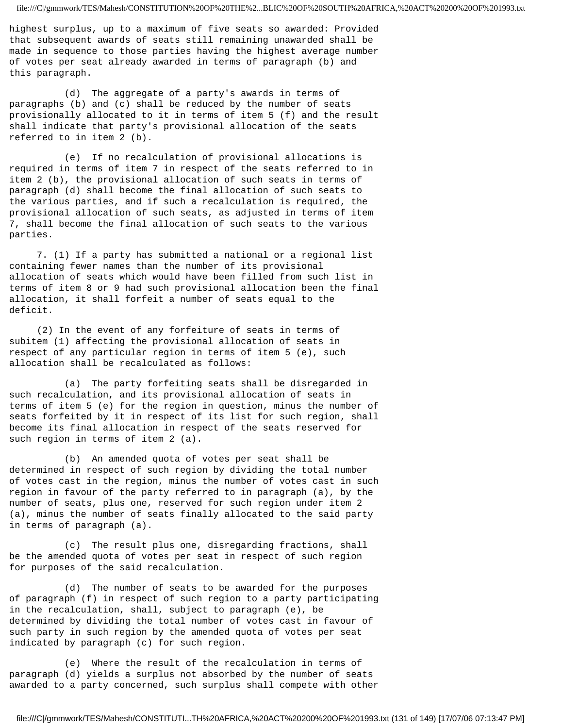highest surplus, up to a maximum of five seats so awarded: Provided that subsequent awards of seats still remaining unawarded shall be made in sequence to those parties having the highest average number of votes per seat already awarded in terms of paragraph (b) and this paragraph.

 (d) The aggregate of a party's awards in terms of paragraphs (b) and (c) shall be reduced by the number of seats provisionally allocated to it in terms of item 5 (f) and the result shall indicate that party's provisional allocation of the seats referred to in item 2 (b).

 (e) If no recalculation of provisional allocations is required in terms of item 7 in respect of the seats referred to in item 2 (b), the provisional allocation of such seats in terms of paragraph (d) shall become the final allocation of such seats to the various parties, and if such a recalculation is required, the provisional allocation of such seats, as adjusted in terms of item 7, shall become the final allocation of such seats to the various parties.

 7. (1) If a party has submitted a national or a regional list containing fewer names than the number of its provisional allocation of seats which would have been filled from such list in terms of item 8 or 9 had such provisional allocation been the final allocation, it shall forfeit a number of seats equal to the deficit.

 (2) In the event of any forfeiture of seats in terms of subitem (1) affecting the provisional allocation of seats in respect of any particular region in terms of item 5 (e), such allocation shall be recalculated as follows:

 (a) The party forfeiting seats shall be disregarded in such recalculation, and its provisional allocation of seats in terms of item 5 (e) for the region in question, minus the number of seats forfeited by it in respect of its list for such region, shall become its final allocation in respect of the seats reserved for such region in terms of item 2 (a).

 (b) An amended quota of votes per seat shall be determined in respect of such region by dividing the total number of votes cast in the region, minus the number of votes cast in such region in favour of the party referred to in paragraph (a), by the number of seats, plus one, reserved for such region under item 2 (a), minus the number of seats finally allocated to the said party in terms of paragraph (a).

 (c) The result plus one, disregarding fractions, shall be the amended quota of votes per seat in respect of such region for purposes of the said recalculation.

 (d) The number of seats to be awarded for the purposes of paragraph (f) in respect of such region to a party participating in the recalculation, shall, subject to paragraph (e), be determined by dividing the total number of votes cast in favour of such party in such region by the amended quota of votes per seat indicated by paragraph (c) for such region.

 (e) Where the result of the recalculation in terms of paragraph (d) yields a surplus not absorbed by the number of seats awarded to a party concerned, such surplus shall compete with other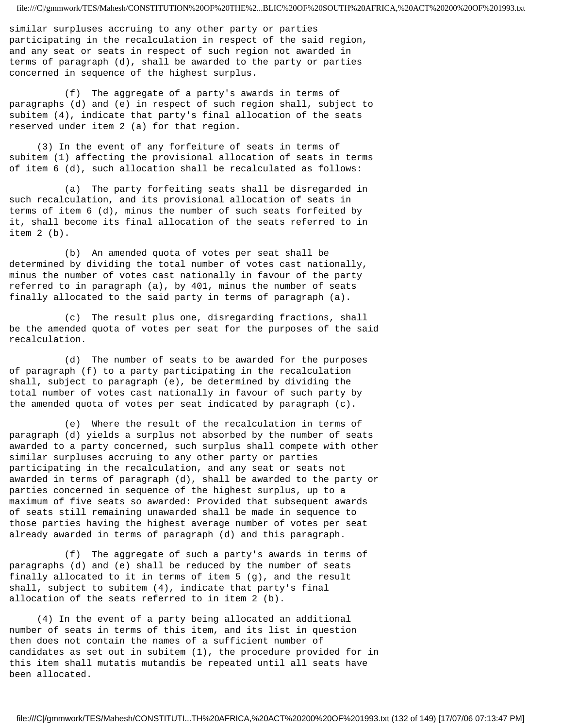similar surpluses accruing to any other party or parties participating in the recalculation in respect of the said region, and any seat or seats in respect of such region not awarded in terms of paragraph (d), shall be awarded to the party or parties concerned in sequence of the highest surplus.

 (f) The aggregate of a party's awards in terms of paragraphs (d) and (e) in respect of such region shall, subject to subitem (4), indicate that party's final allocation of the seats reserved under item 2 (a) for that region.

 (3) In the event of any forfeiture of seats in terms of subitem (1) affecting the provisional allocation of seats in terms of item 6 (d), such allocation shall be recalculated as follows:

 (a) The party forfeiting seats shall be disregarded in such recalculation, and its provisional allocation of seats in terms of item 6 (d), minus the number of such seats forfeited by it, shall become its final allocation of the seats referred to in item 2 (b).

 (b) An amended quota of votes per seat shall be determined by dividing the total number of votes cast nationally, minus the number of votes cast nationally in favour of the party referred to in paragraph (a), by 401, minus the number of seats finally allocated to the said party in terms of paragraph (a).

 (c) The result plus one, disregarding fractions, shall be the amended quota of votes per seat for the purposes of the said recalculation.

 (d) The number of seats to be awarded for the purposes of paragraph (f) to a party participating in the recalculation shall, subject to paragraph (e), be determined by dividing the total number of votes cast nationally in favour of such party by the amended quota of votes per seat indicated by paragraph (c).

 (e) Where the result of the recalculation in terms of paragraph (d) yields a surplus not absorbed by the number of seats awarded to a party concerned, such surplus shall compete with other similar surpluses accruing to any other party or parties participating in the recalculation, and any seat or seats not awarded in terms of paragraph (d), shall be awarded to the party or parties concerned in sequence of the highest surplus, up to a maximum of five seats so awarded: Provided that subsequent awards of seats still remaining unawarded shall be made in sequence to those parties having the highest average number of votes per seat already awarded in terms of paragraph (d) and this paragraph.

 (f) The aggregate of such a party's awards in terms of paragraphs (d) and (e) shall be reduced by the number of seats finally allocated to it in terms of item 5 (g), and the result shall, subject to subitem (4), indicate that party's final allocation of the seats referred to in item 2 (b).

 (4) In the event of a party being allocated an additional number of seats in terms of this item, and its list in question then does not contain the names of a sufficient number of candidates as set out in subitem (1), the procedure provided for in this item shall mutatis mutandis be repeated until all seats have been allocated.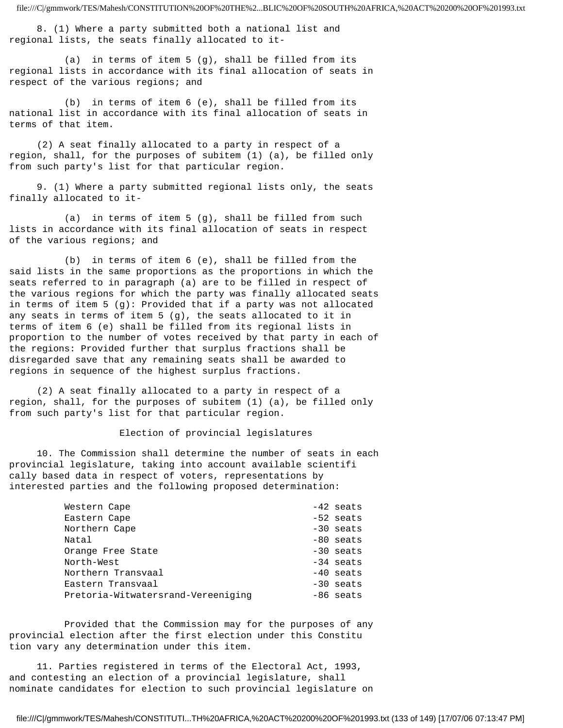8. (1) Where a party submitted both a national list and regional lists, the seats finally allocated to it-

 (a) in terms of item 5 (g), shall be filled from its regional lists in accordance with its final allocation of seats in respect of the various regions; and

 (b) in terms of item 6 (e), shall be filled from its national list in accordance with its final allocation of seats in terms of that item.

 (2) A seat finally allocated to a party in respect of a region, shall, for the purposes of subitem (1) (a), be filled only from such party's list for that particular region.

 9. (1) Where a party submitted regional lists only, the seats finally allocated to it-

 (a) in terms of item 5 (g), shall be filled from such lists in accordance with its final allocation of seats in respect of the various regions; and

 (b) in terms of item 6 (e), shall be filled from the said lists in the same proportions as the proportions in which the seats referred to in paragraph (a) are to be filled in respect of the various regions for which the party was finally allocated seats in terms of item 5 (g): Provided that if a party was not allocated any seats in terms of item 5 (g), the seats allocated to it in terms of item 6 (e) shall be filled from its regional lists in proportion to the number of votes received by that party in each of the regions: Provided further that surplus fractions shall be disregarded save that any remaining seats shall be awarded to regions in sequence of the highest surplus fractions.

 (2) A seat finally allocated to a party in respect of a region, shall, for the purposes of subitem (1) (a), be filled only from such party's list for that particular region.

Election of provincial legislatures

 10. The Commission shall determine the number of seats in each provincial legislature, taking into account available scientifi cally based data in respect of voters, representations by interested parties and the following proposed determination:

| Western Cape                       | $-42$ seats |
|------------------------------------|-------------|
| Eastern Cape                       | -52 seats   |
| Northern Cape                      | $-30$ seats |
| Natal                              | $-80$ seats |
| Orange Free State                  | $-30$ seats |
| North-West                         | -34 seats   |
| Northern Transvaal                 | $-40$ seats |
| Eastern Transvaal                  | $-30$ seats |
| Pretoria-Witwatersrand-Vereeniging | $-86$ seats |

 Provided that the Commission may for the purposes of any provincial election after the first election under this Constitu tion vary any determination under this item.

 11. Parties registered in terms of the Electoral Act, 1993, and contesting an election of a provincial legislature, shall nominate candidates for election to such provincial legislature on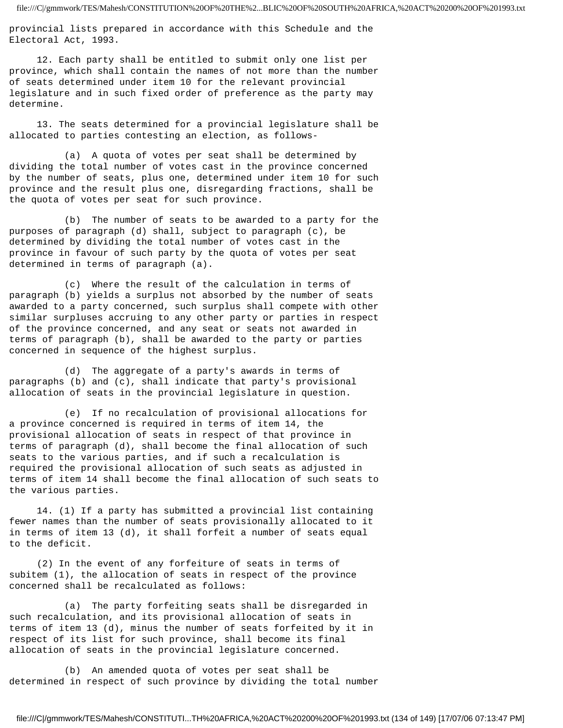provincial lists prepared in accordance with this Schedule and the Electoral Act, 1993.

 12. Each party shall be entitled to submit only one list per province, which shall contain the names of not more than the number of seats determined under item 10 for the relevant provincial legislature and in such fixed order of preference as the party may determine.

 13. The seats determined for a provincial legislature shall be allocated to parties contesting an election, as follows-

 (a) A quota of votes per seat shall be determined by dividing the total number of votes cast in the province concerned by the number of seats, plus one, determined under item 10 for such province and the result plus one, disregarding fractions, shall be the quota of votes per seat for such province.

 (b) The number of seats to be awarded to a party for the purposes of paragraph (d) shall, subject to paragraph (c), be determined by dividing the total number of votes cast in the province in favour of such party by the quota of votes per seat determined in terms of paragraph (a).

 (c) Where the result of the calculation in terms of paragraph (b) yields a surplus not absorbed by the number of seats awarded to a party concerned, such surplus shall compete with other similar surpluses accruing to any other party or parties in respect of the province concerned, and any seat or seats not awarded in terms of paragraph (b), shall be awarded to the party or parties concerned in sequence of the highest surplus.

 (d) The aggregate of a party's awards in terms of paragraphs (b) and (c), shall indicate that party's provisional allocation of seats in the provincial legislature in question.

 (e) If no recalculation of provisional allocations for a province concerned is required in terms of item 14, the provisional allocation of seats in respect of that province in terms of paragraph (d), shall become the final allocation of such seats to the various parties, and if such a recalculation is required the provisional allocation of such seats as adjusted in terms of item 14 shall become the final allocation of such seats to the various parties.

 14. (1) If a party has submitted a provincial list containing fewer names than the number of seats provisionally allocated to it in terms of item 13 (d), it shall forfeit a number of seats equal to the deficit.

 (2) In the event of any forfeiture of seats in terms of subitem (1), the allocation of seats in respect of the province concerned shall be recalculated as follows:

 (a) The party forfeiting seats shall be disregarded in such recalculation, and its provisional allocation of seats in terms of item 13 (d), minus the number of seats forfeited by it in respect of its list for such province, shall become its final allocation of seats in the provincial legislature concerned.

 (b) An amended quota of votes per seat shall be determined in respect of such province by dividing the total number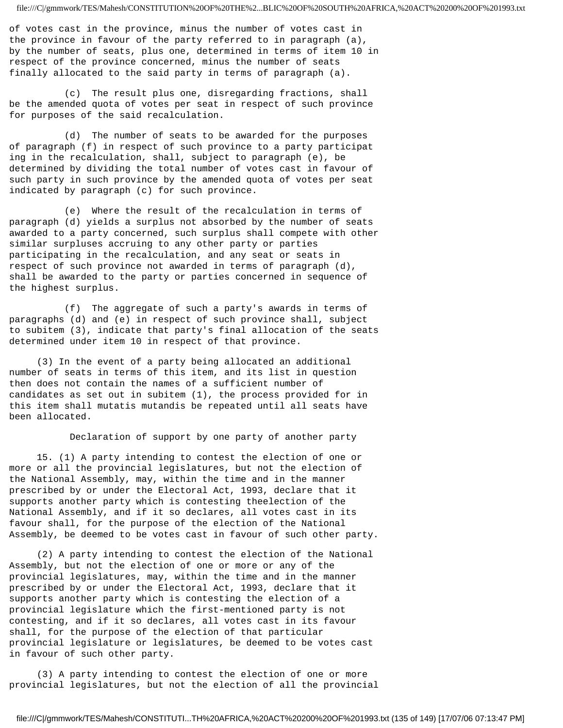of votes cast in the province, minus the number of votes cast in the province in favour of the party referred to in paragraph (a), by the number of seats, plus one, determined in terms of item 10 in respect of the province concerned, minus the number of seats finally allocated to the said party in terms of paragraph (a).

 (c) The result plus one, disregarding fractions, shall be the amended quota of votes per seat in respect of such province for purposes of the said recalculation.

 (d) The number of seats to be awarded for the purposes of paragraph (f) in respect of such province to a party participat ing in the recalculation, shall, subject to paragraph (e), be determined by dividing the total number of votes cast in favour of such party in such province by the amended quota of votes per seat indicated by paragraph (c) for such province.

 (e) Where the result of the recalculation in terms of paragraph (d) yields a surplus not absorbed by the number of seats awarded to a party concerned, such surplus shall compete with other similar surpluses accruing to any other party or parties participating in the recalculation, and any seat or seats in respect of such province not awarded in terms of paragraph (d), shall be awarded to the party or parties concerned in sequence of the highest surplus.

 (f) The aggregate of such a party's awards in terms of paragraphs (d) and (e) in respect of such province shall, subject to subitem (3), indicate that party's final allocation of the seats determined under item 10 in respect of that province.

 (3) In the event of a party being allocated an additional number of seats in terms of this item, and its list in question then does not contain the names of a sufficient number of candidates as set out in subitem (1), the process provided for in this item shall mutatis mutandis be repeated until all seats have been allocated.

Declaration of support by one party of another party

 15. (1) A party intending to contest the election of one or more or all the provincial legislatures, but not the election of the National Assembly, may, within the time and in the manner prescribed by or under the Electoral Act, 1993, declare that it supports another party which is contesting theelection of the National Assembly, and if it so declares, all votes cast in its favour shall, for the purpose of the election of the National Assembly, be deemed to be votes cast in favour of such other party.

 (2) A party intending to contest the election of the National Assembly, but not the election of one or more or any of the provincial legislatures, may, within the time and in the manner prescribed by or under the Electoral Act, 1993, declare that it supports another party which is contesting the election of a provincial legislature which the first-mentioned party is not contesting, and if it so declares, all votes cast in its favour shall, for the purpose of the election of that particular provincial legislature or legislatures, be deemed to be votes cast in favour of such other party.

 (3) A party intending to contest the election of one or more provincial legislatures, but not the election of all the provincial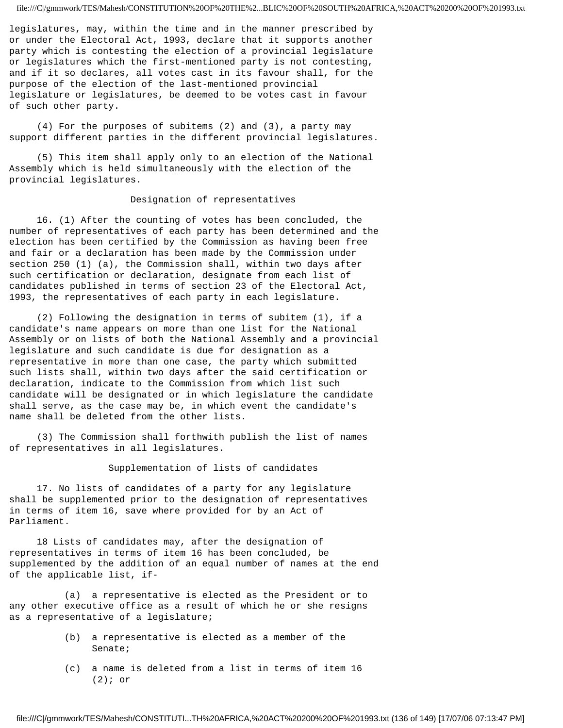legislatures, may, within the time and in the manner prescribed by or under the Electoral Act, 1993, declare that it supports another party which is contesting the election of a provincial legislature or legislatures which the first-mentioned party is not contesting, and if it so declares, all votes cast in its favour shall, for the purpose of the election of the last-mentioned provincial legislature or legislatures, be deemed to be votes cast in favour of such other party.

 (4) For the purposes of subitems (2) and (3), a party may support different parties in the different provincial legislatures.

 (5) This item shall apply only to an election of the National Assembly which is held simultaneously with the election of the provincial legislatures.

# Designation of representatives

 16. (1) After the counting of votes has been concluded, the number of representatives of each party has been determined and the election has been certified by the Commission as having been free and fair or a declaration has been made by the Commission under section 250 (1) (a), the Commission shall, within two days after such certification or declaration, designate from each list of candidates published in terms of section 23 of the Electoral Act, 1993, the representatives of each party in each legislature.

 (2) Following the designation in terms of subitem (1), if a candidate's name appears on more than one list for the National Assembly or on lists of both the National Assembly and a provincial legislature and such candidate is due for designation as a representative in more than one case, the party which submitted such lists shall, within two days after the said certification or declaration, indicate to the Commission from which list such candidate will be designated or in which legislature the candidate shall serve, as the case may be, in which event the candidate's name shall be deleted from the other lists.

 (3) The Commission shall forthwith publish the list of names of representatives in all legislatures.

Supplementation of lists of candidates

 17. No lists of candidates of a party for any legislature shall be supplemented prior to the designation of representatives in terms of item 16, save where provided for by an Act of Parliament.

 18 Lists of candidates may, after the designation of representatives in terms of item 16 has been concluded, be supplemented by the addition of an equal number of names at the end of the applicable list, if-

 (a) a representative is elected as the President or to any other executive office as a result of which he or she resigns as a representative of a legislature;

- (b) a representative is elected as a member of the Senate;
- (c) a name is deleted from a list in terms of item 16 (2); or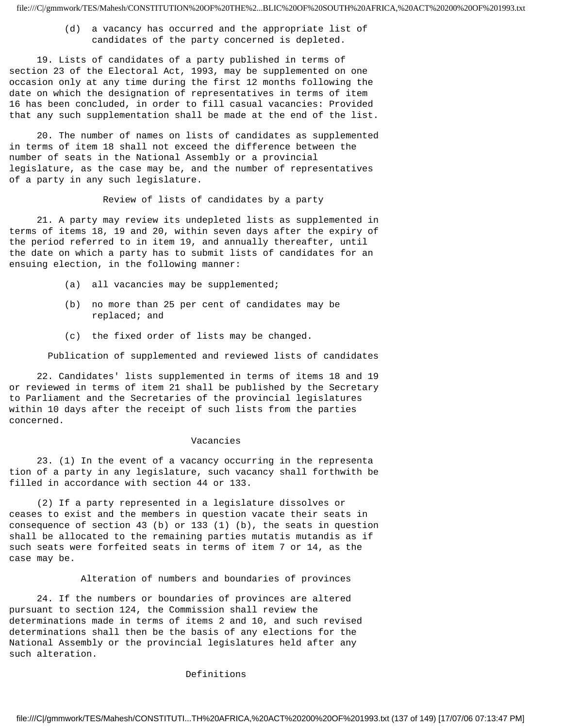(d) a vacancy has occurred and the appropriate list of candidates of the party concerned is depleted.

 19. Lists of candidates of a party published in terms of section 23 of the Electoral Act, 1993, may be supplemented on one occasion only at any time during the first 12 months following the date on which the designation of representatives in terms of item 16 has been concluded, in order to fill casual vacancies: Provided that any such supplementation shall be made at the end of the list.

 20. The number of names on lists of candidates as supplemented in terms of item 18 shall not exceed the difference between the number of seats in the National Assembly or a provincial legislature, as the case may be, and the number of representatives of a party in any such legislature.

#### Review of lists of candidates by a party

 21. A party may review its undepleted lists as supplemented in terms of items 18, 19 and 20, within seven days after the expiry of the period referred to in item 19, and annually thereafter, until the date on which a party has to submit lists of candidates for an ensuing election, in the following manner:

- (a) all vacancies may be supplemented;
- (b) no more than 25 per cent of candidates may be replaced; and
- (c) the fixed order of lists may be changed.

Publication of supplemented and reviewed lists of candidates

 22. Candidates' lists supplemented in terms of items 18 and 19 or reviewed in terms of item 21 shall be published by the Secretary to Parliament and the Secretaries of the provincial legislatures within 10 days after the receipt of such lists from the parties concerned.

#### Vacancies

 23. (1) In the event of a vacancy occurring in the representa tion of a party in any legislature, such vacancy shall forthwith be filled in accordance with section 44 or 133.

 (2) If a party represented in a legislature dissolves or ceases to exist and the members in question vacate their seats in consequence of section 43 (b) or 133 (1) (b), the seats in question shall be allocated to the remaining parties mutatis mutandis as if such seats were forfeited seats in terms of item 7 or 14, as the case may be.

# Alteration of numbers and boundaries of provinces

 24. If the numbers or boundaries of provinces are altered pursuant to section 124, the Commission shall review the determinations made in terms of items 2 and 10, and such revised determinations shall then be the basis of any elections for the National Assembly or the provincial legislatures held after any such alteration.

#### Definitions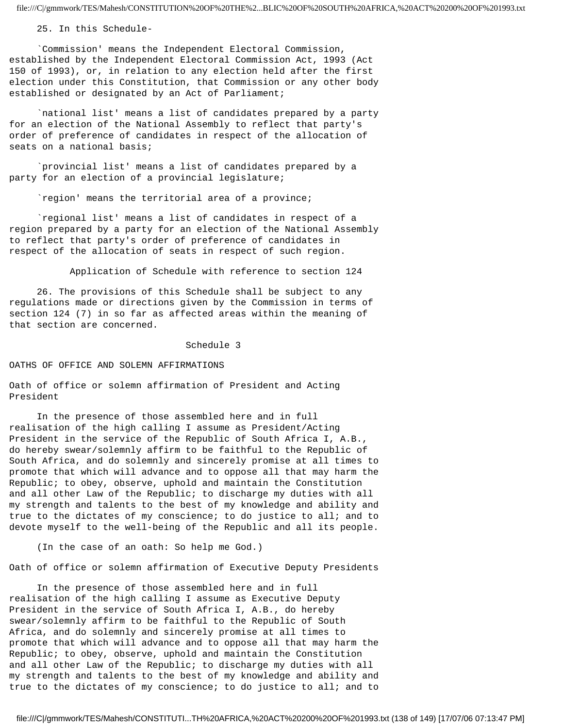25. In this Schedule-

 `Commission' means the Independent Electoral Commission, established by the Independent Electoral Commission Act, 1993 (Act 150 of 1993), or, in relation to any election held after the first election under this Constitution, that Commission or any other body established or designated by an Act of Parliament;

 `national list' means a list of candidates prepared by a party for an election of the National Assembly to reflect that party's order of preference of candidates in respect of the allocation of seats on a national basis;

 `provincial list' means a list of candidates prepared by a party for an election of a provincial legislature;

`region' means the territorial area of a province;

 `regional list' means a list of candidates in respect of a region prepared by a party for an election of the National Assembly to reflect that party's order of preference of candidates in respect of the allocation of seats in respect of such region.

Application of Schedule with reference to section 124

 26. The provisions of this Schedule shall be subject to any regulations made or directions given by the Commission in terms of section 124 (7) in so far as affected areas within the meaning of that section are concerned.

Schedule 3

OATHS OF OFFICE AND SOLEMN AFFIRMATIONS

Oath of office or solemn affirmation of President and Acting President

 In the presence of those assembled here and in full realisation of the high calling I assume as President/Acting President in the service of the Republic of South Africa I, A.B., do hereby swear/solemnly affirm to be faithful to the Republic of South Africa, and do solemnly and sincerely promise at all times to promote that which will advance and to oppose all that may harm the Republic; to obey, observe, uphold and maintain the Constitution and all other Law of the Republic; to discharge my duties with all my strength and talents to the best of my knowledge and ability and true to the dictates of my conscience; to do justice to all; and to devote myself to the well-being of the Republic and all its people.

(In the case of an oath: So help me God.)

Oath of office or solemn affirmation of Executive Deputy Presidents

 In the presence of those assembled here and in full realisation of the high calling I assume as Executive Deputy President in the service of South Africa I, A.B., do hereby swear/solemnly affirm to be faithful to the Republic of South Africa, and do solemnly and sincerely promise at all times to promote that which will advance and to oppose all that may harm the Republic; to obey, observe, uphold and maintain the Constitution and all other Law of the Republic; to discharge my duties with all my strength and talents to the best of my knowledge and ability and true to the dictates of my conscience; to do justice to all; and to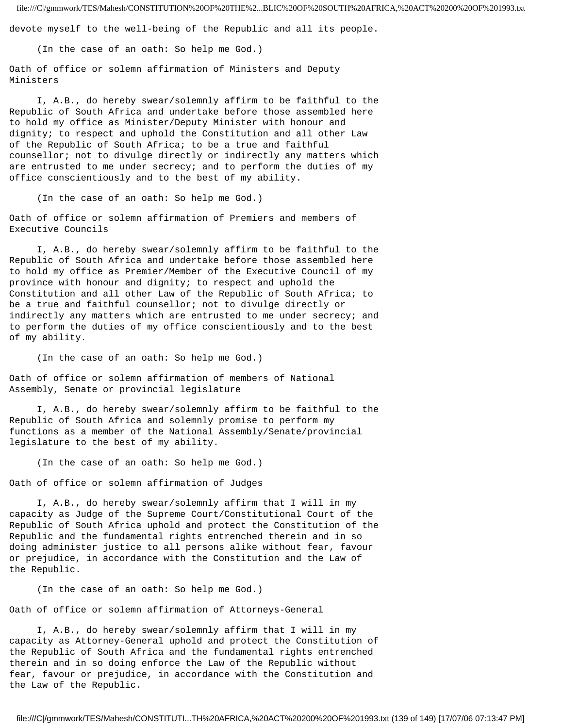devote myself to the well-being of the Republic and all its people.

(In the case of an oath: So help me God.)

Oath of office or solemn affirmation of Ministers and Deputy Ministers

 I, A.B., do hereby swear/solemnly affirm to be faithful to the Republic of South Africa and undertake before those assembled here to hold my office as Minister/Deputy Minister with honour and dignity; to respect and uphold the Constitution and all other Law of the Republic of South Africa; to be a true and faithful counsellor; not to divulge directly or indirectly any matters which are entrusted to me under secrecy; and to perform the duties of my office conscientiously and to the best of my ability.

(In the case of an oath: So help me God.)

Oath of office or solemn affirmation of Premiers and members of Executive Councils

 I, A.B., do hereby swear/solemnly affirm to be faithful to the Republic of South Africa and undertake before those assembled here to hold my office as Premier/Member of the Executive Council of my province with honour and dignity; to respect and uphold the Constitution and all other Law of the Republic of South Africa; to be a true and faithful counsellor; not to divulge directly or indirectly any matters which are entrusted to me under secrecy; and to perform the duties of my office conscientiously and to the best of my ability.

(In the case of an oath: So help me God.)

Oath of office or solemn affirmation of members of National Assembly, Senate or provincial legislature

 I, A.B., do hereby swear/solemnly affirm to be faithful to the Republic of South Africa and solemnly promise to perform my functions as a member of the National Assembly/Senate/provincial legislature to the best of my ability.

(In the case of an oath: So help me God.)

Oath of office or solemn affirmation of Judges

 I, A.B., do hereby swear/solemnly affirm that I will in my capacity as Judge of the Supreme Court/Constitutional Court of the Republic of South Africa uphold and protect the Constitution of the Republic and the fundamental rights entrenched therein and in so doing administer justice to all persons alike without fear, favour or prejudice, in accordance with the Constitution and the Law of the Republic.

(In the case of an oath: So help me God.)

Oath of office or solemn affirmation of Attorneys-General

 I, A.B., do hereby swear/solemnly affirm that I will in my capacity as Attorney-General uphold and protect the Constitution of the Republic of South Africa and the fundamental rights entrenched therein and in so doing enforce the Law of the Republic without fear, favour or prejudice, in accordance with the Constitution and the Law of the Republic.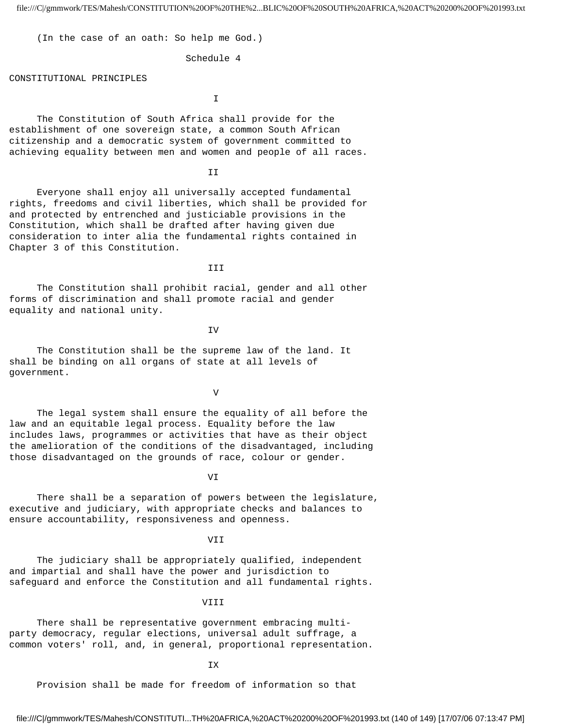(In the case of an oath: So help me God.)

Schedule 4

CONSTITUTIONAL PRINCIPLES

**I** 

 The Constitution of South Africa shall provide for the establishment of one sovereign state, a common South African citizenship and a democratic system of government committed to achieving equality between men and women and people of all races.

II

 Everyone shall enjoy all universally accepted fundamental rights, freedoms and civil liberties, which shall be provided for and protected by entrenched and justiciable provisions in the Constitution, which shall be drafted after having given due consideration to inter alia the fundamental rights contained in Chapter 3 of this Constitution.

III

 The Constitution shall prohibit racial, gender and all other forms of discrimination and shall promote racial and gender equality and national unity.

IV

 The Constitution shall be the supreme law of the land. It shall be binding on all organs of state at all levels of government.

V

 The legal system shall ensure the equality of all before the law and an equitable legal process. Equality before the law includes laws, programmes or activities that have as their object the amelioration of the conditions of the disadvantaged, including those disadvantaged on the grounds of race, colour or gender.

VI

 There shall be a separation of powers between the legislature, executive and judiciary, with appropriate checks and balances to ensure accountability, responsiveness and openness.

VII

 The judiciary shall be appropriately qualified, independent and impartial and shall have the power and jurisdiction to safeguard and enforce the Constitution and all fundamental rights.

VIII

 There shall be representative government embracing multiparty democracy, regular elections, universal adult suffrage, a common voters' roll, and, in general, proportional representation.

IX

Provision shall be made for freedom of information so that

file:///C|/gmmwork/TES/Mahesh/CONSTITUTI...TH%20AFRICA,%20ACT%20200%20OF%201993.txt (140 of 149) [17/07/06 07:13:47 PM]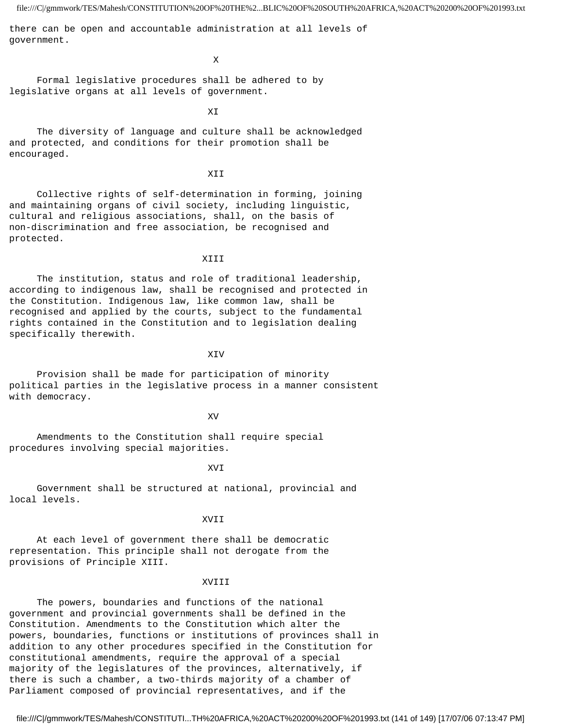there can be open and accountable administration at all levels of government.

X

 Formal legislative procedures shall be adhered to by legislative organs at all levels of government.

XI

 The diversity of language and culture shall be acknowledged and protected, and conditions for their promotion shall be encouraged.

# XII

 Collective rights of self-determination in forming, joining and maintaining organs of civil society, including linguistic, cultural and religious associations, shall, on the basis of non-discrimination and free association, be recognised and protected.

### **XIII**

 The institution, status and role of traditional leadership, according to indigenous law, shall be recognised and protected in the Constitution. Indigenous law, like common law, shall be recognised and applied by the courts, subject to the fundamental rights contained in the Constitution and to legislation dealing specifically therewith.

XIV

 Provision shall be made for participation of minority political parties in the legislative process in a manner consistent with democracy.

XV

 Amendments to the Constitution shall require special procedures involving special majorities.

# XVI

 Government shall be structured at national, provincial and local levels.

### XVII

 At each level of government there shall be democratic representation. This principle shall not derogate from the provisions of Principle XIII.

# XVIII

 The powers, boundaries and functions of the national government and provincial governments shall be defined in the Constitution. Amendments to the Constitution which alter the powers, boundaries, functions or institutions of provinces shall in addition to any other procedures specified in the Constitution for constitutional amendments, require the approval of a special majority of the legislatures of the provinces, alternatively, if there is such a chamber, a two-thirds majority of a chamber of Parliament composed of provincial representatives, and if the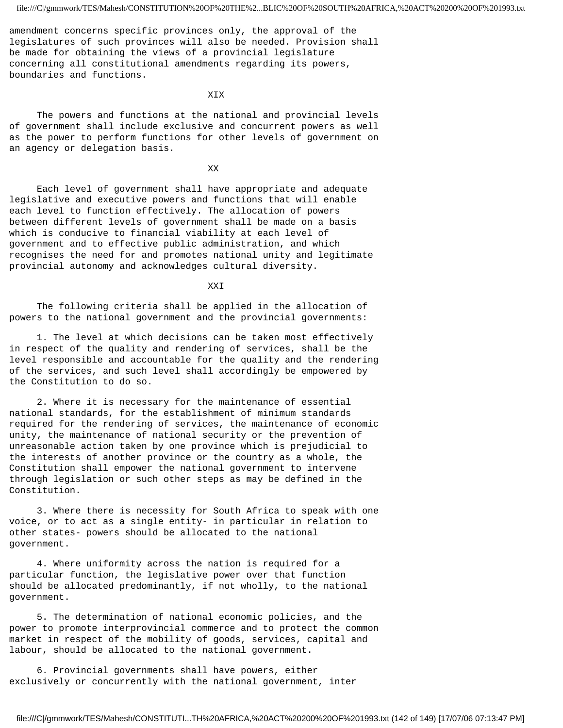amendment concerns specific provinces only, the approval of the legislatures of such provinces will also be needed. Provision shall be made for obtaining the views of a provincial legislature concerning all constitutional amendments regarding its powers, boundaries and functions.

XIX

 The powers and functions at the national and provincial levels of government shall include exclusive and concurrent powers as well as the power to perform functions for other levels of government on an agency or delegation basis.

**XX** 

 Each level of government shall have appropriate and adequate legislative and executive powers and functions that will enable each level to function effectively. The allocation of powers between different levels of government shall be made on a basis which is conducive to financial viability at each level of government and to effective public administration, and which recognises the need for and promotes national unity and legitimate provincial autonomy and acknowledges cultural diversity.

XXI

 The following criteria shall be applied in the allocation of powers to the national government and the provincial governments:

 1. The level at which decisions can be taken most effectively in respect of the quality and rendering of services, shall be the level responsible and accountable for the quality and the rendering of the services, and such level shall accordingly be empowered by the Constitution to do so.

 2. Where it is necessary for the maintenance of essential national standards, for the establishment of minimum standards required for the rendering of services, the maintenance of economic unity, the maintenance of national security or the prevention of unreasonable action taken by one province which is prejudicial to the interests of another province or the country as a whole, the Constitution shall empower the national government to intervene through legislation or such other steps as may be defined in the Constitution.

 3. Where there is necessity for South Africa to speak with one voice, or to act as a single entity- in particular in relation to other states- powers should be allocated to the national government.

 4. Where uniformity across the nation is required for a particular function, the legislative power over that function should be allocated predominantly, if not wholly, to the national government.

 5. The determination of national economic policies, and the power to promote interprovincial commerce and to protect the common market in respect of the mobility of goods, services, capital and labour, should be allocated to the national government.

 6. Provincial governments shall have powers, either exclusively or concurrently with the national government, inter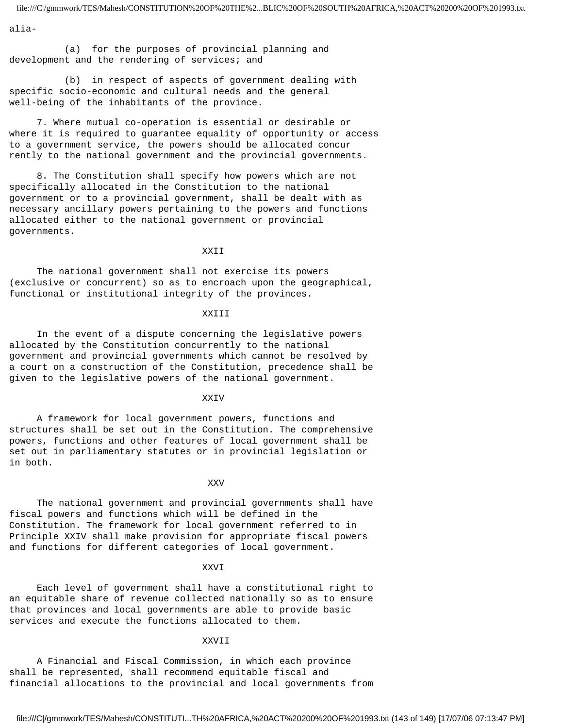alia-

 (a) for the purposes of provincial planning and development and the rendering of services; and

 (b) in respect of aspects of government dealing with specific socio-economic and cultural needs and the general well-being of the inhabitants of the province.

 7. Where mutual co-operation is essential or desirable or where it is required to guarantee equality of opportunity or access to a government service, the powers should be allocated concur rently to the national government and the provincial governments.

 8. The Constitution shall specify how powers which are not specifically allocated in the Constitution to the national government or to a provincial government, shall be dealt with as necessary ancillary powers pertaining to the powers and functions allocated either to the national government or provincial governments.

XXII

 The national government shall not exercise its powers (exclusive or concurrent) so as to encroach upon the geographical, functional or institutional integrity of the provinces.

### XXIII

 In the event of a dispute concerning the legislative powers allocated by the Constitution concurrently to the national government and provincial governments which cannot be resolved by a court on a construction of the Constitution, precedence shall be given to the legislative powers of the national government.

### XXIV

 A framework for local government powers, functions and structures shall be set out in the Constitution. The comprehensive powers, functions and other features of local government shall be set out in parliamentary statutes or in provincial legislation or in both.

### XXV

 The national government and provincial governments shall have fiscal powers and functions which will be defined in the Constitution. The framework for local government referred to in Principle XXIV shall make provision for appropriate fiscal powers and functions for different categories of local government.

### **XXVI**

 Each level of government shall have a constitutional right to an equitable share of revenue collected nationally so as to ensure that provinces and local governments are able to provide basic services and execute the functions allocated to them.

### XXVII

 A Financial and Fiscal Commission, in which each province shall be represented, shall recommend equitable fiscal and financial allocations to the provincial and local governments from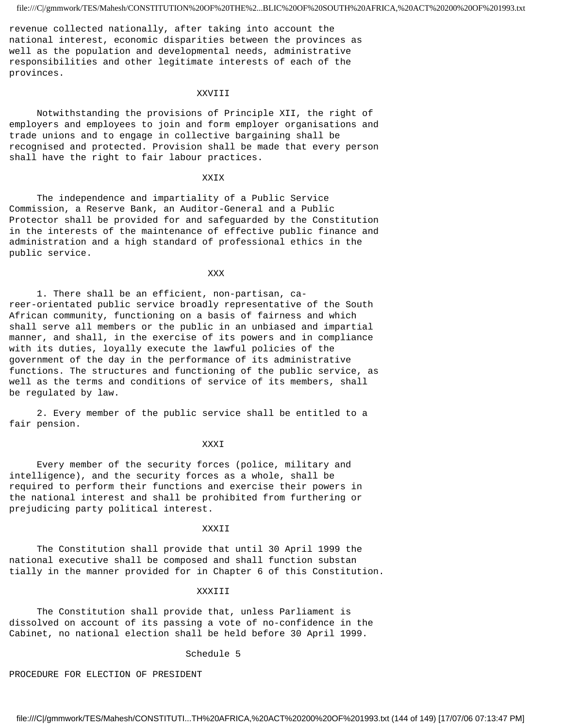revenue collected nationally, after taking into account the national interest, economic disparities between the provinces as well as the population and developmental needs, administrative responsibilities and other legitimate interests of each of the provinces.

#### XXVIII

 Notwithstanding the provisions of Principle XII, the right of employers and employees to join and form employer organisations and trade unions and to engage in collective bargaining shall be recognised and protected. Provision shall be made that every person shall have the right to fair labour practices.

### **XXIX**

 The independence and impartiality of a Public Service Commission, a Reserve Bank, an Auditor-General and a Public Protector shall be provided for and safeguarded by the Constitution in the interests of the maintenance of effective public finance and administration and a high standard of professional ethics in the public service.

# **XXX**

 1. There shall be an efficient, non-partisan, career-orientated public service broadly representative of the South African community, functioning on a basis of fairness and which shall serve all members or the public in an unbiased and impartial manner, and shall, in the exercise of its powers and in compliance with its duties, loyally execute the lawful policies of the government of the day in the performance of its administrative functions. The structures and functioning of the public service, as well as the terms and conditions of service of its members, shall be regulated by law.

 2. Every member of the public service shall be entitled to a fair pension.

### XXXI

 Every member of the security forces (police, military and intelligence), and the security forces as a whole, shall be required to perform their functions and exercise their powers in the national interest and shall be prohibited from furthering or prejudicing party political interest.

# XXXII

 The Constitution shall provide that until 30 April 1999 the national executive shall be composed and shall function substan tially in the manner provided for in Chapter 6 of this Constitution.

#### XXXIII

 The Constitution shall provide that, unless Parliament is dissolved on account of its passing a vote of no-confidence in the Cabinet, no national election shall be held before 30 April 1999.

#### Schedule 5

PROCEDURE FOR ELECTION OF PRESIDENT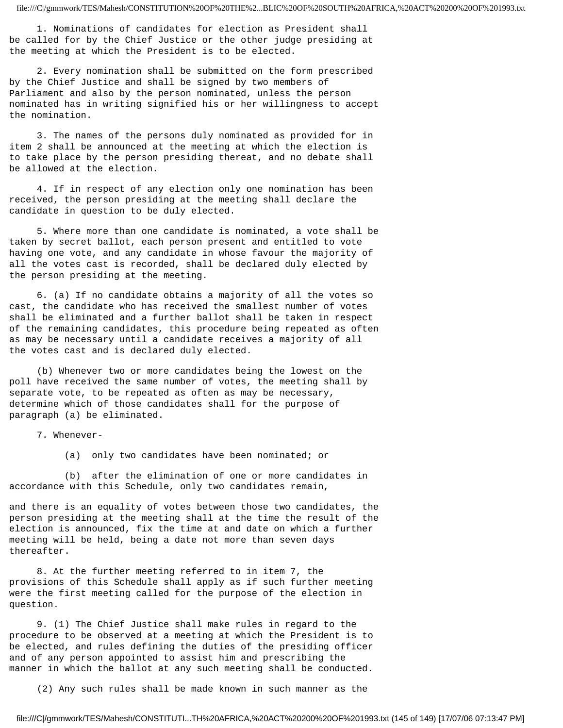1. Nominations of candidates for election as President shall be called for by the Chief Justice or the other judge presiding at the meeting at which the President is to be elected.

 2. Every nomination shall be submitted on the form prescribed by the Chief Justice and shall be signed by two members of Parliament and also by the person nominated, unless the person nominated has in writing signified his or her willingness to accept the nomination.

 3. The names of the persons duly nominated as provided for in item 2 shall be announced at the meeting at which the election is to take place by the person presiding thereat, and no debate shall be allowed at the election.

 4. If in respect of any election only one nomination has been received, the person presiding at the meeting shall declare the candidate in question to be duly elected.

 5. Where more than one candidate is nominated, a vote shall be taken by secret ballot, each person present and entitled to vote having one vote, and any candidate in whose favour the majority of all the votes cast is recorded, shall be declared duly elected by the person presiding at the meeting.

 6. (a) If no candidate obtains a majority of all the votes so cast, the candidate who has received the smallest number of votes shall be eliminated and a further ballot shall be taken in respect of the remaining candidates, this procedure being repeated as often as may be necessary until a candidate receives a majority of all the votes cast and is declared duly elected.

 (b) Whenever two or more candidates being the lowest on the poll have received the same number of votes, the meeting shall by separate vote, to be repeated as often as may be necessary, determine which of those candidates shall for the purpose of paragraph (a) be eliminated.

7. Whenever-

(a) only two candidates have been nominated; or

 (b) after the elimination of one or more candidates in accordance with this Schedule, only two candidates remain,

and there is an equality of votes between those two candidates, the person presiding at the meeting shall at the time the result of the election is announced, fix the time at and date on which a further meeting will be held, being a date not more than seven days thereafter.

 8. At the further meeting referred to in item 7, the provisions of this Schedule shall apply as if such further meeting were the first meeting called for the purpose of the election in question.

 9. (1) The Chief Justice shall make rules in regard to the procedure to be observed at a meeting at which the President is to be elected, and rules defining the duties of the presiding officer and of any person appointed to assist him and prescribing the manner in which the ballot at any such meeting shall be conducted.

(2) Any such rules shall be made known in such manner as the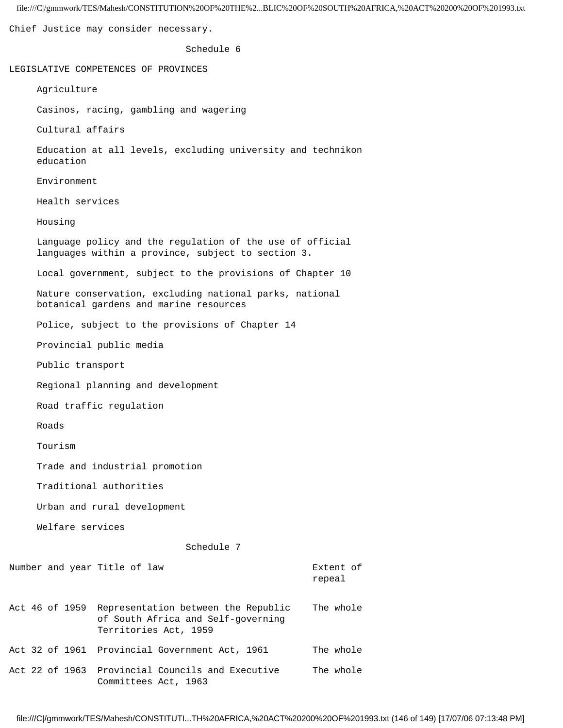```
file:///C|/gmmwork/TES/Mahesh/CONSTITUTION%20OF%20THE%2...BLIC%20OF%20SOUTH%20AFRICA,%20ACT%20200%20OF%201993.txt
```
Chief Justice may consider necessary.

Schedule 6

|                                | LEGISLATIVE COMPETENCES OF PROVINCES                                                                              |                     |  |
|--------------------------------|-------------------------------------------------------------------------------------------------------------------|---------------------|--|
| Agriculture                    |                                                                                                                   |                     |  |
|                                | Casinos, racing, gambling and wagering                                                                            |                     |  |
| Cultural affairs               |                                                                                                                   |                     |  |
| education                      | Education at all levels, excluding university and technikon                                                       |                     |  |
| Environment                    |                                                                                                                   |                     |  |
| Health services                |                                                                                                                   |                     |  |
| Housing                        |                                                                                                                   |                     |  |
|                                | Language policy and the regulation of the use of official<br>languages within a province, subject to section 3.   |                     |  |
|                                | Local government, subject to the provisions of Chapter 10                                                         |                     |  |
|                                | Nature conservation, excluding national parks, national<br>botanical gardens and marine resources                 |                     |  |
|                                | Police, subject to the provisions of Chapter 14                                                                   |                     |  |
|                                | Provincial public media                                                                                           |                     |  |
| Public transport               |                                                                                                                   |                     |  |
|                                | Regional planning and development                                                                                 |                     |  |
|                                | Road traffic regulation                                                                                           |                     |  |
| Roads                          |                                                                                                                   |                     |  |
| Tourism                        |                                                                                                                   |                     |  |
| Trade and industrial promotion |                                                                                                                   |                     |  |
|                                | Traditional authorities                                                                                           |                     |  |
|                                | Urban and rural development                                                                                       |                     |  |
| Welfare services               |                                                                                                                   |                     |  |
|                                | Schedule 7                                                                                                        |                     |  |
| Number and year Title of law   |                                                                                                                   | Extent of<br>repeal |  |
|                                | Act 46 of 1959 Representation between the Republic<br>of South Africa and Self-governing<br>Territories Act, 1959 | The whole           |  |
|                                | Act 32 of 1961 Provincial Government Act, 1961                                                                    | The whole           |  |
| Act 22 of 1963                 | Provincial Councils and Executive<br>Committees Act, 1963                                                         | The whole           |  |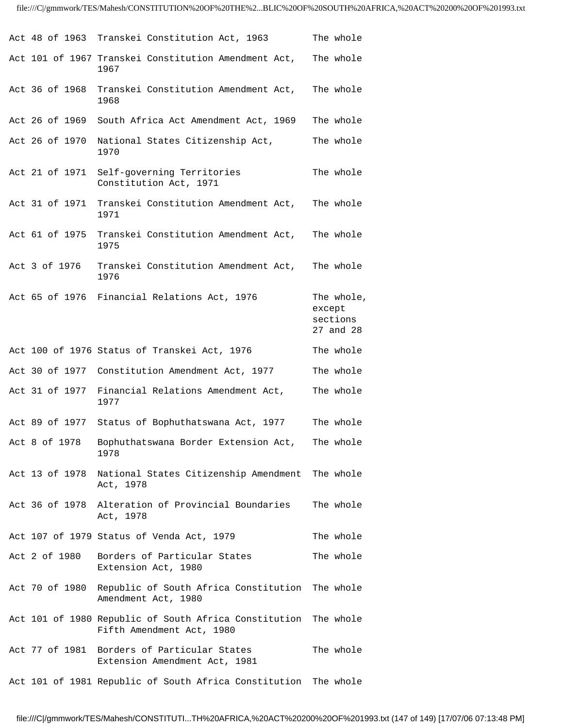|                | Act 48 of 1963 Transkei Constitution Act, 1963                                               | The whole                                     |
|----------------|----------------------------------------------------------------------------------------------|-----------------------------------------------|
|                | Act 101 of 1967 Transkei Constitution Amendment Act,<br>1967                                 | The whole                                     |
| Act 36 of 1968 | Transkei Constitution Amendment Act, The whole<br>1968                                       |                                               |
| Act 26 of 1969 | South Africa Act Amendment Act, 1969                                                         | The whole                                     |
| Act 26 of 1970 | National States Citizenship Act,<br>1970                                                     | The whole                                     |
|                | Act 21 of 1971 Self-governing Territories<br>Constitution Act, 1971                          | The whole                                     |
| Act 31 of 1971 | Transkei Constitution Amendment Act,<br>1971                                                 | The whole                                     |
| Act 61 of 1975 | Transkei Constitution Amendment Act, The whole<br>1975                                       |                                               |
| Act 3 of 1976  | Transkei Constitution Amendment Act, The whole<br>1976                                       |                                               |
|                | Act 65 of 1976 Financial Relations Act, 1976                                                 | The whole,<br>except<br>sections<br>27 and 28 |
|                | Act 100 of 1976 Status of Transkei Act, 1976                                                 | The whole                                     |
|                | Act 30 of 1977 Constitution Amendment Act, 1977                                              | The whole                                     |
| Act 31 of 1977 | Financial Relations Amendment Act,<br>1977                                                   | The whole                                     |
|                | Act 89 of 1977 Status of Bophuthatswana Act, 1977                                            | The whole                                     |
|                | Act 8 of 1978 Bophuthatswana Border Extension Act, The whole<br>1978                         |                                               |
|                | Act 13 of 1978 National States Citizenship Amendment The whole<br>Act, 1978                  |                                               |
|                | Act 36 of 1978 Alteration of Provincial Boundaries<br>Act, 1978                              | The whole                                     |
|                | Act 107 of 1979 Status of Venda Act, 1979                                                    | The whole                                     |
|                | Act 2 of 1980 Borders of Particular States<br>Extension Act, 1980                            | The whole                                     |
|                | Act 70 of 1980 Republic of South Africa Constitution The whole<br>Amendment Act, 1980        |                                               |
|                | Act 101 of 1980 Republic of South Africa Constitution The whole<br>Fifth Amendment Act, 1980 |                                               |
|                | Act 77 of 1981 Borders of Particular States<br>Extension Amendment Act, 1981                 | The whole                                     |
|                | Act 101 of 1981 Republic of South Africa Constitution The whole                              |                                               |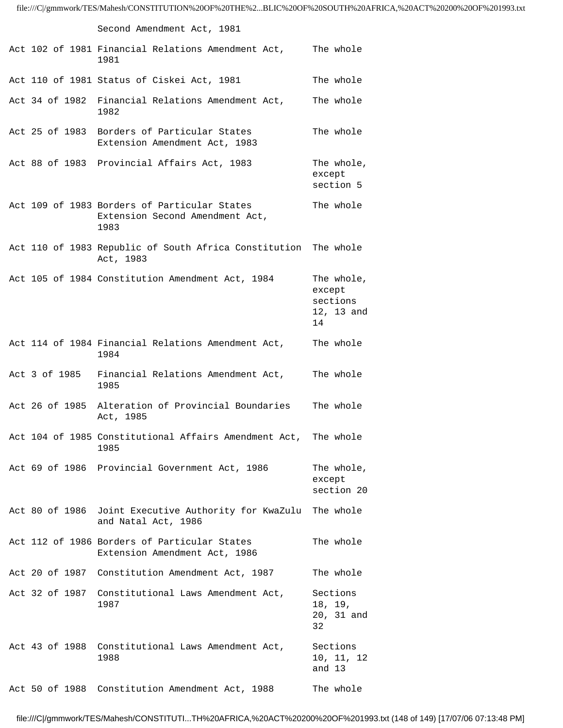Second Amendment Act, 1981

|  | Act 102 of 1981 Financial Relations Amendment Act, The whole<br>1981                    |                                                      |
|--|-----------------------------------------------------------------------------------------|------------------------------------------------------|
|  | Act 110 of 1981 Status of Ciskei Act, 1981                                              | The whole                                            |
|  | Act 34 of 1982 Financial Relations Amendment Act,<br>1982                               | The whole                                            |
|  | Act 25 of 1983 Borders of Particular States<br>Extension Amendment Act, 1983            | The whole                                            |
|  | Act 88 of 1983 Provincial Affairs Act, 1983                                             | The whole,<br>except<br>section 5                    |
|  | Act 109 of 1983 Borders of Particular States<br>Extension Second Amendment Act,<br>1983 | The whole                                            |
|  | Act 110 of 1983 Republic of South Africa Constitution The whole<br>Act, 1983            |                                                      |
|  | Act 105 of 1984 Constitution Amendment Act, 1984                                        | The whole,<br>except<br>sections<br>12, 13 and<br>14 |
|  | Act 114 of 1984 Financial Relations Amendment Act, The whole<br>1984                    |                                                      |
|  | Act 3 of 1985 Financial Relations Amendment Act, The whole<br>1985                      |                                                      |
|  | Act 26 of 1985 Alteration of Provincial Boundaries<br>Act, 1985                         | The whole                                            |
|  | Act 104 of 1985 Constitutional Affairs Amendment Act, The whole<br>1985                 |                                                      |
|  | Act 69 of 1986 Provincial Government Act, 1986                                          | The whole,<br>except<br>section 20                   |
|  | Act 80 of 1986 Joint Executive Authority for KwaZulu The whole<br>and Natal Act, 1986   |                                                      |
|  | Act 112 of 1986 Borders of Particular States<br>Extension Amendment Act, 1986           | The whole                                            |
|  | Act 20 of 1987 Constitution Amendment Act, 1987                                         | The whole                                            |
|  | Act 32 of 1987 Constitutional Laws Amendment Act,<br>1987                               | Sections<br>18, 19,<br>20, 31 and<br>32              |
|  | Act 43 of 1988 Constitutional Laws Amendment Act,<br>1988                               | Sections<br>10, 11, 12<br>and 13                     |
|  | Act 50 of 1988 Constitution Amendment Act, 1988                                         | The whole                                            |

file:///C|/gmmwork/TES/Mahesh/CONSTITUTI...TH%20AFRICA,%20ACT%20200%20OF%201993.txt (148 of 149) [17/07/06 07:13:48 PM]